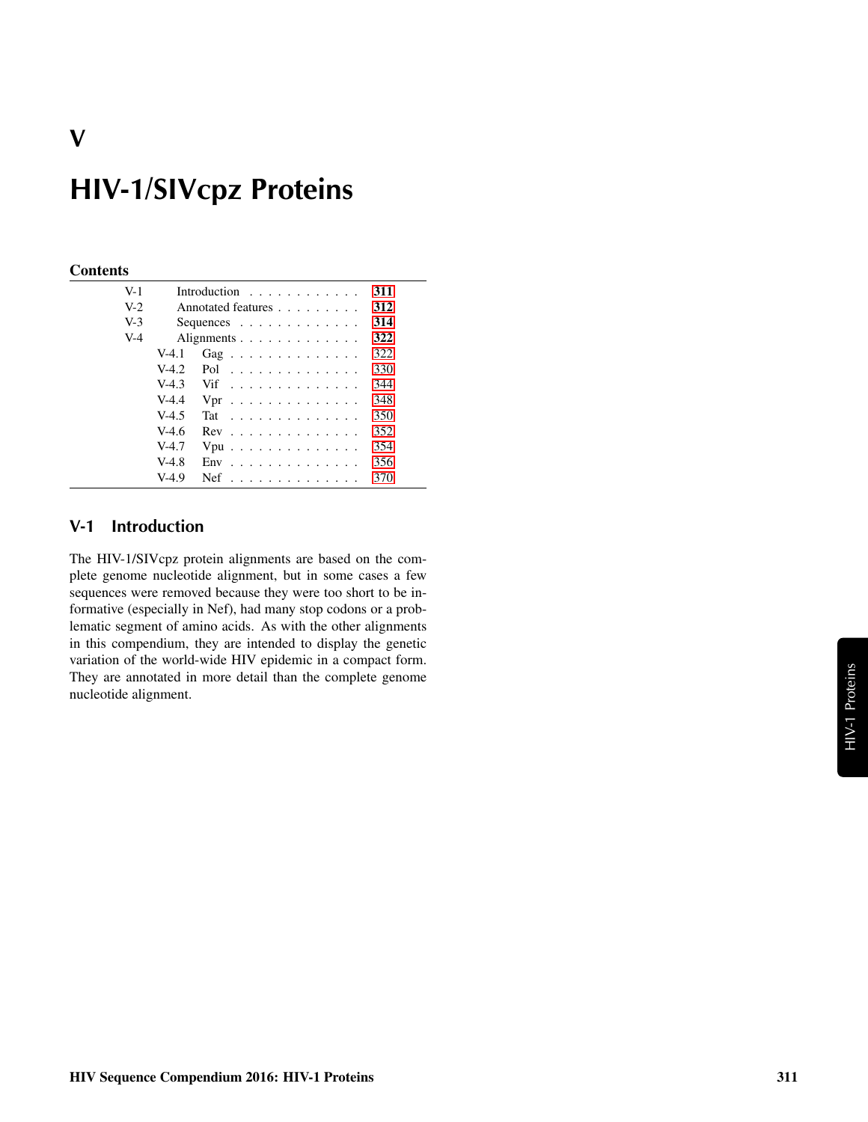# HIV-1/SIVcpz Proteins

#### **Contents**

V

| $V-1$ |         | Introduction $\ldots$ ,                       | 311 |
|-------|---------|-----------------------------------------------|-----|
| $V-2$ |         | Annotated features                            | 312 |
| $V-3$ |         | Sequences $\ldots$ $\ldots$ $\ldots$ $\ldots$ | 314 |
| $V-4$ |         | Alignments                                    | 322 |
|       | $V-4.1$ | Gag                                           | 322 |
|       | $V-4.2$ | Pol                                           | 330 |
|       | $V-4.3$ | Vif                                           | 344 |
|       | $V-4.4$ | $Vpr$                                         | 348 |
|       | $V-4.5$ | Tat                                           | 350 |
|       | $V-4.6$ | $Rev \dots \dots \dots \dots \dots$           | 352 |
|       | $V-4.7$ | $Vpu$                                         | 354 |
|       | $V-4.8$ | Env                                           | 356 |
|       | $V-4.9$ | $Nef$                                         | 370 |
|       |         |                                               |     |

# <span id="page-0-0"></span>V-1 Introduction

The HIV-1/SIVcpz protein alignments are based on the complete genome nucleotide alignment, but in some cases a few sequences were removed because they were too short to be informative (especially in Nef), had many stop codons or a problematic segment of amino acids. As with the other alignments in this compendium, they are intended to display the genetic variation of the world-wide HIV epidemic in a compact form. They are annotated in more detail than the complete genome nucleotide alignment.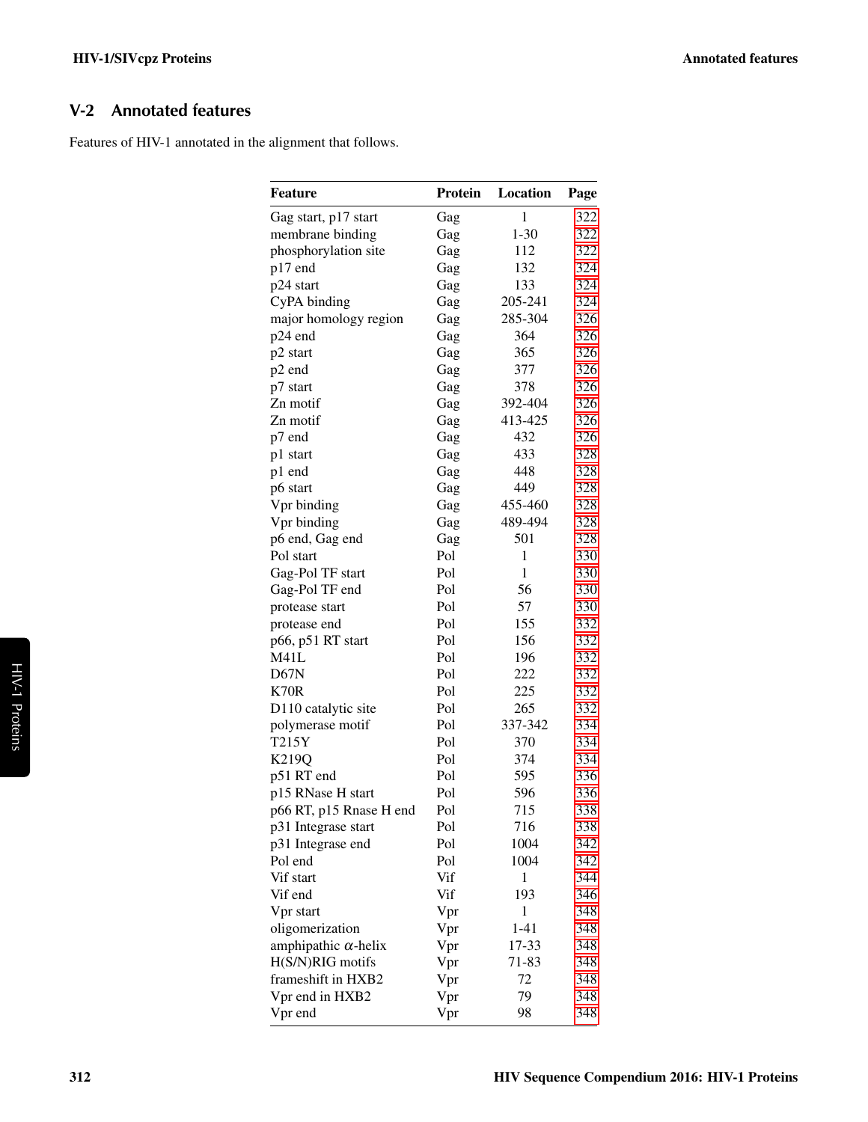# <span id="page-1-0"></span>V-2 Annotated features

Features of HIV-1 annotated in the alignment that follows.

| <b>Feature</b>              | Protein | Location     | Page |
|-----------------------------|---------|--------------|------|
| Gag start, p17 start        | Gag     | $\mathbf{1}$ | 322  |
| membrane binding            | Gag     | $1 - 30$     | 322  |
| phosphorylation site        | Gag     | 112          | 322  |
| p17 end                     | Gag     | 132          | 324  |
| p24 start                   | Gag     | 133          | 324  |
| CyPA binding                | Gag     | 205-241      | 324  |
| major homology region       | Gag     | 285-304      | 326  |
| p24 end                     | Gag     | 364          | 326  |
| p2 start                    | Gag     | 365          | 326  |
| p2 end                      | Gag     | 377          | 326  |
| p7 start                    | Gag     | 378          | 326  |
| Zn motif                    | Gag     | 392-404      | 326  |
| Zn motif                    | Gag     | 413-425      | 326  |
| p7 end                      | Gag     | 432          | 326  |
| p1 start                    | Gag     | 433          | 328  |
| p1 end                      | Gag     | 448          | 328  |
| p6 start                    | Gag     | 449          | 328  |
| Vpr binding                 | Gag     | 455-460      | 328  |
| Vpr binding                 | Gag     | 489-494      | 328  |
| p6 end, Gag end             | Gag     | 501          | 328  |
| Pol start                   | Pol     | 1            | 330  |
| Gag-Pol TF start            | Pol     | 1            | 330  |
| Gag-Pol TF end              | Pol     | 56           | 330  |
| protease start              | Pol     | 57           | 330  |
| protease end                | Pol     | 155          | 332  |
| p66, p51 RT start           | Pol     | 156          | 332  |
| M41L                        | Pol     | 196          | 332  |
| D67N                        | Pol     | 222          | 332  |
| <b>K70R</b>                 | Pol     | 225          | 332  |
| D110 catalytic site         | Pol     | 265          | 332  |
| polymerase motif            | Pol     | 337-342      | 334  |
| T215Y                       | Pol     | 370          | 334  |
| K219Q                       | Pol     | 374          | 334  |
| p51 RT end                  | Pol     | 595          | 336  |
| p15 RNase H start           | Pol     | 596          | 336  |
| p66 RT, p15 Rnase H end     | Pol     | 715          | 338  |
| p31 Integrase start         | Pol     | 716          | 338  |
| p31 Integrase end           | Pol     | 1004         | 342  |
| Pol end                     | Pol     | 1004         | 342  |
| Vif start                   | Vif     | 1            | 344  |
| Vif end                     | Vif     | 193          | 346  |
| Vpr start                   | Vpr     | 1            | 348  |
| oligomerization             | Vpr     | 1-41         | 348  |
| amphipathic $\alpha$ -helix | Vpr     | 17-33        | 348  |
| H(S/N)RIG motifs            | Vpr     | 71-83        | 348  |
| frameshift in HXB2          | Vpr     | 72           | 348  |
| Vpr end in HXB2             | Vpr     | 79           | 348  |
| Vpr end                     | Vpr     | 98           | 348  |
|                             |         |              |      |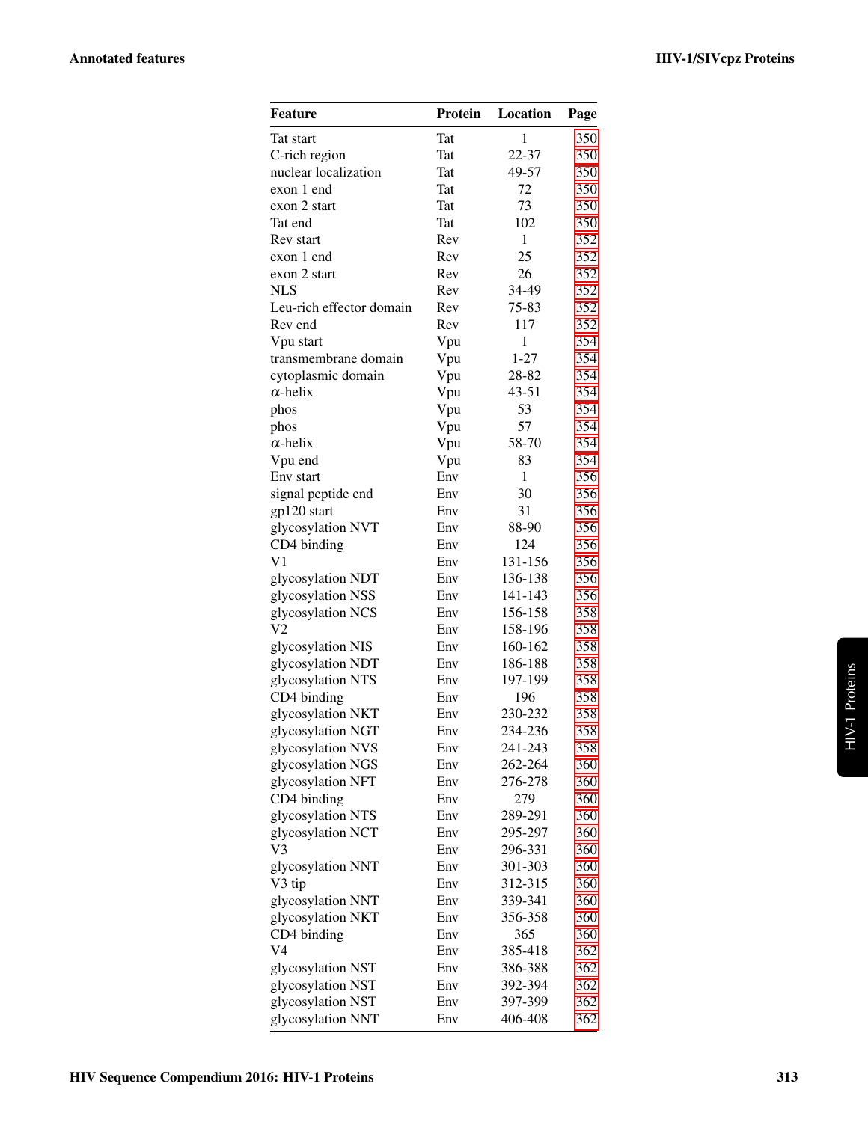| Feature                          | <b>Protein</b> | Location           | Page       |
|----------------------------------|----------------|--------------------|------------|
| Tat start                        | Tat            | $\mathbf{1}$       | 350        |
| C-rich region                    | Tat            | 22-37              | 350        |
| nuclear localization             | Tat            | 49-57              | 350        |
| exon 1 end                       | Tat            | 72                 | 350        |
| exon 2 start                     | Tat            | 73                 | 350        |
| Tat end                          | Tat            | 102                | 350        |
| Rev start                        | Rev            | $\mathbf{1}$       | 352        |
| exon 1 end                       | Rev            | 25                 | 352        |
| exon 2 start                     | Rev            | 26                 | 352        |
| <b>NLS</b>                       | Rev            | 34-49              | 352        |
| Leu-rich effector domain         | Rev            | 75-83              | 352        |
| Rev end                          | Rev            | 117                | 352        |
| Vpu start                        | Vpu            | $\mathbf{1}$       | 354        |
| transmembrane domain             | Vpu            | $1 - 27$           | 354        |
| cytoplasmic domain               | Vpu            | 28-82              | 354        |
| $\alpha$ -helix                  | Vpu            | $43 - 51$          | 354        |
| phos                             | Vpu            | 53                 | 354        |
| phos                             | Vpu            | 57                 | 354        |
| $\alpha$ -helix                  | Vpu            | 58-70              | 354        |
| Vpu end                          | Vpu            | 83                 | 354        |
| Env start                        | Env            | $\mathbf{1}$       | 356        |
| signal peptide end               | Env            | 30                 | 356        |
| gp120 start                      | Env            | 31                 | 356        |
| glycosylation NVT                | Env            | 88-90              | 356        |
| CD4 binding                      | Env            | 124                | 356        |
| V <sub>1</sub>                   | Env            | 131-156            | 356        |
| glycosylation NDT                | Env            | 136-138            | 356        |
| glycosylation NSS                | Env            | 141-143            | 356        |
| glycosylation NCS                | Env            | 156-158            | 358        |
| V2                               | Env            | 158-196            | 358        |
| glycosylation NIS                | Env            | 160-162<br>186-188 | 358        |
| glycosylation NDT                | Env            | 197-199            | 358        |
| glycosylation NTS                | Env<br>Env     | 196                | 358        |
| CD4 binding<br>glycosylation NKT | Env            | 230-232            | 358<br>358 |
| glycosylation NGT                | Env            | 234-236            | 358        |
| glycosylation NVS                | Env            | 241-243            | 358        |
| glycosylation NGS                | Env            | 262-264            | 360        |
| glycosylation NFT                | Env            | 276-278            | 360        |
| CD4 binding                      | Env            | 279                | 360        |
| glycosylation NTS                | Env            | 289-291            | 360        |
| glycosylation NCT                | Env            | 295-297            | 360        |
| V3                               | Env            | 296-331            | 360        |
| glycosylation NNT                | Env            | 301-303            | 360        |
| V3 tip                           | Env            | 312-315            | 360        |
| glycosylation NNT                | Env            | 339-341            | 360        |
| glycosylation NKT                | Env            | 356-358            | 360        |
| CD4 binding                      | Env            | 365                | 360        |
| V4                               | Env            | 385-418            | 362        |
| glycosylation NST                | Env            | 386-388            | 362        |
| glycosylation NST                | Env            | 392-394            | 362        |
| glycosylation NST                | Env            | 397-399            | 362        |
| glycosylation NNT                | Env            | 406-408            | 362        |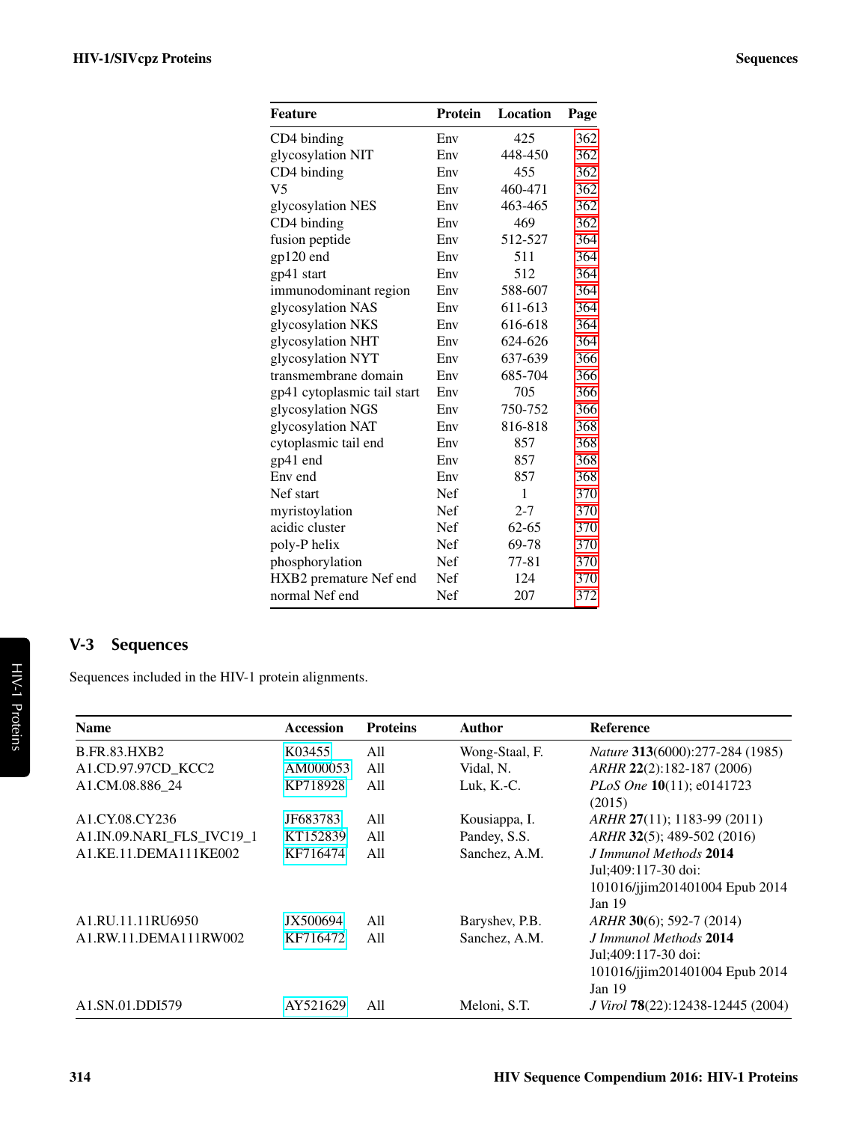| <b>Feature</b>              | <b>Protein</b> | Location  | Page |
|-----------------------------|----------------|-----------|------|
| CD4 binding                 | Env            | 425       | 362  |
| glycosylation NIT           | Env            | 448-450   | 362  |
| CD4 binding                 | Env            | 455       | 362  |
| V <sub>5</sub>              | Env            | 460-471   | 362  |
| glycosylation NES           | Env            | 463-465   | 362  |
| CD4 binding                 | Env            | 469       | 362  |
| fusion peptide              | Env            | 512-527   | 364  |
| gp120 end                   | Env            | 511       | 364  |
| gp41 start                  | Env            | 512       | 364  |
| immunodominant region       | Env            | 588-607   | 364  |
| glycosylation NAS           | Env            | 611-613   | 364  |
| glycosylation NKS           | Env            | 616-618   | 364  |
| glycosylation NHT           | Env            | 624-626   | 364  |
| glycosylation NYT           | Env            | 637-639   | 366  |
| transmembrane domain        | Env            | 685-704   | 366  |
| gp41 cytoplasmic tail start | Env            | 705       | 366  |
| glycosylation NGS           | Env            | 750-752   | 366  |
| glycosylation NAT           | Env            | 816-818   | 368  |
| cytoplasmic tail end        | Env            | 857       | 368  |
| gp41 end                    | Env            | 857       | 368  |
| Env end                     | Env            | 857       | 368  |
| Nef start                   | Nef            | 1         | 370  |
| myristoylation              | Nef            | $2 - 7$   | 370  |
| acidic cluster              | Nef            | $62 - 65$ | 370  |
| poly-P helix                | Nef            | 69-78     | 370  |
| phosphorylation             | Nef            | $77 - 81$ | 370  |
| HXB2 premature Nef end      | Nef            | 124       | 370  |
| normal Nef end              | Nef            | 207       | 372  |

# <span id="page-3-0"></span>V-3 Sequences

Sequences included in the HIV-1 protein alignments.

| <b>Name</b>                                          | Accession | <b>Proteins</b> | <b>Author</b>  | <b>Reference</b>                    |
|------------------------------------------------------|-----------|-----------------|----------------|-------------------------------------|
| <b>B.FR.83.HXB2</b>                                  | K03455    | A11             | Wong-Staal, F. | Nature 313(6000):277-284 (1985)     |
| A1.CD.97.97CD KCC2                                   | AM000053  | All             | Vidal, N.      | ARHR 22(2):182-187 (2006)           |
| A1.CM.08.886 24                                      | KP718928  | All             | Luk, $K.-C$ .  | <i>PLoS One</i> $10(11)$ ; e0141723 |
|                                                      |           |                 |                | (2015)                              |
| A <sub>1.</sub> CY <sub>.08</sub> .CY <sub>236</sub> | JF683783  | All             | Kousiappa, I.  | ARHR 27(11); 1183-99 (2011)         |
| A1.IN.09.NARI_FLS_IVC19_1                            | KT152839  | All             | Pandey, S.S.   | ARHR 32(5); 489-502 (2016)          |
| A1.KE.11.DEMA111KE002                                | KF716474  | A11             | Sanchez, A.M.  | J Immunol Methods 2014              |
|                                                      |           |                 |                | Jul: 409: 117 - 30 doi:             |
|                                                      |           |                 |                | 101016/jjim201401004 Epub 2014      |
|                                                      |           |                 |                | Jan $19$                            |
| A <sub>1</sub> .RU. <sub>11.11</sub> RU6950          | JX500694  | A11             | Baryshev, P.B. | $ARHR$ 30(6); 592-7 (2014)          |
| A1.RW.11.DEMA111RW002                                | KF716472  | All             | Sanchez, A.M.  | J Immunol Methods 2014              |
|                                                      |           |                 |                | Jul;409:117-30 doi:                 |
|                                                      |           |                 |                | 101016/jjim201401004 Epub 2014      |
|                                                      |           |                 |                | Jan $19$                            |
| A <sub>1.</sub> SN <sub>.01</sub> .DDI579            | AY521629  | All             | Meloni, S.T.   | J Virol 78(22):12438-12445 (2004)   |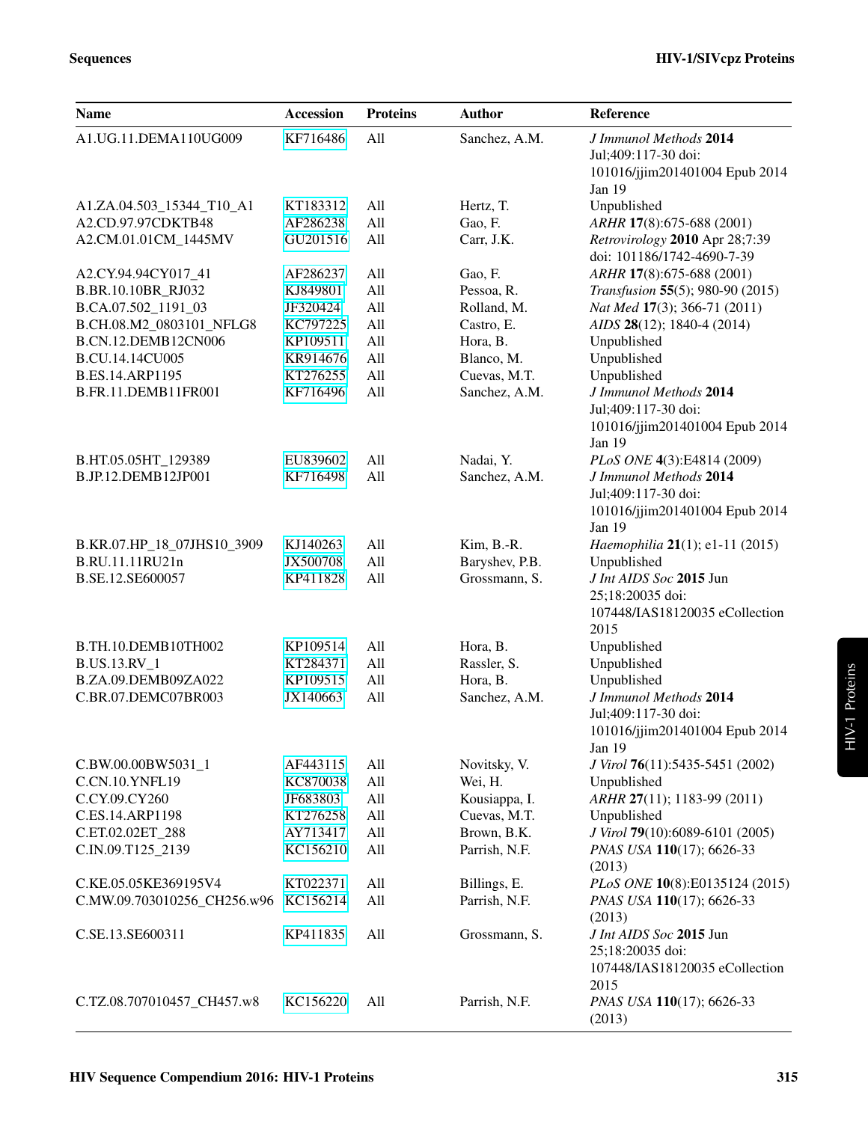| <b>Name</b>                 | <b>Accession</b> | <b>Proteins</b> | <b>Author</b>  | Reference                                                                                 |
|-----------------------------|------------------|-----------------|----------------|-------------------------------------------------------------------------------------------|
| A1.UG.11.DEMA110UG009       | KF716486         | All             | Sanchez, A.M.  | J Immunol Methods 2014<br>Jul;409:117-30 doi:<br>101016/jjim201401004 Epub 2014<br>Jan 19 |
| A1.ZA.04.503_15344_T10_A1   | KT183312         | All             | Hertz, T.      | Unpublished                                                                               |
| A2.CD.97.97CDKTB48          | AF286238         | All             | Gao, F.        | ARHR 17(8):675-688 (2001)                                                                 |
| A2.CM.01.01CM_1445MV        | GU201516         | All             | Carr, J.K.     | Retrovirology 2010 Apr 28;7:39<br>doi: 101186/1742-4690-7-39                              |
| A2.CY.94.94CY017_41         | AF286237         | All             | Gao, F.        | ARHR 17(8):675-688 (2001)                                                                 |
| B.BR.10.10BR RJ032          | KJ849801         | All             | Pessoa, R.     | Transfusion 55(5); 980-90 (2015)                                                          |
| B.CA.07.502_1191_03         | JF320424         | All             | Rolland, M.    | Nat Med 17(3); 366-71 (2011)                                                              |
| B.CH.08.M2_0803101_NFLG8    | KC797225         | All             | Castro, E.     | AIDS 28(12); 1840-4 (2014)                                                                |
| B.CN.12.DEMB12CN006         | KP109511         | All             | Hora, B.       | Unpublished                                                                               |
| B.CU.14.14CU005             | KR914676         | All             | Blanco, M.     | Unpublished                                                                               |
| <b>B.ES.14.ARP1195</b>      | KT276255         | All             | Cuevas, M.T.   | Unpublished                                                                               |
| B.FR.11.DEMB11FR001         | KF716496         | All             | Sanchez, A.M.  | J Immunol Methods 2014<br>Jul;409:117-30 doi:<br>101016/jjim201401004 Epub 2014<br>Jan 19 |
| B.HT.05.05HT_129389         | EU839602         | All             | Nadai, Y.      | PLoS ONE 4(3):E4814 (2009)                                                                |
| B.JP.12.DEMB12JP001         | KF716498         | All             | Sanchez, A.M.  | J Immunol Methods 2014                                                                    |
|                             |                  |                 |                | Jul;409:117-30 doi:<br>101016/jjim201401004 Epub 2014<br>Jan 19                           |
| B.KR.07.HP_18_07JHS10_3909  | KJ140263         | All             | Kim, B.-R.     | Haemophilia 21(1); e1-11 (2015)                                                           |
| B.RU.11.11RU21n             | JX500708         | All             | Baryshev, P.B. | Unpublished                                                                               |
| B.SE.12.SE600057            | KP411828         | All             | Grossmann, S.  | J Int AIDS Soc 2015 Jun<br>25;18:20035 doi:<br>107448/IAS18120035 eCollection<br>2015     |
| B.TH.10.DEMB10TH002         | KP109514         | All             | Hora, B.       | Unpublished                                                                               |
| <b>B.US.13.RV_1</b>         | KT284371         | All             | Rassler, S.    | Unpublished                                                                               |
| B.ZA.09.DEMB09ZA022         | KP109515         | All             | Hora, B.       | Unpublished                                                                               |
| C.BR.07.DEMC07BR003         | JX140663         | All             | Sanchez, A.M.  | J Immunol Methods 2014<br>Jul;409:117-30 doi:<br>101016/jjim201401004 Epub 2014<br>Jan 19 |
| C.BW.00.00BW5031_1          | AF443115         | All             | Novitsky, V.   | J Virol 76(11):5435-5451 (2002)                                                           |
| C.CN.10.YNFL19              | KC870038         | All             | Wei, H.        | Unpublished                                                                               |
| C.CY.09.CY260               | JF683803         | All             | Kousiappa, I.  | ARHR 27(11); 1183-99 (2011)                                                               |
| C.ES.14.ARP1198             | KT276258         | All             | Cuevas, M.T.   | Unpublished                                                                               |
| C.ET.02.02ET_288            | AY713417         | All             | Brown, B.K.    | J Virol 79(10):6089-6101 (2005)                                                           |
| C.IN.09.T125_2139           | KC156210         | All             | Parrish, N.F.  | PNAS USA 110(17); 6626-33<br>(2013)                                                       |
| C.KE.05.05KE369195V4        | KT022371         | All             | Billings, E.   | PLoS ONE 10(8):E0135124 (2015)                                                            |
| C.MW.09.703010256_CH256.w96 | KC156214         | All             | Parrish, N.F.  | PNAS USA 110(17); 6626-33<br>(2013)                                                       |
| C.SE.13.SE600311            | KP411835         | All             | Grossmann, S.  | J Int AIDS Soc 2015 Jun<br>25;18:20035 doi:<br>107448/IAS18120035 eCollection<br>2015     |
| C.TZ.08.707010457_CH457.w8  | KC156220         | All             | Parrish, N.F.  | PNAS USA 110(17); 6626-33<br>(2013)                                                       |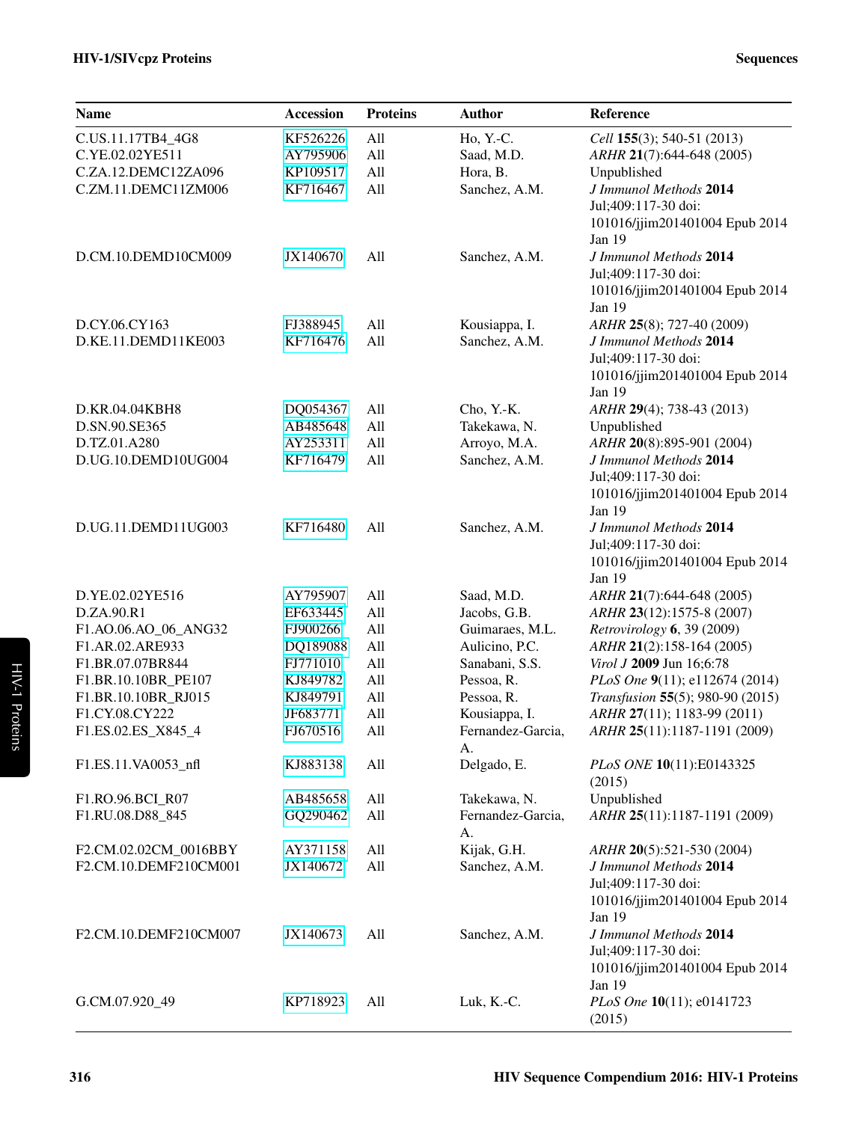# HIV-1/SIVcpz Proteins Sequences

| KF526226<br>All<br>Ho, Y.-C.<br>C.US.11.17TB4_4G8<br>Cell 155(3); 540-51 (2013)<br>C.YE.02.02YE511<br>All<br>AY795906<br>Saad, M.D.<br>ARHR 21(7):644-648 (2005)<br>C.ZA.12.DEMC12ZA096<br>KP109517<br>All<br>Hora, B.<br>Unpublished<br>C.ZM.11.DEMC11ZM006<br>All<br>Sanchez, A.M.<br>J Immunol Methods 2014<br>KF716467<br>Jul;409:117-30 doi:<br>101016/jjim201401004 Epub 2014<br>Jan 19<br>D.CM.10.DEMD10CM009<br>Sanchez, A.M.<br>J Immunol Methods 2014<br>JX140670<br>All<br>Jul;409:117-30 doi:<br>101016/jjim201401004 Epub 2014<br>Jan 19<br>D.CY.06.CY163<br>Kousiappa, I.<br>ARHR 25(8); 727-40 (2009)<br>FJ388945<br>All<br>D.KE.11.DEMD11KE003<br>All<br>Sanchez, A.M.<br>KF716476<br>J Immunol Methods 2014<br>Jul;409:117-30 doi:<br>101016/jjim201401004 Epub 2014<br>Jan 19<br>D.KR.04.04KBH8<br>DQ054367<br>All<br>Cho, Y.-K.<br>ARHR 29(4); 738-43 (2013)<br>Unpublished<br>D.SN.90.SE365<br>AB485648<br>All<br>Takekawa, N.<br>D.TZ.01.A280<br>Arroyo, M.A.<br>AY253311<br>All<br>ARHR 20(8):895-901 (2004)<br>D.UG.10.DEMD10UG004<br>KF716479<br>Sanchez, A.M.<br>All<br>J Immunol Methods 2014<br>Jul;409:117-30 doi:<br>101016/jjim201401004 Epub 2014<br>Jan 19<br>D.UG.11.DEMD11UG003<br>All<br>Sanchez, A.M.<br>KF716480<br>J Immunol Methods 2014<br>Jul;409:117-30 doi:<br>101016/jjim201401004 Epub 2014<br>Jan 19<br>All<br>Saad, M.D.<br>D.YE.02.02YE516<br>AY795907<br>ARHR 21(7):644-648 (2005)<br>All<br>Jacobs, G.B.<br>D.ZA.90.R1<br>EF633445<br>ARHR 23(12):1575-8 (2007)<br>All<br>Guimaraes, M.L.<br>F1.AO.06.AO_06_ANG32<br>FJ900266<br>Retrovirology 6, 39 (2009)<br>F1.AR.02.ARE933<br>All<br>Aulicino, P.C.<br>ARHR 21(2):158-164 (2005)<br>DQ189088<br>F1.BR.07.07BR844<br>FJ771010<br>All<br>Sanabani, S.S.<br>Virol J 2009 Jun 16;6:78<br>All<br>F1.BR.10.10BR_PE107<br>KJ849782<br>Pessoa, R.<br>PLoS One 9(11); e112674 (2014)<br>All<br>Pessoa, R.<br>F1.BR.10.10BR_RJ015<br>KJ849791<br>Transfusion 55(5); 980-90 (2015)<br>F1.CY.08.CY222<br>JF683771<br>All<br>Kousiappa, I.<br>ARHR 27(11); 1183-99 (2011)<br>F1.ES.02.ES_X845_4<br>FJ670516<br>All<br>ARHR 25(11):1187-1191 (2009)<br>Fernandez-Garcia,<br>A.<br>Delgado, E.<br>F1.ES.11.VA0053_nfl<br>KJ883138<br>All<br>PLoS ONE 10(11):E0143325<br>(2015)<br>Unpublished<br>F1.RO.96.BCI_R07<br>AB485658<br>All<br>Takekawa, N.<br>GQ290462<br>ARHR 25(11):1187-1191 (2009)<br>F1.RU.08.D88_845<br>All<br>Fernandez-Garcia,<br>A.<br>Kijak, G.H.<br>F2.CM.02.02CM_0016BBY<br>AY371158<br>All<br>ARHR 20(5):521-530 (2004)<br>F2.CM.10.DEMF210CM001<br>JX140672<br>All<br>Sanchez, A.M.<br>J Immunol Methods 2014<br>Jul;409:117-30 doi:<br>101016/jjim201401004 Epub 2014<br>Jan 19<br>J Immunol Methods 2014<br>F2.CM.10.DEMF210CM007<br>JX140673<br>All<br>Sanchez, A.M.<br>Jul;409:117-30 doi:<br>101016/jjim201401004 Epub 2014<br>Jan 19<br>PLoS One 10(11); e0141723<br>G.CM.07.920_49<br>KP718923<br>All<br>Luk, K.-C.<br>(2015) | <b>Name</b> | <b>Accession</b> | <b>Proteins</b> | <b>Author</b> | Reference |
|-----------------------------------------------------------------------------------------------------------------------------------------------------------------------------------------------------------------------------------------------------------------------------------------------------------------------------------------------------------------------------------------------------------------------------------------------------------------------------------------------------------------------------------------------------------------------------------------------------------------------------------------------------------------------------------------------------------------------------------------------------------------------------------------------------------------------------------------------------------------------------------------------------------------------------------------------------------------------------------------------------------------------------------------------------------------------------------------------------------------------------------------------------------------------------------------------------------------------------------------------------------------------------------------------------------------------------------------------------------------------------------------------------------------------------------------------------------------------------------------------------------------------------------------------------------------------------------------------------------------------------------------------------------------------------------------------------------------------------------------------------------------------------------------------------------------------------------------------------------------------------------------------------------------------------------------------------------------------------------------------------------------------------------------------------------------------------------------------------------------------------------------------------------------------------------------------------------------------------------------------------------------------------------------------------------------------------------------------------------------------------------------------------------------------------------------------------------------------------------------------------------------------------------------------------------------------------------------------------------------------------------------------------------------------------------------------------------------------------------------------------------------------------------------------------------------------------------------------------------------------------------------------------------------------------------------------------|-------------|------------------|-----------------|---------------|-----------|
|                                                                                                                                                                                                                                                                                                                                                                                                                                                                                                                                                                                                                                                                                                                                                                                                                                                                                                                                                                                                                                                                                                                                                                                                                                                                                                                                                                                                                                                                                                                                                                                                                                                                                                                                                                                                                                                                                                                                                                                                                                                                                                                                                                                                                                                                                                                                                                                                                                                                                                                                                                                                                                                                                                                                                                                                                                                                                                                                                     |             |                  |                 |               |           |
|                                                                                                                                                                                                                                                                                                                                                                                                                                                                                                                                                                                                                                                                                                                                                                                                                                                                                                                                                                                                                                                                                                                                                                                                                                                                                                                                                                                                                                                                                                                                                                                                                                                                                                                                                                                                                                                                                                                                                                                                                                                                                                                                                                                                                                                                                                                                                                                                                                                                                                                                                                                                                                                                                                                                                                                                                                                                                                                                                     |             |                  |                 |               |           |
|                                                                                                                                                                                                                                                                                                                                                                                                                                                                                                                                                                                                                                                                                                                                                                                                                                                                                                                                                                                                                                                                                                                                                                                                                                                                                                                                                                                                                                                                                                                                                                                                                                                                                                                                                                                                                                                                                                                                                                                                                                                                                                                                                                                                                                                                                                                                                                                                                                                                                                                                                                                                                                                                                                                                                                                                                                                                                                                                                     |             |                  |                 |               |           |
|                                                                                                                                                                                                                                                                                                                                                                                                                                                                                                                                                                                                                                                                                                                                                                                                                                                                                                                                                                                                                                                                                                                                                                                                                                                                                                                                                                                                                                                                                                                                                                                                                                                                                                                                                                                                                                                                                                                                                                                                                                                                                                                                                                                                                                                                                                                                                                                                                                                                                                                                                                                                                                                                                                                                                                                                                                                                                                                                                     |             |                  |                 |               |           |
|                                                                                                                                                                                                                                                                                                                                                                                                                                                                                                                                                                                                                                                                                                                                                                                                                                                                                                                                                                                                                                                                                                                                                                                                                                                                                                                                                                                                                                                                                                                                                                                                                                                                                                                                                                                                                                                                                                                                                                                                                                                                                                                                                                                                                                                                                                                                                                                                                                                                                                                                                                                                                                                                                                                                                                                                                                                                                                                                                     |             |                  |                 |               |           |
|                                                                                                                                                                                                                                                                                                                                                                                                                                                                                                                                                                                                                                                                                                                                                                                                                                                                                                                                                                                                                                                                                                                                                                                                                                                                                                                                                                                                                                                                                                                                                                                                                                                                                                                                                                                                                                                                                                                                                                                                                                                                                                                                                                                                                                                                                                                                                                                                                                                                                                                                                                                                                                                                                                                                                                                                                                                                                                                                                     |             |                  |                 |               |           |
|                                                                                                                                                                                                                                                                                                                                                                                                                                                                                                                                                                                                                                                                                                                                                                                                                                                                                                                                                                                                                                                                                                                                                                                                                                                                                                                                                                                                                                                                                                                                                                                                                                                                                                                                                                                                                                                                                                                                                                                                                                                                                                                                                                                                                                                                                                                                                                                                                                                                                                                                                                                                                                                                                                                                                                                                                                                                                                                                                     |             |                  |                 |               |           |
|                                                                                                                                                                                                                                                                                                                                                                                                                                                                                                                                                                                                                                                                                                                                                                                                                                                                                                                                                                                                                                                                                                                                                                                                                                                                                                                                                                                                                                                                                                                                                                                                                                                                                                                                                                                                                                                                                                                                                                                                                                                                                                                                                                                                                                                                                                                                                                                                                                                                                                                                                                                                                                                                                                                                                                                                                                                                                                                                                     |             |                  |                 |               |           |
|                                                                                                                                                                                                                                                                                                                                                                                                                                                                                                                                                                                                                                                                                                                                                                                                                                                                                                                                                                                                                                                                                                                                                                                                                                                                                                                                                                                                                                                                                                                                                                                                                                                                                                                                                                                                                                                                                                                                                                                                                                                                                                                                                                                                                                                                                                                                                                                                                                                                                                                                                                                                                                                                                                                                                                                                                                                                                                                                                     |             |                  |                 |               |           |
|                                                                                                                                                                                                                                                                                                                                                                                                                                                                                                                                                                                                                                                                                                                                                                                                                                                                                                                                                                                                                                                                                                                                                                                                                                                                                                                                                                                                                                                                                                                                                                                                                                                                                                                                                                                                                                                                                                                                                                                                                                                                                                                                                                                                                                                                                                                                                                                                                                                                                                                                                                                                                                                                                                                                                                                                                                                                                                                                                     |             |                  |                 |               |           |
|                                                                                                                                                                                                                                                                                                                                                                                                                                                                                                                                                                                                                                                                                                                                                                                                                                                                                                                                                                                                                                                                                                                                                                                                                                                                                                                                                                                                                                                                                                                                                                                                                                                                                                                                                                                                                                                                                                                                                                                                                                                                                                                                                                                                                                                                                                                                                                                                                                                                                                                                                                                                                                                                                                                                                                                                                                                                                                                                                     |             |                  |                 |               |           |
|                                                                                                                                                                                                                                                                                                                                                                                                                                                                                                                                                                                                                                                                                                                                                                                                                                                                                                                                                                                                                                                                                                                                                                                                                                                                                                                                                                                                                                                                                                                                                                                                                                                                                                                                                                                                                                                                                                                                                                                                                                                                                                                                                                                                                                                                                                                                                                                                                                                                                                                                                                                                                                                                                                                                                                                                                                                                                                                                                     |             |                  |                 |               |           |
|                                                                                                                                                                                                                                                                                                                                                                                                                                                                                                                                                                                                                                                                                                                                                                                                                                                                                                                                                                                                                                                                                                                                                                                                                                                                                                                                                                                                                                                                                                                                                                                                                                                                                                                                                                                                                                                                                                                                                                                                                                                                                                                                                                                                                                                                                                                                                                                                                                                                                                                                                                                                                                                                                                                                                                                                                                                                                                                                                     |             |                  |                 |               |           |
|                                                                                                                                                                                                                                                                                                                                                                                                                                                                                                                                                                                                                                                                                                                                                                                                                                                                                                                                                                                                                                                                                                                                                                                                                                                                                                                                                                                                                                                                                                                                                                                                                                                                                                                                                                                                                                                                                                                                                                                                                                                                                                                                                                                                                                                                                                                                                                                                                                                                                                                                                                                                                                                                                                                                                                                                                                                                                                                                                     |             |                  |                 |               |           |
|                                                                                                                                                                                                                                                                                                                                                                                                                                                                                                                                                                                                                                                                                                                                                                                                                                                                                                                                                                                                                                                                                                                                                                                                                                                                                                                                                                                                                                                                                                                                                                                                                                                                                                                                                                                                                                                                                                                                                                                                                                                                                                                                                                                                                                                                                                                                                                                                                                                                                                                                                                                                                                                                                                                                                                                                                                                                                                                                                     |             |                  |                 |               |           |
|                                                                                                                                                                                                                                                                                                                                                                                                                                                                                                                                                                                                                                                                                                                                                                                                                                                                                                                                                                                                                                                                                                                                                                                                                                                                                                                                                                                                                                                                                                                                                                                                                                                                                                                                                                                                                                                                                                                                                                                                                                                                                                                                                                                                                                                                                                                                                                                                                                                                                                                                                                                                                                                                                                                                                                                                                                                                                                                                                     |             |                  |                 |               |           |
|                                                                                                                                                                                                                                                                                                                                                                                                                                                                                                                                                                                                                                                                                                                                                                                                                                                                                                                                                                                                                                                                                                                                                                                                                                                                                                                                                                                                                                                                                                                                                                                                                                                                                                                                                                                                                                                                                                                                                                                                                                                                                                                                                                                                                                                                                                                                                                                                                                                                                                                                                                                                                                                                                                                                                                                                                                                                                                                                                     |             |                  |                 |               |           |
|                                                                                                                                                                                                                                                                                                                                                                                                                                                                                                                                                                                                                                                                                                                                                                                                                                                                                                                                                                                                                                                                                                                                                                                                                                                                                                                                                                                                                                                                                                                                                                                                                                                                                                                                                                                                                                                                                                                                                                                                                                                                                                                                                                                                                                                                                                                                                                                                                                                                                                                                                                                                                                                                                                                                                                                                                                                                                                                                                     |             |                  |                 |               |           |
|                                                                                                                                                                                                                                                                                                                                                                                                                                                                                                                                                                                                                                                                                                                                                                                                                                                                                                                                                                                                                                                                                                                                                                                                                                                                                                                                                                                                                                                                                                                                                                                                                                                                                                                                                                                                                                                                                                                                                                                                                                                                                                                                                                                                                                                                                                                                                                                                                                                                                                                                                                                                                                                                                                                                                                                                                                                                                                                                                     |             |                  |                 |               |           |
|                                                                                                                                                                                                                                                                                                                                                                                                                                                                                                                                                                                                                                                                                                                                                                                                                                                                                                                                                                                                                                                                                                                                                                                                                                                                                                                                                                                                                                                                                                                                                                                                                                                                                                                                                                                                                                                                                                                                                                                                                                                                                                                                                                                                                                                                                                                                                                                                                                                                                                                                                                                                                                                                                                                                                                                                                                                                                                                                                     |             |                  |                 |               |           |
|                                                                                                                                                                                                                                                                                                                                                                                                                                                                                                                                                                                                                                                                                                                                                                                                                                                                                                                                                                                                                                                                                                                                                                                                                                                                                                                                                                                                                                                                                                                                                                                                                                                                                                                                                                                                                                                                                                                                                                                                                                                                                                                                                                                                                                                                                                                                                                                                                                                                                                                                                                                                                                                                                                                                                                                                                                                                                                                                                     |             |                  |                 |               |           |
|                                                                                                                                                                                                                                                                                                                                                                                                                                                                                                                                                                                                                                                                                                                                                                                                                                                                                                                                                                                                                                                                                                                                                                                                                                                                                                                                                                                                                                                                                                                                                                                                                                                                                                                                                                                                                                                                                                                                                                                                                                                                                                                                                                                                                                                                                                                                                                                                                                                                                                                                                                                                                                                                                                                                                                                                                                                                                                                                                     |             |                  |                 |               |           |
|                                                                                                                                                                                                                                                                                                                                                                                                                                                                                                                                                                                                                                                                                                                                                                                                                                                                                                                                                                                                                                                                                                                                                                                                                                                                                                                                                                                                                                                                                                                                                                                                                                                                                                                                                                                                                                                                                                                                                                                                                                                                                                                                                                                                                                                                                                                                                                                                                                                                                                                                                                                                                                                                                                                                                                                                                                                                                                                                                     |             |                  |                 |               |           |
|                                                                                                                                                                                                                                                                                                                                                                                                                                                                                                                                                                                                                                                                                                                                                                                                                                                                                                                                                                                                                                                                                                                                                                                                                                                                                                                                                                                                                                                                                                                                                                                                                                                                                                                                                                                                                                                                                                                                                                                                                                                                                                                                                                                                                                                                                                                                                                                                                                                                                                                                                                                                                                                                                                                                                                                                                                                                                                                                                     |             |                  |                 |               |           |
|                                                                                                                                                                                                                                                                                                                                                                                                                                                                                                                                                                                                                                                                                                                                                                                                                                                                                                                                                                                                                                                                                                                                                                                                                                                                                                                                                                                                                                                                                                                                                                                                                                                                                                                                                                                                                                                                                                                                                                                                                                                                                                                                                                                                                                                                                                                                                                                                                                                                                                                                                                                                                                                                                                                                                                                                                                                                                                                                                     |             |                  |                 |               |           |
|                                                                                                                                                                                                                                                                                                                                                                                                                                                                                                                                                                                                                                                                                                                                                                                                                                                                                                                                                                                                                                                                                                                                                                                                                                                                                                                                                                                                                                                                                                                                                                                                                                                                                                                                                                                                                                                                                                                                                                                                                                                                                                                                                                                                                                                                                                                                                                                                                                                                                                                                                                                                                                                                                                                                                                                                                                                                                                                                                     |             |                  |                 |               |           |
|                                                                                                                                                                                                                                                                                                                                                                                                                                                                                                                                                                                                                                                                                                                                                                                                                                                                                                                                                                                                                                                                                                                                                                                                                                                                                                                                                                                                                                                                                                                                                                                                                                                                                                                                                                                                                                                                                                                                                                                                                                                                                                                                                                                                                                                                                                                                                                                                                                                                                                                                                                                                                                                                                                                                                                                                                                                                                                                                                     |             |                  |                 |               |           |
|                                                                                                                                                                                                                                                                                                                                                                                                                                                                                                                                                                                                                                                                                                                                                                                                                                                                                                                                                                                                                                                                                                                                                                                                                                                                                                                                                                                                                                                                                                                                                                                                                                                                                                                                                                                                                                                                                                                                                                                                                                                                                                                                                                                                                                                                                                                                                                                                                                                                                                                                                                                                                                                                                                                                                                                                                                                                                                                                                     |             |                  |                 |               |           |
|                                                                                                                                                                                                                                                                                                                                                                                                                                                                                                                                                                                                                                                                                                                                                                                                                                                                                                                                                                                                                                                                                                                                                                                                                                                                                                                                                                                                                                                                                                                                                                                                                                                                                                                                                                                                                                                                                                                                                                                                                                                                                                                                                                                                                                                                                                                                                                                                                                                                                                                                                                                                                                                                                                                                                                                                                                                                                                                                                     |             |                  |                 |               |           |
|                                                                                                                                                                                                                                                                                                                                                                                                                                                                                                                                                                                                                                                                                                                                                                                                                                                                                                                                                                                                                                                                                                                                                                                                                                                                                                                                                                                                                                                                                                                                                                                                                                                                                                                                                                                                                                                                                                                                                                                                                                                                                                                                                                                                                                                                                                                                                                                                                                                                                                                                                                                                                                                                                                                                                                                                                                                                                                                                                     |             |                  |                 |               |           |
|                                                                                                                                                                                                                                                                                                                                                                                                                                                                                                                                                                                                                                                                                                                                                                                                                                                                                                                                                                                                                                                                                                                                                                                                                                                                                                                                                                                                                                                                                                                                                                                                                                                                                                                                                                                                                                                                                                                                                                                                                                                                                                                                                                                                                                                                                                                                                                                                                                                                                                                                                                                                                                                                                                                                                                                                                                                                                                                                                     |             |                  |                 |               |           |
|                                                                                                                                                                                                                                                                                                                                                                                                                                                                                                                                                                                                                                                                                                                                                                                                                                                                                                                                                                                                                                                                                                                                                                                                                                                                                                                                                                                                                                                                                                                                                                                                                                                                                                                                                                                                                                                                                                                                                                                                                                                                                                                                                                                                                                                                                                                                                                                                                                                                                                                                                                                                                                                                                                                                                                                                                                                                                                                                                     |             |                  |                 |               |           |
|                                                                                                                                                                                                                                                                                                                                                                                                                                                                                                                                                                                                                                                                                                                                                                                                                                                                                                                                                                                                                                                                                                                                                                                                                                                                                                                                                                                                                                                                                                                                                                                                                                                                                                                                                                                                                                                                                                                                                                                                                                                                                                                                                                                                                                                                                                                                                                                                                                                                                                                                                                                                                                                                                                                                                                                                                                                                                                                                                     |             |                  |                 |               |           |
|                                                                                                                                                                                                                                                                                                                                                                                                                                                                                                                                                                                                                                                                                                                                                                                                                                                                                                                                                                                                                                                                                                                                                                                                                                                                                                                                                                                                                                                                                                                                                                                                                                                                                                                                                                                                                                                                                                                                                                                                                                                                                                                                                                                                                                                                                                                                                                                                                                                                                                                                                                                                                                                                                                                                                                                                                                                                                                                                                     |             |                  |                 |               |           |
|                                                                                                                                                                                                                                                                                                                                                                                                                                                                                                                                                                                                                                                                                                                                                                                                                                                                                                                                                                                                                                                                                                                                                                                                                                                                                                                                                                                                                                                                                                                                                                                                                                                                                                                                                                                                                                                                                                                                                                                                                                                                                                                                                                                                                                                                                                                                                                                                                                                                                                                                                                                                                                                                                                                                                                                                                                                                                                                                                     |             |                  |                 |               |           |
|                                                                                                                                                                                                                                                                                                                                                                                                                                                                                                                                                                                                                                                                                                                                                                                                                                                                                                                                                                                                                                                                                                                                                                                                                                                                                                                                                                                                                                                                                                                                                                                                                                                                                                                                                                                                                                                                                                                                                                                                                                                                                                                                                                                                                                                                                                                                                                                                                                                                                                                                                                                                                                                                                                                                                                                                                                                                                                                                                     |             |                  |                 |               |           |
|                                                                                                                                                                                                                                                                                                                                                                                                                                                                                                                                                                                                                                                                                                                                                                                                                                                                                                                                                                                                                                                                                                                                                                                                                                                                                                                                                                                                                                                                                                                                                                                                                                                                                                                                                                                                                                                                                                                                                                                                                                                                                                                                                                                                                                                                                                                                                                                                                                                                                                                                                                                                                                                                                                                                                                                                                                                                                                                                                     |             |                  |                 |               |           |
|                                                                                                                                                                                                                                                                                                                                                                                                                                                                                                                                                                                                                                                                                                                                                                                                                                                                                                                                                                                                                                                                                                                                                                                                                                                                                                                                                                                                                                                                                                                                                                                                                                                                                                                                                                                                                                                                                                                                                                                                                                                                                                                                                                                                                                                                                                                                                                                                                                                                                                                                                                                                                                                                                                                                                                                                                                                                                                                                                     |             |                  |                 |               |           |
|                                                                                                                                                                                                                                                                                                                                                                                                                                                                                                                                                                                                                                                                                                                                                                                                                                                                                                                                                                                                                                                                                                                                                                                                                                                                                                                                                                                                                                                                                                                                                                                                                                                                                                                                                                                                                                                                                                                                                                                                                                                                                                                                                                                                                                                                                                                                                                                                                                                                                                                                                                                                                                                                                                                                                                                                                                                                                                                                                     |             |                  |                 |               |           |
|                                                                                                                                                                                                                                                                                                                                                                                                                                                                                                                                                                                                                                                                                                                                                                                                                                                                                                                                                                                                                                                                                                                                                                                                                                                                                                                                                                                                                                                                                                                                                                                                                                                                                                                                                                                                                                                                                                                                                                                                                                                                                                                                                                                                                                                                                                                                                                                                                                                                                                                                                                                                                                                                                                                                                                                                                                                                                                                                                     |             |                  |                 |               |           |
|                                                                                                                                                                                                                                                                                                                                                                                                                                                                                                                                                                                                                                                                                                                                                                                                                                                                                                                                                                                                                                                                                                                                                                                                                                                                                                                                                                                                                                                                                                                                                                                                                                                                                                                                                                                                                                                                                                                                                                                                                                                                                                                                                                                                                                                                                                                                                                                                                                                                                                                                                                                                                                                                                                                                                                                                                                                                                                                                                     |             |                  |                 |               |           |
|                                                                                                                                                                                                                                                                                                                                                                                                                                                                                                                                                                                                                                                                                                                                                                                                                                                                                                                                                                                                                                                                                                                                                                                                                                                                                                                                                                                                                                                                                                                                                                                                                                                                                                                                                                                                                                                                                                                                                                                                                                                                                                                                                                                                                                                                                                                                                                                                                                                                                                                                                                                                                                                                                                                                                                                                                                                                                                                                                     |             |                  |                 |               |           |
|                                                                                                                                                                                                                                                                                                                                                                                                                                                                                                                                                                                                                                                                                                                                                                                                                                                                                                                                                                                                                                                                                                                                                                                                                                                                                                                                                                                                                                                                                                                                                                                                                                                                                                                                                                                                                                                                                                                                                                                                                                                                                                                                                                                                                                                                                                                                                                                                                                                                                                                                                                                                                                                                                                                                                                                                                                                                                                                                                     |             |                  |                 |               |           |
|                                                                                                                                                                                                                                                                                                                                                                                                                                                                                                                                                                                                                                                                                                                                                                                                                                                                                                                                                                                                                                                                                                                                                                                                                                                                                                                                                                                                                                                                                                                                                                                                                                                                                                                                                                                                                                                                                                                                                                                                                                                                                                                                                                                                                                                                                                                                                                                                                                                                                                                                                                                                                                                                                                                                                                                                                                                                                                                                                     |             |                  |                 |               |           |
|                                                                                                                                                                                                                                                                                                                                                                                                                                                                                                                                                                                                                                                                                                                                                                                                                                                                                                                                                                                                                                                                                                                                                                                                                                                                                                                                                                                                                                                                                                                                                                                                                                                                                                                                                                                                                                                                                                                                                                                                                                                                                                                                                                                                                                                                                                                                                                                                                                                                                                                                                                                                                                                                                                                                                                                                                                                                                                                                                     |             |                  |                 |               |           |
|                                                                                                                                                                                                                                                                                                                                                                                                                                                                                                                                                                                                                                                                                                                                                                                                                                                                                                                                                                                                                                                                                                                                                                                                                                                                                                                                                                                                                                                                                                                                                                                                                                                                                                                                                                                                                                                                                                                                                                                                                                                                                                                                                                                                                                                                                                                                                                                                                                                                                                                                                                                                                                                                                                                                                                                                                                                                                                                                                     |             |                  |                 |               |           |
|                                                                                                                                                                                                                                                                                                                                                                                                                                                                                                                                                                                                                                                                                                                                                                                                                                                                                                                                                                                                                                                                                                                                                                                                                                                                                                                                                                                                                                                                                                                                                                                                                                                                                                                                                                                                                                                                                                                                                                                                                                                                                                                                                                                                                                                                                                                                                                                                                                                                                                                                                                                                                                                                                                                                                                                                                                                                                                                                                     |             |                  |                 |               |           |
|                                                                                                                                                                                                                                                                                                                                                                                                                                                                                                                                                                                                                                                                                                                                                                                                                                                                                                                                                                                                                                                                                                                                                                                                                                                                                                                                                                                                                                                                                                                                                                                                                                                                                                                                                                                                                                                                                                                                                                                                                                                                                                                                                                                                                                                                                                                                                                                                                                                                                                                                                                                                                                                                                                                                                                                                                                                                                                                                                     |             |                  |                 |               |           |
|                                                                                                                                                                                                                                                                                                                                                                                                                                                                                                                                                                                                                                                                                                                                                                                                                                                                                                                                                                                                                                                                                                                                                                                                                                                                                                                                                                                                                                                                                                                                                                                                                                                                                                                                                                                                                                                                                                                                                                                                                                                                                                                                                                                                                                                                                                                                                                                                                                                                                                                                                                                                                                                                                                                                                                                                                                                                                                                                                     |             |                  |                 |               |           |
|                                                                                                                                                                                                                                                                                                                                                                                                                                                                                                                                                                                                                                                                                                                                                                                                                                                                                                                                                                                                                                                                                                                                                                                                                                                                                                                                                                                                                                                                                                                                                                                                                                                                                                                                                                                                                                                                                                                                                                                                                                                                                                                                                                                                                                                                                                                                                                                                                                                                                                                                                                                                                                                                                                                                                                                                                                                                                                                                                     |             |                  |                 |               |           |
|                                                                                                                                                                                                                                                                                                                                                                                                                                                                                                                                                                                                                                                                                                                                                                                                                                                                                                                                                                                                                                                                                                                                                                                                                                                                                                                                                                                                                                                                                                                                                                                                                                                                                                                                                                                                                                                                                                                                                                                                                                                                                                                                                                                                                                                                                                                                                                                                                                                                                                                                                                                                                                                                                                                                                                                                                                                                                                                                                     |             |                  |                 |               |           |
|                                                                                                                                                                                                                                                                                                                                                                                                                                                                                                                                                                                                                                                                                                                                                                                                                                                                                                                                                                                                                                                                                                                                                                                                                                                                                                                                                                                                                                                                                                                                                                                                                                                                                                                                                                                                                                                                                                                                                                                                                                                                                                                                                                                                                                                                                                                                                                                                                                                                                                                                                                                                                                                                                                                                                                                                                                                                                                                                                     |             |                  |                 |               |           |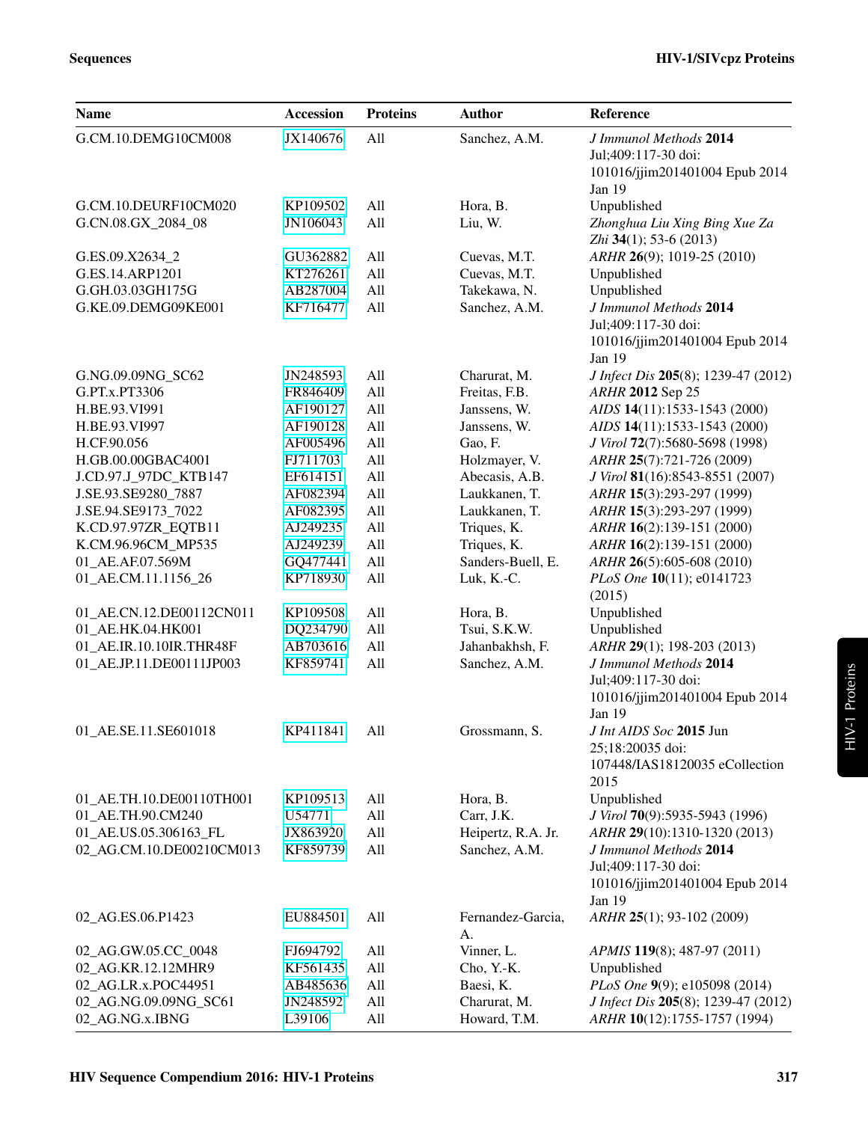| <b>Name</b>              | <b>Accession</b> | <b>Proteins</b> | <b>Author</b>           | Reference                                                                                 |
|--------------------------|------------------|-----------------|-------------------------|-------------------------------------------------------------------------------------------|
| G.CM.10.DEMG10CM008      | JX140676         | All             | Sanchez, A.M.           | J Immunol Methods 2014<br>Jul;409:117-30 doi:<br>101016/jjim201401004 Epub 2014           |
|                          |                  |                 |                         | Jan 19                                                                                    |
| G.CM.10.DEURF10CM020     | KP109502         | All             | Hora, B.                | Unpublished                                                                               |
| G.CN.08.GX_2084_08       | JN106043         | All             | Liu, W.                 | Zhonghua Liu Xing Bing Xue Za<br>Zhi $34(1)$ ; 53-6 (2013)                                |
| G.ES.09.X2634_2          | GU362882         | All             | Cuevas, M.T.            | ARHR 26(9); 1019-25 (2010)                                                                |
| G.ES.14.ARP1201          | KT276261         | All             | Cuevas, M.T.            | Unpublished                                                                               |
| G.GH.03.03GH175G         | AB287004         | All             | Takekawa, N.            | Unpublished                                                                               |
| G.KE.09.DEMG09KE001      | KF716477         | All             | Sanchez, A.M.           | J Immunol Methods 2014                                                                    |
|                          |                  |                 |                         | Jul;409:117-30 doi:<br>101016/jjim201401004 Epub 2014<br>Jan 19                           |
| G.NG.09.09NG_SC62        | JN248593         | All             | Charurat, M.            | J Infect Dis 205(8); 1239-47 (2012)                                                       |
| G.PT.x.PT3306            | FR846409         | All             | Freitas, F.B.           | ARHR 2012 Sep 25                                                                          |
| H.BE.93.VI991            | AF190127         | All             | Janssens, W.            | AIDS 14(11):1533-1543 (2000)                                                              |
| H.BE.93.VI997            | AF190128         | All             | Janssens, W.            | AIDS 14(11):1533-1543 (2000)                                                              |
| H.CF.90.056              | AF005496         | All             | Gao, F.                 | J Virol 72(7):5680-5698 (1998)                                                            |
| H.GB.00.00GBAC4001       | FJ711703         | All             | Holzmayer, V.           | ARHR 25(7):721-726 (2009)                                                                 |
| J.CD.97.J_97DC_KTB147    | EF614151         | All             | Abecasis, A.B.          | J Virol 81(16):8543-8551 (2007)                                                           |
| J.SE.93.SE9280 7887      | AF082394         | All             | Laukkanen, T.           | ARHR 15(3):293-297 (1999)                                                                 |
| J.SE.94.SE9173 7022      | AF082395         | All             | Laukkanen, T.           | ARHR 15(3):293-297 (1999)                                                                 |
| K.CD.97.97ZR_EQTB11      | AJ249235         | All             | Triques, K.             | ARHR 16(2):139-151 (2000)                                                                 |
| K.CM.96.96CM_MP535       | AJ249239         | All             | Triques, K.             | ARHR 16(2):139-151 (2000)                                                                 |
| 01_AE.AF.07.569M         | GQ477441         | All             | Sanders-Buell, E.       | ARHR 26(5):605-608 (2010)                                                                 |
| 01_AE.CM.11.1156_26      | KP718930         | All             | Luk, K.-C.              | PLoS One 10(11); e0141723<br>(2015)                                                       |
| 01_AE.CN.12.DE00112CN011 | KP109508         | All             | Hora, B.                | Unpublished                                                                               |
| 01_AE.HK.04.HK001        | DQ234790         | All             | Tsui, S.K.W.            | Unpublished                                                                               |
| 01_AE.IR.10.10IR.THR48F  | AB703616         | All             | Jahanbakhsh, F.         | ARHR 29(1); 198-203 (2013)                                                                |
| 01_AE.JP.11.DE00111JP003 | KF859741         | All             | Sanchez, A.M.           | J Immunol Methods 2014<br>Jul;409:117-30 doi:<br>101016/jjim201401004 Epub 2014<br>Jan 19 |
| 01_AE.SE.11.SE601018     | KP411841         | All             | Grossmann, S            | <i>J Int AIDS Soc</i> 2015 Jun                                                            |
|                          |                  |                 |                         | 25;18:20035 doi:                                                                          |
|                          |                  |                 |                         | 107448/IAS18120035 eCollection                                                            |
|                          |                  |                 |                         | 2015                                                                                      |
| 01_AE.TH.10.DE00110TH001 | KP109513         | All             | Hora, B.                | Unpublished                                                                               |
| 01_AE.TH.90.CM240        | U54771           | All             | Carr, J.K.              | J Virol 70(9):5935-5943 (1996)                                                            |
| 01_AE.US.05.306163_FL    | JX863920         | All             | Heipertz, R.A. Jr.      | ARHR 29(10):1310-1320 (2013)                                                              |
| 02 AG.CM.10.DE00210CM013 | KF859739         | All             | Sanchez, A.M.           | J Immunol Methods 2014<br>Jul;409:117-30 doi:                                             |
|                          |                  |                 |                         | 101016/jjim201401004 Epub 2014<br>Jan 19                                                  |
| 02_AG.ES.06.P1423        | EU884501         | All             | Fernandez-Garcia,<br>A. | ARHR 25(1); 93-102 (2009)                                                                 |
| 02_AG.GW.05.CC_0048      | FJ694792         | All             | Vinner, L.              | APMIS 119(8); 487-97 (2011)                                                               |
| 02_AG.KR.12.12MHR9       | KF561435         | All             | Cho, Y.-K.              | Unpublished                                                                               |
| 02_AG.LR.x.POC44951      | AB485636         | All             | Baesi, K.               | PLoS One 9(9); e105098 (2014)                                                             |
| 02_AG.NG.09.09NG_SC61    | JN248592         | All             | Charurat, M.            | <i>J Infect Dis</i> 205(8); 1239-47 (2012)                                                |
| 02_AG.NG.x.IBNG          | L39106           | All             | Howard, T.M.            | ARHR 10(12):1755-1757 (1994)                                                              |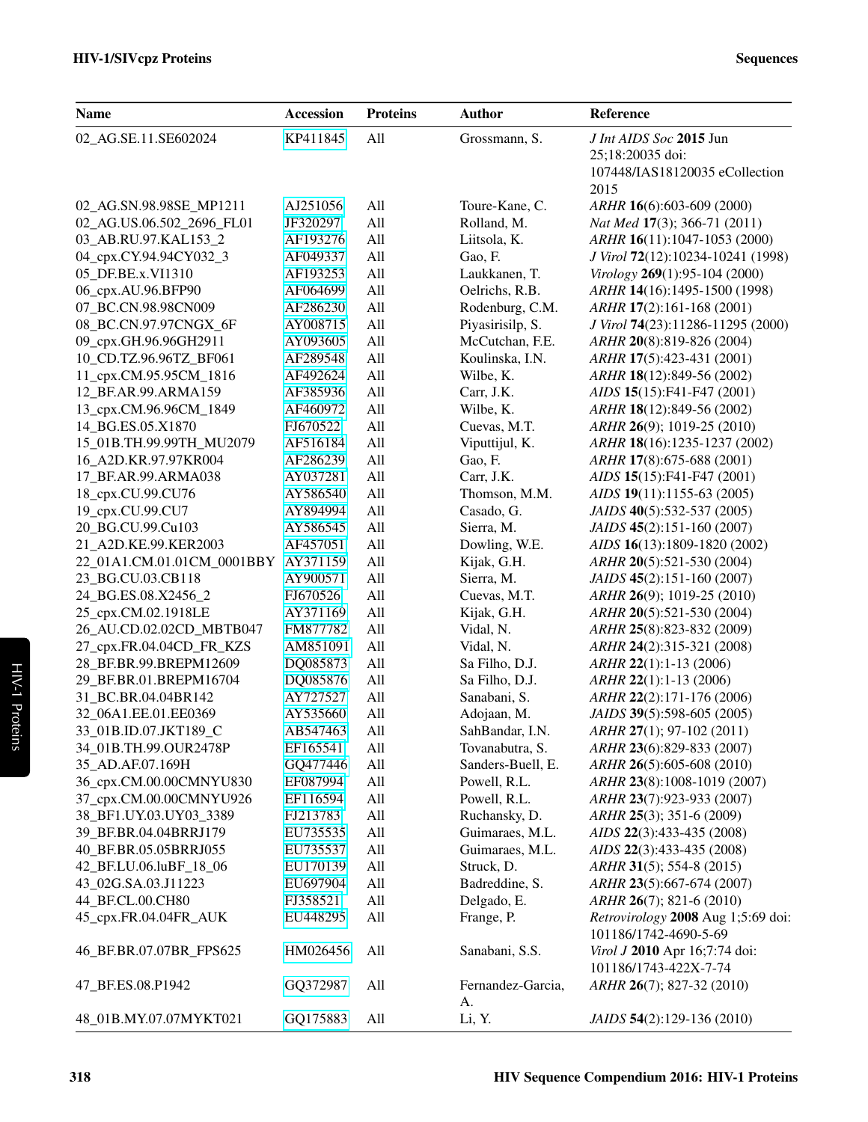| <b>Name</b>                | <b>Accession</b>     | <b>Proteins</b> | <b>Author</b>                        | Reference                                                                             |
|----------------------------|----------------------|-----------------|--------------------------------------|---------------------------------------------------------------------------------------|
| 02_AG.SE.11.SE602024       | KP411845             | All             | Grossmann, S.                        | J Int AIDS Soc 2015 Jun<br>25;18:20035 doi:<br>107448/IAS18120035 eCollection<br>2015 |
| 02_AG.SN.98.98SE_MP1211    | AJ251056             | All             | Toure-Kane, C.                       | ARHR 16(6):603-609 (2000)                                                             |
| 02_AG.US.06.502_2696_FL01  | JF320297             | All             | Rolland, M.                          | Nat Med 17(3); 366-71 (2011)                                                          |
| 03_AB.RU.97.KAL153_2       | AF193276             | All             | Liitsola, K.                         | ARHR 16(11):1047-1053 (2000)                                                          |
| 04_cpx.CY.94.94CY032_3     | AF049337             | All             | Gao, F.                              | J Virol 72(12):10234-10241 (1998)                                                     |
| 05_DF.BE.x.VI1310          | AF193253             | All             | Laukkanen, T.                        | Virology 269(1):95-104 (2000)                                                         |
| 06_cpx.AU.96.BFP90         | AF064699             | All             | Oelrichs, R.B.                       | ARHR 14(16):1495-1500 (1998)                                                          |
| 07_BC.CN.98.98CN009        | AF286230             | All             | Rodenburg, C.M.                      | ARHR 17(2):161-168 (2001)                                                             |
| 08_BC.CN.97.97CNGX_6F      | AY008715             | All             | Piyasirisilp, S.                     | J Virol 74(23):11286-11295 (2000)                                                     |
| 09_cpx.GH.96.96GH2911      | AY093605             | All             | McCutchan, F.E.                      | ARHR 20(8):819-826 (2004)                                                             |
| 10_CD.TZ.96.96TZ_BF061     | AF289548             | All             | Koulinska, I.N.                      | ARHR 17(5):423-431 (2001)                                                             |
| 11_cpx.CM.95.95CM_1816     | AF492624             | All             | Wilbe, K.                            | ARHR 18(12):849-56 (2002)                                                             |
| 12_BF.AR.99.ARMA159        | AF385936             | All             | Carr, J.K.                           | AIDS 15(15):F41-F47 (2001)                                                            |
| 13_cpx.CM.96.96CM_1849     | AF460972             | All             | Wilbe, K.                            | ARHR 18(12):849-56 (2002)                                                             |
| 14_BG.ES.05.X1870          | FJ670522             | All             | Cuevas, M.T.                         | ARHR 26(9); 1019-25 (2010)                                                            |
| 15_01B.TH.99.99TH_MU2079   | AF516184             | All             | Viputtijul, K.                       | ARHR 18(16):1235-1237 (2002)                                                          |
| 16_A2D.KR.97.97KR004       | AF286239             | All             | Gao, F.                              | ARHR 17(8):675-688 (2001)                                                             |
| 17 BF.AR.99.ARMA038        | AY037281             | All             | Carr, J.K.                           | AIDS 15(15):F41-F47 (2001)                                                            |
| 18_cpx.CU.99.CU76          | AY586540             | All             | Thomson, M.M.                        | AIDS 19(11):1155-63 (2005)                                                            |
| 19_cpx.CU.99.CU7           | AY894994             | All             | Casado, G.                           | JAIDS 40(5):532-537 (2005)                                                            |
| 20_BG.CU.99.Cu103          | AY586545             | All             | Sierra, M.                           | JAIDS 45(2):151-160 (2007)                                                            |
| 21_A2D.KE.99.KER2003       | AF457051             | All             | Dowling, W.E.                        | AIDS 16(13):1809-1820 (2002)                                                          |
| 22_01A1.CM.01.01CM_0001BBY | AY371159             | All             | Kijak, G.H.                          | ARHR 20(5):521-530 (2004)                                                             |
| 23_BG.CU.03.CB118          | AY900571             | All             | Sierra, M.                           | JAIDS 45(2):151-160 (2007)                                                            |
| 24_BG.ES.08.X2456_2        | FJ670526             | All             | Cuevas, M.T.                         | ARHR 26(9); 1019-25 (2010)                                                            |
| 25_cpx.CM.02.1918LE        | AY371169             | All             | Kijak, G.H.                          | ARHR 20(5):521-530 (2004)                                                             |
| 26_AU.CD.02.02CD_MBTB047   | FM877782             | All             | Vidal, N.                            | ARHR 25(8):823-832 (2009)                                                             |
| 27_cpx.FR.04.04CD_FR_KZS   | AM851091             | All             | Vidal, N.                            | ARHR 24(2):315-321 (2008)                                                             |
| 28_BF.BR.99.BREPM12609     | DQ085873             | All             | Sa Filho, D.J.                       | ARHR 22(1):1-13 (2006)                                                                |
| 29_BF.BR.01.BREPM16704     | DQ085876             | All             | Sa Filho, D.J.                       | ARHR 22(1):1-13 (2006)                                                                |
| 31_BC.BR.04.04BR142        | AY727527             | All             | Sanabani, S.                         | ARHR 22(2):171-176 (2006)                                                             |
| 32_06A1.EE.01.EE0369       | AY535660             | All             | Adojaan, M.                          | JAIDS 39(5):598-605 (2005)                                                            |
| 33_01B.ID.07.JKT189_C      | AB547463             | All             | SahBandar, I.N.                      |                                                                                       |
| 34_01B.TH.99.OUR2478P      |                      |                 |                                      | ARHR 27(1); 97-102 (2011)<br>ARHR 23(6):829-833 (2007)                                |
| 35 AD.AF.07.169H           | EF165541<br>GQ477446 | All<br>All      | Tovanabutra, S.<br>Sanders-Buell, E. | ARHR 26(5):605-608 (2010)                                                             |
| 36_cpx.CM.00.00CMNYU830    | EF087994             | All             | Powell, R.L.                         | ARHR 23(8):1008-1019 (2007)                                                           |
| 37_cpx.CM.00.00CMNYU926    | EF116594             | All             | Powell, R.L.                         | ARHR 23(7):923-933 (2007)                                                             |
| 38_BF1.UY.03.UY03_3389     | FJ213783             | All             | Ruchansky, D.                        | ARHR 25(3); 351-6 (2009)                                                              |
| 39_BF.BR.04.04BRRJ179      | EU735535             | All             | Guimaraes, M.L.                      | AIDS 22(3):433-435 (2008)                                                             |
| 40_BF.BR.05.05BRRJ055      | EU735537             | All             | Guimaraes, M.L.                      | AIDS 22(3):433-435 (2008)                                                             |
| 42_BF.LU.06.luBF_18_06     | EU170139             | All             | Struck, D.                           | ARHR 31(5); 554-8 (2015)                                                              |
| 43_02G.SA.03.J11223        | EU697904             | All             | Badreddine, S.                       | ARHR 23(5):667-674 (2007)                                                             |
| 44_BF.CL.00.CH80           | FJ358521             | All             | Delgado, E.                          | ARHR 26(7); 821-6 (2010)                                                              |
|                            |                      | All             |                                      | Retrovirology 2008 Aug 1;5:69 doi:                                                    |
| 45_cpx.FR.04.04FR_AUK      | EU448295             |                 | Frange, P.                           | 101186/1742-4690-5-69                                                                 |
| 46_BF.BR.07.07BR_FPS625    | HM026456             | All             | Sanabani, S.S.                       | Virol J 2010 Apr 16;7:74 doi:<br>101186/1743-422X-7-74                                |
| 47_BF.ES.08.P1942          | GQ372987             | All             | Fernandez-Garcia,<br>A.              | ARHR 26(7); 827-32 (2010)                                                             |
| 48_01B.MY.07.07MYKT021     | GQ175883             | All             | Li, Y.                               | JAIDS 54(2):129-136 (2010)                                                            |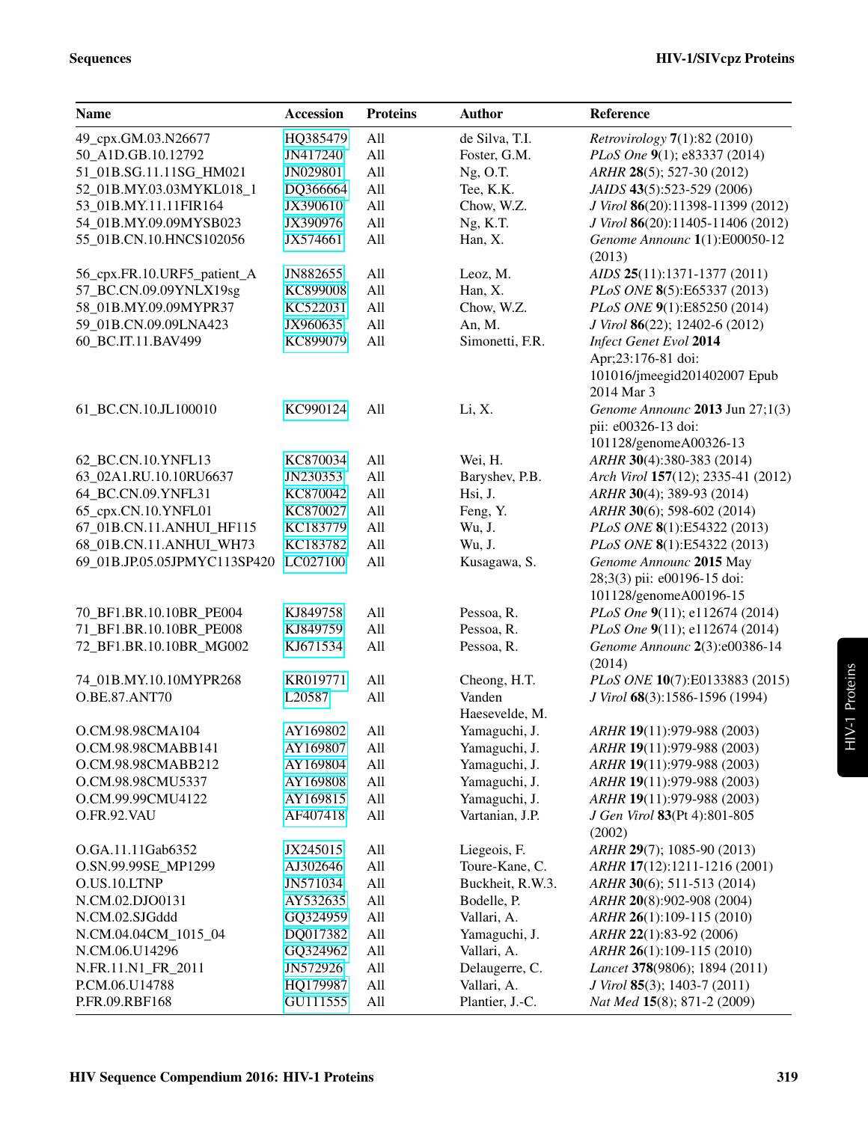| <b>Name</b>                  | <b>Accession</b> | <b>Proteins</b> | <b>Author</b>    | Reference                              |
|------------------------------|------------------|-----------------|------------------|----------------------------------------|
| 49_cpx.GM.03.N26677          | HQ385479         | All             | de Silva, T.I.   | Retrovirology 7(1):82 (2010)           |
| 50_A1D.GB.10.12792           | JN417240         | All             | Foster, G.M.     | <i>PLoS One</i> 9(1); e83337 (2014)    |
| 51_01B.SG.11.11SG_HM021      | JN029801         | All             | Ng, O.T.         | ARHR 28(5); 527-30 (2012)              |
| 52_01B.MY.03.03MYKL018_1     | DQ366664         | All             | Tee, K.K.        | JAIDS 43(5):523-529 (2006)             |
| 53_01B.MY.11.11FIR164        | JX390610         | All             | Chow, W.Z.       | J Virol 86(20):11398-11399 (2012)      |
| 54_01B.MY.09.09MYSB023       | JX390976         | All             | Ng, K.T.         | J Virol 86(20):11405-11406 (2012)      |
| 55_01B.CN.10.HNCS102056      | JX574661         | All             | Han, X.          | Genome Announc 1(1):E00050-12          |
| 56_cpx.FR.10.URF5_patient_A  | JN882655         | All             | Leoz, M.         | (2013)<br>AIDS 25(11):1371-1377 (2011) |
| 57_BC.CN.09.09YNLX19sg       | KC899008         | All             | Han, X.          | PLoS ONE 8(5):E65337 (2013)            |
| 58_01B.MY.09.09MYPR37        | KC522031         | All             | Chow, W.Z.       | PLoS ONE 9(1):E85250 (2014)            |
| 59_01B.CN.09.09LNA423        | JX960635         | All             | An, M.           | J Virol 86(22); 12402-6 (2012)         |
| 60_BC.IT.11.BAV499           | KC899079         | All             | Simonetti, F.R.  | <b>Infect Genet Evol 2014</b>          |
|                              |                  |                 |                  | Apr;23:176-81 doi:                     |
|                              |                  |                 |                  | 101016/jmeegid201402007 Epub           |
|                              |                  |                 |                  | 2014 Mar 3                             |
| 61_BC.CN.10.JL100010         | KC990124         | All             | Li, X.           | Genome Announc 2013 Jun 27;1(3)        |
|                              |                  |                 |                  | pii: e00326-13 doi:                    |
|                              |                  |                 |                  | 101128/genomeA00326-13                 |
| 62_BC.CN.10.YNFL13           | KC870034         | All             | Wei, H.          | ARHR 30(4):380-383 (2014)              |
| 63_02A1.RU.10.10RU6637       | JN230353         | All             | Baryshev, P.B.   | Arch Virol 157(12); 2335-41 (2012)     |
| 64 BC.CN.09.YNFL31           | KC870042         | All             | Hsi, J.          | ARHR 30(4); 389-93 (2014)              |
| 65_cpx.CN.10.YNFL01          | KC870027         | All             | Feng, Y.         | ARHR 30(6); 598-602 (2014)             |
| 67_01B.CN.11.ANHUI_HF115     | KC183779         | All             | Wu, J.           | PLoS ONE 8(1):E54322 (2013)            |
| 68_01B.CN.11.ANHUI_WH73      | KC183782         | All             | Wu, J.           | PLoS ONE 8(1):E54322 (2013)            |
| 69_01B.JP.05.05JPMYC113SP420 | LC027100         | All             | Kusagawa, S.     | Genome Announc 2015 May                |
|                              |                  |                 |                  | 28;3(3) pii: e00196-15 doi:            |
|                              |                  |                 |                  | 101128/genomeA00196-15                 |
| 70_BF1.BR.10.10BR_PE004      | KJ849758         | All             | Pessoa, R.       | PLoS One 9(11); e112674 (2014)         |
| 71_BF1.BR.10.10BR_PE008      | KJ849759         | All             | Pessoa, R.       | PLoS One 9(11); e112674 (2014)         |
| 72_BF1.BR.10.10BR_MG002      | KJ671534         | All             | Pessoa, R.       | Genome Announc 2(3):e00386-14          |
|                              |                  |                 |                  | (2014)                                 |
| 74_01B.MY.10.10MYPR268       | KR019771         | All             | Cheong, H.T.     | PLoS ONE 10(7):E0133883 (2015)         |
| O.BE.87.ANT70                | L20587           | All             | Vanden           | J Virol 68(3):1586-1596 (1994)         |
|                              |                  |                 | Haesevelde, M.   |                                        |
| O.CM.98.98CMA104             | AY169802         | All             | Yamaguchi, J.    | ARHR 19(11):979-988 (2003)             |
| O.CM.98.98CMABB141           | AY169807         | All             | Yamaguchi, J.    | ARHR 19(11):979-988 (2003)             |
| O.CM.98.98CMABB212           | AY169804         | All             | Yamaguchi, J.    | ARHR 19(11):979-988 (2003)             |
| O.CM.98.98CMU5337            | AY169808         | All             | Yamaguchi, J.    | ARHR 19(11):979-988 (2003)             |
| O.CM.99.99CMU4122            | AY169815         | All             | Yamaguchi, J.    | ARHR 19(11):979-988 (2003)             |
| O.FR.92.VAU                  | AF407418         | All             | Vartanian, J.P.  | J Gen Virol 83(Pt 4):801-805<br>(2002) |
| O.GA.11.11Gab6352            | JX245015         | All             | Liegeois, F.     | ARHR 29(7); 1085-90 (2013)             |
| O.SN.99.99SE_MP1299          | AJ302646         | All             | Toure-Kane, C.   | ARHR 17(12):1211-1216 (2001)           |
| O.US.10.LTNP                 | JN571034         | All             | Buckheit, R.W.3. | ARHR 30(6); 511-513 (2014)             |
| N.CM.02.DJO0131              | AY532635         | All             | Bodelle, P.      | ARHR 20(8):902-908 (2004)              |
| N.CM.02.SJGddd               | GQ324959         | All             | Vallari, A.      | ARHR 26(1):109-115 (2010)              |
| N.CM.04.04CM_1015_04         | DQ017382         | All             | Yamaguchi, J.    | ARHR 22(1):83-92 (2006)                |
| N.CM.06.U14296               | GQ324962         | All             | Vallari, A.      | ARHR 26(1):109-115 (2010)              |
| N.FR.11.N1_FR_2011           | JN572926         | All             | Delaugerre, C.   | Lancet 378(9806); 1894 (2011)          |
| P.CM.06.U14788               | HQ179987         | All             | Vallari, A.      | J Virol 85(3); 1403-7 (2011)           |
| P.FR.09.RBF168               | GU111555         | All             | Plantier, J.-C.  | Nat Med 15(8); 871-2 (2009)            |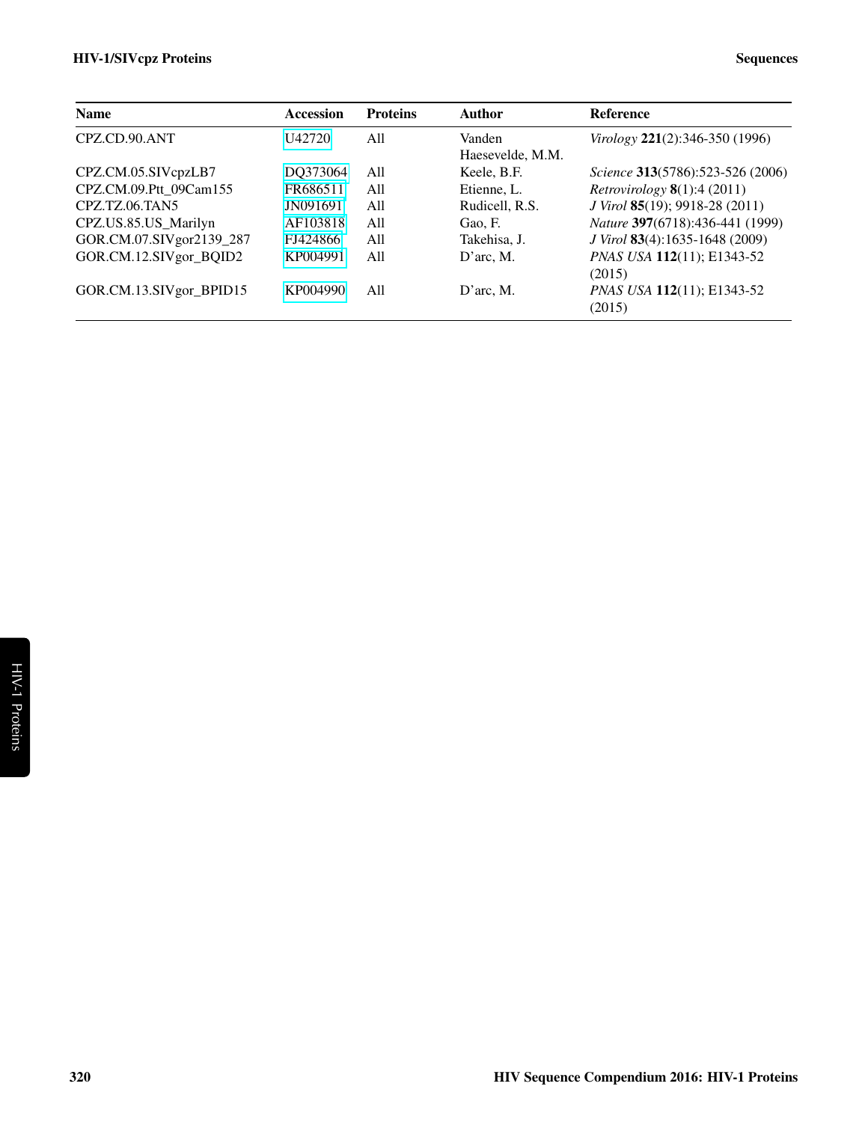# HIV-1/SIVcpz Proteins Sequences

| <b>Name</b>              | <b>Accession</b>   | <b>Proteins</b> | Author                     | <b>Reference</b>                                |
|--------------------------|--------------------|-----------------|----------------------------|-------------------------------------------------|
| CPZ.CD.90.ANT            | U <sub>42720</sub> | A11             | Vanden<br>Haesevelde, M.M. | Virology $221(2):346-350(1996)$                 |
| CPZ.CM.05.SIVcpzLB7      | DO373064           | A11             | Keele, B.F.                | Science 313(5786):523-526 (2006)                |
| CPZ.CM.09.Ptt 09Cam155   | FR686511           | A11             | Etienne, L.                | <i>Retrovirology</i> <b>8</b> $(1)$ :4 $(2011)$ |
| <b>CPZ.TZ.06.TAN5</b>    | JN091691           | A11             | Rudicell, R.S.             | J Virol 85(19); 9918-28 (2011)                  |
| CPZ.US.85.US_Marilyn     | AF103818           | A11             | Gao. F.                    | Nature 397(6718):436-441 (1999)                 |
| GOR.CM.07.SIVgor2139_287 | FJ424866           | A11             | Takehisa, J.               | J Virol 83(4):1635-1648 (2009)                  |
| GOR.CM.12.SIVgor BQID2   | KP004991           | A11             | $D'$ arc. M.               | PNAS USA 112(11); E1343-52<br>(2015)            |
| GOR.CM.13.SIVgor_BPID15  | KP004990           | A11             | $D'$ arc, M.               | PNAS USA 112(11); E1343-52<br>(2015)            |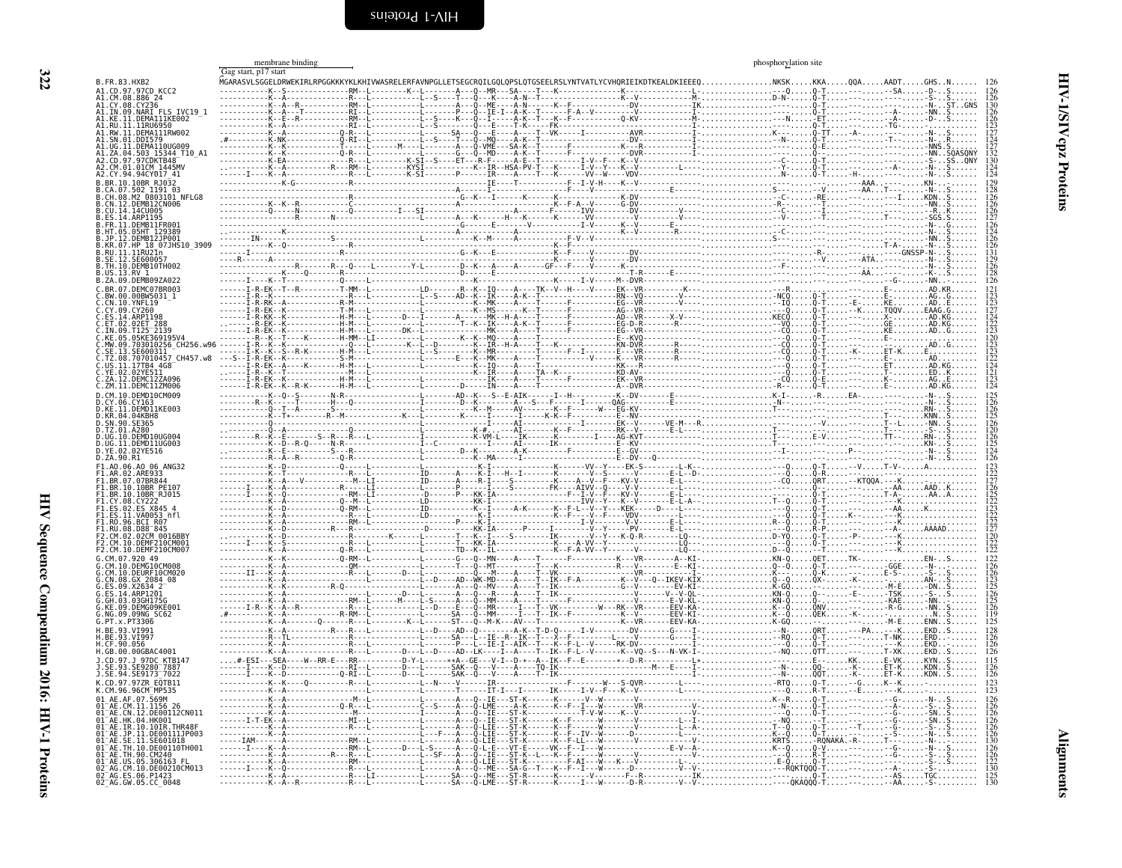<span id="page-11-2"></span><span id="page-11-1"></span><span id="page-11-0"></span>

|                                                              | membrane binding<br>Gag start, p17 start |                                                                                                                                                                                                                                                                                                                                                                                                          | phosphorylation site                         |
|--------------------------------------------------------------|------------------------------------------|----------------------------------------------------------------------------------------------------------------------------------------------------------------------------------------------------------------------------------------------------------------------------------------------------------------------------------------------------------------------------------------------------------|----------------------------------------------|
| B.FR.83.HXB2<br>A1.CD.97.97CD KCC2                           |                                          |                                                                                                                                                                                                                                                                                                                                                                                                          |                                              |
| 886 24<br>08.<br>.CY.08.CY236                                |                                          |                                                                                                                                                                                                                                                                                                                                                                                                          |                                              |
| .IN.09.NARI FLS IVC19 1                                      |                                          |                                                                                                                                                                                                                                                                                                                                                                                                          |                                              |
| A1.KE.11.DEMAI11KE002<br>A1.RU.11.11RU6950                   |                                          |                                                                                                                                                                                                                                                                                                                                                                                                          |                                              |
| .RW.11.DEMA111RW002                                          |                                          |                                                                                                                                                                                                                                                                                                                                                                                                          |                                              |
| DEMA110UG009                                                 |                                          |                                                                                                                                                                                                                                                                                                                                                                                                          |                                              |
| 04.503 15344 T10_A1<br>97.97CDKTB48                          |                                          |                                                                                                                                                                                                                                                                                                                                                                                                          |                                              |
| 01.01CM 1445MV<br>CY.94.94CY017 41                           |                                          |                                                                                                                                                                                                                                                                                                                                                                                                          |                                              |
| $.10.10$ BR RJ032                                            |                                          |                                                                                                                                                                                                                                                                                                                                                                                                          |                                              |
| .07.502 1191 03<br>.08.M2 0803101 NFLG8<br>.12.DEMB12CN006   |                                          |                                                                                                                                                                                                                                                                                                                                                                                                          |                                              |
| 14.14CU005                                                   |                                          |                                                                                                                                                                                                                                                                                                                                                                                                          |                                              |
|                                                              |                                          |                                                                                                                                                                                                                                                                                                                                                                                                          |                                              |
| .05HT 129389<br>DEMB12JP001                                  |                                          |                                                                                                                                                                                                                                                                                                                                                                                                          |                                              |
| .07.HP 18 07JHS10_3909<br>.11.11RV21n_                       |                                          |                                                                                                                                                                                                                                                                                                                                                                                                          |                                              |
|                                                              |                                          |                                                                                                                                                                                                                                                                                                                                                                                                          |                                              |
| TH. 10. DEMB10TH002                                          |                                          |                                                                                                                                                                                                                                                                                                                                                                                                          |                                              |
| 09.DEMB09ZA022                                               |                                          |                                                                                                                                                                                                                                                                                                                                                                                                          |                                              |
| 07.DEMC07BR003<br>00.00BW5031 1                              |                                          |                                                                                                                                                                                                                                                                                                                                                                                                          |                                              |
| CN.10.YNFL19                                                 |                                          |                                                                                                                                                                                                                                                                                                                                                                                                          |                                              |
| ARP1198                                                      |                                          |                                                                                                                                                                                                                                                                                                                                                                                                          |                                              |
|                                                              |                                          |                                                                                                                                                                                                                                                                                                                                                                                                          |                                              |
|                                                              |                                          |                                                                                                                                                                                                                                                                                                                                                                                                          |                                              |
| .707010457 CH457.w8                                          |                                          |                                                                                                                                                                                                                                                                                                                                                                                                          |                                              |
|                                                              |                                          |                                                                                                                                                                                                                                                                                                                                                                                                          |                                              |
|                                                              |                                          |                                                                                                                                                                                                                                                                                                                                                                                                          |                                              |
| ZM.11.DEMC11ZM006.<br>10.0EMD10CM009                         |                                          |                                                                                                                                                                                                                                                                                                                                                                                                          |                                              |
| CY163                                                        |                                          |                                                                                                                                                                                                                                                                                                                                                                                                          |                                              |
| .DEMDI1KE003<br>.04.04KBH8                                   |                                          |                                                                                                                                                                                                                                                                                                                                                                                                          |                                              |
| 90.SE365                                                     |                                          |                                                                                                                                                                                                                                                                                                                                                                                                          |                                              |
| 10.DEMD10UG004<br>.DEMD11UG003                               |                                          |                                                                                                                                                                                                                                                                                                                                                                                                          |                                              |
| .02YE516<br>D.ZA.90.R1                                       |                                          |                                                                                                                                                                                                                                                                                                                                                                                                          |                                              |
| F1.A0.06.A0 06 ANG32                                         |                                          |                                                                                                                                                                                                                                                                                                                                                                                                          |                                              |
| 07.07BR844                                                   |                                          |                                                                                                                                                                                                                                                                                                                                                                                                          |                                              |
| .BR.10.10BR_PE107<br>.BR.10.10BR_RJ015                       |                                          |                                                                                                                                                                                                                                                                                                                                                                                                          |                                              |
| .08.CY22                                                     |                                          |                                                                                                                                                                                                                                                                                                                                                                                                          |                                              |
| 02.ES X845<br>VA0053 nfl                                     |                                          |                                                                                                                                                                                                                                                                                                                                                                                                          |                                              |
| 08.D88 <sup>-845</sup>                                       |                                          |                                                                                                                                                                                                                                                                                                                                                                                                          |                                              |
| 02.02CM 0016BB<br>DEMF210CM001                               |                                          |                                                                                                                                                                                                                                                                                                                                                                                                          |                                              |
| 10.DEMF210CM007                                              |                                          |                                                                                                                                                                                                                                                                                                                                                                                                          |                                              |
| .DEMG10CM008                                                 |                                          |                                                                                                                                                                                                                                                                                                                                                                                                          |                                              |
| CM.10.DEURF10CM020<br>CN.08.GX 2084_08<br>ES.09.X2634_2      |                                          |                                                                                                                                                                                                                                                                                                                                                                                                          |                                              |
|                                                              |                                          |                                                                                                                                                                                                                                                                                                                                                                                                          |                                              |
| ARP120                                                       |                                          |                                                                                                                                                                                                                                                                                                                                                                                                          |                                              |
| .09.DEMGÖ9KE001<br>.09.09NG_SC62                             |                                          |                                                                                                                                                                                                                                                                                                                                                                                                          |                                              |
| G.PT.x.PT3306<br>VT991                                       |                                          |                                                                                                                                                                                                                                                                                                                                                                                                          |                                              |
| 93.VT997                                                     |                                          |                                                                                                                                                                                                                                                                                                                                                                                                          |                                              |
| H.GB.00.00GBAC4001                                           |                                          | $\begin{minipage}[0.00000] {\begin{minipage}[0.00000] {\begin{minipage}[0.00000] {\color{red} \bf 1} } \multicolumn{2}{c {0.0000} {\color{red} \bf 2} } \multicolumn{2}{c {0.0000} {\color{red} \bf 2} } \multicolumn{2}{c {0.0000} {\color{red} \bf 2} } \multicolumn{2}{c {0.0000} {\color{red} \bf 2} } \multicolumn{2}{c {0.0000} {\color{red} \bf 2} } \multicolumn{2}{c {0.0000} {\color{red} \bf$ |                                              |
| .J 97DC KTB147                                               |                                          |                                                                                                                                                                                                                                                                                                                                                                                                          |                                              |
| 7887<br>J.SE.94.SE9173 <sup>-</sup> 7022                     |                                          |                                                                                                                                                                                                                                                                                                                                                                                                          |                                              |
| CD.97.97ZR EQTB11                                            |                                          |                                                                                                                                                                                                                                                                                                                                                                                                          |                                              |
| .CM.96.96CM⊤MP535                                            |                                          |                                                                                                                                                                                                                                                                                                                                                                                                          |                                              |
| .AE.AF.07.569M<br>-AE.CM.11.1156 26<br>AE.CN.12.DE00112CN011 |                                          |                                                                                                                                                                                                                                                                                                                                                                                                          |                                              |
| HK.04.HK001                                                  |                                          |                                                                                                                                                                                                                                                                                                                                                                                                          |                                              |
| IR.10.10IR.THR48F<br>.JP.11.DE00111JP003                     |                                          |                                                                                                                                                                                                                                                                                                                                                                                                          |                                              |
| SE 11<br>SE601018<br>AE.TH.10.DE00110TH001-                  |                                          |                                                                                                                                                                                                                                                                                                                                                                                                          |                                              |
| AE.TH.90.CM240                                               |                                          |                                                                                                                                                                                                                                                                                                                                                                                                          | . 0 - V - - -<br>. R - T - - -<br>. - - - 0. |
| AE.US.05.306163 FL<br>02_AG.CM.10.DE00210CM013               |                                          | - - ME - - - SA                                                                                                                                                                                                                                                                                                                                                                                          |                                              |
| 02 AG.ES.06.P1423<br>02 AG.GW.05.CC 0048                     |                                          | . R [I L SA 0 - . ME ST .                                                                                                                                                                                                                                                                                                                                                                                |                                              |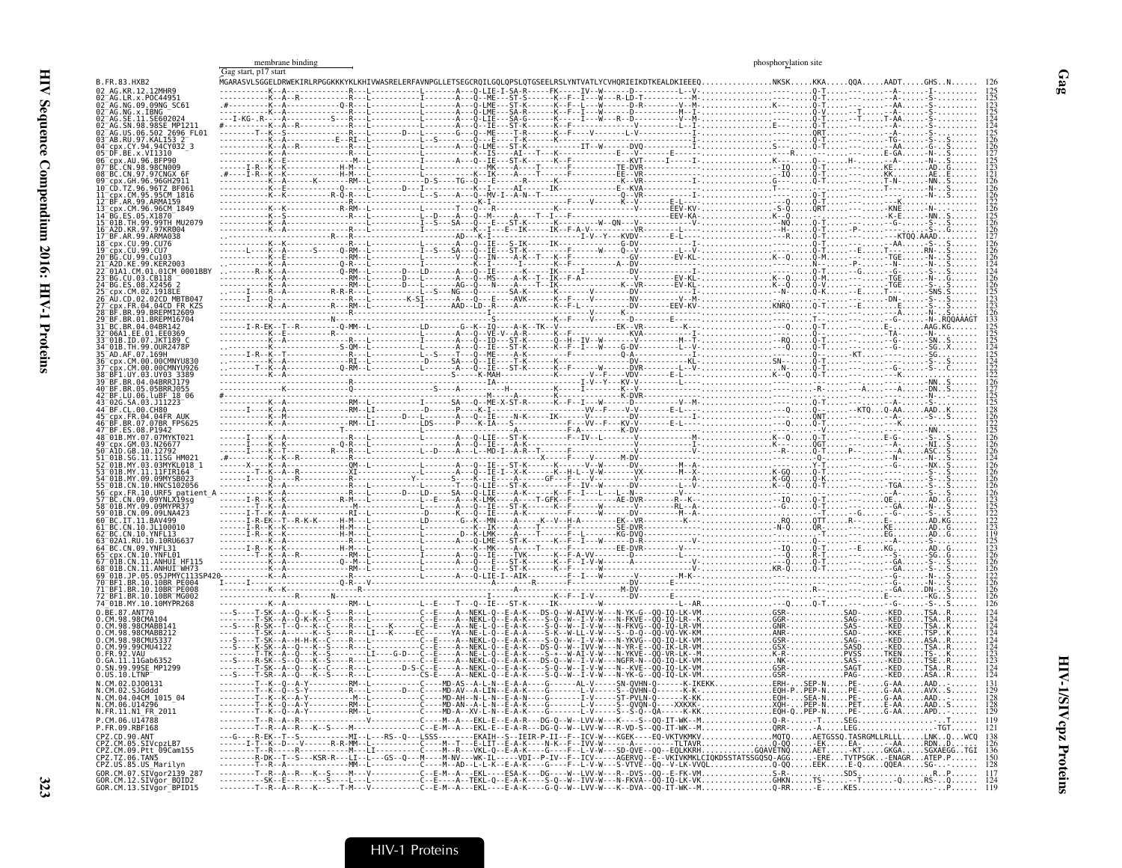|                                                       | membrane binding<br>Gag start, p17 start                    | phosphorylation site                                                                                                                                                                                    |
|-------------------------------------------------------|-------------------------------------------------------------|---------------------------------------------------------------------------------------------------------------------------------------------------------------------------------------------------------|
| FR.83.HXB2                                            |                                                             | NKSKKKAQQAAADT                                                                                                                                                                                          |
|                                                       |                                                             |                                                                                                                                                                                                         |
| 09.09NG SC61<br>.x.IBNG                               |                                                             |                                                                                                                                                                                                         |
| 11.SE602024<br>98.98SE MP1211                         |                                                             |                                                                                                                                                                                                         |
| 06.502 2696 FL01                                      |                                                             |                                                                                                                                                                                                         |
| 94.94CY032 3<br>VT1310                                |                                                             |                                                                                                                                                                                                         |
| 96. RFP90<br>CN.98.98CN009                            |                                                             |                                                                                                                                                                                                         |
|                                                       |                                                             |                                                                                                                                                                                                         |
| .96TZ BF061<br>95.95CM 1816                           |                                                             |                                                                                                                                                                                                         |
| 99 ARMA159<br>96.96CM 1849                            |                                                             |                                                                                                                                                                                                         |
| MU2079                                                |                                                             |                                                                                                                                                                                                         |
| .97KR004<br>99.ARMA038                                |                                                             |                                                                                                                                                                                                         |
| 99 (1176)<br>19. CHZ                                  |                                                             |                                                                                                                                                                                                         |
|                                                       |                                                             |                                                                                                                                                                                                         |
| CM.01.01CM 0001BB\<br>03.CB118                        |                                                             |                                                                                                                                                                                                         |
|                                                       |                                                             |                                                                                                                                                                                                         |
| .02CD MBTB047<br>04.04CD FR KZS                       |                                                             |                                                                                                                                                                                                         |
| <b>BREPM12609</b><br>.BREPM16704                      |                                                             |                                                                                                                                                                                                         |
|                                                       |                                                             |                                                                                                                                                                                                         |
| <b>IKT189</b><br>0UR2478F                             |                                                             |                                                                                                                                                                                                         |
|                                                       |                                                             |                                                                                                                                                                                                         |
| 00CMNYU926                                            |                                                             |                                                                                                                                                                                                         |
| 04.04BRRJ179<br>05BRRJ055                             |                                                             |                                                                                                                                                                                                         |
| 03.J11223                                             |                                                             |                                                                                                                                                                                                         |
| . СН80<br>04 04FR AUK                                 |                                                             |                                                                                                                                                                                                         |
|                                                       |                                                             |                                                                                                                                                                                                         |
|                                                       |                                                             |                                                                                                                                                                                                         |
|                                                       |                                                             |                                                                                                                                                                                                         |
| 03MYKL018 1                                           |                                                             |                                                                                                                                                                                                         |
| 10 HNCS102056                                         |                                                             |                                                                                                                                                                                                         |
| 10.URF5 patient<br>09.09YNLX19sg                      |                                                             |                                                                                                                                                                                                         |
|                                                       |                                                             |                                                                                                                                                                                                         |
|                                                       |                                                             |                                                                                                                                                                                                         |
| 10.YNFL13<br>10RU663                                  |                                                             |                                                                                                                                                                                                         |
|                                                       |                                                             |                                                                                                                                                                                                         |
| 11 ANHIIT <sup>-</sup>                                |                                                             |                                                                                                                                                                                                         |
| 05.051PMYC1139<br>10.10BR PE004<br>BR. 10. 10BR PE008 |                                                             |                                                                                                                                                                                                         |
| BR.10.10BR MG002                                      |                                                             |                                                                                                                                                                                                         |
| MY.10.10MYPR268                                       |                                                             |                                                                                                                                                                                                         |
| 98CM4104<br>.98CMABB141<br>.98CMABB212                |                                                             | - - - - - - - - C - - E - - - - A - - NEKL - O - - E - A - K<br>- K - - - - - - C - - E - - - - A - - NE - L - O - - E - A - K<br>- K - - - - - EC - - - - - - YA - - NE - L - Q - - E - A - A -<br>TSA |
| 98CMU5337                                             |                                                             | . A - - NEKL - Ŏ -<br>- A - - NEKL - Ŏ -<br>. GSR- SAG- - KED<br>ASA.                                                                                                                                   |
| 99CMU4122<br>. VAU                                    |                                                             | $\ldots$ -KED<br>TKEN.                                                                                                                                                                                  |
| .11Gab6352<br>.99SE_MP1299                            |                                                             | . - NEKL -<br>-KED.<br>-KED<br>-KED                                                                                                                                                                     |
| US.10.LTNP<br>M.02.DJ00131                            |                                                             | - A - - NEKL - Q - - E - A - K<br>. . PAG - KED .<br>. PE - G - AA .<br>ASA.<br>. AAD.                                                                                                                  |
| SJGddd<br>CM.04.04CM 1015 04                          | - - - - - - - D - - - Č - - -                               | - - - - MD - AV - - A - LIN - - Е<br>- - - - MD - AH - - N - L - N - - Е<br>- - - - MD - AN - - A - L - N - - Е                                                                                         |
| 1114296<br>FR.11.N1 FR 2011                           |                                                             | $.$ PET $.\dots$<br>AAD.<br>$\ldots$ . PE - $\ldots$ .                                                                                                                                                  |
| CM.06.U14788                                          |                                                             | $-W - LVV - W -$                                                                                                                                                                                        |
| FR.09.RBF168<br>90.ANT                                |                                                             | -QQ - IT - WK - -M.<br>- EQ - VKTVKMKV<br>-K--S----M---------------C--E-M--A---EKL-E--E-A-R---DG-Q--W--LVV-W---R-VD-S<br>--------MI--L---RS--Q---LSSS--------EKAIH--S--IEIR-P-II---F--ICV-W---KGEK---   |
| 05.SIVcpzLB7<br>Ptt_09Cam155.                         | R-R-MM--[------------C----M-<br>----M---LI----------C----M- | - F - - Ī VV - W - - - - - - - A - - - - - -<br>F : - I - V - W - - - SD - QVE - - 00<br>M--R---VKI-0-                                                                                                  |
| 06.TAN5<br>US.85.US_Marilyn                           |                                                             | -M-NV---WK-TL-                                                                                                                                                                                          |
| CM.07.SIVgor2139 287<br>SIVğor BQID2.                 |                                                             | $S-R$ -<br>$R - N(S)$<br>$0 - W - TW - TW - W - L$                                                                                                                                                      |
| 13.SIVãor <sup>-</sup> BPID15                         |                                                             | -W--LVV-W---K--DVA-<br>0-RR                                                                                                                                                                             |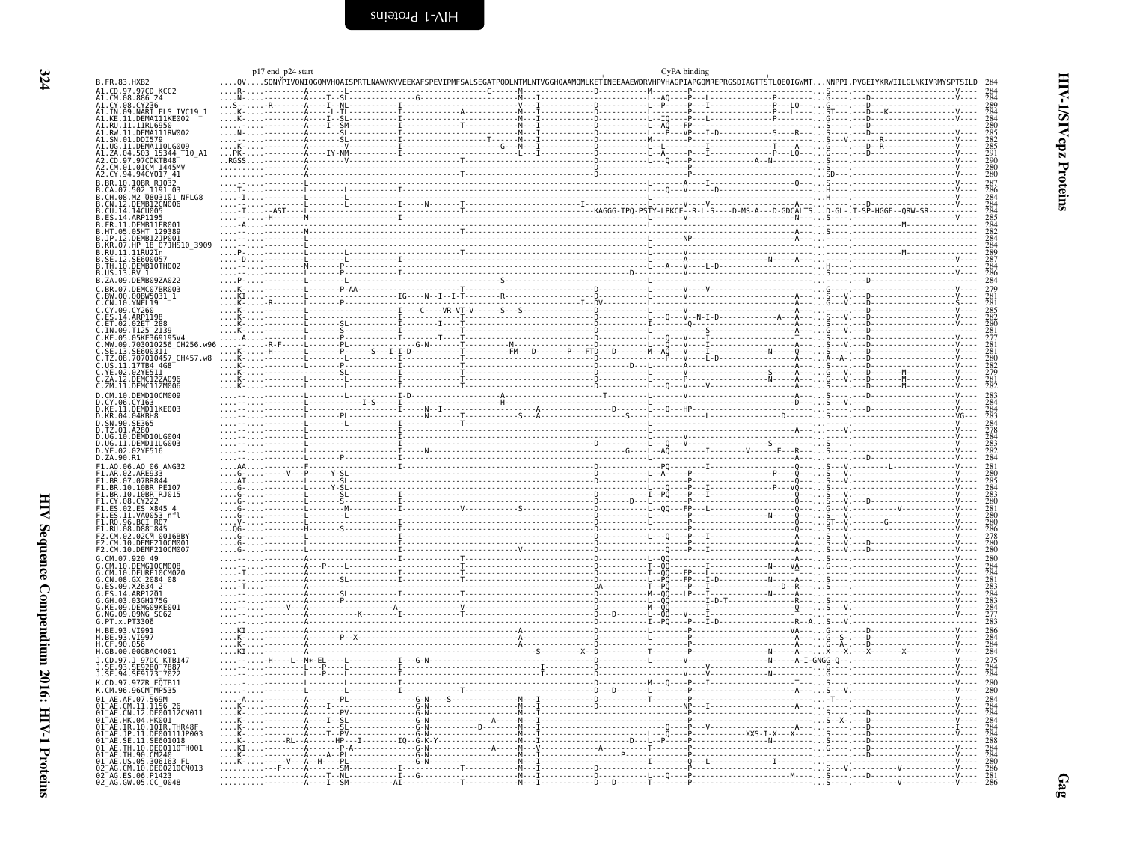<span id="page-13-0"></span> $CvPA$  binding

 $n17$  end  $n24$  start

| B.FR.83.HXB2                                                                                                                                                                                                                                |          | .QVSQNYPIVQNIQGQMVHQAISPF                |                  |                                                                                                                                                                                                                                                                                                  |                            |                  |
|---------------------------------------------------------------------------------------------------------------------------------------------------------------------------------------------------------------------------------------------|----------|------------------------------------------|------------------|--------------------------------------------------------------------------------------------------------------------------------------------------------------------------------------------------------------------------------------------------------------------------------------------------|----------------------------|------------------|
| A1.CD.97.97CD KCC2<br>A1.CM.08.886_24<br>A1.CY.08.CY236_                                                                                                                                                                                    | $\cdots$ |                                          |                  |                                                                                                                                                                                                                                                                                                  |                            |                  |
|                                                                                                                                                                                                                                             |          |                                          |                  |                                                                                                                                                                                                                                                                                                  | P---LQ---                  |                  |
| A1.LN.09.NARI FLS IVC19_1<br>A1.KE.11.DEMAI11KE002                                                                                                                                                                                          |          |                                          |                  |                                                                                                                                                                                                                                                                                                  |                            |                  |
| A1.RU.11.11RU6950                                                                                                                                                                                                                           |          |                                          |                  | . - - - - - - - - - - L - - AQ̀ - - - FP - - - -                                                                                                                                                                                                                                                 |                            |                  |
| A1.RW.11.DEMA111RW999<br>A1.SN.01.DDE79<br>A1.UG.11.DEMA110UG009<br>A1.UG.11.DEMA110UG009<br>A2.CD.97.97CDKTB48<br>A2.CD.97.97CDKTB48<br>A2.CV.01.01CV.a1.945W                                                                              |          |                                          |                  |                                                                                                                                                                                                                                                                                                  |                            |                  |
|                                                                                                                                                                                                                                             |          |                                          |                  | - - - - - - - - L - - A - - - - - P - - - T                                                                                                                                                                                                                                                      | ---------------P---LQ----- |                  |
|                                                                                                                                                                                                                                             | RGS      |                                          |                  |                                                                                                                                                                                                                                                                                                  |                            |                  |
|                                                                                                                                                                                                                                             |          |                                          |                  |                                                                                                                                                                                                                                                                                                  |                            |                  |
| A2.CY.94.94CY017 41<br>B.BR.10.10BR RJ032                                                                                                                                                                                                   |          |                                          |                  |                                                                                                                                                                                                                                                                                                  |                            |                  |
| B. p. 1. 49. 1992<br>B. CA. 07. 502 1191 03<br>B. CN. 12. DEMB12CN006<br>B. CN. 12. DEMB12CN006<br>B. CN. 14. 14CU005<br>B. ES. 14. ARP1195<br>B. ER. 14. ARP1195<br>B. ER. 14. DEMB11FR001                                                 |          |                                          |                  |                                                                                                                                                                                                                                                                                                  |                            |                  |
|                                                                                                                                                                                                                                             |          |                                          |                  |                                                                                                                                                                                                                                                                                                  |                            |                  |
|                                                                                                                                                                                                                                             |          |                                          |                  |                                                                                                                                                                                                                                                                                                  |                            |                  |
|                                                                                                                                                                                                                                             |          |                                          |                  |                                                                                                                                                                                                                                                                                                  |                            |                  |
|                                                                                                                                                                                                                                             |          |                                          |                  |                                                                                                                                                                                                                                                                                                  |                            |                  |
| B.FR.11.UEFBILITR001<br>B.JP.12.DEMBI2JP001<br>B.JP.12.DEMBI2JP001<br>B.KR.07.HP 18 07JHS10_3909<br>B.RU.11.11RU2In                                                                                                                         |          |                                          |                  |                                                                                                                                                                                                                                                                                                  |                            |                  |
|                                                                                                                                                                                                                                             |          |                                          |                  |                                                                                                                                                                                                                                                                                                  |                            |                  |
| SE.12.SE600057                                                                                                                                                                                                                              |          |                                          |                  |                                                                                                                                                                                                                                                                                                  |                            |                  |
| B. TH. 10. DEMB10TH002                                                                                                                                                                                                                      |          |                                          |                  |                                                                                                                                                                                                                                                                                                  |                            |                  |
| B.US.13.RV 1<br>B.ZA.09.DEMB09ZA022                                                                                                                                                                                                         |          |                                          |                  |                                                                                                                                                                                                                                                                                                  |                            |                  |
|                                                                                                                                                                                                                                             |          |                                          |                  | $\mathbb{R}$ and $\mathbb{R}$ and $\mathbb{R}$ and $\mathbb{R}$ and $\mathbb{R}$ and $\mathbb{R}$ and $\mathbb{R}$ and $\mathbb{R}$ and $\mathbb{R}$ and $\mathbb{R}$ and $\mathbb{R}$ and $\mathbb{R}$ and $\mathbb{R}$ and $\mathbb{R}$ and $\mathbb{R}$ and $\mathbb{R}$ and $\mathbb{R}$ and |                            |                  |
|                                                                                                                                                                                                                                             |          |                                          | -IG----N--I--I-T |                                                                                                                                                                                                                                                                                                  |                            |                  |
| C.BR.07.DEMC07BR003<br>C.BR.07.DEMC07BR003<br>C.CN.10.YNFL19<br>C.CY.09.CY260                                                                                                                                                               |          |                                          |                  |                                                                                                                                                                                                                                                                                                  |                            |                  |
| C.ES.14.ARP1198<br>C.ET.02.02ET_288                                                                                                                                                                                                         |          |                                          |                  |                                                                                                                                                                                                                                                                                                  | . 0 V N - I - D - A - .    |                  |
| IN.09.T125 <sup>-</sup> 2139                                                                                                                                                                                                                |          |                                          |                  |                                                                                                                                                                                                                                                                                                  |                            |                  |
| KE.05.05KE369195V4                                                                                                                                                                                                                          |          |                                          |                  |                                                                                                                                                                                                                                                                                                  |                            |                  |
| MW.09.703010256 CH256.w96<br>C.NW.99.79250002010<br>C.SE.13.5E600311<br>C.N.2.08.707010457<br>C.N.2.11.17TB4<br>C.N.2.11.17TB4<br>C.ZA.12.0EWL12ZA096<br>C.ZM.11.0EWC11ZM006                                                                |          |                                          |                  |                                                                                                                                                                                                                                                                                                  |                            |                  |
|                                                                                                                                                                                                                                             |          |                                          |                  |                                                                                                                                                                                                                                                                                                  |                            |                  |
|                                                                                                                                                                                                                                             |          |                                          |                  |                                                                                                                                                                                                                                                                                                  |                            |                  |
|                                                                                                                                                                                                                                             |          |                                          |                  |                                                                                                                                                                                                                                                                                                  | $\cdots$ G-                |                  |
|                                                                                                                                                                                                                                             |          |                                          |                  |                                                                                                                                                                                                                                                                                                  |                            |                  |
| D.CM.10.DEMD10CM009                                                                                                                                                                                                                         |          |                                          |                  |                                                                                                                                                                                                                                                                                                  |                            |                  |
|                                                                                                                                                                                                                                             |          |                                          |                  | . <u>0</u> j                                                                                                                                                                                                                                                                                     |                            |                  |
|                                                                                                                                                                                                                                             |          |                                          |                  |                                                                                                                                                                                                                                                                                                  |                            |                  |
|                                                                                                                                                                                                                                             |          |                                          |                  |                                                                                                                                                                                                                                                                                                  |                            |                  |
| D.CY.06.CY163<br>D.KE.11.DEMD11KE003<br>D.KR.04.04.04.BHB<br>D.SN.90.SE365<br>D.TV.01.A280<br>D.TV.01.DEMD10UG004<br>R.UG.10.DEMD10UG004<br>R.UG.10.DEMD10UG004                                                                             |          |                                          |                  |                                                                                                                                                                                                                                                                                                  |                            |                  |
| D.YE.02.02YE516                                                                                                                                                                                                                             |          |                                          |                  |                                                                                                                                                                                                                                                                                                  |                            |                  |
|                                                                                                                                                                                                                                             |          |                                          |                  |                                                                                                                                                                                                                                                                                                  |                            |                  |
| F1.A0.06.A0 06 ANG32<br>F1.AR.02.ARE933<br>F1.BR.07.07BR844                                                                                                                                                                                 |          |                                          |                  |                                                                                                                                                                                                                                                                                                  |                            |                  |
|                                                                                                                                                                                                                                             |          |                                          |                  |                                                                                                                                                                                                                                                                                                  |                            |                  |
| F1.BR.10.10BR<br>F1.BR.10.10BR PE107<br>F1.BR.10.10BR P.1015<br>F1.CY.08.CY222<br>F1.ES.02.ES.X845.4<br>F1.ES.11.VA0053.nfl                                                                                                                 |          |                                          |                  |                                                                                                                                                                                                                                                                                                  |                            |                  |
|                                                                                                                                                                                                                                             |          |                                          |                  |                                                                                                                                                                                                                                                                                                  |                            |                  |
|                                                                                                                                                                                                                                             |          |                                          |                  | - - - - - - - - L - - 00 - - - FP - - -                                                                                                                                                                                                                                                          | $\cdots$                   |                  |
| F1.RO.96.BCI_R07<br>F1.RU.08.D88 845                                                                                                                                                                                                        |          |                                          |                  |                                                                                                                                                                                                                                                                                                  |                            |                  |
| F2.CM.02.02CM 0016BBY                                                                                                                                                                                                                       |          |                                          |                  |                                                                                                                                                                                                                                                                                                  |                            |                  |
| .CM.10.DEMF210CM001                                                                                                                                                                                                                         |          |                                          |                  |                                                                                                                                                                                                                                                                                                  |                            |                  |
| F2.CM.10.DEMF210CM007                                                                                                                                                                                                                       |          |                                          |                  |                                                                                                                                                                                                                                                                                                  |                            |                  |
| G.CM.07.920 49                                                                                                                                                                                                                              |          |                                          |                  | $.00 -$                                                                                                                                                                                                                                                                                          |                            | $-1.5 - 5 - 1.5$ |
|                                                                                                                                                                                                                                             |          |                                          |                  |                                                                                                                                                                                                                                                                                                  |                            |                  |
| G.CM.10.DEMG10CM008<br>G.CM.10.DEURF10CM020<br>G.CN.08.GX 2084_08<br>G.ES.09.X2634_2                                                                                                                                                        |          |                                          |                  | LPÔFPI<br>A-----------T--PÒ----P--                                                                                                                                                                                                                                                               |                            |                  |
| G.ES.14.ARP1201<br>G.GH.03.03GH175G                                                                                                                                                                                                         |          |                                          |                  |                                                                                                                                                                                                                                                                                                  |                            |                  |
|                                                                                                                                                                                                                                             |          |                                          |                  |                                                                                                                                                                                                                                                                                                  |                            |                  |
| G.KE.09.DEMG09KE001<br>G.NG.09.09NG SC62                                                                                                                                                                                                    |          |                                          |                  |                                                                                                                                                                                                                                                                                                  |                            |                  |
| G.PT.x.PT3306                                                                                                                                                                                                                               |          |                                          |                  |                                                                                                                                                                                                                                                                                                  |                            |                  |
| H.BE.93.VI991                                                                                                                                                                                                                               |          |                                          |                  |                                                                                                                                                                                                                                                                                                  |                            |                  |
| H.BE.93.VI997<br>H.CF.90.056                                                                                                                                                                                                                |          |                                          |                  |                                                                                                                                                                                                                                                                                                  |                            |                  |
| H.GB.00.00GBAC4001                                                                                                                                                                                                                          |          |                                          |                  |                                                                                                                                                                                                                                                                                                  |                            |                  |
| J.CD.97.J 97DC KTB147                                                                                                                                                                                                                       |          |                                          |                  |                                                                                                                                                                                                                                                                                                  |                            |                  |
| SE.93.SE9280 7887<br>J.SE.94.SE9173 7022                                                                                                                                                                                                    |          |                                          |                  |                                                                                                                                                                                                                                                                                                  |                            |                  |
|                                                                                                                                                                                                                                             |          |                                          |                  |                                                                                                                                                                                                                                                                                                  |                            |                  |
| K.CD.97.97ZR EQTB11<br>K.CD.97.97ZR EQTB11                                                                                                                                                                                                  |          |                                          |                  |                                                                                                                                                                                                                                                                                                  |                            |                  |
|                                                                                                                                                                                                                                             |          |                                          |                  |                                                                                                                                                                                                                                                                                                  |                            |                  |
|                                                                                                                                                                                                                                             |          |                                          |                  |                                                                                                                                                                                                                                                                                                  |                            |                  |
|                                                                                                                                                                                                                                             |          |                                          |                  |                                                                                                                                                                                                                                                                                                  |                            |                  |
|                                                                                                                                                                                                                                             |          |                                          |                  |                                                                                                                                                                                                                                                                                                  |                            |                  |
|                                                                                                                                                                                                                                             |          |                                          |                  |                                                                                                                                                                                                                                                                                                  |                            |                  |
| K. UPI - 10. 00 90 UPI - 10. 00 90 PM<br>01 – AE . CM . 11. 21. 21. 00 01 21. 21. 00 01 – AE . CM . 12. DE60112CN011<br>01 – AE . CM . 12. DE60112CN011<br>01 – AE . HR. 10. 101R. THR48F<br>01 – AE . SE. 11. DE601111P003<br>01 – AE . CH |          |                                          |                  |                                                                                                                                                                                                                                                                                                  |                            |                  |
|                                                                                                                                                                                                                                             |          | -----V---A--H----PL-------------         |                  |                                                                                                                                                                                                                                                                                                  |                            | . V              |
| 01-AE.TH.190.CM240<br>01-AE.TH.190.CM240<br>01-AE.US.05.306163 FL<br>02-AG.CM.10.DE00210CM013<br>02-AG.CM.05.CC_0048                                                                                                                        |          |                                          |                  |                                                                                                                                                                                                                                                                                                  |                            |                  |
|                                                                                                                                                                                                                                             |          | . A T NL I G .<br>- A - - - - T - - SM - |                  |                                                                                                                                                                                                                                                                                                  |                            | . V              |
|                                                                                                                                                                                                                                             |          |                                          |                  |                                                                                                                                                                                                                                                                                                  |                            |                  |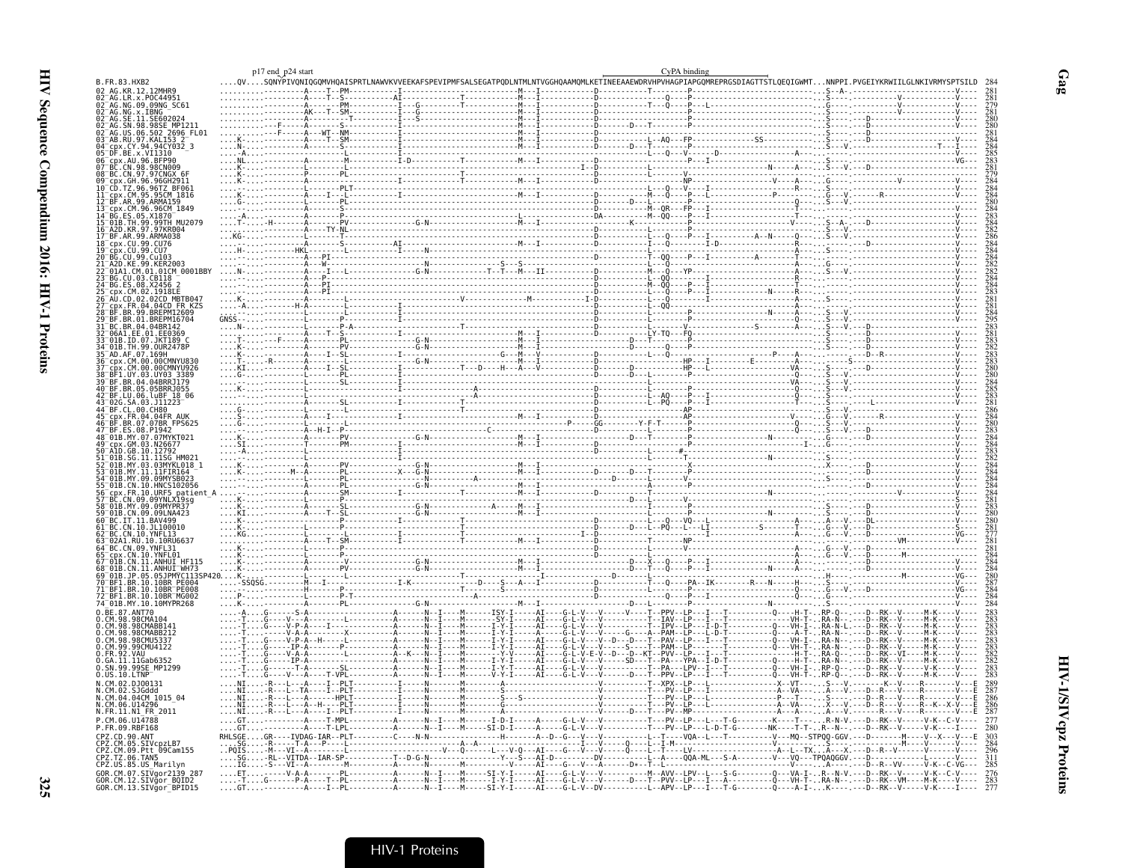|                                                                                                           | p17 end p24 start                                                       |               |                                                                                                                                                                  |                                                          |                                     | CyPA binding |                                                                                                                                                                                                                                   |                  |                                            |                                 |
|-----------------------------------------------------------------------------------------------------------|-------------------------------------------------------------------------|---------------|------------------------------------------------------------------------------------------------------------------------------------------------------------------|----------------------------------------------------------|-------------------------------------|--------------|-----------------------------------------------------------------------------------------------------------------------------------------------------------------------------------------------------------------------------------|------------------|--------------------------------------------|---------------------------------|
| B.FR.83.HXB2<br>02 AG.KR.12.12MHR9                                                                        |                                                                         |               | .QVSQNYPIVQNIQGQMVHQAISPRTLNAWVKVVEEKAFSPEVIPMFSALSEGATPQDLNTMLNTVGGHQAAMQMLKETINEEAAEWDRVHPVHAGPIAPGQMREPRGSDIAGTTSTLQEQIGWMTNNPPI.PVGEIYKRWIILGLNKIVRMYSPTSILD |                                                          |                                     |              |                                                                                                                                                                                                                                   |                  |                                            |                                 |
| AG.LR.x.P0C4495                                                                                           |                                                                         |               |                                                                                                                                                                  |                                                          |                                     |              |                                                                                                                                                                                                                                   |                  |                                            |                                 |
| AG. NG. 09.09NG_SC61                                                                                      |                                                                         |               |                                                                                                                                                                  |                                                          |                                     |              |                                                                                                                                                                                                                                   |                  |                                            |                                 |
| AG.NG.x.IBNG                                                                                              |                                                                         |               |                                                                                                                                                                  |                                                          |                                     |              |                                                                                                                                                                                                                                   |                  |                                            |                                 |
| -AG. SE. 11. SE602024<br>-AG. SN. 98. 98SE MP1211<br>-AG. US. 06. 502 2696 FL01<br>-AB. RU. 97. KAL 153_2 |                                                                         | $ -WT - - NM$ |                                                                                                                                                                  |                                                          |                                     |              |                                                                                                                                                                                                                                   |                  |                                            |                                 |
|                                                                                                           |                                                                         |               |                                                                                                                                                                  |                                                          |                                     |              |                                                                                                                                                                                                                                   |                  |                                            |                                 |
| CY.94.94CY032_3                                                                                           |                                                                         |               |                                                                                                                                                                  |                                                          |                                     |              |                                                                                                                                                                                                                                   |                  |                                            |                                 |
|                                                                                                           |                                                                         |               |                                                                                                                                                                  |                                                          |                                     |              |                                                                                                                                                                                                                                   |                  |                                            |                                 |
| 98CN009<br>97.97CNGX 6F                                                                                   |                                                                         |               |                                                                                                                                                                  |                                                          |                                     |              |                                                                                                                                                                                                                                   |                  |                                            |                                 |
| GH.96.96GH2911                                                                                            |                                                                         |               |                                                                                                                                                                  |                                                          |                                     |              |                                                                                                                                                                                                                                   |                  |                                            |                                 |
| CD.TZ.96.96TZ BF061                                                                                       |                                                                         |               |                                                                                                                                                                  |                                                          |                                     |              |                                                                                                                                                                                                                                   |                  |                                            |                                 |
| .CM.95.95CM 1816<br>AR.99.ARMA159                                                                         |                                                                         |               |                                                                                                                                                                  |                                                          |                                     |              |                                                                                                                                                                                                                                   |                  |                                            |                                 |
| .CM.96.96CM_1849                                                                                          |                                                                         |               |                                                                                                                                                                  |                                                          |                                     |              |                                                                                                                                                                                                                                   |                  |                                            |                                 |
| ES.05.X1870.<br>.99.99TH MU2079<br>.97.97KR004                                                            |                                                                         |               |                                                                                                                                                                  |                                                          |                                     |              |                                                                                                                                                                                                                                   |                  |                                            |                                 |
| BF.AR.99.ARMA038                                                                                          |                                                                         |               |                                                                                                                                                                  |                                                          |                                     |              |                                                                                                                                                                                                                                   |                  |                                            |                                 |
|                                                                                                           |                                                                         |               |                                                                                                                                                                  |                                                          |                                     |              |                                                                                                                                                                                                                                   |                  |                                            |                                 |
| CU.99.CU7                                                                                                 |                                                                         |               |                                                                                                                                                                  |                                                          |                                     |              |                                                                                                                                                                                                                                   |                  |                                            |                                 |
| KE.99.KER2003                                                                                             |                                                                         |               |                                                                                                                                                                  |                                                          |                                     |              |                                                                                                                                                                                                                                   |                  |                                            |                                 |
| CM.01.01CM_0001BB<br>.03.CB118                                                                            |                                                                         |               |                                                                                                                                                                  |                                                          |                                     |              |                                                                                                                                                                                                                                   |                  |                                            |                                 |
|                                                                                                           |                                                                         |               |                                                                                                                                                                  |                                                          |                                     |              |                                                                                                                                                                                                                                   |                  |                                            |                                 |
| 02CD MBTB047                                                                                              |                                                                         |               |                                                                                                                                                                  |                                                          |                                     |              |                                                                                                                                                                                                                                   |                  |                                            |                                 |
|                                                                                                           |                                                                         |               |                                                                                                                                                                  |                                                          |                                     |              |                                                                                                                                                                                                                                   |                  |                                            |                                 |
| . FR.04.04CD FR KZS<br>.BR.99.BREPM12609<br>BR.01.BREPM16704                                              |                                                                         |               |                                                                                                                                                                  |                                                          |                                     |              |                                                                                                                                                                                                                                   |                  |                                            |                                 |
| BR.04.04BR142                                                                                             |                                                                         |               |                                                                                                                                                                  |                                                          |                                     |              |                                                                                                                                                                                                                                   |                  |                                            |                                 |
| 1.EE.01.EE0369                                                                                            |                                                                         |               |                                                                                                                                                                  |                                                          |                                     |              |                                                                                                                                                                                                                                   |                  |                                            |                                 |
| 01B.ID.07.JKT189 (<br>1B.TH.99.0UR2478P                                                                   |                                                                         |               |                                                                                                                                                                  |                                                          |                                     |              |                                                                                                                                                                                                                                   |                  |                                            |                                 |
| CM.00.00CMNYU830                                                                                          |                                                                         |               |                                                                                                                                                                  |                                                          |                                     |              |                                                                                                                                                                                                                                   |                  |                                            |                                 |
| .00CMNYU926                                                                                               |                                                                         |               |                                                                                                                                                                  |                                                          |                                     |              |                                                                                                                                                                                                                                   |                  |                                            |                                 |
| 1.UY.03.UY03 3389<br>.BR.04.04BRRJ179                                                                     |                                                                         |               |                                                                                                                                                                  |                                                          |                                     |              |                                                                                                                                                                                                                                   |                  |                                            |                                 |
| BR.05.05BRRJ055                                                                                           |                                                                         |               |                                                                                                                                                                  |                                                          |                                     |              |                                                                                                                                                                                                                                   |                  |                                            |                                 |
| LU.06. LuBF 18 06                                                                                         |                                                                         |               |                                                                                                                                                                  |                                                          |                                     |              |                                                                                                                                                                                                                                   |                  |                                            |                                 |
| A.03.J11223 <sup>-</sup><br>.CL.00.CH80                                                                   |                                                                         |               |                                                                                                                                                                  |                                                          |                                     |              |                                                                                                                                                                                                                                   |                  |                                            |                                 |
| .04.04FR                                                                                                  |                                                                         |               |                                                                                                                                                                  |                                                          |                                     |              |                                                                                                                                                                                                                                   |                  |                                            |                                 |
| .BR.07.07BR FPS625<br>.ES.08.P1942                                                                        |                                                                         |               |                                                                                                                                                                  |                                                          |                                     |              |                                                                                                                                                                                                                                   |                  |                                            |                                 |
| 01B.MY.07.07MYKT021                                                                                       |                                                                         |               |                                                                                                                                                                  |                                                          |                                     |              |                                                                                                                                                                                                                                   |                  |                                            |                                 |
| GM.03.N26677                                                                                              |                                                                         |               |                                                                                                                                                                  |                                                          |                                     |              |                                                                                                                                                                                                                                   |                  |                                            |                                 |
| ŠĞ.11.11SĞ HM021<br>MY.03.03MYKL018_1                                                                     |                                                                         |               |                                                                                                                                                                  |                                                          |                                     |              |                                                                                                                                                                                                                                   |                  |                                            |                                 |
| MY.11.11FIR164<br>MY.09.09MYSB023                                                                         |                                                                         |               |                                                                                                                                                                  |                                                          |                                     |              |                                                                                                                                                                                                                                   |                  |                                            |                                 |
| CN.10.HNCS102056                                                                                          |                                                                         |               |                                                                                                                                                                  |                                                          |                                     |              |                                                                                                                                                                                                                                   |                  |                                            |                                 |
| .10.URF5_patient                                                                                          |                                                                         |               |                                                                                                                                                                  |                                                          |                                     |              |                                                                                                                                                                                                                                   |                  |                                            |                                 |
| N.09.09YNL)                                                                                               |                                                                         |               |                                                                                                                                                                  |                                                          |                                     |              |                                                                                                                                                                                                                                   |                  |                                            |                                 |
| MY.09.09MYPR37<br>CN.09.09LNA423                                                                          |                                                                         |               |                                                                                                                                                                  |                                                          |                                     |              |                                                                                                                                                                                                                                   |                  |                                            |                                 |
| CN.10.JL100010                                                                                            |                                                                         |               |                                                                                                                                                                  |                                                          |                                     |              |                                                                                                                                                                                                                                   |                  |                                            |                                 |
|                                                                                                           |                                                                         |               |                                                                                                                                                                  |                                                          |                                     |              |                                                                                                                                                                                                                                   |                  |                                            |                                 |
| 1.RU.10.10RU663                                                                                           |                                                                         |               |                                                                                                                                                                  |                                                          |                                     |              |                                                                                                                                                                                                                                   |                  |                                            |                                 |
| N.10.YNFL01:                                                                                              |                                                                         |               |                                                                                                                                                                  |                                                          |                                     |              |                                                                                                                                                                                                                                   |                  |                                            |                                 |
| CN.11.ANHUI WHZ                                                                                           |                                                                         |               |                                                                                                                                                                  |                                                          |                                     |              |                                                                                                                                                                                                                                   |                  |                                            |                                 |
|                                                                                                           |                                                                         |               |                                                                                                                                                                  |                                                          |                                     |              |                                                                                                                                                                                                                                   |                  |                                            |                                 |
| .BR.10.10BR <sup>-</sup> PE008                                                                            |                                                                         |               |                                                                                                                                                                  |                                                          |                                     |              |                                                                                                                                                                                                                                   |                  |                                            |                                 |
| BR.10.10BR MG002                                                                                          |                                                                         |               |                                                                                                                                                                  |                                                          |                                     |              |                                                                                                                                                                                                                                   |                  |                                            |                                 |
| 4_01B.MY.10.10MYPR268<br>BE.87.ANT70                                                                      |                                                                         |               |                                                                                                                                                                  |                                                          |                                     |              |                                                                                                                                                                                                                                   |                  |                                            |                                 |
|                                                                                                           |                                                                         |               |                                                                                                                                                                  |                                                          |                                     |              | . vн. <del>.</del> .                                                                                                                                                                                                              |                  |                                            |                                 |
| CM.98.98CMABB141<br>98.98CMABB212                                                                         |                                                                         |               |                                                                                                                                                                  |                                                          |                                     |              | -0---VH-İ-<br>-0----А-Т-                                                                                                                                                                                                          | $RA - N - L - -$ |                                            |                                 |
| .98CMU533                                                                                                 |                                                                         |               |                                                                                                                                                                  |                                                          |                                     |              |                                                                                                                                                                                                                                   |                  |                                            |                                 |
| CM.99.99CMU4122                                                                                           |                                                                         |               |                                                                                                                                                                  |                                                          |                                     | --PAM--LP-   | $Q - - VH - T$                                                                                                                                                                                                                    |                  |                                            |                                 |
| FR.92.VAU                                                                                                 |                                                                         |               |                                                                                                                                                                  | . A T - - - - G -                                        | - D - - - D - - KT - - PVV - - LP - |              |                                                                                                                                                                                                                                   |                  |                                            |                                 |
| GA.11.11Gab6352<br>SN.99.99SE_MP1299                                                                      |                                                                         |               |                                                                                                                                                                  |                                                          |                                     |              |                                                                                                                                                                                                                                   |                  |                                            |                                 |
| US.10.LTNP                                                                                                |                                                                         |               |                                                                                                                                                                  |                                                          |                                     |              | - - VH - T ·                                                                                                                                                                                                                      |                  |                                            |                                 |
| CM.02.DJ00131<br>CM.02.SJGddd                                                                             |                                                                         |               |                                                                                                                                                                  |                                                          |                                     |              |                                                                                                                                                                                                                                   |                  |                                            | 289<br>287<br>286<br>286<br>287 |
| CM.04.04CM 1015_04                                                                                        |                                                                         |               |                                                                                                                                                                  |                                                          |                                     |              |                                                                                                                                                                                                                                   |                  |                                            |                                 |
| .ČM.06.Ū14296<br>.FR.11.N1_FR_2011                                                                        |                                                                         |               |                                                                                                                                                                  |                                                          |                                     |              |                                                                                                                                                                                                                                   |                  |                                            |                                 |
| .CM.06.U14788                                                                                             |                                                                         |               |                                                                                                                                                                  |                                                          |                                     |              |                                                                                                                                                                                                                                   |                  |                                            | 277<br>280                      |
| P.FR.09.RBF168                                                                                            |                                                                         |               |                                                                                                                                                                  |                                                          |                                     |              | -LP---L-D-T-G-------NK----T-T-R--N--.--<br>-VOA--L---T----------V---MQ--STPQQ-GGV.--                                                                                                                                              |                  |                                            |                                 |
| PZ.CD.90.ANT<br>2Z.CM.05.SIVcpzLB7                                                                        |                                                                         |               |                                                                                                                                                                  |                                                          |                                     |              |                                                                                                                                                                                                                                   |                  |                                            | 303                             |
|                                                                                                           | .<br>- M- - - VI - -                                                    |               |                                                                                                                                                                  |                                                          |                                     |              |                                                                                                                                                                                                                                   |                  |                                            | $\frac{284}{296}$               |
| CPZ.CM.09.Ptt 09Cam155<br>CPZ.CM.09.Ptt 09Cam155<br>CPZ.US.85.US_Marilyn                                  | - RL - - VĪTDA - - IAR - SP - -<br>- S - - - VI - - A - - - - - - - - M |               |                                                                                                                                                                  |                                                          |                                     |              |                                                                                                                                                                                                                                   |                  |                                            | $\frac{311}{285}$               |
|                                                                                                           |                                                                         |               |                                                                                                                                                                  | --------V-----AI----G---V-<br>---SI-Y-I-----AI----G-L-V- |                                     |              |                                                                                                                                                                                                                                   |                  | -Q---VA-I-R--N-V.---D--RK--V-----V-K--C-V- |                                 |
| GOR.CM.07.SIVgor2139 287<br>GOR.CM.12.SIVgor_BQID2<br>GOR.CM.13.SIVgor_BPID15                             |                                                                         |               |                                                                                                                                                                  |                                                          |                                     |              | ---M------I-Y-I-----AI----G-L-V----V------D---T--PVV--LP---I---À-------------Q---VH-T- RA-N-- .---D--RK--VM-----M-K----V----<br>-N--I----M-----SI-Y-I-----AI----G-L-V--DV-----------L--APV--LP---I---T-G---------Q----A-I-<br>.K- |                  | ---.---D--RK--V-----V-K----I----           | $\frac{276}{283}$               |
|                                                                                                           |                                                                         |               |                                                                                                                                                                  |                                                          |                                     |              |                                                                                                                                                                                                                                   |                  |                                            |                                 |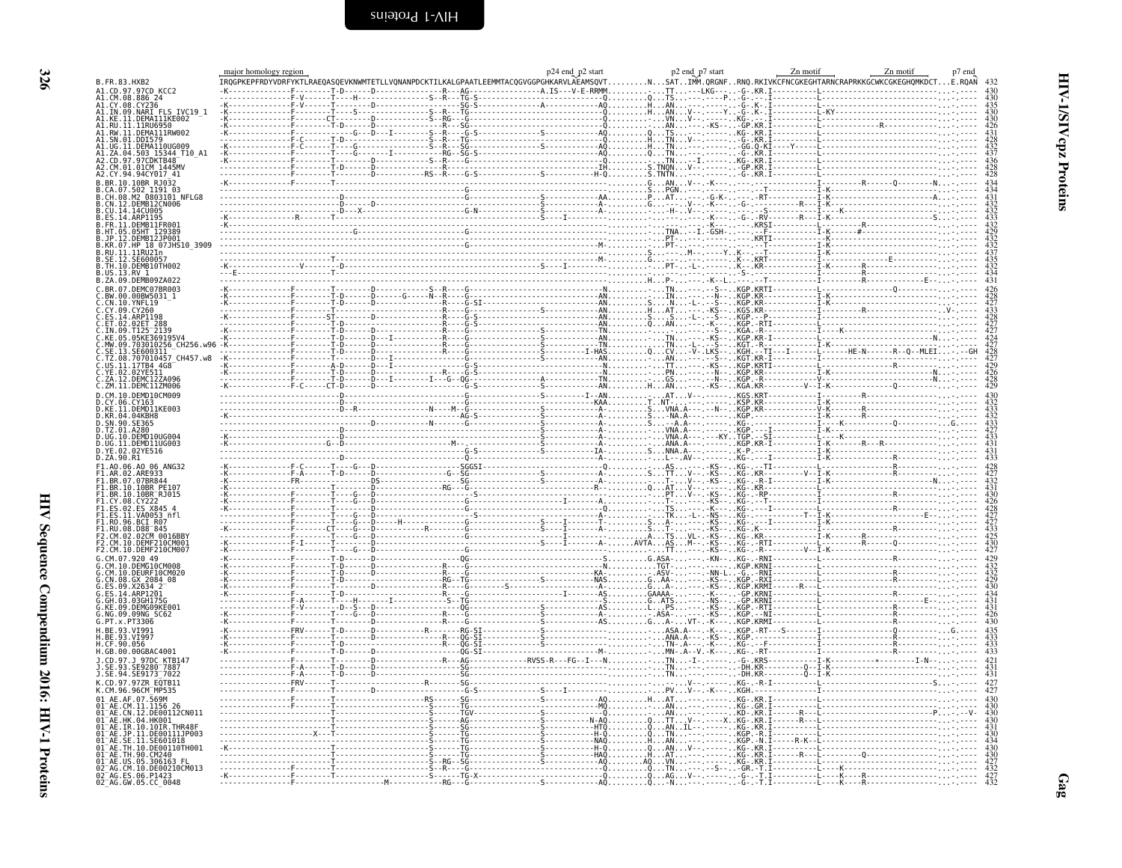| $\frac{1}{2}$      |  |
|--------------------|--|
| ؙؚ                 |  |
| ì                  |  |
| i<br>I             |  |
| OIA: III A-II SOIA |  |
|                    |  |

<span id="page-15-0"></span>

|                                                                                                                                                                                       |  |  |                                                   |                | p7 end  |
|---------------------------------------------------------------------------------------------------------------------------------------------------------------------------------------|--|--|---------------------------------------------------|----------------|---------|
| B.FR.83.HXB2<br>A1.CD.97.97CD KCC2                                                                                                                                                    |  |  |                                                   |                | .E.RQAN |
|                                                                                                                                                                                       |  |  |                                                   |                |         |
| A1.CM.08.886 24<br>A1.CM.08.886 24<br>A1.CY.08.CY236<br>A1.IN.09.NARI FLS IVC19_1<br>A1.KE.11.DEMAI11KE002                                                                            |  |  |                                                   |                |         |
| A1.RU.11.11RU6950                                                                                                                                                                     |  |  |                                                   |                |         |
| .RW.11.DEMA111RW002                                                                                                                                                                   |  |  |                                                   |                |         |
| SN.01.DDI579<br>.11.DEMA110UG009                                                                                                                                                      |  |  |                                                   |                |         |
| A1.ZA.04.503 15344 TIO_A1<br>A2.CD.97.97CDKTB48                                                                                                                                       |  |  |                                                   |                |         |
| 2.CM.01.01CM 1445MV<br>A2.CY.94.94CY017_41                                                                                                                                            |  |  |                                                   |                |         |
| .BR.10.10BR RJ032                                                                                                                                                                     |  |  |                                                   |                |         |
| .07.502 1191 03<br>.08.M2_0803101_NFLG8<br>CH.08                                                                                                                                      |  |  |                                                   |                |         |
| ČN.12.DEMB12ČN006<br>CU.14.14CU005                                                                                                                                                    |  |  |                                                   |                |         |
| ES. 14. ARP1195                                                                                                                                                                       |  |  |                                                   |                |         |
| .11.DEMB11FR001<br>05HT 129389                                                                                                                                                        |  |  |                                                   |                |         |
| JP.12.DEMBI2JP001                                                                                                                                                                     |  |  |                                                   |                |         |
| .KR.07.HP 18 07JHS10_3909<br>.RU.11.11RU21n<br>. <u>SE</u> .12.SE600057                                                                                                               |  |  |                                                   |                |         |
| B.TH.10.DEMB10TH002                                                                                                                                                                   |  |  |                                                   |                |         |
| B.US.13.RV 1<br>B.ZA.09.DEMB09ZA022                                                                                                                                                   |  |  |                                                   |                |         |
| .BR.07.DEMC07BR003                                                                                                                                                                    |  |  |                                                   |                |         |
|                                                                                                                                                                                       |  |  |                                                   |                |         |
| C.BW.00.00BW5031_1<br>C.CN.10.YNFL19<br>C.CY.09.CY260<br>C.CY.09.CY260<br>C.ES.14.ARP1198                                                                                             |  |  |                                                   |                |         |
| Č.ET.02.02ET_288<br>C.IN.09.T125_2139                                                                                                                                                 |  |  |                                                   |                |         |
| 05.05KE369195V4                                                                                                                                                                       |  |  |                                                   |                |         |
| MW.09.703010256 CH256.w96<br>SE600311.                                                                                                                                                |  |  |                                                   |                |         |
| $.08.707010457$ CH457.w8<br>US. 11.17TB4 4G8                                                                                                                                          |  |  |                                                   |                |         |
| .YE.02.02YE5I1<br>12.DEMC12ZA096                                                                                                                                                      |  |  |                                                   |                |         |
| .ZM.11.DEMC11ZM006                                                                                                                                                                    |  |  |                                                   |                |         |
| .CM.10.DEMD10CM009                                                                                                                                                                    |  |  |                                                   |                |         |
| D.CY.06.CY163<br>D.KE.11.DEMD11KE003                                                                                                                                                  |  |  |                                                   |                |         |
| D.KR.04.04KBH8<br>D.KR.04.04KBH8<br>D.SN.90.SE365                                                                                                                                     |  |  |                                                   |                |         |
| TZ.01.A280<br>D.UG.10.DEMD10UG004                                                                                                                                                     |  |  |                                                   |                |         |
| D.UG.11.DEMD11UG003                                                                                                                                                                   |  |  |                                                   |                |         |
| D.YE.02.02YE516<br>D.ZA.90.R1                                                                                                                                                         |  |  |                                                   |                |         |
| F1.A0.06.A0 06 ANG32<br>F1.AR.02.ARE933<br>F1.BR.07.07BR844                                                                                                                           |  |  |                                                   |                |         |
|                                                                                                                                                                                       |  |  |                                                   |                |         |
|                                                                                                                                                                                       |  |  |                                                   |                |         |
| F1.BR.10.10BR844<br>F1.BR.10.10BR FE107<br>F1.CY.08.CY222<br>F1.CY.08.CY222<br>F1.ES.02.ES X845<br>F1.ES.11.VA0053 mfl<br>F1.ES.11.VA0053 mfl<br>F1.R0.96.BCT R07<br>F1.R0.96.BCT R07 |  |  |                                                   |                |         |
|                                                                                                                                                                                       |  |  |                                                   |                |         |
| CM.02.02CM 0016BBY                                                                                                                                                                    |  |  |                                                   |                |         |
| CM.10.DEMF210CM001                                                                                                                                                                    |  |  |                                                   |                |         |
| CM.10.DEMF210CM007<br>G.CM.07.920 49                                                                                                                                                  |  |  |                                                   |                |         |
| G.CM.10.DEMG10CM008<br>G.CM.10.DEMG10CM008                                                                                                                                            |  |  |                                                   |                |         |
| G.CN.08.GX 2084_08<br>G.ES.09.X2634 2                                                                                                                                                 |  |  |                                                   |                |         |
| ES.14.ARP1201                                                                                                                                                                         |  |  |                                                   |                |         |
| .GH.03.03GH175G<br>.KE.09.DEMG09KE001                                                                                                                                                 |  |  |                                                   |                |         |
| G.NG.09.09NG_SC62<br>G.PT.x.PT3306                                                                                                                                                    |  |  |                                                   |                |         |
| H.BE.93.VI991                                                                                                                                                                         |  |  |                                                   |                |         |
| 93.VT997<br>H.CF.90.056                                                                                                                                                               |  |  |                                                   | . <del>7</del> |         |
| H.GB.00.00GBAC4001                                                                                                                                                                    |  |  |                                                   |                |         |
| J.CD.97.J 97DC KTB147                                                                                                                                                                 |  |  |                                                   |                |         |
| . SE. 93. SE9280-7887<br>. SE. 93. SE9280-7887                                                                                                                                        |  |  |                                                   |                |         |
| K.CD.97.97ZR EQTB11<br>K.CM.96.96CM <sup>-</sup> MP535                                                                                                                                |  |  |                                                   |                |         |
| AE.AF.07.569M                                                                                                                                                                         |  |  |                                                   |                |         |
| 01 <sup>-</sup> AE.CM.11.1156 26<br>01 <sup>-</sup> AE.CN.12.DE00112CN011                                                                                                             |  |  |                                                   |                |         |
| AE.HK.04.HK001<br>.IR.10.10IR.THR48F                                                                                                                                                  |  |  |                                                   |                |         |
| JP.11.DE00111JP003                                                                                                                                                                    |  |  | .QTN--- ------ .KGP.-R.<br>.HAN--- ----- .KGP.-N. |                |         |
| 01-AE: 5E : 11.5E601018<br>01-AE: 5E : 11.5E601018<br>01-AE: TH.10.DE00110TH001<br>01-AE: US.05.306163_FL                                                                             |  |  |                                                   |                |         |
|                                                                                                                                                                                       |  |  |                                                   |                |         |
| 02 AG.CM.10.DE00210CM013<br>02 AG. ES. 06. P1423                                                                                                                                      |  |  |                                                   |                |         |
|                                                                                                                                                                                       |  |  |                                                   |                |         |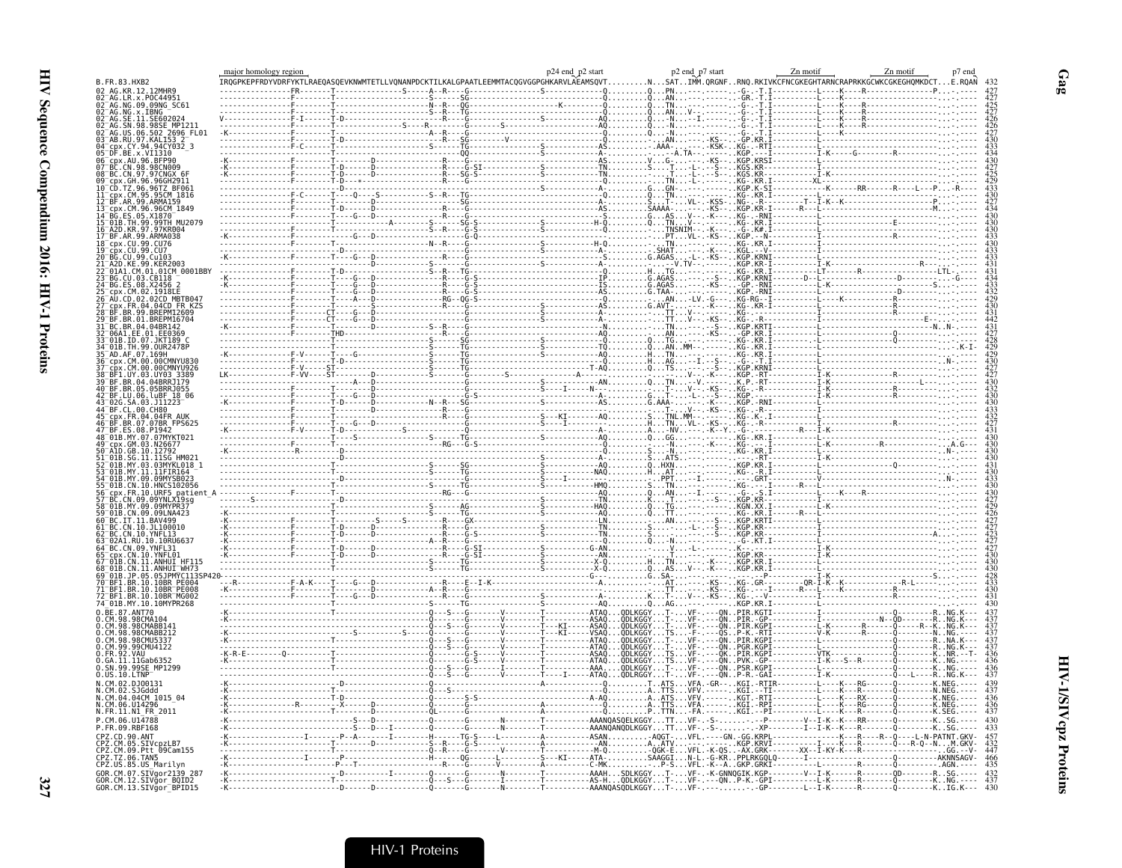|                                                                                                                                    |  |      |                                                                                                                                                         |                                                                                                                                                                                                                                                       |                                                                                                                                                                               |                           | p7 end                 |
|------------------------------------------------------------------------------------------------------------------------------------|--|------|---------------------------------------------------------------------------------------------------------------------------------------------------------|-------------------------------------------------------------------------------------------------------------------------------------------------------------------------------------------------------------------------------------------------------|-------------------------------------------------------------------------------------------------------------------------------------------------------------------------------|---------------------------|------------------------|
| B.FR.83.HXB2<br>AG.KR.12.12MHR9                                                                                                    |  |      |                                                                                                                                                         |                                                                                                                                                                                                                                                       |                                                                                                                                                                               |                           | E.RQAN                 |
| -AG.LR.x.POC44951<br>-AG.NG.09.09NG_SC61                                                                                           |  |      |                                                                                                                                                         |                                                                                                                                                                                                                                                       |                                                                                                                                                                               |                           |                        |
|                                                                                                                                    |  |      |                                                                                                                                                         |                                                                                                                                                                                                                                                       |                                                                                                                                                                               |                           |                        |
| AG.NG.X.IBNG<br>AG.SE.11.SE602024                                                                                                  |  |      |                                                                                                                                                         |                                                                                                                                                                                                                                                       | . [.                                                                                                                                                                          |                           |                        |
| AG.SN.98.98SE MP1211                                                                                                               |  |      |                                                                                                                                                         |                                                                                                                                                                                                                                                       |                                                                                                                                                                               |                           |                        |
|                                                                                                                                    |  |      |                                                                                                                                                         |                                                                                                                                                                                                                                                       |                                                                                                                                                                               |                           |                        |
| -AG.JS.06.502-2696-FL01<br>-AG.JS.06.502-2696-FL01<br>-AB.RU.97.KAL153-2<br>-Cpx.CY.94.94CY032_3<br>-DF.BE.x.VI1310                |  |      |                                                                                                                                                         |                                                                                                                                                                                                                                                       |                                                                                                                                                                               |                           |                        |
|                                                                                                                                    |  |      |                                                                                                                                                         |                                                                                                                                                                                                                                                       |                                                                                                                                                                               |                           |                        |
| cpx.AU.96.BFP90<br>CN.98.98CN009                                                                                                   |  |      |                                                                                                                                                         |                                                                                                                                                                                                                                                       |                                                                                                                                                                               |                           |                        |
| BC.CN.97.97CNGX 6F                                                                                                                 |  |      |                                                                                                                                                         |                                                                                                                                                                                                                                                       |                                                                                                                                                                               |                           |                        |
| cpx.GH.96.96GH2911<br>CD.TZ.96.96TZ BF06                                                                                           |  |      |                                                                                                                                                         |                                                                                                                                                                                                                                                       | .KR.I<br>$KG-$                                                                                                                                                                |                           |                        |
| .CM.95.95CM 1816<br>RR.99.ARMA159                                                                                                  |  |      |                                                                                                                                                         |                                                                                                                                                                                                                                                       |                                                                                                                                                                               |                           |                        |
| CM.96.96CM_1849                                                                                                                    |  |      |                                                                                                                                                         |                                                                                                                                                                                                                                                       |                                                                                                                                                                               |                           |                        |
| ES.05.X1870                                                                                                                        |  |      |                                                                                                                                                         |                                                                                                                                                                                                                                                       |                                                                                                                                                                               |                           |                        |
| 99.99TH MU2079                                                                                                                     |  |      |                                                                                                                                                         | . 0. TN V - - . - - - - KG - . KR<br>. <u>TN</u> SNIM - K <sub>I</sub> - <u>. .</u> K#                                                                                                                                                                |                                                                                                                                                                               |                           |                        |
| - A1D. HT. 97.97KR004<br>- BF. AR. 99. ARMA038<br>- Cpx. CU. 99. CU76<br>- Cpx. CU. 99. CU7                                        |  |      |                                                                                                                                                         |                                                                                                                                                                                                                                                       |                                                                                                                                                                               |                           |                        |
|                                                                                                                                    |  |      |                                                                                                                                                         |                                                                                                                                                                                                                                                       | ----- KG- .KR.I<br>-K--- KGL.--V-                                                                                                                                             |                           |                        |
| 3G.CU.99.Cu103                                                                                                                     |  |      |                                                                                                                                                         |                                                                                                                                                                                                                                                       |                                                                                                                                                                               |                           |                        |
| 99.KER2003                                                                                                                         |  |      | $\dots$ $\vdots$ $\vdots$ $\vdots$ $\vdots$ $\vdots$ $\vdots$ $\vdots$ $\vdots$ $\vdots$ $\vdots$ $\vdots$ $\vdots$ $\vdots$ $\vdots$ $\vdots$ $\vdots$ | L- - KS-- - KGP<br>TV-- - - - - - - KGP                                                                                                                                                                                                               |                                                                                                                                                                               |                           |                        |
| CM.01.01CM 0001BBY<br>CU.03.CB118                                                                                                  |  |      | G.AGAS                                                                                                                                                  |                                                                                                                                                                                                                                                       | <br>.KG- .KR .T-----------L<br>.KGP .KRNI--------D--L<br>.-GP .-RNI-----------L                                                                                               |                           |                        |
| 08.X2456 2                                                                                                                         |  |      |                                                                                                                                                         |                                                                                                                                                                                                                                                       |                                                                                                                                                                               |                           |                        |
| CM 02.1918EF<br>02CD MBTB047                                                                                                       |  |      |                                                                                                                                                         |                                                                                                                                                                                                                                                       |                                                                                                                                                                               |                           |                        |
| .co.co.co.co.co.co.co<br>x.FR.04.04CD FR KZS<br>.BR.99.BREPM12609                                                                  |  |      |                                                                                                                                                         |                                                                                                                                                                                                                                                       |                                                                                                                                                                               |                           |                        |
|                                                                                                                                    |  |      |                                                                                                                                                         |                                                                                                                                                                                                                                                       |                                                                                                                                                                               |                           |                        |
| 01.BREPM16704<br>04.04BR14                                                                                                         |  |      |                                                                                                                                                         | $6.4048$<br>$6.4048$<br>$6.4048$<br>$6.404$<br>$6.404$<br>$7.40$<br>$8.401$<br>$1.40$<br>$1.40$<br>$1.40$<br>$1.40$<br>$1.40$<br>$1.40$<br>$1.40$<br>$1.40$<br>$1.40$<br>$1.40$<br>$1.40$<br>$1.40$<br>$1.40$<br>$1.40$<br>$1.40$<br>$1.40$<br>$1.40$ |                                                                                                                                                                               |                           |                        |
| EE.01.EE0369                                                                                                                       |  |      |                                                                                                                                                         |                                                                                                                                                                                                                                                       |                                                                                                                                                                               |                           |                        |
| 01B.ID.07.JKT189 C<br>01B.TH.99.OUR2478P                                                                                           |  |      |                                                                                                                                                         | . TG. <u>.</u>                                                                                                                                                                                                                                        | $KG - KR.T$                                                                                                                                                                   |                           |                        |
| AD. AF. 07. 169H                                                                                                                   |  |      |                                                                                                                                                         |                                                                                                                                                                                                                                                       | $KG - KR.T$                                                                                                                                                                   |                           |                        |
| CM.00.00CMNYU830<br>00.00CMNYU926.                                                                                                 |  |      |                                                                                                                                                         |                                                                                                                                                                                                                                                       |                                                                                                                                                                               |                           |                        |
| UY.03.UY03 3389                                                                                                                    |  |      |                                                                                                                                                         |                                                                                                                                                                                                                                                       |                                                                                                                                                                               |                           |                        |
| BR.04.04BRRJ179                                                                                                                    |  |      |                                                                                                                                                         |                                                                                                                                                                                                                                                       |                                                                                                                                                                               |                           |                        |
| BF.BR.05.05BRR1055<br>BF.LU.06.luBF 18_06<br>02G.SA.03.J11223<br>BF.CL.00.CH80                                                     |  |      |                                                                                                                                                         |                                                                                                                                                                                                                                                       |                                                                                                                                                                               |                           |                        |
|                                                                                                                                    |  |      |                                                                                                                                                         |                                                                                                                                                                                                                                                       |                                                                                                                                                                               |                           |                        |
| px.FR.04.04FR AUK                                                                                                                  |  |      |                                                                                                                                                         |                                                                                                                                                                                                                                                       |                                                                                                                                                                               |                           |                        |
| BR.07.07BR FPS625                                                                                                                  |  |      |                                                                                                                                                         |                                                                                                                                                                                                                                                       |                                                                                                                                                                               |                           |                        |
| ES.08.P1942                                                                                                                        |  |      |                                                                                                                                                         |                                                                                                                                                                                                                                                       |                                                                                                                                                                               |                           |                        |
| -01B.MY.07.07MYKT021<br> cpx.GM.03.N26677<br> A1D.GB.10.12792                                                                      |  |      |                                                                                                                                                         |                                                                                                                                                                                                                                                       | --- KG- . KR . I<br>--- KG- . -- . I<br>--- KG- . KR . I .                                                                                                                    |                           |                        |
| .11SG HM021                                                                                                                        |  |      |                                                                                                                                                         |                                                                                                                                                                                                                                                       |                                                                                                                                                                               |                           |                        |
|                                                                                                                                    |  |      |                                                                                                                                                         |                                                                                                                                                                                                                                                       |                                                                                                                                                                               |                           |                        |
|                                                                                                                                    |  |      |                                                                                                                                                         |                                                                                                                                                                                                                                                       |                                                                                                                                                                               |                           |                        |
| CN.10.HNCS102056                                                                                                                   |  |      |                                                                                                                                                         |                                                                                                                                                                                                                                                       |                                                                                                                                                                               |                           |                        |
| R.10.URF5_patient                                                                                                                  |  |      |                                                                                                                                                         |                                                                                                                                                                                                                                                       |                                                                                                                                                                               |                           |                        |
| N.09.09YNLX19sg<br>MY.09.09MYPR37                                                                                                  |  |      |                                                                                                                                                         |                                                                                                                                                                                                                                                       | KGN.XX<br>KG-KR<br>KGP.KR                                                                                                                                                     |                           |                        |
| 01B.CN.09.09LNA423<br>.11.BAV499                                                                                                   |  |      |                                                                                                                                                         |                                                                                                                                                                                                                                                       |                                                                                                                                                                               |                           |                        |
| CN.10.JL100010                                                                                                                     |  |      |                                                                                                                                                         |                                                                                                                                                                                                                                                       | .KGP                                                                                                                                                                          |                           |                        |
| BC.CN.10.YNFL13<br>RU. 10. 10RU6637                                                                                                |  |      |                                                                                                                                                         |                                                                                                                                                                                                                                                       | .KGP.KR-<br>-G-.KT                                                                                                                                                            |                           |                        |
| `N 09 YNFI 31                                                                                                                      |  |      |                                                                                                                                                         |                                                                                                                                                                                                                                                       |                                                                                                                                                                               |                           |                        |
| 10.YNFL01                                                                                                                          |  |      |                                                                                                                                                         |                                                                                                                                                                                                                                                       |                                                                                                                                                                               |                           |                        |
|                                                                                                                                    |  |      |                                                                                                                                                         |                                                                                                                                                                                                                                                       |                                                                                                                                                                               |                           |                        |
| 05.05JPMYC113SF<br>BF1.BR.10.10BR_PE004                                                                                            |  |      |                                                                                                                                                         |                                                                                                                                                                                                                                                       |                                                                                                                                                                               |                           |                        |
| BF1.BR.10.10BR <sup>-</sup> PE008<br>BF1.BR.10.10BR <sup>-</sup> PE008<br>BF1.BR.10.10BR <sup>-</sup> MG002<br>01B.MY.10.10MYPR268 |  |      |                                                                                                                                                         |                                                                                                                                                                                                                                                       |                                                                                                                                                                               |                           |                        |
|                                                                                                                                    |  |      |                                                                                                                                                         |                                                                                                                                                                                                                                                       |                                                                                                                                                                               |                           |                        |
|                                                                                                                                    |  |      |                                                                                                                                                         |                                                                                                                                                                                                                                                       | ---AQQAG--------KGP.KR.I-----------[----<br>-ATAQQDLKGGYT-VF-.---QNPIR.KGTI----------I----                                                                                    |                           |                        |
| 98CMA104                                                                                                                           |  |      |                                                                                                                                                         |                                                                                                                                                                                                                                                       |                                                                                                                                                                               |                           |                        |
| 98CMABB141                                                                                                                         |  |      | -A1-A0 QDLKGGYT-VF- --<br>-ASAQ QDLKGGYT-VF- --<br>-ASAQ QDLKGGYT-VF- --<br>-VSAQ QDLKGGYTS-F- --                                                       |                                                                                                                                                                                                                                                       |                                                                                                                                                                               |                           |                        |
|                                                                                                                                    |  |      |                                                                                                                                                         |                                                                                                                                                                                                                                                       |                                                                                                                                                                               |                           |                        |
|                                                                                                                                    |  |      |                                                                                                                                                         |                                                                                                                                                                                                                                                       |                                                                                                                                                                               |                           |                        |
| . CM. 98. 98CMABB141<br>. CM. 98. 98CMABB212<br>. CM. 99. 99CMU5337<br>. CM. 99. 99CMU4122<br>. FR. 92. VAU<br>. GA. 11. 11Gab6352 |  |      |                                                                                                                                                         |                                                                                                                                                                                                                                                       |                                                                                                                                                                               |                           |                        |
| .ŠN.99.99SE MP1299<br>.US.10.LTNP                                                                                                  |  | -AAA | .0DLKGGYT-VF-.--<br>.0DLKGGYT-VF-.--                                                                                                                    |                                                                                                                                                                                                                                                       |                                                                                                                                                                               |                           |                        |
|                                                                                                                                    |  |      |                                                                                                                                                         |                                                                                                                                                                                                                                                       |                                                                                                                                                                               |                           |                        |
|                                                                                                                                    |  |      |                                                                                                                                                         |                                                                                                                                                                                                                                                       | .KGI.--TI----------L<br>.KGT.-RTI----------L                                                                                                                                  |                           |                        |
| .09.10.2.1111<br>.CM.02.5J00131<br>.CM.02.5JGddd<br>.CM.04.04CM_1015_04<br>.CM.06.U14296                                           |  |      |                                                                                                                                                         | $\ldots$ VFV $\ldots$ .                                                                                                                                                                                                                               | .KGI.-RPI                                                                                                                                                                     |                           |                        |
| N.FR.11.N1 FR 2011                                                                                                                 |  |      |                                                                                                                                                         | PTTN-FA.-----KGI.--PI                                                                                                                                                                                                                                 |                                                                                                                                                                               |                           |                        |
| P.CM.06.U14788                                                                                                                     |  |      |                                                                                                                                                         |                                                                                                                                                                                                                                                       | ---AAANQASQELKGGYTTYFM.-----Nu1.--P1----------L----K---R--<br>---AAANQASQELKGGYTTVF-.-S----D--------V--I-K--K---RR-<br>---AAANQANODLKGGY                                      |                           |                        |
| P.FR.09.RBF168                                                                                                                     |  |      | AAANQANQDLKGGYTTVF-.                                                                                                                                    |                                                                                                                                                                                                                                                       |                                                                                                                                                                               |                           |                        |
|                                                                                                                                    |  |      |                                                                                                                                                         |                                                                                                                                                                                                                                                       |                                                                                                                                                                               |                           | $-R-Q - N$ . $M.GKV -$ |
|                                                                                                                                    |  |      |                                                                                                                                                         |                                                                                                                                                                                                                                                       |                                                                                                                                                                               |                           |                        |
|                                                                                                                                    |  |      |                                                                                                                                                         |                                                                                                                                                                                                                                                       | -AAANQANQULKGGY!!vr-.->-----<br>-ASANAQGT-VFL.----GN.-GG.KRPL----------------K---R-<br>---ANA.ATV--- ------KGP.KRVI----------I----K---R-<br>--M-QGGK-EVFL.-K-QS-AX.GRK------- |                           | $AGN. - -$             |
| CP2.12.00.1AND<br>CP2.US.85.US_Marilyn<br>GOR.CM.07.SIVgor2139 287<br>GOR.CM.12.SIVgor_BQID2<br>GOR.CM.13.SIVgor_BPID15            |  |      |                                                                                                                                                         |                                                                                                                                                                                                                                                       |                                                                                                                                                                               |                           |                        |
|                                                                                                                                    |  |      |                                                                                                                                                         |                                                                                                                                                                                                                                                       |                                                                                                                                                                               | - - - - - - - - K. . IG.K |                        |
|                                                                                                                                    |  |      |                                                                                                                                                         |                                                                                                                                                                                                                                                       |                                                                                                                                                                               |                           |                        |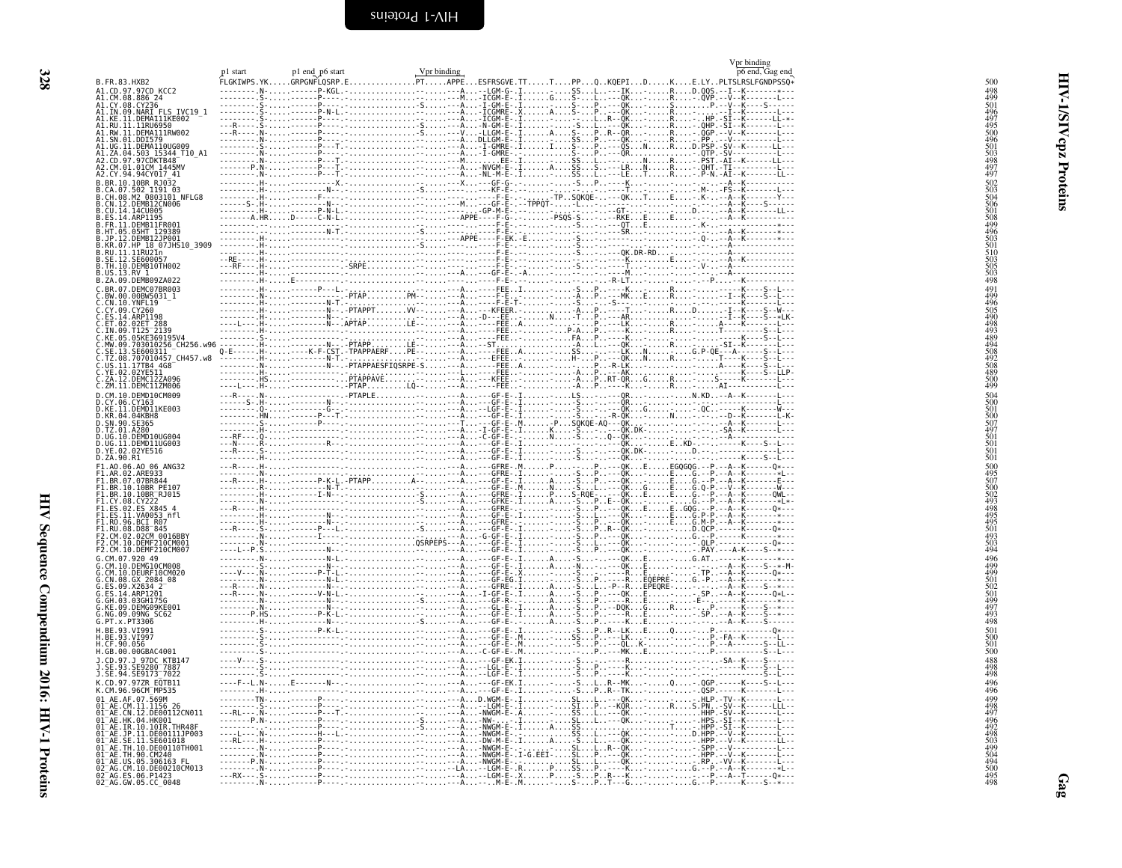|                                                                                                           |  | Vpr binding |  | Vpr binding |
|-----------------------------------------------------------------------------------------------------------|--|-------------|--|-------------|
| B. FR. 83. HXB2                                                                                           |  |             |  |             |
| A1.CD.97.97CD KCC2                                                                                        |  |             |  |             |
| A1.CM.08.886 24<br>A1.CY.08.CY236<br>A1.IN.09.NARI_FLS_IVC19_1                                            |  |             |  |             |
| 41.KE.11.DEMA111KE002<br>41.RU.11.11RU6950                                                                |  |             |  |             |
| .RW.11.DEMA111RW002                                                                                       |  |             |  |             |
| A1.SN.01.DDI579<br>A1.UG.11.DEMA110UG009                                                                  |  |             |  |             |
| AI.ZA.04.503 15344 TIO_A1<br>A2.CD.97.97CDKTB48<br>.01.01CM 1445MV                                        |  |             |  |             |
| A2.CY.94.94CY017 41                                                                                       |  |             |  |             |
| B.BR.10.10BR RJ032<br>07.502 1191 03                                                                      |  |             |  |             |
| B.CH.08.M2 0803101 NFLG8<br>B.CN.12.DEMB12CN006                                                           |  |             |  |             |
| CU.14.14CU005<br>ES.14.ARP1195<br>FR.11.DEMB11FR001                                                       |  |             |  |             |
|                                                                                                           |  |             |  |             |
| HT.05.05HT 129389<br>JP.12.DEMB12JP001                                                                    |  |             |  |             |
| B.KR.07.HP 18-07JHS10_3909<br>B.RU.11.11RU21n<br>B.SE.12.SE600057                                         |  |             |  |             |
| B.TH.10.DEMB10TH002<br>R. IIS. 13. RV 1                                                                   |  |             |  |             |
| B.ZA.09.DEMB09ZA022                                                                                       |  |             |  |             |
| C.BR.07.DEMC07BR003<br>.BW.00.00BW5031_1<br>.CN.10.YNFL19                                                 |  |             |  |             |
| CY.09.CY260                                                                                               |  |             |  |             |
| 14.ARP1198<br>ET.02.02ET_288.<br>IN.09.T125_2139.                                                         |  |             |  |             |
|                                                                                                           |  |             |  |             |
|                                                                                                           |  |             |  |             |
| 08.707010457<br>CH457.w8<br>11.17TB4 4G8                                                                  |  |             |  |             |
| Č.ÝĔ.02.02YE511<br>C.ZA.12.DEMC12ZA096                                                                    |  |             |  |             |
| ZM.11.DEMC11ZM006                                                                                         |  |             |  |             |
| .10.DEMD10CM009<br>06.CY163                                                                               |  |             |  |             |
| D.KE.11.DEMD11KE003<br>D.KR.04.04KBH8                                                                     |  |             |  |             |
| D.SN.90.SE365<br>.TZ.01.A280                                                                              |  |             |  |             |
| D.UG.10.DEMD10UG004<br>D.UG.11.DEMD11UG003                                                                |  |             |  |             |
| D.YE.02.02YE516<br>D.ZA.90.R1                                                                             |  |             |  |             |
| F1.A0.06.A0 06 ANG32<br>1.AR.02.ARE933                                                                    |  |             |  |             |
| F1.BR.07.07BR844                                                                                          |  |             |  |             |
| F1.BR.10.10BR PE107<br>F1.BR.10.10BR RJ015<br>F1.CY.08.CY222<br>F1.ES.02.ES_X845_4                        |  |             |  |             |
| .ES.11.VA0053 nfl                                                                                         |  |             |  |             |
| F1.E9.11.WA0035<br>F1.RU.96.BCI R07<br>F1.RU.08.D88 845<br>F2.CM.02.02CM 0016BBY<br>F2.CM.10.DEMF210CM001 |  |             |  |             |
|                                                                                                           |  |             |  |             |
| F2.CM.10.DEMF210CM007                                                                                     |  |             |  |             |
| G.CM.07.920 49                                                                                            |  |             |  |             |
| G.CM.10.DEMG10CM008<br>G.CM.10.DEURF10CM020<br>G.CN.08.GX 2084 08<br>G.ES.09.X2634 2                      |  |             |  |             |
| 14.ARP1201                                                                                                |  |             |  |             |
| G.GH.03.03GH175G                                                                                          |  |             |  |             |
| G.KE.09.DEMGO9KE001<br>G.NG.09.09NG SC62<br>G.PT.x.PT3306                                                 |  |             |  |             |
| 93.VT991                                                                                                  |  |             |  |             |
| H.CF.90.056                                                                                               |  |             |  |             |
| H.GB.00.00GBAC4001<br>J.CD.97.J 97DC KTB147                                                               |  |             |  |             |
| .SE9280 <sup>-</sup> 7887<br>94.SE9173 7022                                                               |  |             |  |             |
| <b>CD</b><br>.97.97ZR EQTB11<br>.96.96CM_MP535                                                            |  |             |  |             |
| .AF.07.569M                                                                                               |  |             |  |             |
| CM.11.1156<br>01 <sup>-</sup> AE.CN.12.DE00112CN011                                                       |  |             |  |             |
| .HK.04.HK001<br>.HK.04.HK001<br>.IR.10.10IR.THR48F<br>.JP.11.DE00111JP003                                 |  |             |  |             |
| . še. 11. še601018<br>. <u>тн. 10. рео</u> 0110ТН001                                                      |  |             |  |             |
|                                                                                                           |  |             |  |             |
| 01 AE.TH.90.CM240<br>01 AE.US.05.306163 FL<br>02 AG.CM.10.DE00210CM013                                    |  |             |  |             |
| 02 AG. ES. 06. P1423                                                                                      |  |             |  |             |
|                                                                                                           |  |             |  |             |

<span id="page-17-0"></span>HIV-1/SIV cpz Proteins

 $\mathbf{Gag}$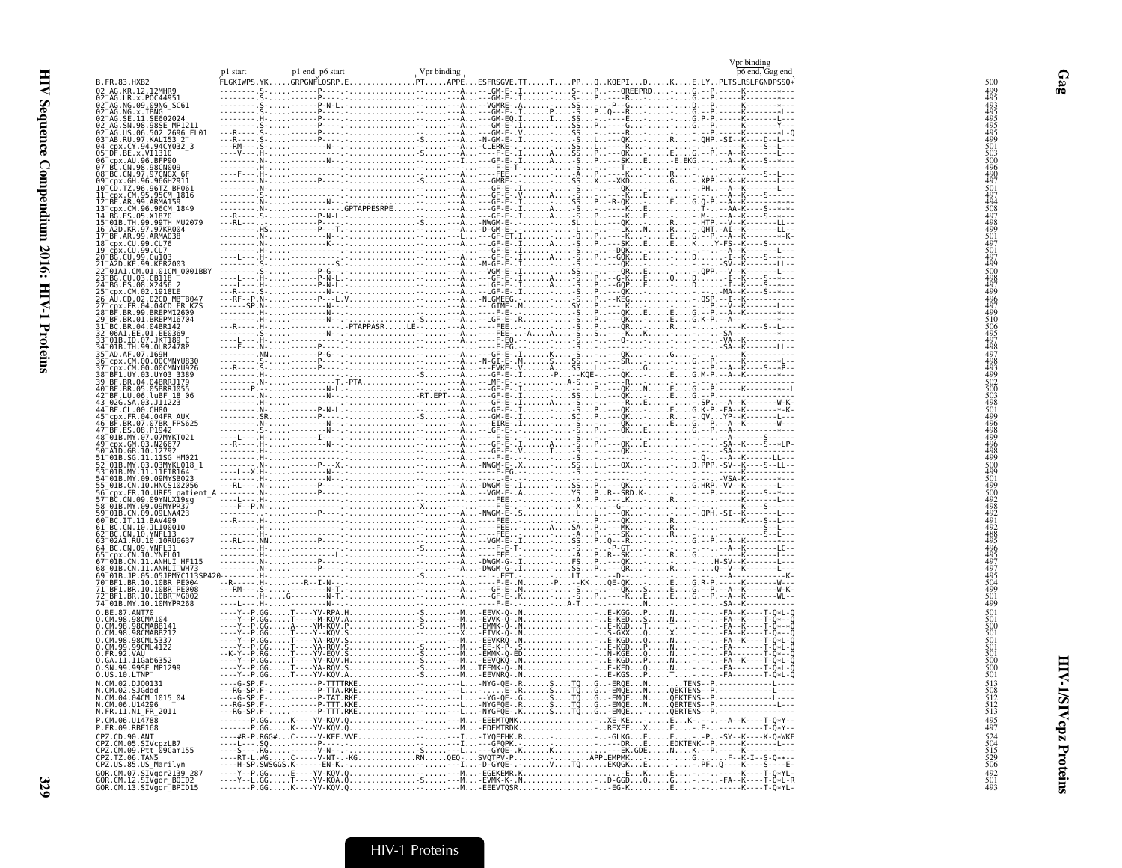|                                                                                                                                             |  |  | Vpr binding |
|---------------------------------------------------------------------------------------------------------------------------------------------|--|--|-------------|
| B.FR.83.HXB2<br>02 AG.KR.12.12MHR9                                                                                                          |  |  |             |
| LR.x.POC44951<br>AG                                                                                                                         |  |  |             |
| NG.09.09NG_5C61<br>-AG<br>AG.NG.x.IBNG                                                                                                      |  |  |             |
| SE 11 SE602024                                                                                                                              |  |  |             |
| -AG.SN.98.98SE_MP1211<br>-AG.US.06.502_2696_FL01<br>-AB.RU.97.KAL153_2                                                                      |  |  |             |
| CY.94.94CY032 3<br>- CD. NO. 29:184.94CY03<br>- DF. BE. x . VI1310<br>- DF. BE. x . VI1310<br>- CDX. AU. 96. BFP90<br>- BC. CN. 97. 97CNGX. |  |  |             |
|                                                                                                                                             |  |  |             |
| cpx.GH.96.96GH2911                                                                                                                          |  |  |             |
| - CD. 191. 30. 30012.31<br>- CD. TZ. 96. 96TZ_BF061<br>- CD. . CM. 95. 95CM_1816<br>- BF. AR. 99. ARMA159<br>- CDX. CM. 96. 96CM_1849       |  |  |             |
|                                                                                                                                             |  |  |             |
| ES.05.X1870                                                                                                                                 |  |  |             |
| 4 вы. сэ. 09. л18/0<br>5—01B.TH.99.99TH MU2079<br>6—A2D.KR.97.97KR004<br>7—BF.AR.99.ARMA038<br>8—cpx.CU.99.CU76                             |  |  |             |
| cpx.CU.99.CU7                                                                                                                               |  |  |             |
| CU.99.Cu103                                                                                                                                 |  |  |             |
| -A2D.KE.99.KĒŘŽ003<br>-01A1.CM.01.01CM 0001BBY<br>CU.03.CB118                                                                               |  |  |             |
| BG.ES.08.X2456                                                                                                                              |  |  |             |
| .CM.02.1918EE<br>-AU.CD.02.02CD MBTB047<br>-cpx.FR.04.04CD FR KZS<br>-BF.BR.99.BREPM12609                                                   |  |  |             |
|                                                                                                                                             |  |  |             |
| BR.01.BREPM16704<br>BR.04.04BR142                                                                                                           |  |  |             |
|                                                                                                                                             |  |  |             |
| -06.1.:EE.01.EE0369<br>-01B.ID.07.JKT189 C<br>-01B.ID.07.JKT189 C<br>-01B.TH.99.OUR2478P<br>-AD.AF.07.169H                                  |  |  |             |
| cpx.CM.00.00CMNYU830<br>CM.00.00CMNYU926                                                                                                    |  |  |             |
| -BF1.UY.03.UY03.3389<br>-BF.BR.04.04BRRJ179<br>-BF.BR.04.04BRRJ179<br>-BF.LU.06.luBF.18.06                                                  |  |  |             |
|                                                                                                                                             |  |  |             |
| SA.03.J11223<br>.CL.00.CH80<br>x.FR.04.04FR AUK                                                                                             |  |  |             |
| BR.07.07BR FPS625                                                                                                                           |  |  |             |
| 08.P1942<br>01B.MY.07.07MYKT021                                                                                                             |  |  |             |
| -cpx.GM.03.N26677<br>-A1D.GB.10.12792                                                                                                       |  |  |             |
| .SG.11.11SG HM021<br>MY.03.03MYKL018 1                                                                                                      |  |  |             |
| MY.11.11FIR164                                                                                                                              |  |  |             |
| -01B.MY.09.09MYSB023<br>-01B.CN.10.HNCS102056<br>-cpx.FR.10.URF5 patient<br>-BC.CN.09.09YNLX1939<br>-BC.CN.09.09YNLX1939                    |  |  |             |
| 01B.MY.09.09MYPR37                                                                                                                          |  |  |             |
| 9-01B.CN.09.09LNA423<br>0-BC.IT.11.BAV499<br>1-BC.CN.10.JL100010                                                                            |  |  |             |
| CN.10.YNFL13                                                                                                                                |  |  |             |
| 02A1.RU.10.10RU6637                                                                                                                         |  |  |             |
| BC.CN.09.YNFL31<br>cpx.CN.10.YNFL01<br>CN.11.ANHUI HF115                                                                                    |  |  |             |
| CN.11.ANHUI-WH73                                                                                                                            |  |  |             |
| JP.05.05JPMYC113SI                                                                                                                          |  |  |             |
| -BF1.BR.10.10BR PE004<br>-BF1.BR.10.10BR PE004<br>-BF1.BR.10.10BR PE008<br>-BF1.BR.10.10BR MG002<br>-01B.MY.10.10MYPR268                    |  |  |             |
| .ANT70                                                                                                                                      |  |  |             |
| CM.98.98CMA104<br>CM.98.98CMABB141                                                                                                          |  |  |             |
| CM.98.98CMABB212<br>CM.98.98CMU5337                                                                                                         |  |  |             |
| CM.99.99CMU4122<br>. FR.92.VAU                                                                                                              |  |  |             |
| 0.GA.11.11Gab6352<br>0.SN.99.99SE_MP1299<br>0.US.10.LTNP                                                                                    |  |  |             |
|                                                                                                                                             |  |  |             |
| .CM.02.DJ00131<br>.CM.02.SJGddd<br>.CM.04.04CM_1015_04                                                                                      |  |  |             |
| CM.06.U14296                                                                                                                                |  |  |             |
| N.FR.11.N1 FR 2011<br>P.CM.06.U14788                                                                                                        |  |  |             |
| P.FR.09.RBF168<br>PZ.CD.90.ANT                                                                                                              |  |  |             |
| :PZ.CM.05.SIVcpzLB7<br>:PZ.CM.09.Ptt_09Cam155                                                                                               |  |  |             |
| ČPŽ.TZ.06.TAN5<br>CPZ.TZ.06.TAN5<br>CPZ.US.85.US_Marilyn                                                                                    |  |  |             |
| $\overline{\mathsf{GOR}}$ .CM.07.SI $\overline{\mathsf{V}}$ gor $21\overline{3}9$ 287                                                       |  |  |             |
| GOR.CM.12.SIVgor BOID2<br>GÓR.CM.13.SIVğor <sup>-</sup> BPID15                                                                              |  |  |             |

 $\mathbf{Gag}$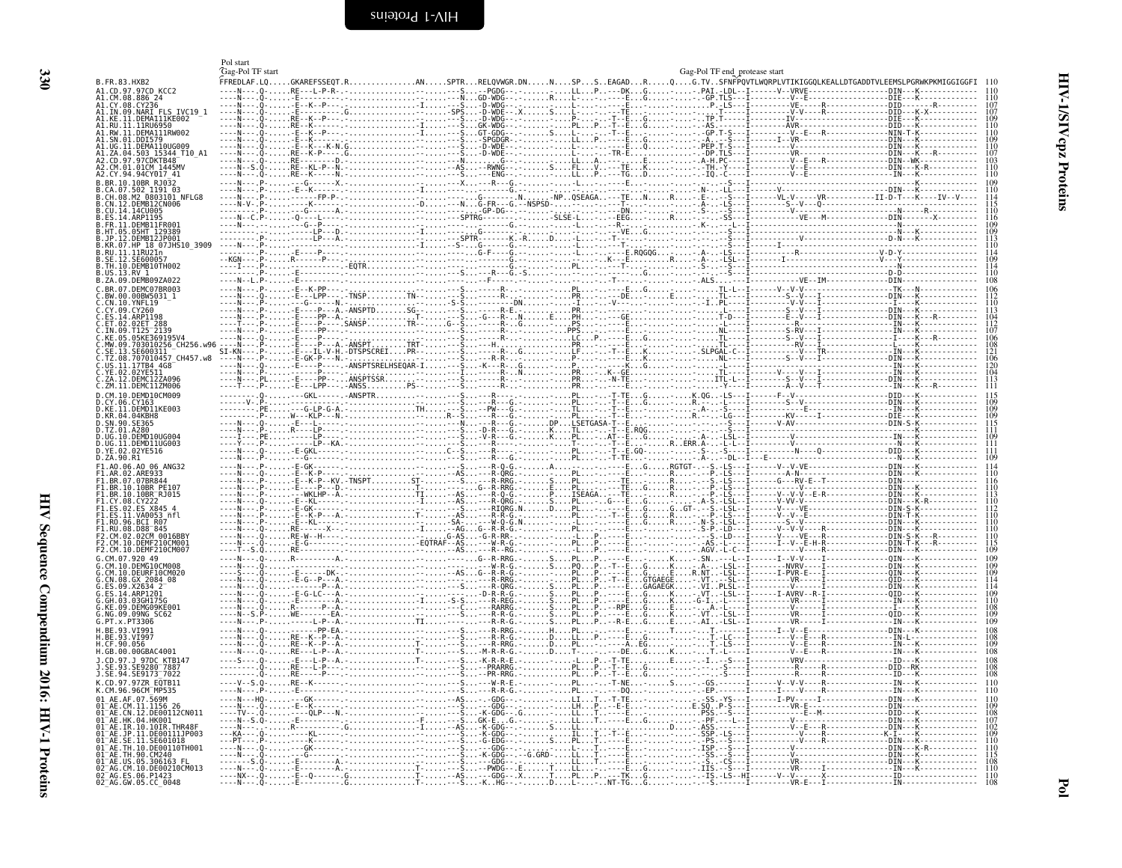<span id="page-19-1"></span><span id="page-19-0"></span>

|                                                                                               | Pol start<br>Gag-Pol TF start |                                                                                                                       |                                                                              |                                                                                                                                                                                                                                                                                                                                                                                                                                                                                                      | Gag-Pol TF end protease start                                                                           |                                                                                                                                   |                                                                         |
|-----------------------------------------------------------------------------------------------|-------------------------------|-----------------------------------------------------------------------------------------------------------------------|------------------------------------------------------------------------------|------------------------------------------------------------------------------------------------------------------------------------------------------------------------------------------------------------------------------------------------------------------------------------------------------------------------------------------------------------------------------------------------------------------------------------------------------------------------------------------------------|---------------------------------------------------------------------------------------------------------|-----------------------------------------------------------------------------------------------------------------------------------|-------------------------------------------------------------------------|
| B.FR.83.HXB2<br>A1.CD.97.97CD KCC2                                                            |                               | .<br>FFREDLAF.LQGKAREFSSEQT.RANSPTRRELQVWGR.DNNSPSEAGADRQG.TVSFNFPQVTLWQRPLVTIKIGGQLKEALLDTGADDTVLEEMSLPGRWKPKMIGGIGG | -S - - PGDG - - . - - LL. P. . - - - DK. G. PAI. - LDL - - I-------V--VRVE-- |                                                                                                                                                                                                                                                                                                                                                                                                                                                                                                      |                                                                                                         |                                                                                                                                   | $-DTN$                                                                  |
| A1.CM.08.886 24<br>A1.CY.08.CY236                                                             |                               |                                                                                                                       |                                                                              |                                                                                                                                                                                                                                                                                                                                                                                                                                                                                                      |                                                                                                         |                                                                                                                                   | $\frac{107}{107}$<br>$\frac{109}{109}$<br>. - R DID - K                 |
| ^1.IN.09.NARI FLS IVC19_1<br>A1.KE.11.DEMAI11KE002<br>A1.RU.11.11RU6950<br>RW.11.DEMA111RW002 |                               |                                                                                                                       |                                                                              |                                                                                                                                                                                                                                                                                                                                                                                                                                                                                                      |                                                                                                         |                                                                                                                                   | 110                                                                     |
| .DEMA110UG009                                                                                 |                               |                                                                                                                       |                                                                              |                                                                                                                                                                                                                                                                                                                                                                                                                                                                                                      |                                                                                                         | .<br>VR---------------------DIN                                                                                                   | 109<br>-------------------DIN<br>110                                    |
| ZA.04.503 15344 T10 A1<br>CD.97.97CDKTB48<br>42.CM.01.01CM 1445MV                             |                               |                                                                                                                       |                                                                              |                                                                                                                                                                                                                                                                                                                                                                                                                                                                                                      |                                                                                                         |                                                                                                                                   | $\frac{107}{103}$<br>110                                                |
| 42.CY.94.94CY017 41<br>B.BR.10.10BR R1032                                                     |                               |                                                                                                                       |                                                                              |                                                                                                                                                                                                                                                                                                                                                                                                                                                                                                      |                                                                                                         |                                                                                                                                   | 110<br>109                                                              |
| 502 1191 03<br>.CH.08.M2 0803101 NFLG8<br>.CN.12.DEMB12CN006                                  |                               |                                                                                                                       |                                                                              |                                                                                                                                                                                                                                                                                                                                                                                                                                                                                                      |                                                                                                         |                                                                                                                                   | 110<br>$\frac{114}{115}$                                                |
|                                                                                               |                               |                                                                                                                       |                                                                              |                                                                                                                                                                                                                                                                                                                                                                                                                                                                                                      |                                                                                                         |                                                                                                                                   | 110                                                                     |
| DEMB11FR001<br>HT.05.05HT_129389<br>DEMRT21P001                                               |                               | ---LP---D.-                                                                                                           |                                                                              |                                                                                                                                                                                                                                                                                                                                                                                                                                                                                                      | $6.$                                                                                                    |                                                                                                                                   | $\frac{116}{109}$<br>$\frac{109}{113}$<br>$\frac{113}{110}$             |
| KR.07.HP 18 07JHS10 3909<br>RU.11.11RU21n                                                     |                               |                                                                                                                       |                                                                              |                                                                                                                                                                                                                                                                                                                                                                                                                                                                                                      |                                                                                                         |                                                                                                                                   | 114                                                                     |
| .TH.10.DEMB10TH002<br>RV <sub>1</sub>                                                         |                               |                                                                                                                       |                                                                              |                                                                                                                                                                                                                                                                                                                                                                                                                                                                                                      |                                                                                                         |                                                                                                                                   | $\frac{109}{114}$                                                       |
| B.ZA.09.DEMB09ZA022<br>C.BR.07.DEMCO7BR003                                                    |                               |                                                                                                                       |                                                                              |                                                                                                                                                                                                                                                                                                                                                                                                                                                                                                      |                                                                                                         |                                                                                                                                   | 110<br>108<br>106                                                       |
| .BW.00.00BW5031 1<br>CN.10.YNFL19                                                             |                               |                                                                                                                       |                                                                              | $\begin{minipage}{0.99\textwidth} \begin{minipage}{0.99\textwidth} \begin{minipage}{0.99\textwidth} \begin{minipage}{0.99\textwidth} \begin{minipage}{0.99\textwidth} \begin{minipage}{0.99\textwidth} \begin{minipage}{0.99\textwidth} \begin{minipage}{0.99\textwidth} \begin{minipage}{0.99\textwidth} \begin{minipage}{0.99\textwidth} \begin{minipage}{0.99\textwidth} \begin{minipage}{0.99\textwidth} \begin{minipage}{0.99\textwidth} \begin{minipage}{0.99\textwidth} \begin{minipage}{0.9$ |                                                                                                         |                                                                                                                                   | 110                                                                     |
| C.CY.09.CY260<br><b>ARP1198</b><br>ES.14                                                      |                               |                                                                                                                       |                                                                              |                                                                                                                                                                                                                                                                                                                                                                                                                                                                                                      |                                                                                                         |                                                                                                                                   | $\begin{array}{c} 113 \\ 104 \\ 112 \\ 107 \end{array}$                 |
| C.ET.02.02ET_288<br>C.IN.09.T125 <sup>-</sup> 2139<br>KE.05.05KE369195V4                      |                               |                                                                                                                       |                                                                              |                                                                                                                                                                                                                                                                                                                                                                                                                                                                                                      |                                                                                                         |                                                                                                                                   |                                                                         |
| 703010256_CH256.w96                                                                           | ST.                           | E---IL-V-H.-DTŠPSCREIPR-----S<br>E-GK-P---N.-<br>E----P----.-ANSPTSRELHSEQAR-I---S                                    |                                                                              |                                                                                                                                                                                                                                                                                                                                                                                                                                                                                                      | K. NL - - - T - - - - - -                                                                               |                                                                                                                                   | $\frac{106}{108}$                                                       |
| TZ.08.707010457_CH457.w8<br>US.11.17TB4_4G8<br>.YE.02.02YE511                                 |                               |                                                                                                                       | . . N PR. K-                                                                 |                                                                                                                                                                                                                                                                                                                                                                                                                                                                                                      | .GE - TL - - - - I -                                                                                    |                                                                                                                                   | $\frac{106}{120}$<br>$\frac{100}{104}$                                  |
| DEMC12ZA096<br>ZM.11.DEMC11ZM006<br>D.CM.10.DEMD10CM009                                       |                               |                                                                                                                       |                                                                              |                                                                                                                                                                                                                                                                                                                                                                                                                                                                                                      |                                                                                                         | $K.06$ LS $\cdots$ I $\cdots$ $\cdots$ F $\cdots$ V $\cdots$ $\cdots$ $\cdots$ $\cdots$ $\cdots$ $\cdots$ DID $\cdots$ K $\cdots$ | 111                                                                     |
| N CY 06 CY163<br>D.KE.11.DEMD11KE003                                                          |                               |                                                                                                                       |                                                                              |                                                                                                                                                                                                                                                                                                                                                                                                                                                                                                      |                                                                                                         |                                                                                                                                   | $\frac{115}{109}$<br>- - - - - - - - - - - - - - - - - DĪN - -<br>109   |
| .KR.04.04KBH8<br>SN.90.SE365<br>D.TZ.01.<br>A280                                              |                               |                                                                                                                       |                                                                              |                                                                                                                                                                                                                                                                                                                                                                                                                                                                                                      |                                                                                                         |                                                                                                                                   | $\frac{109}{115}$                                                       |
| D.UG.10.DEMD10UG004<br>D.UG.11.DEMD11UG003                                                    |                               |                                                                                                                       |                                                                              |                                                                                                                                                                                                                                                                                                                                                                                                                                                                                                      |                                                                                                         |                                                                                                                                   | $\frac{109}{111}$                                                       |
| D. YE. 02.02YE516<br>D.ZA.90.R1                                                               |                               |                                                                                                                       |                                                                              |                                                                                                                                                                                                                                                                                                                                                                                                                                                                                                      |                                                                                                         |                                                                                                                                   | $\frac{111}{109}$                                                       |
| F1.A0.06.A0 06 ANG32<br>02.ARE933<br>F1.BR.07.07BR844                                         |                               | .p.<br>.p. . кv . - т́nspт sт                                                                                         |                                                                              |                                                                                                                                                                                                                                                                                                                                                                                                                                                                                                      |                                                                                                         |                                                                                                                                   | 110<br>--------DIN-----                                                 |
| F1.BR.10.10BR PE107<br>FI.BR.10.10BR RJ015                                                    |                               |                                                                                                                       | ---G--R-RRG.-EPL----<br>-AS---R-Q-G.-PISEAGA-                                |                                                                                                                                                                                                                                                                                                                                                                                                                                                                                                      | ·TE. - R - . - - P . - LS                                                                               |                                                                                                                                   | $\frac{116}{110}$<br>--DTN-<br>. - DIN - -<br>113                       |
| 1.CY.08.CY222<br>X845 4<br>F1.ES.11.VA0053_nfl                                                |                               |                                                                                                                       |                                                                              |                                                                                                                                                                                                                                                                                                                                                                                                                                                                                                      | ----EGGGT-.--S.-LSL--1---<br>-T--EGR--P.-LS---I---<br>----EGR-N-S.-LSL--I----<br>----EGRN-S.-LSL--I---- |                                                                                                                                   | 110<br>--------------DIN-T-K                                            |
| F1 RN 96 RCT R07<br>F1.RU.08.D88 <sup>-</sup> 845<br>F2.CM.02.02CM 0016BBY                    |                               |                                                                                                                       | I. - - AG.G - - R - R - G.<br>$G-AS$ $-G-R-RR-$                              |                                                                                                                                                                                                                                                                                                                                                                                                                                                                                                      |                                                                                                         |                                                                                                                                   | 110<br>-------DIN---K<br>-------DIN---K<br>110<br>110                   |
| .DEMF210CM001<br>F2.CM.10.DEMF210CM007                                                        |                               |                                                                                                                       | -AS---W                                                                      |                                                                                                                                                                                                                                                                                                                                                                                                                                                                                                      |                                                                                                         |                                                                                                                                   | $\frac{115}{109}$<br>----------DIN-                                     |
| G.CM.07.920.49<br>G.CM.10.DEMG10CM008                                                         |                               |                                                                                                                       |                                                                              |                                                                                                                                                                                                                                                                                                                                                                                                                                                                                                      | . A - -                                                                                                 | $SN. - - - 1 - T - - - - T - V - V - - -1$<br>$SL - I - - - - - - NVRV - - -$                                                     | $\frac{109}{109}$                                                       |
| G.CM.10.DEURF10CM020<br>CN.08.GX 2084 08<br>ES.09.X2634 2                                     |                               |                                                                                                                       |                                                                              |                                                                                                                                                                                                                                                                                                                                                                                                                                                                                                      |                                                                                                         |                                                                                                                                   | 109<br>$\frac{114}{114}$                                                |
| ES.14.ARP1201.<br>GH 03 03GH175G<br>$G.KE.09.$ DEM $GO9KE001$                                 |                               |                                                                                                                       |                                                                              |                                                                                                                                                                                                                                                                                                                                                                                                                                                                                                      |                                                                                                         | $T - AVRV - - R - T$                                                                                                              | $\frac{109}{110}$<br>-------------0ID---K                               |
| NG.09.09NG SC62<br>G.PT.x.PT3306                                                              |                               |                                                                                                                       |                                                                              |                                                                                                                                                                                                                                                                                                                                                                                                                                                                                                      |                                                                                                         |                                                                                                                                   | $\frac{108}{109}$<br>109                                                |
| BE.93.VT991<br>.BE.93.VI997                                                                   |                               |                                                                                                                       |                                                                              |                                                                                                                                                                                                                                                                                                                                                                                                                                                                                                      |                                                                                                         |                                                                                                                                   | 108<br>$\frac{108}{109}$                                                |
| H.CE.90.056<br>H.GB.00.00GBAC4001<br>J.CD.97.J 97DC KTB147                                    |                               |                                                                                                                       |                                                                              |                                                                                                                                                                                                                                                                                                                                                                                                                                                                                                      |                                                                                                         |                                                                                                                                   | 108<br>. IN - - - K-<br>108                                             |
| SE9280 <sup>-</sup> 7887<br>J.SE.94.SE9173 <sup>-</sup> 7022                                  |                               |                                                                                                                       |                                                                              |                                                                                                                                                                                                                                                                                                                                                                                                                                                                                                      |                                                                                                         |                                                                                                                                   | - - - - - - - - - - - - - DID - -RK<br>$\frac{108}{108}$                |
| K.CD.97.97ZR EQTB11<br>K.CM.96.96CM_MP535                                                     |                               | .                                                                                                                     |                                                                              |                                                                                                                                                                                                                                                                                                                                                                                                                                                                                                      |                                                                                                         |                                                                                                                                   | 110<br>110                                                              |
| AE.AF.07.569M<br>CM.11.1156<br>CN.12.DE00112CN011<br>$01^-$ AE                                |                               |                                                                                                                       |                                                                              |                                                                                                                                                                                                                                                                                                                                                                                                                                                                                                      | TE $\cdot$ $\cdot$ $\cdot$ $\cdot$ SS. - YS $\cdot$ - T $\cdot$ - - -                                   |                                                                                                                                   | 110<br>F. DIN                                                           |
| HK 04 HK001<br>10.10IR.THR48F                                                                 |                               |                                                                                                                       | . G . - - LL                                                                 |                                                                                                                                                                                                                                                                                                                                                                                                                                                                                                      |                                                                                                         |                                                                                                                                   | $\begin{array}{c} 109 \\ 108 \\ 107 \\ 107 \\ 102 \end{array}$<br>- DTN |
| 11.DE00111JP003<br>SE.11.SE601018<br>.10.DE00110TH001                                         |                               |                                                                                                                       |                                                                              |                                                                                                                                                                                                                                                                                                                                                                                                                                                                                                      |                                                                                                         |                                                                                                                                   | 109<br>110<br>110                                                       |
| TH 90. CM240<br>US.05.306163 FL                                                               |                               |                                                                                                                       | $G$ $GRD -$                                                                  |                                                                                                                                                                                                                                                                                                                                                                                                                                                                                                      |                                                                                                         |                                                                                                                                   | $-DTN - \cdots$<br>$\frac{115}{108}$                                    |
| 02 AG.CM.10.DE00210CM013<br>02 AG. ES. 06. P1423                                              |                               |                                                                                                                       | $PWDG - . E$<br>$-GDG - X$                                                   |                                                                                                                                                                                                                                                                                                                                                                                                                                                                                                      |                                                                                                         |                                                                                                                                   | 110                                                                     |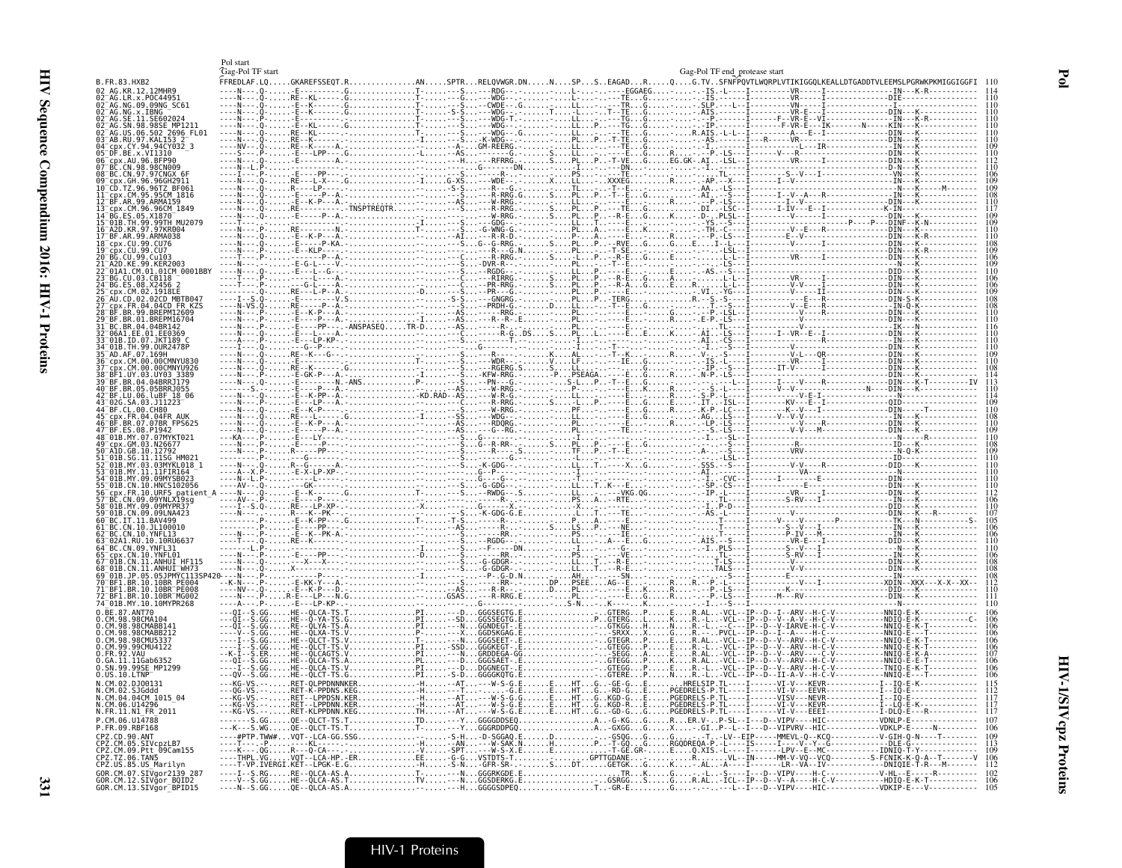|                                                                                                                          | Pol start<br>Gag-Pol TF start |  |  | Gag-Pol TF end_protease start |                                                                                                                                                    |  |
|--------------------------------------------------------------------------------------------------------------------------|-------------------------------|--|--|-------------------------------|----------------------------------------------------------------------------------------------------------------------------------------------------|--|
| B.FR.83.HXB2<br>02 AG.KR.12.12MHR9                                                                                       |                               |  |  |                               | FFREDLAF.LQGKAREFSSEQT.RANSPTRRELQVWGR.DNNSPSEAGADRQG.TVSFNFPQVTLWQRPLVTIKIGGQLKEALLDTGADDTVLEEMSLPGRWKPKMIGGIGGFI                                 |  |
| 02 AG.LR.x.P0C44951<br>02 AG.NG.09.09NG SC61<br>$02^-AG.NG.x.JBNG$                                                       |                               |  |  |                               |                                                                                                                                                    |  |
| 02 AG.SE.11.SE602024<br>02 AG.SN.98.98SE MP1211                                                                          |                               |  |  |                               |                                                                                                                                                    |  |
| 03 <sup>-</sup> AB.RU.97.KAL153 2<br>04 cpx.CY.94.94CY032 3                                                              |                               |  |  |                               |                                                                                                                                                    |  |
| 05 DF.BE.x.VI1310<br>06 cpx.AU.96.BFP90                                                                                  |                               |  |  |                               |                                                                                                                                                    |  |
| 07 BC.CN.98.98CN009<br>08 <sup>-</sup> BC.CN.97.97CNGX 6F                                                                |                               |  |  |                               |                                                                                                                                                    |  |
| 09 <sup>-</sup> cpx.GH.96.96GH2911<br>10 <sup>-</sup> CD.TZ.96.96TZ BF061<br>cpx.CM.95.95CM 1816"                        |                               |  |  |                               |                                                                                                                                                    |  |
| 12 <sup>-</sup> BF.AR.99.ARMA159<br>13 <sup>—</sup> срх.СМ.96.96СМ 1849                                                  |                               |  |  |                               |                                                                                                                                                    |  |
| 15_01B.TH.99.99TH MU2079                                                                                                 |                               |  |  |                               |                                                                                                                                                    |  |
| L6 <sup>-</sup> A2D.KR.97.97KR004<br>17 BF.AR.99.ARMA038<br>18 <sup>-</sup> cpx.CU.99.CU76                               |                               |  |  |                               |                                                                                                                                                    |  |
| 19 <sup>–</sup> cpx.CU.99.CU7<br>20 <sup>-</sup> BG.CU.99.Cu103                                                          |                               |  |  |                               |                                                                                                                                                    |  |
| 21 <sup>-</sup> A2D.KE.99.KER2003<br>CM.01.01CM 0001BB\                                                                  |                               |  |  |                               |                                                                                                                                                    |  |
| '4 BG.ES.08.X2456 2<br>25 <sup>-</sup> cnx.CM.02.1918EE                                                                  |                               |  |  |                               |                                                                                                                                                    |  |
| $\mathbin{\char`\^{\text{-}}\mathsf{A}\mathsf{U}.\mathsf{CD}.\mathsf{02}.\mathsf{02CD}$ MBTB047<br>cpx.FR.04.04CD FR KZS |                               |  |  |                               |                                                                                                                                                    |  |
| 28 <sup>-</sup> BF.BR.99.BREPM12609<br>29 BF.BR.01.BREPM16704<br>04.04BR142                                              |                               |  |  |                               |                                                                                                                                                    |  |
| -06A1 FF 01 FF0369<br>33 <sup>-</sup> 01B.ID.07.JKT189 C                                                                 |                               |  |  |                               |                                                                                                                                                    |  |
| 34 <sup>–</sup> 01B.TH.99.OUR2478P<br>35 <sup>-</sup> AD.AF.07.169H                                                      |                               |  |  |                               |                                                                                                                                                    |  |
| CM.00.00CMNYU926<br>F1.UY.03.UY03 3389                                                                                   |                               |  |  |                               |                                                                                                                                                    |  |
| 39 <sup>-</sup> BF.BR.04.04BRRJ179<br>.05.05BRRJ055                                                                      |                               |  |  |                               |                                                                                                                                                    |  |
| 12 <sup>-</sup> BF.LU.06.luBF 18 06                                                                                      |                               |  |  |                               |                                                                                                                                                    |  |
| 44 BF CL 00 CH80<br>16 BF.BR.07.07BR FPS625                                                                              |                               |  |  |                               |                                                                                                                                                    |  |
| 47 BF.ES.08.P1942<br>48 <sup>-</sup> 01B.MY.07.07MYKT021                                                                 |                               |  |  |                               |                                                                                                                                                    |  |
| 49 <sup>-</sup> cpx.GM.03.N26677<br>60 AID.GB.10.12792                                                                   |                               |  |  |                               |                                                                                                                                                    |  |
| 11SG HM021<br>01B.MY.11.11FIR164"                                                                                        |                               |  |  |                               |                                                                                                                                                    |  |
| 55 01B.CN.10.HNCS102056                                                                                                  |                               |  |  |                               |                                                                                                                                                    |  |
| cpx.FR.10.URF5 patient<br>BC.CN.09.09YNLX19sq<br>$58^-$ 01B.MY.09.09MYPR37                                               | $A - - - - M$                 |  |  |                               |                                                                                                                                                    |  |
| 59 <sup>-</sup> 01B.CN.09.09LNA423                                                                                       |                               |  |  |                               |                                                                                                                                                    |  |
| BC.CN.10.YNFL13                                                                                                          |                               |  |  |                               |                                                                                                                                                    |  |
| 702A1.RU.10.10RU6637<br>cnx.CN.10.YNFL01_                                                                                |                               |  |  |                               |                                                                                                                                                    |  |
| 01B.CN.11.ANHUI HF115"                                                                                                   |                               |  |  |                               |                                                                                                                                                    |  |
| 05.JPMYC113SP<br>⊺BF1.BR.10.10BR PE004<br>71 BF1.BR.10.10BR PE008                                                        |                               |  |  |                               |                                                                                                                                                    |  |
| 72 BF1.BR.10.10BR MG002<br>74 <sup>-</sup> 01B.MY.10.10MYPR268                                                           |                               |  |  |                               |                                                                                                                                                    |  |
| 0.CM.98.98CMA104                                                                                                         |                               |  |  |                               | .GGHE--OLCA-TS.TPI--DGGGSEGTG.EGTERGPER.AL-VCL--IP--D--I--ARV--H-C-V------------NNIO-E-K                                                           |  |
| 0.CM.98.98CMABB141<br>.CM.98.98CMABB212<br>0.CM.98.98CMU5337                                                             |                               |  |  |                               |                                                                                                                                                    |  |
| 0.CM.99.99CMU4122<br>0.FR.92.VAU                                                                                         |                               |  |  |                               | .R. -L. . -VCL - - IP - -D - -V - -ARV - -H - C - V - - - - - - - - - - - - NNIO - E - K - '<br>.AL-VCL--IP--D--V--ARV----C-V------------NNIÔ      |  |
| 0.GA.11.11Gab6352<br>0.5M.99.995E MP1299                                                                                 |                               |  |  |                               |                                                                                                                                                    |  |
| $0.05.10.$ LTNP<br>N.CM.02.DJ00131<br>N.CM.02.SJGddd                                                                     |                               |  |  |                               |                                                                                                                                                    |  |
| N.CM.04.04CM 1015_04<br>N.CM.06.U14296                                                                                   |                               |  |  |                               |                                                                                                                                                    |  |
| N.FR.11.N1 FR 2011<br>P.CM.06.U14788                                                                                     |                               |  |  |                               |                                                                                                                                                    |  |
| P.FR.09.RBF168                                                                                                           |                               |  |  |                               | -------S.GGQE--QLCT-TS.TTD--YGGGGDDSEQA-G-KGGRER.V-P-SL--I----D--VIPV----HIC--------------VDNLP-E--------------- 107<br>---K---S.WGQE--QLCT-TS.TT- |  |
| CPZ.CD.90.ANT<br>CPZ.CM.05.SIVcpzLB7<br>CPZ.CM.09.Ptt 09Cam155                                                           |                               |  |  |                               |                                                                                                                                                    |  |
| CPZ.TZ.06.TAN5<br>CPZ.US.85.US Marilyn                                                                                   |                               |  |  |                               |                                                                                                                                                    |  |
| GOR.CM.07.SIVgor2139 287<br>GOR.CM.12.SIVgor_BOID2<br>GOR.CM.13.SIVgor_BPID15                                            |                               |  |  |                               |                                                                                                                                                    |  |
|                                                                                                                          |                               |  |  |                               |                                                                                                                                                    |  |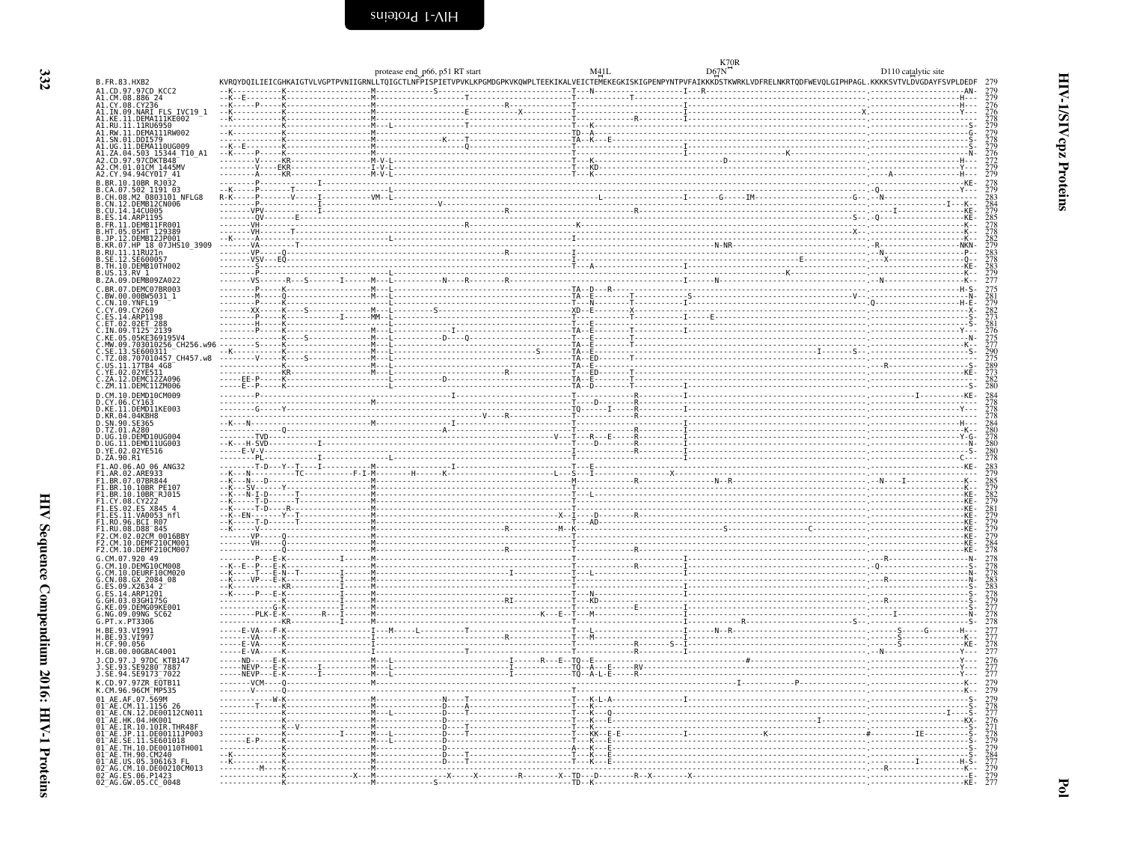<span id="page-21-0"></span>

|                                                                          |  | protease end_p66, p51 RT start                                                                                                                                                 | M41L | D67N | D110 catalytic site |
|--------------------------------------------------------------------------|--|--------------------------------------------------------------------------------------------------------------------------------------------------------------------------------|------|------|---------------------|
| 3.FR.83.HXB2<br>41.CD.97.97CD KCC2                                       |  | KVRQYDQILIEICGHKAIGTVLVGPTPVNIIGRNLLTQIGCTLNFPISPIETVPVKLKPGMDGPKVKQWPLTEEKIKALVEICTEMEKEGKISKIGPENPYNTPVFAIKKKDSTKWRKLVDFRELNKRTQDFWEVQLGIPHPAGL.KKKKSVTVLDVGDAYFSVPLDEDF 279 |      |      |                     |
| .CM.08.886 24<br>.CY.08.CY236                                            |  |                                                                                                                                                                                |      |      |                     |
| .C1.09.NARI FLS IVC19_1<br>.KE.11.DEMAI1IKE002<br>.RU.11.11RU6950        |  |                                                                                                                                                                                |      |      |                     |
| .RW.11.DEMA111RW002<br>SN.01.DDI579                                      |  |                                                                                                                                                                                |      |      |                     |
| UG.11.DEMA110UG009                                                       |  |                                                                                                                                                                                |      |      |                     |
| .ZĀ.04.503 15344 TĪ0_A1<br>.CD.97.97CDKTB48<br>.CM.01.01CM_1445MV        |  |                                                                                                                                                                                |      |      |                     |
| .CY.94.94CY017_41<br>10BR RJ032                                          |  |                                                                                                                                                                                |      |      |                     |
| 1191 03<br>CH.08.M2_0803101_NFLG8                                        |  |                                                                                                                                                                                |      |      |                     |
| .DEMB12CN006<br>CU.14.14CU005                                            |  |                                                                                                                                                                                |      |      |                     |
| ES.14.ARP1195<br>FR.11.DEMB11FR001                                       |  |                                                                                                                                                                                |      |      |                     |
| HT.05.05HT 129389<br>JP.12.DEMBI2JP001                                   |  |                                                                                                                                                                                |      |      |                     |
| .KR.07.HP 18 07JHS10_3909<br>RU.11.11RU21n                               |  |                                                                                                                                                                                |      |      |                     |
| .SE.12.SE600057<br>.TH.10.DEMB10TH002<br>US.13.RV 1                      |  |                                                                                                                                                                                |      |      |                     |
| ZA.09.DEMB09ZA022<br>BR.07.DEMC07BR003                                   |  |                                                                                                                                                                                |      |      |                     |
| .BW.00.00BW5031_1<br>.CN.10.YNFL19<br>.CY.09.CY260                       |  |                                                                                                                                                                                |      |      |                     |
| ES.14.ARP1198<br>ET.02.02ET 288                                          |  |                                                                                                                                                                                |      |      |                     |
| IN.09<br>T125 <sup>-</sup> 2139                                          |  |                                                                                                                                                                                |      |      |                     |
| KE.05.05KE369195V4<br>.703010256_CH256.w96                               |  |                                                                                                                                                                                |      |      |                     |
| SE.13.SE600311<br>707010457                                              |  |                                                                                                                                                                                |      |      |                     |
| 17TB4 4G8<br>YE.02.02YE5I1<br>DEMC127A096                                |  |                                                                                                                                                                                |      |      |                     |
| ZM.11.DEMC11ZM006<br>CM.10.DEMD10CM009                                   |  |                                                                                                                                                                                |      |      |                     |
| CY.06.CY163<br>DEMD11KE003                                               |  |                                                                                                                                                                                |      |      |                     |
| KE.11.<br>KR.04.04KBH8<br>SN.90.SE365<br>TZ.01.A280                      |  |                                                                                                                                                                                |      |      |                     |
| UG.10.DEMD10UG004                                                        |  |                                                                                                                                                                                |      |      |                     |
| .UG.11.DEMD11UG003<br>.VG.11.DEMD11UG003<br>.YE.02.02YE516               |  |                                                                                                                                                                                |      |      |                     |
| .ZA.90.R1<br>.AO.06.AO_06_ANG32                                          |  |                                                                                                                                                                                |      |      |                     |
|                                                                          |  |                                                                                                                                                                                |      |      |                     |
| BR.10.10BR PE107<br>BR.10.10BR RJ015                                     |  |                                                                                                                                                                                |      |      |                     |
| .CY.08.CY222<br>.ES.02.ES X845 4<br>.ES.11.VA0053_nfl                    |  |                                                                                                                                                                                |      |      |                     |
| .RO.96.BCI R07<br>.RU.08.D88 845                                         |  |                                                                                                                                                                                |      |      |                     |
| CM.02.02CM 0016BBY<br>CM.10.DEMF210CM00                                  |  |                                                                                                                                                                                |      |      |                     |
| CM.10.DEMF210CM007                                                       |  |                                                                                                                                                                                |      |      |                     |
| .CM.07.920 49<br>.CM.10.DEMG10CM008<br>.CM.10.DEURF10CM020               |  |                                                                                                                                                                                |      |      |                     |
| CN.08.6X 2084_08<br>ES.09.X2634_2                                        |  |                                                                                                                                                                                |      |      |                     |
| ES.14.ARP1201                                                            |  |                                                                                                                                                                                |      |      |                     |
| .GH.03.03GH175G<br>.KE.09.DEMG09KE001<br>.NG.09.09NG_SC62                |  |                                                                                                                                                                                |      |      |                     |
| PT.x.PT3306<br>BE.93.VI993                                               |  |                                                                                                                                                                                |      |      |                     |
| .BE.93.VĪ99.<br>.CF.90.056                                               |  |                                                                                                                                                                                |      |      |                     |
| GB.00.00GBAC4001.<br>CD.97.J 97DC KTB147                                 |  |                                                                                                                                                                                |      |      |                     |
| . ŠE. 93. ŠE9280 <sup>–</sup> 7887<br>. SE. 94. SE9173 <sup>–</sup> 7022 |  |                                                                                                                                                                                |      |      |                     |
| CD.97.97ZR EQTB11<br>CM.96.96CM MP535                                    |  |                                                                                                                                                                                |      |      |                     |
| AE.AF.07.569M                                                            |  |                                                                                                                                                                                |      |      |                     |
| AE.CN.12.DE00112CN011<br>AE.HK.04.HK001                                  |  |                                                                                                                                                                                |      |      |                     |
| IR.10.10IR.THR48F<br>.JP.11.DE00111JP003                                 |  |                                                                                                                                                                                |      |      |                     |
| AE.SE.11.SE601018<br>AE.TH.10.DE00110TH001                               |  |                                                                                                                                                                                |      |      |                     |
| AE.TH.90.CM240<br>AE.US.05.<br>306163 FL                                 |  |                                                                                                                                                                                |      |      |                     |
| AG.CM.10.DE00210CM013<br>)2 AG.ES.06.P1423<br>)2 AG.GW.05.CC_0048        |  |                                                                                                                                                                                |      |      |                     |
|                                                                          |  |                                                                                                                                                                                |      |      |                     |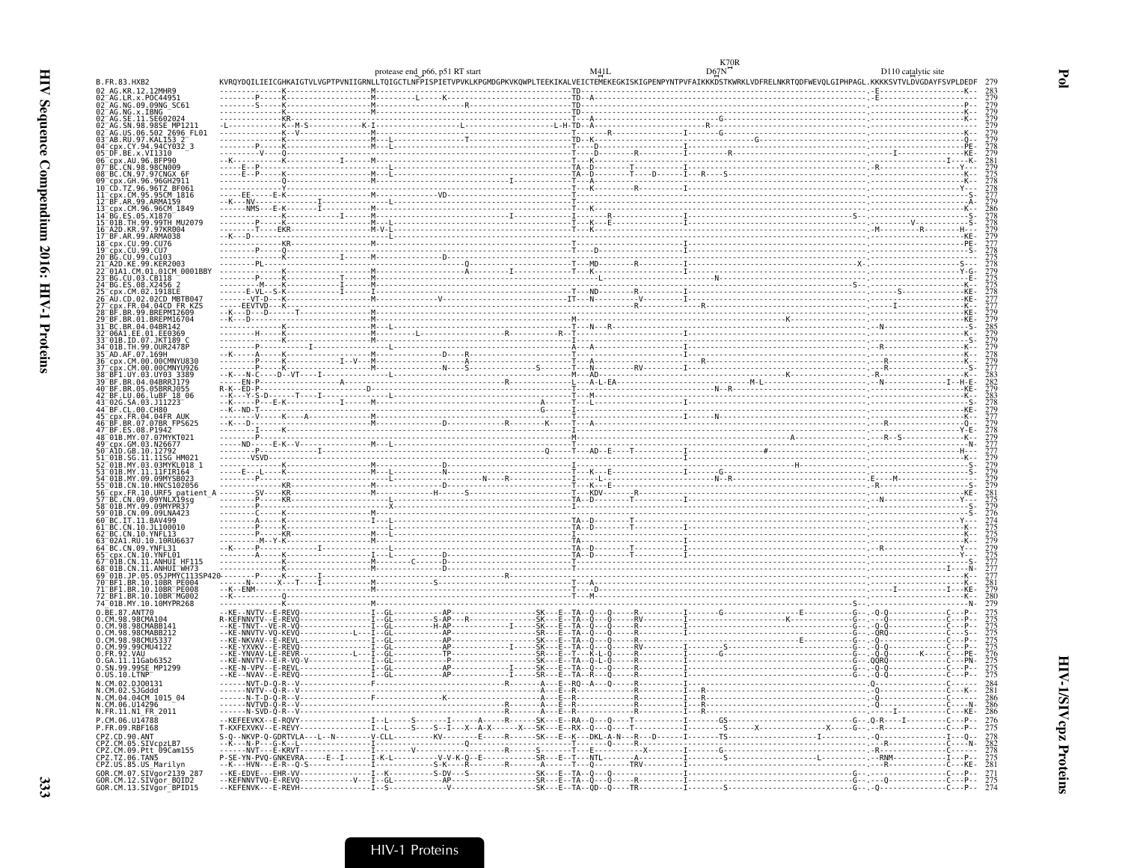|                                                                                                                        |                        | protease end p66, p51 RT start                                                                                                                                                                                                                                                                                                                                                                                                                       | D67N | D110 catalytic site |
|------------------------------------------------------------------------------------------------------------------------|------------------------|------------------------------------------------------------------------------------------------------------------------------------------------------------------------------------------------------------------------------------------------------------------------------------------------------------------------------------------------------------------------------------------------------------------------------------------------------|------|---------------------|
| B. FR. 83. HXB2                                                                                                        |                        | LIEICGHKAIGTVLVGPTPVNIIGRNLLTQIGCTLNFPISPIETVPVKLKPGMDGPKVKQWPLTEEKIKALVEICTEMEKEGKISKIGPENPYNTPVFAIKKKDSTKWRKLVDFRELNKRTQDFWEVQLGIPHPAGL.KKKKSVTVLDVGDAYFSVPLDEDF 279                                                                                                                                                                                                                                                                               |      |                     |
| 02 AG.KR.12.12MHR9                                                                                                     |                        |                                                                                                                                                                                                                                                                                                                                                                                                                                                      |      |                     |
|                                                                                                                        |                        |                                                                                                                                                                                                                                                                                                                                                                                                                                                      |      |                     |
| 02-AG.LR.x.P0C44951<br>02-AG.LR.x.P0C44951<br>02-AG.NG.09.09NG_SC61<br>02-AG.SE.11.SE602024<br>02-AG.SR.98.98SE_MP1211 |                        |                                                                                                                                                                                                                                                                                                                                                                                                                                                      |      |                     |
|                                                                                                                        |                        |                                                                                                                                                                                                                                                                                                                                                                                                                                                      |      |                     |
| 2696 FL01<br>.US.06                                                                                                    |                        |                                                                                                                                                                                                                                                                                                                                                                                                                                                      |      |                     |
| AB.RU.97.KAL153                                                                                                        |                        |                                                                                                                                                                                                                                                                                                                                                                                                                                                      |      |                     |
| cpx.CY.94.94CY032 3                                                                                                    |                        |                                                                                                                                                                                                                                                                                                                                                                                                                                                      |      |                     |
| 05 DF.BE.x.VII310<br>06 cpx.AU.96.BFP90                                                                                |                        |                                                                                                                                                                                                                                                                                                                                                                                                                                                      |      |                     |
|                                                                                                                        |                        |                                                                                                                                                                                                                                                                                                                                                                                                                                                      |      |                     |
| 08 BC.CN.97.97CNGX                                                                                                     |                        |                                                                                                                                                                                                                                                                                                                                                                                                                                                      |      |                     |
| .96.96GH291                                                                                                            |                        |                                                                                                                                                                                                                                                                                                                                                                                                                                                      |      |                     |
| CD.TZ.96.96TZ BF06<br>cpx.CM.95.95CM 1816                                                                              |                        |                                                                                                                                                                                                                                                                                                                                                                                                                                                      |      |                     |
| BF.AR.99.ARMA159                                                                                                       |                        |                                                                                                                                                                                                                                                                                                                                                                                                                                                      |      |                     |
| cpx.CM.96.96CM_1849                                                                                                    |                        |                                                                                                                                                                                                                                                                                                                                                                                                                                                      |      |                     |
|                                                                                                                        |                        |                                                                                                                                                                                                                                                                                                                                                                                                                                                      |      |                     |
| -01B.TH.99.99TH MU2079<br>-A2D.KR.97.97KR004                                                                           |                        |                                                                                                                                                                                                                                                                                                                                                                                                                                                      |      |                     |
| 17 BF.AR.99.ARMA038                                                                                                    |                        |                                                                                                                                                                                                                                                                                                                                                                                                                                                      |      |                     |
| cpx.CU.99.CU76                                                                                                         |                        |                                                                                                                                                                                                                                                                                                                                                                                                                                                      |      |                     |
| .CU.99.CU7                                                                                                             |                        |                                                                                                                                                                                                                                                                                                                                                                                                                                                      |      |                     |
| 20 BG.CU.99.Cu103<br>21 A2D.KE.99.KER2<br>22 01A1.CM.01.01C<br>.99 KFR2003                                             |                        |                                                                                                                                                                                                                                                                                                                                                                                                                                                      |      |                     |
| 01A1.CM.01.01CM 0001BBY"                                                                                               |                        |                                                                                                                                                                                                                                                                                                                                                                                                                                                      |      |                     |
|                                                                                                                        |                        |                                                                                                                                                                                                                                                                                                                                                                                                                                                      |      |                     |
|                                                                                                                        |                        |                                                                                                                                                                                                                                                                                                                                                                                                                                                      |      |                     |
|                                                                                                                        |                        |                                                                                                                                                                                                                                                                                                                                                                                                                                                      |      |                     |
| AU.CD.02.02CD MBTB047<br>cpx.FR.04.04CD FR KZS                                                                         |                        |                                                                                                                                                                                                                                                                                                                                                                                                                                                      |      |                     |
| BR.99.BREPM12609                                                                                                       |                        |                                                                                                                                                                                                                                                                                                                                                                                                                                                      |      |                     |
| RRFPM16704                                                                                                             |                        |                                                                                                                                                                                                                                                                                                                                                                                                                                                      |      |                     |
| EE.01.EE0369.                                                                                                          |                        |                                                                                                                                                                                                                                                                                                                                                                                                                                                      |      |                     |
| 33–01B.ID.07.JKT189<br>34–01B.TH.99.OUR2478                                                                            |                        |                                                                                                                                                                                                                                                                                                                                                                                                                                                      |      |                     |
| 01B.TH.99.0UR2478Iظ"                                                                                                   |                        |                                                                                                                                                                                                                                                                                                                                                                                                                                                      |      |                     |
| AD AF 07 1691                                                                                                          |                        |                                                                                                                                                                                                                                                                                                                                                                                                                                                      |      |                     |
|                                                                                                                        |                        |                                                                                                                                                                                                                                                                                                                                                                                                                                                      |      |                     |
| BF1.UY.03.UY03_3389                                                                                                    |                        |                                                                                                                                                                                                                                                                                                                                                                                                                                                      |      |                     |
| .BR.04.04BRRJ179<br>.BR.05.05BRRJ055                                                                                   |                        |                                                                                                                                                                                                                                                                                                                                                                                                                                                      |      |                     |
| .LU.06.luBF 18 06                                                                                                      |                        |                                                                                                                                                                                                                                                                                                                                                                                                                                                      |      |                     |
| .03.J11223                                                                                                             |                        |                                                                                                                                                                                                                                                                                                                                                                                                                                                      |      |                     |
| .00.CH80                                                                                                               |                        |                                                                                                                                                                                                                                                                                                                                                                                                                                                      |      |                     |
| 04.04 FR                                                                                                               |                        |                                                                                                                                                                                                                                                                                                                                                                                                                                                      |      |                     |
| .BR.07.07BR FPS625                                                                                                     |                        |                                                                                                                                                                                                                                                                                                                                                                                                                                                      |      |                     |
|                                                                                                                        |                        |                                                                                                                                                                                                                                                                                                                                                                                                                                                      |      |                     |
| cpx.GM.03.N26677                                                                                                       |                        |                                                                                                                                                                                                                                                                                                                                                                                                                                                      |      |                     |
| AlD.GB.10.12792<br>01B.SG.11.11SG HM021                                                                                |                        |                                                                                                                                                                                                                                                                                                                                                                                                                                                      |      |                     |
| MY.03.03MYKL018 3                                                                                                      |                        |                                                                                                                                                                                                                                                                                                                                                                                                                                                      |      |                     |
|                                                                                                                        |                        |                                                                                                                                                                                                                                                                                                                                                                                                                                                      |      |                     |
| 01B.MY.09.09MYSB023                                                                                                    |                        |                                                                                                                                                                                                                                                                                                                                                                                                                                                      |      |                     |
| CN.10.HNCS102056<br><b>FR. 10. URF5</b><br>patient                                                                     |                        |                                                                                                                                                                                                                                                                                                                                                                                                                                                      |      |                     |
| .CN.09.09YNLX19sa                                                                                                      |                        |                                                                                                                                                                                                                                                                                                                                                                                                                                                      |      |                     |
|                                                                                                                        |                        |                                                                                                                                                                                                                                                                                                                                                                                                                                                      |      |                     |
|                                                                                                                        |                        |                                                                                                                                                                                                                                                                                                                                                                                                                                                      |      |                     |
| CN.10.JL100010                                                                                                         |                        |                                                                                                                                                                                                                                                                                                                                                                                                                                                      |      |                     |
|                                                                                                                        |                        |                                                                                                                                                                                                                                                                                                                                                                                                                                                      |      |                     |
|                                                                                                                        |                        |                                                                                                                                                                                                                                                                                                                                                                                                                                                      |      |                     |
|                                                                                                                        |                        |                                                                                                                                                                                                                                                                                                                                                                                                                                                      |      |                     |
| .11.ANHUI                                                                                                              |                        |                                                                                                                                                                                                                                                                                                                                                                                                                                                      |      |                     |
|                                                                                                                        |                        |                                                                                                                                                                                                                                                                                                                                                                                                                                                      |      |                     |
| JP.05.05JPMYC113S                                                                                                      |                        |                                                                                                                                                                                                                                                                                                                                                                                                                                                      |      |                     |
| BF1.BR.10.10BR <sup>-</sup> PE008                                                                                      |                        |                                                                                                                                                                                                                                                                                                                                                                                                                                                      |      |                     |
| BF1.BR.10.10BR <sup>-</sup> MG002                                                                                      |                        |                                                                                                                                                                                                                                                                                                                                                                                                                                                      |      |                     |
| 74 <sup>-</sup> 01B.MY.10.10MYPR268                                                                                    |                        |                                                                                                                                                                                                                                                                                                                                                                                                                                                      |      |                     |
| 0.BE.87.ANT70                                                                                                          |                        | $\begin{minipage}[t]{.15\textwidth} \begin{tabular}{ c c c c c c } \hline \textbf{1.0.000}\footnotesize & \textbf{2.0.000}\footnotesize & \textbf{3.0.000}\footnotesize & \textbf{4.0.000}\footnotesize & \textbf{5.0.000}\footnotesize & \textbf{6.0.000}\footnotesize & \textbf{6.0.000}\footnotesize & \textbf{7.0.000}\footnotesize & \textbf{8.0.000}\footnotesize & \textbf{9.0.000}\footnotesize & \textbf{1.0.000}\footnotesize & \textbf{1$ |      |                     |
| 98.98CMA104                                                                                                            |                        |                                                                                                                                                                                                                                                                                                                                                                                                                                                      |      |                     |
| 98.98CMABB14<br>0.CM.98.98CMABB212                                                                                     |                        |                                                                                                                                                                                                                                                                                                                                                                                                                                                      |      |                     |
|                                                                                                                        | -NKVAV - - E - REVL    |                                                                                                                                                                                                                                                                                                                                                                                                                                                      |      |                     |
| 0.CM.98.98CMU5337<br>0.CM.99.99CMU4122                                                                                 |                        |                                                                                                                                                                                                                                                                                                                                                                                                                                                      |      |                     |
| 0.FR.92.VAU                                                                                                            |                        |                                                                                                                                                                                                                                                                                                                                                                                                                                                      |      | - PE -<br>- PN -    |
| 0.GA.11.11Gab635<br>99.99SE MP1299                                                                                     |                        |                                                                                                                                                                                                                                                                                                                                                                                                                                                      |      |                     |
| $0.0S.10.LTNP^-$                                                                                                       |                        |                                                                                                                                                                                                                                                                                                                                                                                                                                                      |      |                     |
| N.CM.02.DJ00131                                                                                                        |                        |                                                                                                                                                                                                                                                                                                                                                                                                                                                      |      |                     |
| N.CM.02.SJGddd                                                                                                         |                        |                                                                                                                                                                                                                                                                                                                                                                                                                                                      |      |                     |
| 04.04CM 1015 04                                                                                                        |                        |                                                                                                                                                                                                                                                                                                                                                                                                                                                      |      |                     |
| CM.06.U14296                                                                                                           |                        |                                                                                                                                                                                                                                                                                                                                                                                                                                                      |      |                     |
| N.FR.11.N1 FR 2011<br>P.CM.06.U14788                                                                                   |                        |                                                                                                                                                                                                                                                                                                                                                                                                                                                      |      |                     |
| P.FR.09.RBF168                                                                                                         |                        |                                                                                                                                                                                                                                                                                                                                                                                                                                                      |      |                     |
| PZ.CD.90.ANT                                                                                                           |                        |                                                                                                                                                                                                                                                                                                                                                                                                                                                      |      |                     |
| CPZ.CM.05.SIVcpzLB7                                                                                                    |                        |                                                                                                                                                                                                                                                                                                                                                                                                                                                      |      |                     |
| CPZ.CM.09.Ptt 09Cam1!<br>CPZ.TZ.06.TAN5<br>CPZ.US.85.US_Marilyn<br>.Ptt 09Cam155                                       |                        |                                                                                                                                                                                                                                                                                                                                                                                                                                                      |      |                     |
|                                                                                                                        |                        |                                                                                                                                                                                                                                                                                                                                                                                                                                                      |      |                     |
|                                                                                                                        |                        |                                                                                                                                                                                                                                                                                                                                                                                                                                                      |      |                     |
|                                                                                                                        |                        |                                                                                                                                                                                                                                                                                                                                                                                                                                                      |      |                     |
| GOR.CM.07.SIVgor2139 287<br>GOR.CM.12.SIVgor_BOID2<br>GOR.CM.13.SIVgor_BPID15                                          | KEFNNVTVQ - E - REVQ - |                                                                                                                                                                                                                                                                                                                                                                                                                                                      |      |                     |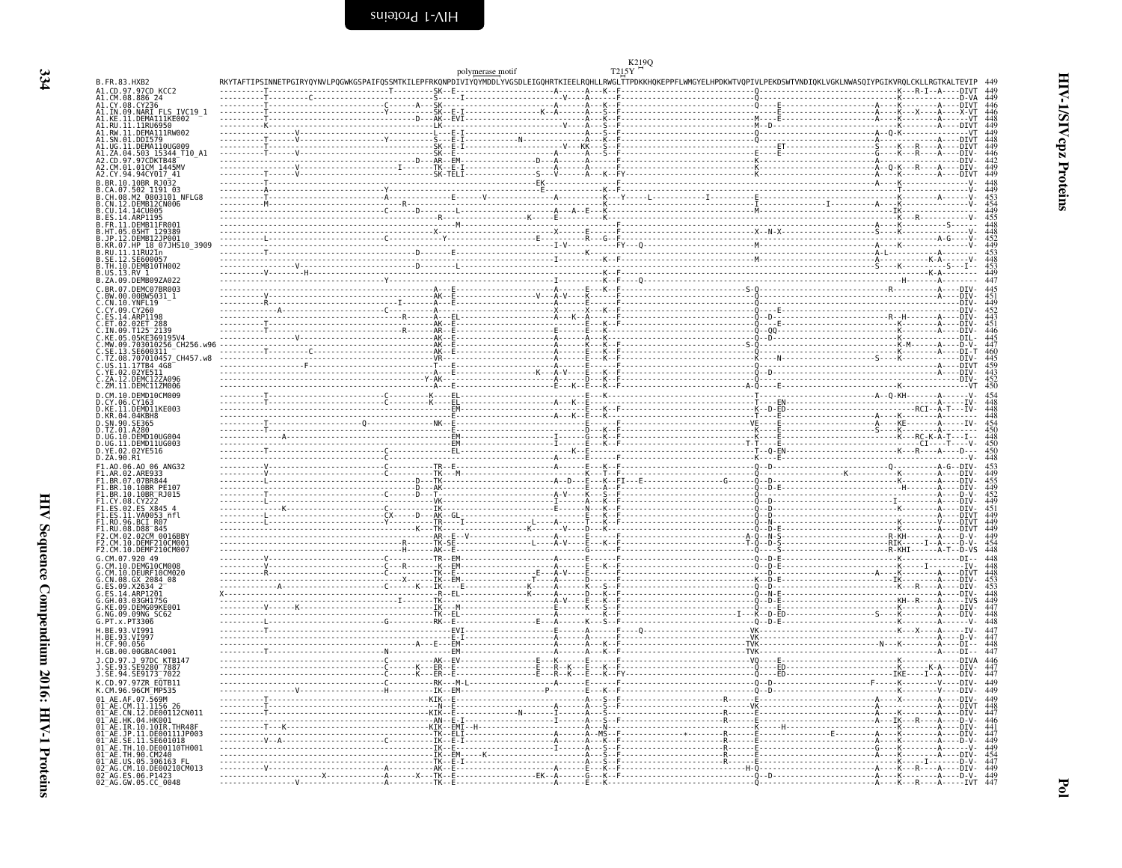<span id="page-23-0"></span>

|                                                                                                                                                                             | polymerase motif | $\begin{array}{c}\n  K219Q \\  T215Y\n\end{array}$ |                                                                                                                                                                                                                                                                                                                                                                                                                                                     |  |
|-----------------------------------------------------------------------------------------------------------------------------------------------------------------------------|------------------|----------------------------------------------------|-----------------------------------------------------------------------------------------------------------------------------------------------------------------------------------------------------------------------------------------------------------------------------------------------------------------------------------------------------------------------------------------------------------------------------------------------------|--|
| B. FR. 83. HXB2<br>A1.CD.97.97CD KCC2                                                                                                                                       |                  |                                                    | RKYTAFTIPSINNETPGIRYQYNVLPQGWKGSPAIFQSSMTKILEPFRKQNPDIVIYQYMDDLYVGSDLEIGQHRTKIEELRQHLLRWGLTTPDKKHQKEPPFLWMGYELHPDKWTVQPIVLPEKDSWTVNDIQKLVGKLNWASQIYPGIKVRQLCKLLRGTKALTEVIP                                                                                                                                                                                                                                                                          |  |
| A1.CM.08.886_24<br>A1.CY.08.CY236<br>A1.IN.09.NARI_FLS_IVC19_                                                                                                               |                  |                                                    |                                                                                                                                                                                                                                                                                                                                                                                                                                                     |  |
|                                                                                                                                                                             |                  |                                                    |                                                                                                                                                                                                                                                                                                                                                                                                                                                     |  |
| A1.KE.11.DEMAI1IKE002<br>A1.KE.11.DEMAI1IKE002<br>A1.RU.11.11RU6950                                                                                                         |                  |                                                    |                                                                                                                                                                                                                                                                                                                                                                                                                                                     |  |
| RW.11.DEMA111RW002<br>A1.SN.01.DDI579                                                                                                                                       |                  |                                                    |                                                                                                                                                                                                                                                                                                                                                                                                                                                     |  |
| AI.UG.1I.DEMA110UG009<br>A1.ZA.04.503 15344 T10_A1<br>A2.CD.97.97CDKTB48                                                                                                    |                  |                                                    |                                                                                                                                                                                                                                                                                                                                                                                                                                                     |  |
|                                                                                                                                                                             |                  |                                                    |                                                                                                                                                                                                                                                                                                                                                                                                                                                     |  |
| A2.CM.01.01CM 1445MV<br>A2.CY.94.94CY017 41                                                                                                                                 |                  |                                                    |                                                                                                                                                                                                                                                                                                                                                                                                                                                     |  |
| B.BR.10.10BR RJ032<br>B.CA.07.502 1191 03                                                                                                                                   |                  |                                                    |                                                                                                                                                                                                                                                                                                                                                                                                                                                     |  |
| B.CH.08.M2 0803101 NFLG8                                                                                                                                                    |                  |                                                    |                                                                                                                                                                                                                                                                                                                                                                                                                                                     |  |
| .CN.12.DEMB12CN006<br>.CU.14.14CU005                                                                                                                                        |                  |                                                    |                                                                                                                                                                                                                                                                                                                                                                                                                                                     |  |
| B.ES.14.ARP1195<br>B.FR.11.DEMB11FR001<br>B.HT.05.05HT_129389                                                                                                               |                  |                                                    |                                                                                                                                                                                                                                                                                                                                                                                                                                                     |  |
|                                                                                                                                                                             |                  |                                                    |                                                                                                                                                                                                                                                                                                                                                                                                                                                     |  |
| B.JP.12.DEMB12JP001<br>B.KR.07.HP 18 07JHS10 3909                                                                                                                           |                  |                                                    |                                                                                                                                                                                                                                                                                                                                                                                                                                                     |  |
| B.RU.11.11RU2In<br>SE600057                                                                                                                                                 |                  |                                                    |                                                                                                                                                                                                                                                                                                                                                                                                                                                     |  |
| B. TH. 10. DEMB10TH002<br>RV 1                                                                                                                                              |                  |                                                    |                                                                                                                                                                                                                                                                                                                                                                                                                                                     |  |
| B.ZA.09.DEMB09ZA022                                                                                                                                                         |                  |                                                    |                                                                                                                                                                                                                                                                                                                                                                                                                                                     |  |
| C.BR.07.DEMC07BR003<br>00BW5031 1                                                                                                                                           |                  |                                                    |                                                                                                                                                                                                                                                                                                                                                                                                                                                     |  |
| C.CN.10.YNFL19                                                                                                                                                              |                  |                                                    |                                                                                                                                                                                                                                                                                                                                                                                                                                                     |  |
| Č.ČY.09.CY260<br>C.ES.14.ARP1198<br>C.ET.02.02ET_28                                                                                                                         |                  |                                                    |                                                                                                                                                                                                                                                                                                                                                                                                                                                     |  |
| C.ET.02.02ET_288<br>C.IN.09.T125_2139                                                                                                                                       |                  |                                                    |                                                                                                                                                                                                                                                                                                                                                                                                                                                     |  |
|                                                                                                                                                                             |                  |                                                    |                                                                                                                                                                                                                                                                                                                                                                                                                                                     |  |
| 703010256_CH256.w96<br>SE600311                                                                                                                                             |                  |                                                    |                                                                                                                                                                                                                                                                                                                                                                                                                                                     |  |
| C.TZ.08.707010457 CH457.w8<br>17TB4 4G8                                                                                                                                     |                  |                                                    |                                                                                                                                                                                                                                                                                                                                                                                                                                                     |  |
| 02YE511<br>DEMC12ZA096                                                                                                                                                      |                  |                                                    |                                                                                                                                                                                                                                                                                                                                                                                                                                                     |  |
| C.ZM.11.DEMC11ZM006                                                                                                                                                         |                  |                                                    |                                                                                                                                                                                                                                                                                                                                                                                                                                                     |  |
| D.CM.10.DEMD10CM009<br>D.CY.06.CY163                                                                                                                                        |                  |                                                    |                                                                                                                                                                                                                                                                                                                                                                                                                                                     |  |
| DEMD11KE003                                                                                                                                                                 |                  |                                                    |                                                                                                                                                                                                                                                                                                                                                                                                                                                     |  |
| D.KR.04.04KBH8<br>D.SN.90.SE365<br>D.TZ.01.A280<br>D.UG.10.DEMD10UG004<br>D.UG.11.DEMD11UG003                                                                               |                  |                                                    |                                                                                                                                                                                                                                                                                                                                                                                                                                                     |  |
|                                                                                                                                                                             |                  |                                                    |                                                                                                                                                                                                                                                                                                                                                                                                                                                     |  |
|                                                                                                                                                                             |                  |                                                    |                                                                                                                                                                                                                                                                                                                                                                                                                                                     |  |
| D.YE.02.02YE516                                                                                                                                                             |                  |                                                    |                                                                                                                                                                                                                                                                                                                                                                                                                                                     |  |
| F1.A0.06.A0_06_ANG32                                                                                                                                                        |                  |                                                    |                                                                                                                                                                                                                                                                                                                                                                                                                                                     |  |
| F1.AR.02.ARE933<br>F1.BR.07.07BR844<br>F1.BR.10.10BR_PE107                                                                                                                  |                  |                                                    |                                                                                                                                                                                                                                                                                                                                                                                                                                                     |  |
| F1.BR.10.10BR FE197<br>F1.CY.08.CY222<br>F1.ES.02.ES.25845<br>F1.ES.01.1.VA0053 nfl<br>F1.R0.96.BCT R07<br>F2.R0.08.B86 845<br>F2.CM 02.0267 040168<br>F2.CM 02.0267 040168 |                  |                                                    |                                                                                                                                                                                                                                                                                                                                                                                                                                                     |  |
|                                                                                                                                                                             |                  |                                                    |                                                                                                                                                                                                                                                                                                                                                                                                                                                     |  |
|                                                                                                                                                                             |                  |                                                    |                                                                                                                                                                                                                                                                                                                                                                                                                                                     |  |
|                                                                                                                                                                             |                  |                                                    |                                                                                                                                                                                                                                                                                                                                                                                                                                                     |  |
| .02CM 0016BB<br>CM. 10. DEMF210CM001                                                                                                                                        |                  |                                                    |                                                                                                                                                                                                                                                                                                                                                                                                                                                     |  |
| F2.CM.10.DEMF210CM007<br>G.CM.07.920 49                                                                                                                                     |                  |                                                    |                                                                                                                                                                                                                                                                                                                                                                                                                                                     |  |
| G.CM.10.DEMG10CM008                                                                                                                                                         |                  |                                                    |                                                                                                                                                                                                                                                                                                                                                                                                                                                     |  |
| G.CM.10.DEURF10CM020<br>GX 2084 08                                                                                                                                          |                  |                                                    |                                                                                                                                                                                                                                                                                                                                                                                                                                                     |  |
| G.ES.09.X2634_2<br>G.ES.14.ARP1201<br>G.GH.03.03GH175G                                                                                                                      |                  |                                                    |                                                                                                                                                                                                                                                                                                                                                                                                                                                     |  |
|                                                                                                                                                                             |                  |                                                    |                                                                                                                                                                                                                                                                                                                                                                                                                                                     |  |
| G.KE.09.DEMG09KE001<br>G.NG.09.09NG SC62                                                                                                                                    |                  |                                                    |                                                                                                                                                                                                                                                                                                                                                                                                                                                     |  |
| G.PT.x.PT3306                                                                                                                                                               |                  |                                                    |                                                                                                                                                                                                                                                                                                                                                                                                                                                     |  |
| H.BE.93.VI991<br>H.BE.93.VI997<br>H.CF.90.056                                                                                                                               |                  |                                                    |                                                                                                                                                                                                                                                                                                                                                                                                                                                     |  |
| H.GB.00.00GBAC4001                                                                                                                                                          |                  |                                                    |                                                                                                                                                                                                                                                                                                                                                                                                                                                     |  |
| J.CD.97.J 97DC KTB147                                                                                                                                                       |                  |                                                    |                                                                                                                                                                                                                                                                                                                                                                                                                                                     |  |
| SE9280 <sup>-</sup> 7887<br>J.SE.94.SE9173 <sup>-</sup> 7022                                                                                                                |                  |                                                    |                                                                                                                                                                                                                                                                                                                                                                                                                                                     |  |
| K.CD.97.97ZR E0TB11                                                                                                                                                         |                  |                                                    |                                                                                                                                                                                                                                                                                                                                                                                                                                                     |  |
| K.CM.96.96CM MP535<br>01 AE.AF.07.569M                                                                                                                                      |                  |                                                    |                                                                                                                                                                                                                                                                                                                                                                                                                                                     |  |
| CM.11.1156                                                                                                                                                                  |                  |                                                    | $\begin{minipage}{0.5\textwidth} \begin{tabular}{ c c c } \hline & \multicolumn{3}{ c }{\textbf{5}} & \multicolumn{3}{ c }{\textbf{5}} & \multicolumn{3}{ c }{\textbf{5}} & \multicolumn{3}{ c }{\textbf{5}} & \multicolumn{3}{ c }{\textbf{5}} & \multicolumn{3}{ c }{\textbf{5}} & \multicolumn{3}{ c }{\textbf{5}} & \multicolumn{3}{ c }{\textbf{5}} & \multicolumn{3}{ c }{\textbf{5}} & \multicolumn{3}{ c }{\textbf{5}} & \multicolumn{3}{ $ |  |
| .ČN.12.DE001I2CN011<br>.HK.04.HK001                                                                                                                                         |                  |                                                    |                                                                                                                                                                                                                                                                                                                                                                                                                                                     |  |
| IR.10.10IR.THR48F<br>JP.11.DE00111JP003                                                                                                                                     |                  |                                                    |                                                                                                                                                                                                                                                                                                                                                                                                                                                     |  |
| SE.11.SE601018                                                                                                                                                              |                  |                                                    |                                                                                                                                                                                                                                                                                                                                                                                                                                                     |  |
| 01 AE.TH.10.DE00110TH001<br>01 AE.TH.90.CM240<br>01 AE.US.05.306163 FL                                                                                                      |                  |                                                    |                                                                                                                                                                                                                                                                                                                                                                                                                                                     |  |
|                                                                                                                                                                             |                  |                                                    |                                                                                                                                                                                                                                                                                                                                                                                                                                                     |  |
| 02 AG.CM.10.DE00210CM013<br>02 AG.CM.10.DE00210CM013<br>02 AG.GW.05.CC_0048                                                                                                 |                  |                                                    |                                                                                                                                                                                                                                                                                                                                                                                                                                                     |  |
|                                                                                                                                                                             |                  |                                                    |                                                                                                                                                                                                                                                                                                                                                                                                                                                     |  |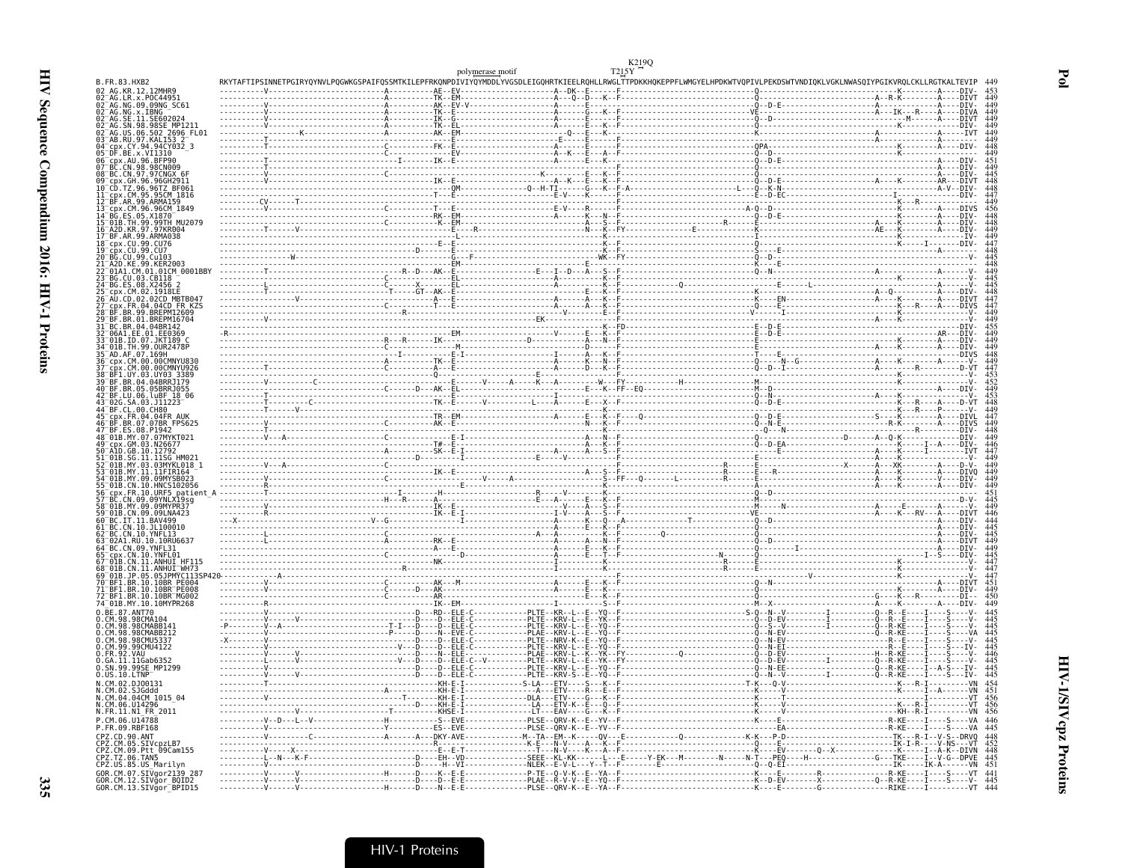| T215Y<br>polymerase motif<br>GIRYQYNVLPQGWKGSPAIFQSSMTKILEPFRKQNPDIVIYQYMDDLYVGSDLEIGQHRTKIEELRQHLLRWGLTTPDKKHQKEPPFLWMGYELHPDKW<br>FR.83.HXB2<br>AG.KR.12.12MHR9<br>-AG.LR.x.POC44951<br>-AG.NG.09.09NG_SC61<br>$\begin{minipage}[t]{0.05\textwidth} \begin{tabular}{ c c c c c } \hline & \multicolumn{1}{ c }{0.05\textwidth} \begin{tabular}{ c c c } \hline & \multicolumn{1}{ c }{0.05\textwidth} \begin{tabular}{ c c c } \hline & \multicolumn{1}{ c }{0.05\textwidth} \begin{tabular}{ c c c } \hline & \multicolumn{1}{ c }{0.05\textwidth} \begin{tabular}{ c c c } \hline \multicolumn{1}{ c }{0.05\textwidth} \begin{tabular}{ c c c } \$<br>- AG. NG. 99. 99105<br>- AG. NG. x. IBNG -<br>- AG. SE. 11. SE602024<br>- AG. US. 06. 502-2090- FL01<br>- AG. US. 97. KAL153-2-<br>- AB. RU. 97. KAL153-2-<br>- AB. RU. 97. KAL153-2-3<br>- AB. RU. 97. KAL153-2-3-<br>DF.BE.x.VI1310 | .nTV                                                    |
|-------------------------------------------------------------------------------------------------------------------------------------------------------------------------------------------------------------------------------------------------------------------------------------------------------------------------------------------------------------------------------------------------------------------------------------------------------------------------------------------------------------------------------------------------------------------------------------------------------------------------------------------------------------------------------------------------------------------------------------------------------------------------------------------------------------------------------------------------------------------------------------------------|---------------------------------------------------------|
|                                                                                                                                                                                                                                                                                                                                                                                                                                                                                                                                                                                                                                                                                                                                                                                                                                                                                                 |                                                         |
|                                                                                                                                                                                                                                                                                                                                                                                                                                                                                                                                                                                                                                                                                                                                                                                                                                                                                                 |                                                         |
|                                                                                                                                                                                                                                                                                                                                                                                                                                                                                                                                                                                                                                                                                                                                                                                                                                                                                                 |                                                         |
|                                                                                                                                                                                                                                                                                                                                                                                                                                                                                                                                                                                                                                                                                                                                                                                                                                                                                                 |                                                         |
|                                                                                                                                                                                                                                                                                                                                                                                                                                                                                                                                                                                                                                                                                                                                                                                                                                                                                                 |                                                         |
|                                                                                                                                                                                                                                                                                                                                                                                                                                                                                                                                                                                                                                                                                                                                                                                                                                                                                                 |                                                         |
|                                                                                                                                                                                                                                                                                                                                                                                                                                                                                                                                                                                                                                                                                                                                                                                                                                                                                                 |                                                         |
|                                                                                                                                                                                                                                                                                                                                                                                                                                                                                                                                                                                                                                                                                                                                                                                                                                                                                                 |                                                         |
|                                                                                                                                                                                                                                                                                                                                                                                                                                                                                                                                                                                                                                                                                                                                                                                                                                                                                                 |                                                         |
|                                                                                                                                                                                                                                                                                                                                                                                                                                                                                                                                                                                                                                                                                                                                                                                                                                                                                                 |                                                         |
|                                                                                                                                                                                                                                                                                                                                                                                                                                                                                                                                                                                                                                                                                                                                                                                                                                                                                                 |                                                         |
| CD.TZ.96.96TZ BF061<br>px.CM.95.95CM 1816                                                                                                                                                                                                                                                                                                                                                                                                                                                                                                                                                                                                                                                                                                                                                                                                                                                       |                                                         |
|                                                                                                                                                                                                                                                                                                                                                                                                                                                                                                                                                                                                                                                                                                                                                                                                                                                                                                 |                                                         |
| BF.AR.99.ARMA159<br>cpx.CM.96.96CM_1849<br>BG.ES.05.X1870                                                                                                                                                                                                                                                                                                                                                                                                                                                                                                                                                                                                                                                                                                                                                                                                                                       |                                                         |
| 01B.TH.99.99TH MU2079<br>A2D.KR.97.97KR004                                                                                                                                                                                                                                                                                                                                                                                                                                                                                                                                                                                                                                                                                                                                                                                                                                                      |                                                         |
|                                                                                                                                                                                                                                                                                                                                                                                                                                                                                                                                                                                                                                                                                                                                                                                                                                                                                                 |                                                         |
| BF.AR.99.ARMA038<br>cpx.CU.99.CU76<br>cpx.CU.99.CU7                                                                                                                                                                                                                                                                                                                                                                                                                                                                                                                                                                                                                                                                                                                                                                                                                                             |                                                         |
|                                                                                                                                                                                                                                                                                                                                                                                                                                                                                                                                                                                                                                                                                                                                                                                                                                                                                                 |                                                         |
| BG.CU.99.Cu103<br>99.                                                                                                                                                                                                                                                                                                                                                                                                                                                                                                                                                                                                                                                                                                                                                                                                                                                                           |                                                         |
| 01CM 0001BBY                                                                                                                                                                                                                                                                                                                                                                                                                                                                                                                                                                                                                                                                                                                                                                                                                                                                                    |                                                         |
| BG.CU.03.CB118                                                                                                                                                                                                                                                                                                                                                                                                                                                                                                                                                                                                                                                                                                                                                                                                                                                                                  |                                                         |
| BG.ES.08.X2456 2<br>nx.CM.02.1918EE                                                                                                                                                                                                                                                                                                                                                                                                                                                                                                                                                                                                                                                                                                                                                                                                                                                             |                                                         |
| 02CD MBTB047                                                                                                                                                                                                                                                                                                                                                                                                                                                                                                                                                                                                                                                                                                                                                                                                                                                                                    |                                                         |
| .04CD FR KZS<br>Cpx.FR.04.04CD FR K.<br>BF.BR.99.BREPM12609                                                                                                                                                                                                                                                                                                                                                                                                                                                                                                                                                                                                                                                                                                                                                                                                                                     |                                                         |
| .01.BREPM16704                                                                                                                                                                                                                                                                                                                                                                                                                                                                                                                                                                                                                                                                                                                                                                                                                                                                                  |                                                         |
| .04.04BR142<br>06A1.EE.01.EE0369                                                                                                                                                                                                                                                                                                                                                                                                                                                                                                                                                                                                                                                                                                                                                                                                                                                                |                                                         |
| 01B.ID.07.JKT189                                                                                                                                                                                                                                                                                                                                                                                                                                                                                                                                                                                                                                                                                                                                                                                                                                                                                |                                                         |
| 01B. TH. 99. OUR2478P                                                                                                                                                                                                                                                                                                                                                                                                                                                                                                                                                                                                                                                                                                                                                                                                                                                                           |                                                         |
| AD.AF.07.169H<br>.CM.00.00CMNYU830                                                                                                                                                                                                                                                                                                                                                                                                                                                                                                                                                                                                                                                                                                                                                                                                                                                              |                                                         |
| CM.00.00CMNYU926<br>UY.03.UY03 3389                                                                                                                                                                                                                                                                                                                                                                                                                                                                                                                                                                                                                                                                                                                                                                                                                                                             |                                                         |
| 04.04BRRJ179                                                                                                                                                                                                                                                                                                                                                                                                                                                                                                                                                                                                                                                                                                                                                                                                                                                                                    |                                                         |
| BR.05.05BRRJ055                                                                                                                                                                                                                                                                                                                                                                                                                                                                                                                                                                                                                                                                                                                                                                                                                                                                                 |                                                         |
| BF.LU.06.luBF 18 06<br>02G.SA.03.J11223                                                                                                                                                                                                                                                                                                                                                                                                                                                                                                                                                                                                                                                                                                                                                                                                                                                         |                                                         |
| BF.CL.00.CH80                                                                                                                                                                                                                                                                                                                                                                                                                                                                                                                                                                                                                                                                                                                                                                                                                                                                                   |                                                         |
|                                                                                                                                                                                                                                                                                                                                                                                                                                                                                                                                                                                                                                                                                                                                                                                                                                                                                                 |                                                         |
| BR.07.07BR FPS625                                                                                                                                                                                                                                                                                                                                                                                                                                                                                                                                                                                                                                                                                                                                                                                                                                                                               |                                                         |
| BF.ES.08.P1942<br>01B.MY.07.07MYKT021                                                                                                                                                                                                                                                                                                                                                                                                                                                                                                                                                                                                                                                                                                                                                                                                                                                           |                                                         |
| 03.N26677<br>cpx.GM.                                                                                                                                                                                                                                                                                                                                                                                                                                                                                                                                                                                                                                                                                                                                                                                                                                                                            |                                                         |
| GB.10.12792<br>HM021                                                                                                                                                                                                                                                                                                                                                                                                                                                                                                                                                                                                                                                                                                                                                                                                                                                                            |                                                         |
| 01B.MY.03.03MYKL018 1                                                                                                                                                                                                                                                                                                                                                                                                                                                                                                                                                                                                                                                                                                                                                                                                                                                                           |                                                         |
| 01B.MY.11.11FIR164<br>01B.MY.09.09MYSB023                                                                                                                                                                                                                                                                                                                                                                                                                                                                                                                                                                                                                                                                                                                                                                                                                                                       |                                                         |
| 01B.CN.10.HNCS102056                                                                                                                                                                                                                                                                                                                                                                                                                                                                                                                                                                                                                                                                                                                                                                                                                                                                            |                                                         |
|                                                                                                                                                                                                                                                                                                                                                                                                                                                                                                                                                                                                                                                                                                                                                                                                                                                                                                 |                                                         |
| cpx.FR.10.URF5_patient<br>BC.CN.09.09YNLX19sg<br>01B.MY.09.09MYPR37                                                                                                                                                                                                                                                                                                                                                                                                                                                                                                                                                                                                                                                                                                                                                                                                                             |                                                         |
| 01B.M.09.09MMMOZ<br>01B.CN.09.09LNA423                                                                                                                                                                                                                                                                                                                                                                                                                                                                                                                                                                                                                                                                                                                                                                                                                                                          |                                                         |
|                                                                                                                                                                                                                                                                                                                                                                                                                                                                                                                                                                                                                                                                                                                                                                                                                                                                                                 |                                                         |
| $\begin{minipage}{0.99\textwidth} \begin{tabular}{ c c c } \hline & \multicolumn{3}{ c }{0.99\textwidth} \begin{tabular}{ c c } \hline \multicolumn{3}{ c }{0.99\textwidth} \begin{tabular}{ c c } \hline \multicolumn{3}{ c }{0.99\textwidth} \begin{tabular}{ c c } \hline \multicolumn{3}{ c }{0.99\textwidth} \begin{tabular}{ c c } \hline \multicolumn{3}{ c }{0.99\textwidth} \begin{tabular}{ c c } \hline \multicolumn{3}{ c }{0.99\text$<br>BC.CN.10.JL100010<br>.10.YNFL13                                                                                                                                                                                                                                                                                                                                                                                                           |                                                         |
| 02A1.RU.10.10RU663.<br>BC.CN.09.YNFL31                                                                                                                                                                                                                                                                                                                                                                                                                                                                                                                                                                                                                                                                                                                                                                                                                                                          |                                                         |
| $\overline{CN}$ . $\overline{CN}$ . $\overline{10}$ . $\overline{YN}$ $\overline{F}$ $\overline{10}$ $\overline{1}$                                                                                                                                                                                                                                                                                                                                                                                                                                                                                                                                                                                                                                                                                                                                                                             |                                                         |
|                                                                                                                                                                                                                                                                                                                                                                                                                                                                                                                                                                                                                                                                                                                                                                                                                                                                                                 |                                                         |
| .11.ANHUI <sup>-</sup> WH73<br>.JP.05.05JPMYC113SP                                                                                                                                                                                                                                                                                                                                                                                                                                                                                                                                                                                                                                                                                                                                                                                                                                              |                                                         |
|                                                                                                                                                                                                                                                                                                                                                                                                                                                                                                                                                                                                                                                                                                                                                                                                                                                                                                 |                                                         |
|                                                                                                                                                                                                                                                                                                                                                                                                                                                                                                                                                                                                                                                                                                                                                                                                                                                                                                 |                                                         |
|                                                                                                                                                                                                                                                                                                                                                                                                                                                                                                                                                                                                                                                                                                                                                                                                                                                                                                 |                                                         |
| .BR.10.10BR MG002                                                                                                                                                                                                                                                                                                                                                                                                                                                                                                                                                                                                                                                                                                                                                                                                                                                                               |                                                         |
| $\begin{minipage}{0.03\textwidth} \begin{tabular}{@{}c@{}} \multicolumn{3}{c}{\textbf{0.03\textwidth}} \end{tabular} \begin{tabular}{@{}c@{}} \multicolumn{3}{c}{\textbf{0.03\textwidth}} \end{tabular} \begin{tabular}{@{}c@{}} \multicolumn{3}{c}{\textbf{0.03\textwidth}} \end{tabular} \begin{tabular}{@{}c@{}} \multicolumn{3}{c}{\textbf{0.03\textwidth}} \end{tabular} \begin{tabular}{@{}c@{}} \multicolumn{3}{c}{\textbf{0.03\textwidth}} \end{tabular} \begin{tabular}{@{}c@$                                                                                                                                                                                                                                                                                                                                                                                                         | $-S - - - V -$                                          |
|                                                                                                                                                                                                                                                                                                                                                                                                                                                                                                                                                                                                                                                                                                                                                                                                                                                                                                 | - 0 - - R - KE - - - - I - - -                          |
| $0 - S$                                                                                                                                                                                                                                                                                                                                                                                                                                                                                                                                                                                                                                                                                                                                                                                                                                                                                         |                                                         |
| ----------PLTE--KRV-L--E--YK<br>----------PLTE--KRV-L--E--YO-<br>----------PLAE--KRV-L--E--YQ-<br>98CMU5337                                                                                                                                                                                                                                                                                                                                                                                                                                                                                                                                                                                                                                                                                                                                                                                     |                                                         |
| PLTE - - KRV                                                                                                                                                                                                                                                                                                                                                                                                                                                                                                                                                                                                                                                                                                                                                                                                                                                                                    |                                                         |
| KRV<br>- PLTE - - KRV -                                                                                                                                                                                                                                                                                                                                                                                                                                                                                                                                                                                                                                                                                                                                                                                                                                                                         |                                                         |
|                                                                                                                                                                                                                                                                                                                                                                                                                                                                                                                                                                                                                                                                                                                                                                                                                                                                                                 |                                                         |
|                                                                                                                                                                                                                                                                                                                                                                                                                                                                                                                                                                                                                                                                                                                                                                                                                                                                                                 | - I - - - - - - - - - - Q̀ - - R - KE - - - - I - - - - |
| -------PLTE--KRV-5--E--YQ<br>------S-LA---ETV----S---K                                                                                                                                                                                                                                                                                                                                                                                                                                                                                                                                                                                                                                                                                                                                                                                                                                          |                                                         |
| . A ETV - R<br>. DLA - ETV - G - .                                                                                                                                                                                                                                                                                                                                                                                                                                                                                                                                                                                                                                                                                                                                                                                                                                                              |                                                         |
|                                                                                                                                                                                                                                                                                                                                                                                                                                                                                                                                                                                                                                                                                                                                                                                                                                                                                                 |                                                         |
|                                                                                                                                                                                                                                                                                                                                                                                                                                                                                                                                                                                                                                                                                                                                                                                                                                                                                                 |                                                         |
| --------PLSE--0RV-K--E--YV-                                                                                                                                                                                                                                                                                                                                                                                                                                                                                                                                                                                                                                                                                                                                                                                                                                                                     |                                                         |
| -----------PLSE--Q̀RV-K--E-<br>-----------M--TA--EM--K----<br>- QRV - K - - E - - YV<br>- DKY - AVE -<br>$-0V -$                                                                                                                                                                                                                                                                                                                                                                                                                                                                                                                                                                                                                                                                                                                                                                                |                                                         |
|                                                                                                                                                                                                                                                                                                                                                                                                                                                                                                                                                                                                                                                                                                                                                                                                                                                                                                 | ۰VA<br>$-IV-$<br>$- - - - - VM$<br>- VN<br>- VT<br>- VA |
|                                                                                                                                                                                                                                                                                                                                                                                                                                                                                                                                                                                                                                                                                                                                                                                                                                                                                                 |                                                         |
| - - - - - - - - - - - - - <u>SEEF</u> - - KL - KK -                                                                                                                                                                                                                                                                                                                                                                                                                                                                                                                                                                                                                                                                                                                                                                                                                                             |                                                         |
| -BF1.BR.10.10BR PE004<br>-BF1.BR.10.10BR PE008<br>01B.MY.10.10MYPR268<br>.<br>BE.87.ANT70<br>CM.98.98CMA104<br>CM.98.98CMABB141<br>CM.98.98CMABB212<br>.98.<br>CM.99.99CMU4122<br>FR.92.VAU<br>.11.11Gab6352<br>GA.11.11Gab6352<br>SN.99.9 <u>9SE</u> _MP1299<br>US.10.LTNP<br>CM.02.0100131<br>.CM.02.SJGddd<br>.CM.04.04CM_1015_04<br>CM.06.U14296<br>FR.11.N1 FR 2011<br>CM.06.014788<br>FR.09.RBF168.<br>2. CD. 90. ANT<br>.CM.05.SIVcpzLB7<br>.CM.09.Ptt_09Cam155<br>.<br>PZ.TZ.06.TAN5<br>PZ.US.85.US_Marilyn<br>iOR.CM.07.SIVaor2139 287<br>$- - - - - - - P - TE - - 0 - V - K - - E - - YA -$<br>CM.12.SIVgor BOID2                                                                                                                                                                                                                                                                    | $- - VT$<br>. 0 - -R .                                  |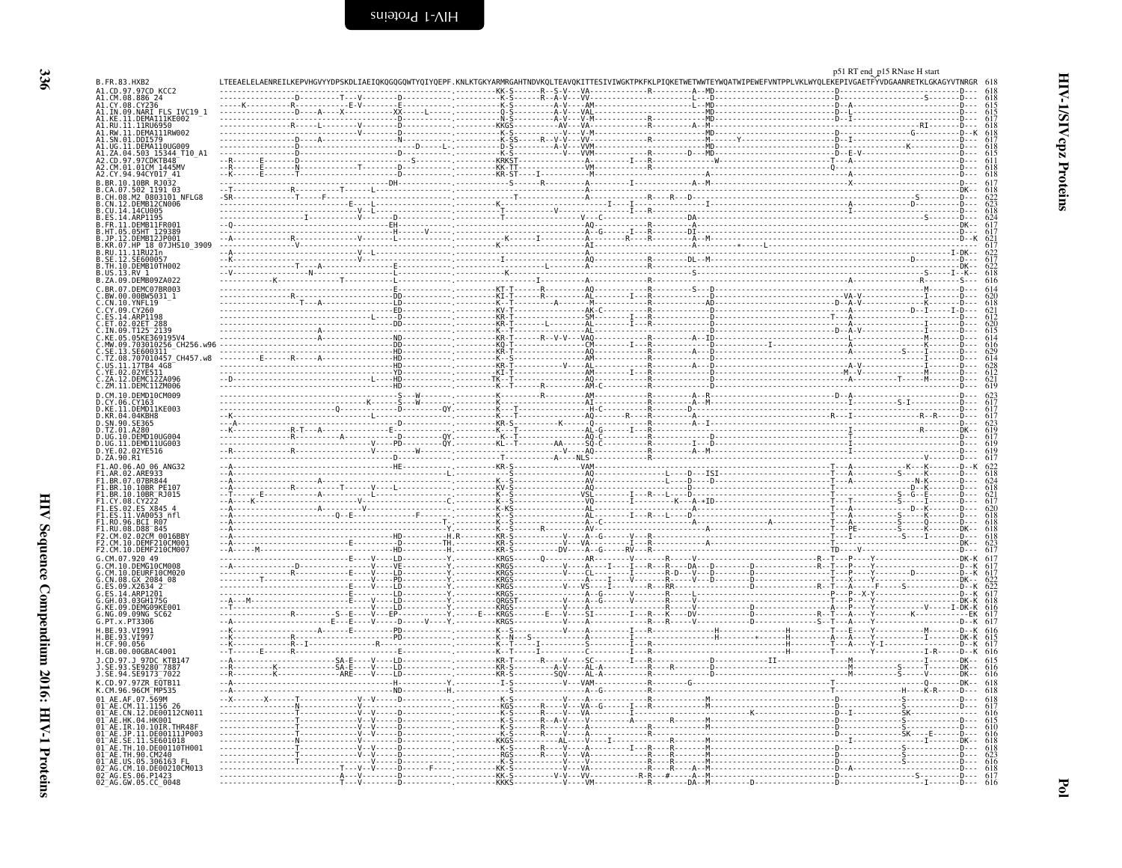<span id="page-25-0"></span>

| B.FR.83.HXB2                                                    |  |  | NDVKQLTEAVQKITTESIVIWGKTPKFKLPIQKETWETWWTEYWQATWIPEWEFVNTPPLVKLWYQLEKEPIVGAETFYVDGAANRETKLGKAGYVTNRGR` | p51 RT end_p15 RNase H start |  |
|-----------------------------------------------------------------|--|--|--------------------------------------------------------------------------------------------------------|------------------------------|--|
| A1.CD.97.97CD KCC2                                              |  |  |                                                                                                        |                              |  |
| A1.CM.08.886 24<br>A1.CY.08.CY236                               |  |  |                                                                                                        |                              |  |
| A1.IN.09.NARI FLS_IVC19 1                                       |  |  |                                                                                                        |                              |  |
| A1.KE.11.DEMAI11KE002<br>\1.RU.11.11RU6950                      |  |  |                                                                                                        |                              |  |
| A1.RW.11.DEMAĬĬĪŘW002                                           |  |  |                                                                                                        |                              |  |
| 41.SN.01.DDI579<br>.DEMA110UG009<br>A1.UG.11                    |  |  |                                                                                                        |                              |  |
| 41.ZA.04.503 15344 T10 A1                                       |  |  |                                                                                                        |                              |  |
| A2.CD.97.97CDKTB48<br>42.CM.01.01CM 1445MV                      |  |  |                                                                                                        |                              |  |
| 42.CY.94.94CY017 41                                             |  |  |                                                                                                        |                              |  |
| B.BR.10.10BR RJ032                                              |  |  |                                                                                                        |                              |  |
| B.CA.07.502 1191 03<br>B.CH.08.M2 0803101 NFLG8                 |  |  |                                                                                                        |                              |  |
| CN.12.DEMB12CN006                                               |  |  |                                                                                                        |                              |  |
|                                                                 |  |  |                                                                                                        |                              |  |
| .FR.11.DEMB11FR001                                              |  |  |                                                                                                        |                              |  |
| B.HT.05.05HT 129389<br>B.JP.12.DEMB12JP001                      |  |  |                                                                                                        |                              |  |
| KR.07.HP 18 07JHS10 3909                                        |  |  |                                                                                                        |                              |  |
| B.RU.11.11RU2In                                                 |  |  |                                                                                                        |                              |  |
| .SE.12.SE600057                                                 |  |  |                                                                                                        |                              |  |
| B.TH.10.DEMB10TH002<br>B.US.13.RV 1                             |  |  |                                                                                                        |                              |  |
| B.ZA.09.DEMB09ZA022                                             |  |  |                                                                                                        |                              |  |
| C.BR.07.DEMC07BR003                                             |  |  |                                                                                                        |                              |  |
| C.BW.00.00BW5031_1<br>C.CN.10.YNFL19                            |  |  |                                                                                                        |                              |  |
| C.CY.09.CY260<br>C.CY.09.CY260<br>C.ES.14.ARP1198               |  |  |                                                                                                        |                              |  |
|                                                                 |  |  |                                                                                                        |                              |  |
| IN.09.T125-2139                                                 |  |  |                                                                                                        |                              |  |
| KE.05.05KE369195V4<br>MW.09.703010256 CH256.w96                 |  |  |                                                                                                        |                              |  |
|                                                                 |  |  |                                                                                                        |                              |  |
| .TZ.08.707010457_CH457.w8<br>US.11.17TB4 4G8                    |  |  |                                                                                                        |                              |  |
| .YE.02.02YE5I1                                                  |  |  |                                                                                                        |                              |  |
| ZA.12.DEMC12ZA09                                                |  |  |                                                                                                        |                              |  |
| C.ZM.11.DEMC11ZM006<br>D.CM.10.DEMD10CM009                      |  |  |                                                                                                        |                              |  |
| D.CY.06.CY163                                                   |  |  |                                                                                                        |                              |  |
| D.KE.11.DEMD11KE003                                             |  |  |                                                                                                        |                              |  |
| D.KR.04.04KBH8<br>SN.90.SE365                                   |  |  |                                                                                                        |                              |  |
| A280                                                            |  |  |                                                                                                        |                              |  |
| D.UG.10.DEMD10UG004<br>D.UG.11.DEMD11UG003                      |  |  |                                                                                                        |                              |  |
| 02YE516                                                         |  |  |                                                                                                        |                              |  |
| D.ZA.90.R1                                                      |  |  |                                                                                                        |                              |  |
| F1.A0.06.A0 06 ANG32<br>F1.AR.02.ARE933                         |  |  |                                                                                                        |                              |  |
| F1.BR.07.07BR844                                                |  |  |                                                                                                        |                              |  |
| F1.BR.10.10BR PE107<br>F1.BR.10.10BR RJ015<br>F1.CY.08.CY222    |  |  |                                                                                                        |                              |  |
|                                                                 |  |  |                                                                                                        |                              |  |
| F1.ES.02.ES_X845_4<br>F1.ES.02.ES_X845_4<br>F1.ES.11.VA0053_nfl |  |  |                                                                                                        |                              |  |
| 1.RO.96.BCI R07                                                 |  |  |                                                                                                        |                              |  |
| $-1.80.08.088-845$                                              |  |  |                                                                                                        |                              |  |
| F2.CM.02.02CM 0016BBY<br>F2.CM.10.DEMF210CM001                  |  |  |                                                                                                        |                              |  |
| F2.CM.10.DEMF210CM007                                           |  |  |                                                                                                        |                              |  |
| G.CM.07.920.49                                                  |  |  |                                                                                                        |                              |  |
| G.CM.10.DEMG10CM008<br>G.CM.10.DEURF10CM020                     |  |  |                                                                                                        |                              |  |
| GX 2084 08                                                      |  |  |                                                                                                        |                              |  |
| ES.09.X2634 2<br>ES.14.ARP1201.                                 |  |  |                                                                                                        |                              |  |
| G.GH.03.03GH175G<br>G.KE.09.DEMG09KE001                         |  |  |                                                                                                        |                              |  |
| G.NG.09.09NG SC62                                               |  |  |                                                                                                        |                              |  |
| G.PT.x.PT3306                                                   |  |  |                                                                                                        |                              |  |
|                                                                 |  |  |                                                                                                        |                              |  |
|                                                                 |  |  |                                                                                                        |                              |  |
| H.CF.90.056<br>H.GB.00.00GBAC4001                               |  |  |                                                                                                        |                              |  |
| J.CD.97.J 97DC KTB147                                           |  |  |                                                                                                        |                              |  |
| J.SE.93.SE9280 <sup>-</sup> 7887                                |  |  |                                                                                                        |                              |  |
| J.SE.94.SE9173 7022<br>K.CD.97.97ZR EQTB11                      |  |  |                                                                                                        |                              |  |
| K.CM.96.96CM_MP535                                              |  |  |                                                                                                        |                              |  |
| 01 AE.AF.07.569M                                                |  |  |                                                                                                        |                              |  |
| .CM 11 1156                                                     |  |  |                                                                                                        |                              |  |
| .CN.12.DE00112CN011<br>HK.04.HK001                              |  |  |                                                                                                        |                              |  |
| IR.10.10IR.THR48F                                               |  |  |                                                                                                        |                              |  |
| .11.DE00111JP003<br>SE.11.SE601018                              |  |  |                                                                                                        |                              |  |
| 1 <sup>–</sup> АЕ.ТН.10.DE00110ТН001<br>I–AE.TH.90.CM240        |  |  |                                                                                                        |                              |  |
| 01 AE.US.05.306163 FL                                           |  |  |                                                                                                        |                              |  |
| 02 AG.CM.10.DE00210CM013                                        |  |  |                                                                                                        |                              |  |
| 02 AG. ES. 06. P1423<br>02 AG. GW. 05. CC 0048                  |  |  |                                                                                                        |                              |  |
|                                                                 |  |  |                                                                                                        |                              |  |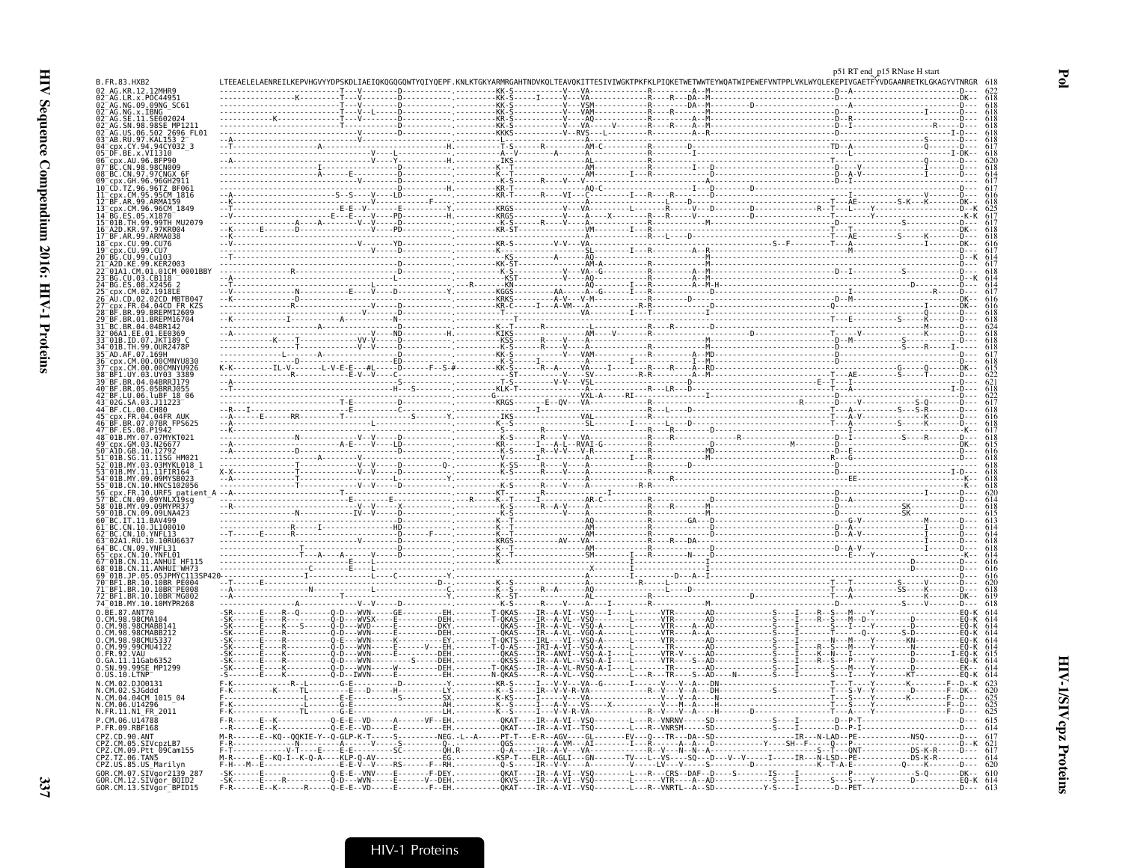| B.FR.83.HXB2                                                                                              |                                                               |                                   |                               |                            | p51 RT end_p15 RNase H start<br>ATWIPEWEFVNTPPLVKLWYQLEKEPIVGAETFYVDGAANRETKLGKAGYVTNRGR |           |
|-----------------------------------------------------------------------------------------------------------|---------------------------------------------------------------|-----------------------------------|-------------------------------|----------------------------|------------------------------------------------------------------------------------------|-----------|
| x.P0C4495<br>ΆG                                                                                           |                                                               |                                   |                               |                            |                                                                                          |           |
| AG.NG.09.09NG_SC61<br>AG.NG.x.IBNG<br>AG.SE.11.SE602                                                      |                                                               |                                   |                               |                            |                                                                                          |           |
| SN.98.98SE MP121                                                                                          |                                                               |                                   |                               |                            |                                                                                          |           |
| 06.502 2696 FL01<br>97.KAL153<br>CY.94.94CY032 3                                                          |                                                               |                                   |                               |                            |                                                                                          |           |
| DF.BE.x.VI1310<br>AU.96.BFP90                                                                             |                                                               |                                   |                               |                            |                                                                                          |           |
|                                                                                                           |                                                               |                                   |                               |                            |                                                                                          |           |
| 96.96GH2911<br>16 96TZ RF06                                                                               |                                                               |                                   |                               |                            |                                                                                          |           |
| CM.95.95CM 1816<br>CDX.CM.95.95CM_18<br>BF.AR.99.ARMA159                                                  |                                                               |                                   |                               |                            |                                                                                          |           |
| .05.X1870<br>.99.99TH MU2079                                                                              |                                                               |                                   |                               |                            |                                                                                          |           |
| KR 97 97KR004<br>99.ARMA038                                                                               |                                                               |                                   |                               |                            |                                                                                          |           |
|                                                                                                           |                                                               |                                   |                               |                            |                                                                                          |           |
|                                                                                                           |                                                               |                                   |                               |                            |                                                                                          |           |
| 01CM 0001BB<br>.CB118                                                                                     |                                                               |                                   |                               |                            |                                                                                          |           |
| AU.CD.02.02CD MBTB047                                                                                     |                                                               | - - - - - KRKS                    |                               |                            |                                                                                          |           |
| FR KZS<br><b>RREPM12609</b>                                                                               |                                                               |                                   |                               |                            |                                                                                          |           |
| RRFPM16704<br>.04.04BR142                                                                                 |                                                               |                                   |                               |                            |                                                                                          |           |
| EE.01.EE0369<br>01B.TH.99.0UR2478P                                                                        |                                                               |                                   |                               |                            |                                                                                          |           |
| 07.169H                                                                                                   |                                                               |                                   |                               |                            |                                                                                          |           |
| .00.00CMNYU926                                                                                            |                                                               |                                   |                               |                            |                                                                                          |           |
| 04.04BRR7179<br>.05BRRJ055                                                                                |                                                               |                                   |                               |                            |                                                                                          |           |
| LU.06.luBF 18 06.<br>.03.011223<br>.00.CH80                                                               |                                                               |                                   |                               |                            |                                                                                          |           |
| FR.04.04FR AUK<br>.07.07BR FPS625                                                                         |                                                               |                                   |                               |                            |                                                                                          |           |
| 08.P1942<br>01B.MY.07.07MYKT021                                                                           |                                                               |                                   |                               |                            |                                                                                          |           |
| GM.03.N26677                                                                                              |                                                               |                                   |                               |                            |                                                                                          |           |
|                                                                                                           |                                                               |                                   |                               |                            |                                                                                          |           |
| MY.09.09MYSB023<br>CN 10 HNCS102056                                                                       |                                                               |                                   |                               |                            |                                                                                          |           |
| , patient<br>X19sg                                                                                        |                                                               |                                   |                               |                            |                                                                                          |           |
| 01B.CN.09.09LNA423                                                                                        |                                                               |                                   |                               |                            |                                                                                          |           |
| 11.BAV499<br>CN 10 11 100016                                                                              |                                                               |                                   |                               |                            |                                                                                          |           |
| CN 10 YNFI13                                                                                              |                                                               |                                   |                               |                            |                                                                                          |           |
| CN.11.ANHUI HF115                                                                                         |                                                               |                                   |                               |                            |                                                                                          |           |
| WH73<br>11 ANHIIT<br>IP.05.05JPMYC113SP                                                                   |                                                               |                                   |                               |                            |                                                                                          |           |
| BR.10.10BR PE004<br>BR.10.10BR PE008                                                                      |                                                               |                                   |                               |                            |                                                                                          |           |
| BF1.BR.10.10BR <sup>-</sup> MG002<br>01B.MY.10.10MYPR268                                                  |                                                               |                                   |                               |                            |                                                                                          |           |
| ANT70<br>98CMA104<br>98CMABB141                                                                           |                                                               |                                   |                               |                            |                                                                                          |           |
| 98CMABB212<br>CM.98.98CMU5337                                                                             | E - - - WVN -                                                 |                                   |                               |                            |                                                                                          |           |
| 99CMU4122.<br>FR.92<br>VAII                                                                               | D - - - WVN<br>- D - - - WVN -                                |                                   | - - - TR - - ANVT - - VSO - A |                            |                                                                                          |           |
| 11Gab6352<br>GA.11<br>.SN.99.99SE_MP1299<br>.US.10.LTNP                                                   | .D - - - WVN - - - - - - - -                                  |                                   |                               |                            |                                                                                          |           |
| CM.02.DJ00131                                                                                             |                                                               |                                   |                               |                            |                                                                                          |           |
| CM.02.SJGddd<br>CM.04.04CM 1015 04                                                                        |                                                               |                                   |                               |                            |                                                                                          |           |
| CM 06 1114296<br>N.FR.11.N1 FR 2011                                                                       |                                                               |                                   |                               |                            |                                                                                          |           |
| .CM.06.U14788<br>.FR.09.RBF168                                                                            | E-E--VD-----A------VF--EH<br>- E - - VD - - - - - E - - - - - |                                   |                               |                            |                                                                                          |           |
| .CD.90.ANT<br><br>SIVcpzLB7<br>CM.05                                                                      | - - - N - - - - - - - -<br>- V - T - - - - E - - -            |                                   |                               |                            |                                                                                          |           |
| CM.09.Ptt_09Cam155<br>TZ.06.TAN5                                                                          |                                                               |                                   |                               |                            | E - - - - - - - - - - - - DS - K -                                                       |           |
| PZ.US.85.US Marilyn                                                                                       |                                                               |                                   |                               | $-R - - CRS - -DAF - -D -$ |                                                                                          | $-DK - -$ |
| GOR.CM.07.SIVgor2139 287<br>GOR.CM.12.SIVgor2139 287<br>GOR.CM.12.SIVgor_BOID2<br>GOR.CM.13.SIVgor_BPID15 |                                                               | --------- ŏkvs<br>--------- okat- | - - - IR - - A - VI -         | - VTR - -                  |                                                                                          |           |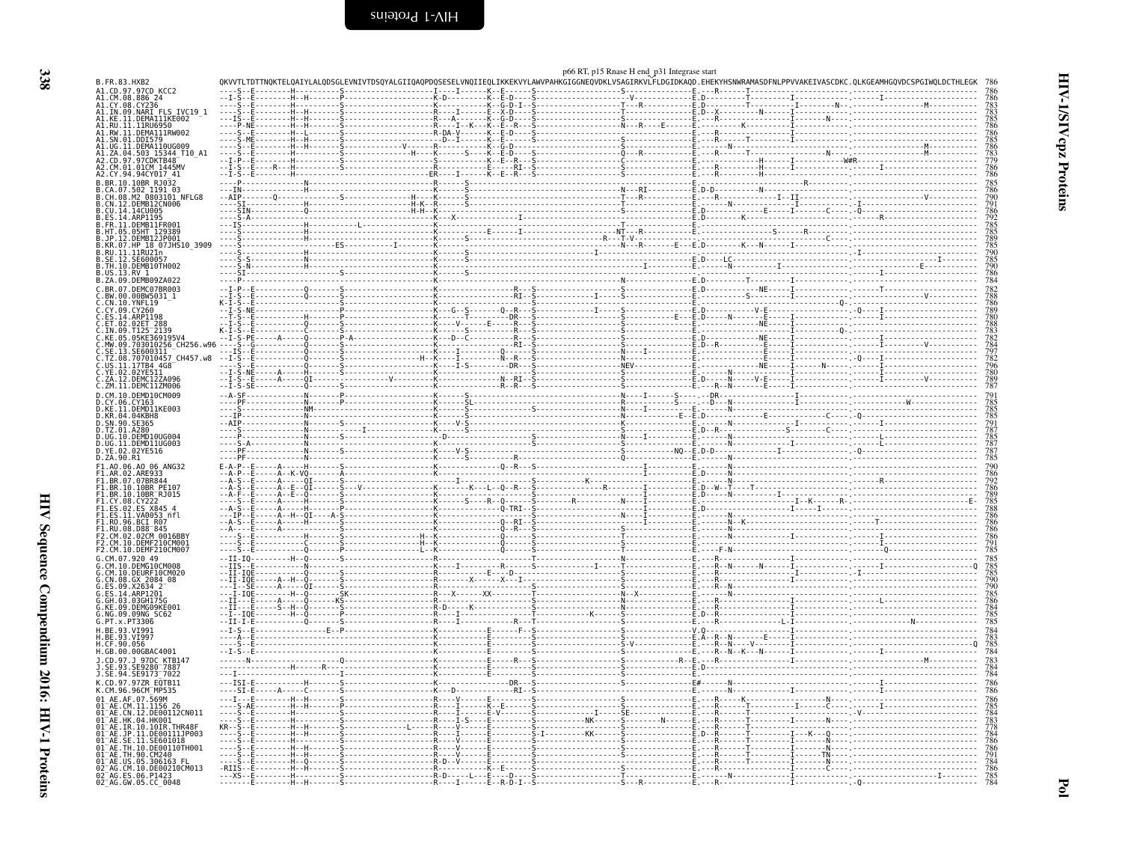<span id="page-27-0"></span>

|                                                                                                               |                       |                                                                                                                                                                    |                                   |        | p66 RT, p15 Rnase H end_p31 Integrase start |  |                                           |  |
|---------------------------------------------------------------------------------------------------------------|-----------------------|--------------------------------------------------------------------------------------------------------------------------------------------------------------------|-----------------------------------|--------|---------------------------------------------|--|-------------------------------------------|--|
| B.FR.83.HXB2<br>A1.CD.97.97CD_KCC2                                                                            |                       | QKVVTLTDTTNQKTELQAIYLALQDSGLEVNIVTDSQYALGIIQAQPDQSESELVNQIIEQLIKKEKVYLAWVPAHKGIGGNEQVDKLVSAGIRKVLFLDGIDKAQD.EHEKYHSNWRAMASDFNLPPVVAKEIVASCDKC.QLKGEAMHGQVDCSPGIWQI |                                   |        |                                             |  |                                           |  |
| A1.CM.08.886 24<br>A1.CY.08.CY236                                                                             |                       |                                                                                                                                                                    |                                   | .<br>. |                                             |  |                                           |  |
| A1.IN.09.NARI FLS IVC19_1<br>A1.KE.11.DEMAI11KE002                                                            |                       |                                                                                                                                                                    |                                   |        |                                             |  |                                           |  |
| 41.RU.11.11RU6950<br>A1.RW.11.DEMAI11RW002<br>A1.SN.01.DD1579                                                 |                       |                                                                                                                                                                    | $- - 1 - K - - K - - E - - R - -$ |        |                                             |  |                                           |  |
| A1.UG.11.DEMA110UG009<br>A1.ZA.04.503 15344 T10 A1                                                            |                       |                                                                                                                                                                    |                                   |        |                                             |  |                                           |  |
| A2.CD.97.97CDKTB48<br>42.CM.01.01CM 1445MV                                                                    |                       |                                                                                                                                                                    | . <del>.</del> K - - E - - R - -  | .<br>. |                                             |  |                                           |  |
| 42.CY.94.94CY017 41                                                                                           |                       |                                                                                                                                                                    |                                   |        |                                             |  |                                           |  |
| B.BR.10.10BR RJ032<br>B.CA.07.502 1191 03<br>B.CA.07.502 1191 03<br>B.CH.08.M2 0803101 NFLG8                  |                       |                                                                                                                                                                    |                                   |        |                                             |  |                                           |  |
| CN.12.DEMB12CN006                                                                                             |                       |                                                                                                                                                                    |                                   |        |                                             |  |                                           |  |
| CU.14.14CU005<br>ES.14.ARP1195                                                                                |                       |                                                                                                                                                                    |                                   |        |                                             |  |                                           |  |
| : FR.11.DEMB11FR001<br>.HT.05.05HT 129389<br>.JP.12.DEMB12JP001<br>.KR.07.HP_18_07JHS10_3909                  |                       |                                                                                                                                                                    |                                   |        |                                             |  |                                           |  |
| B.RU.11.11RŪŽIn                                                                                               |                       |                                                                                                                                                                    |                                   |        |                                             |  |                                           |  |
| .SE.12.SE600057<br>B.TH.10.DEMB10TH002                                                                        |                       |                                                                                                                                                                    |                                   |        |                                             |  |                                           |  |
| B.US.13.RV 1<br>B.ZA.09.DEMB09ZA022                                                                           |                       |                                                                                                                                                                    |                                   |        |                                             |  |                                           |  |
| C.BR.07.DEMC07BR003                                                                                           |                       |                                                                                                                                                                    |                                   |        |                                             |  |                                           |  |
| C.BW.00.00BW5031_1<br>C.CN.10.YNFL19<br>C.CY.09.CY260<br>C.ES.14.ARP1198                                      |                       |                                                                                                                                                                    |                                   |        |                                             |  |                                           |  |
|                                                                                                               |                       |                                                                                                                                                                    |                                   |        |                                             |  |                                           |  |
| Č.ET.02.02ET 288<br>C.IN.09.T125 2139                                                                         |                       |                                                                                                                                                                    |                                   |        |                                             |  |                                           |  |
| C.KE.05.05KE369195V4<br>C.KE.05.05KE369195V4<br>C.MW.09.703010256_CH256.w96<br>C.TZ.08.707010457_CH457.w8     |                       |                                                                                                                                                                    |                                   |        |                                             |  |                                           |  |
| : 05.11.17TB4 4G8                                                                                             |                       |                                                                                                                                                                    |                                   | .      |                                             |  | ------------- -0---<br>------------ -0--- |  |
| YE.02.02YE511<br>ZA.12.DEMC12ZA096                                                                            |                       |                                                                                                                                                                    |                                   |        |                                             |  |                                           |  |
| C.ZM.11.DEMC11ZM006<br>D.CM.10.DEMD10CM009                                                                    | - - I<br>$- - A - SF$ |                                                                                                                                                                    |                                   |        |                                             |  |                                           |  |
| D.CY.06.CY163<br>D.KE.11.DEMD11KE003                                                                          |                       |                                                                                                                                                                    |                                   |        |                                             |  |                                           |  |
| D.KR.04.04KBH8<br>SN.90.SE365                                                                                 |                       |                                                                                                                                                                    |                                   |        |                                             |  |                                           |  |
| .TZ.01.A280                                                                                                   |                       |                                                                                                                                                                    |                                   |        |                                             |  |                                           |  |
| D.UG.10.DEMD10UG004<br>D.UG.11.DEMD11UG003<br>D.YE.02.02YE516                                                 |                       |                                                                                                                                                                    |                                   |        |                                             |  |                                           |  |
| D.ZA.90.R1<br>F1.A0.06.A0 06 ANG32                                                                            |                       |                                                                                                                                                                    |                                   |        |                                             |  |                                           |  |
| F1.AR.02.ARE933<br>F1.BR.07.07BR844                                                                           |                       |                                                                                                                                                                    |                                   |        |                                             |  |                                           |  |
|                                                                                                               |                       | . - - - - A - - E -                                                                                                                                                |                                   |        |                                             |  |                                           |  |
| F1.BR.10.10BR_PE107<br>F1.BR.10.10BR_RJ015<br>F1.CY.08.CY222<br>F1.ES.02.ES_X845_4                            |                       |                                                                                                                                                                    |                                   |        |                                             |  |                                           |  |
| FI.ES.11.VA0053 nfl<br>F1.RO.96.BCI R07<br>F1.RU.08.D88_845                                                   |                       |                                                                                                                                                                    |                                   |        |                                             |  |                                           |  |
| F2.CM.02.02CM 0016BBY                                                                                         |                       |                                                                                                                                                                    |                                   |        |                                             |  |                                           |  |
| F2.CM.10.DEMF210CM001<br>F2.CM.10.DEMF210CM007                                                                |                       |                                                                                                                                                                    |                                   |        |                                             |  |                                           |  |
| G.CM.07.920 49<br>G.CM.10.DEMG10CM008                                                                         | $-TT-T0$              |                                                                                                                                                                    |                                   |        |                                             |  |                                           |  |
| G.CM.10.DEURF10CM020<br>G.CN.08.GX 2084_08<br>G.ES.09.X2634_2                                                 |                       |                                                                                                                                                                    |                                   |        |                                             |  |                                           |  |
| G.ES.14.ARP1201                                                                                               |                       |                                                                                                                                                                    |                                   |        |                                             |  |                                           |  |
| Ğ.GH.03.03GH175G<br>G.KE.09.DEMG09KE001<br>G.NG.09.09NG SC62                                                  |                       | $E - - - - S - - H -$                                                                                                                                              |                                   |        |                                             |  |                                           |  |
| G.PT.x.PT3306                                                                                                 |                       |                                                                                                                                                                    |                                   |        |                                             |  |                                           |  |
| H. BE. 93. VT991<br>H.BE.93.VI997                                                                             |                       |                                                                                                                                                                    |                                   |        |                                             |  |                                           |  |
| H.CF.90.056<br>H.GB.00.00GBAC4001                                                                             |                       |                                                                                                                                                                    |                                   |        |                                             |  |                                           |  |
| J.CD.97.J_97DC_KTB147<br>SE.93.SE9280 7887                                                                    |                       |                                                                                                                                                                    |                                   |        |                                             |  |                                           |  |
| J.SE.94.SE9173 7022<br>K.CD.97.97ZR EQTB11                                                                    |                       |                                                                                                                                                                    |                                   |        |                                             |  |                                           |  |
| K.CM.96.96CM_MP535<br>01 AE.AF.07.569M                                                                        |                       |                                                                                                                                                                    |                                   |        |                                             |  |                                           |  |
| 01 <sup>-</sup> AE.CM.11.1156 26<br>01 AE.CN.12.DE00112CN011                                                  |                       |                                                                                                                                                                    |                                   |        | ŠE---------------                           |  |                                           |  |
| AE.HK.04.HK001<br>AE.IR.10.10IR.THR48F                                                                        | KR-                   |                                                                                                                                                                    |                                   |        |                                             |  |                                           |  |
| .JP.11.DE00111JP003                                                                                           |                       |                                                                                                                                                                    |                                   |        |                                             |  |                                           |  |
| 01 AE: SE: 11. SE601018<br>01 AE: SE: 11. SE601018<br>01 AE: TH. 10. DE00110TH001<br>01 AE: US. 05. 306163_FL |                       |                                                                                                                                                                    |                                   |        |                                             |  |                                           |  |
| 02 AG.CM.10.DE00210CM013                                                                                      |                       |                                                                                                                                                                    |                                   |        |                                             |  |                                           |  |
| 02 AG. ES. 06. P1423<br>02 AG. GW. 05. CC_0048                                                                | - - - XS -            |                                                                                                                                                                    | -E--R-D-I-                        |        |                                             |  |                                           |  |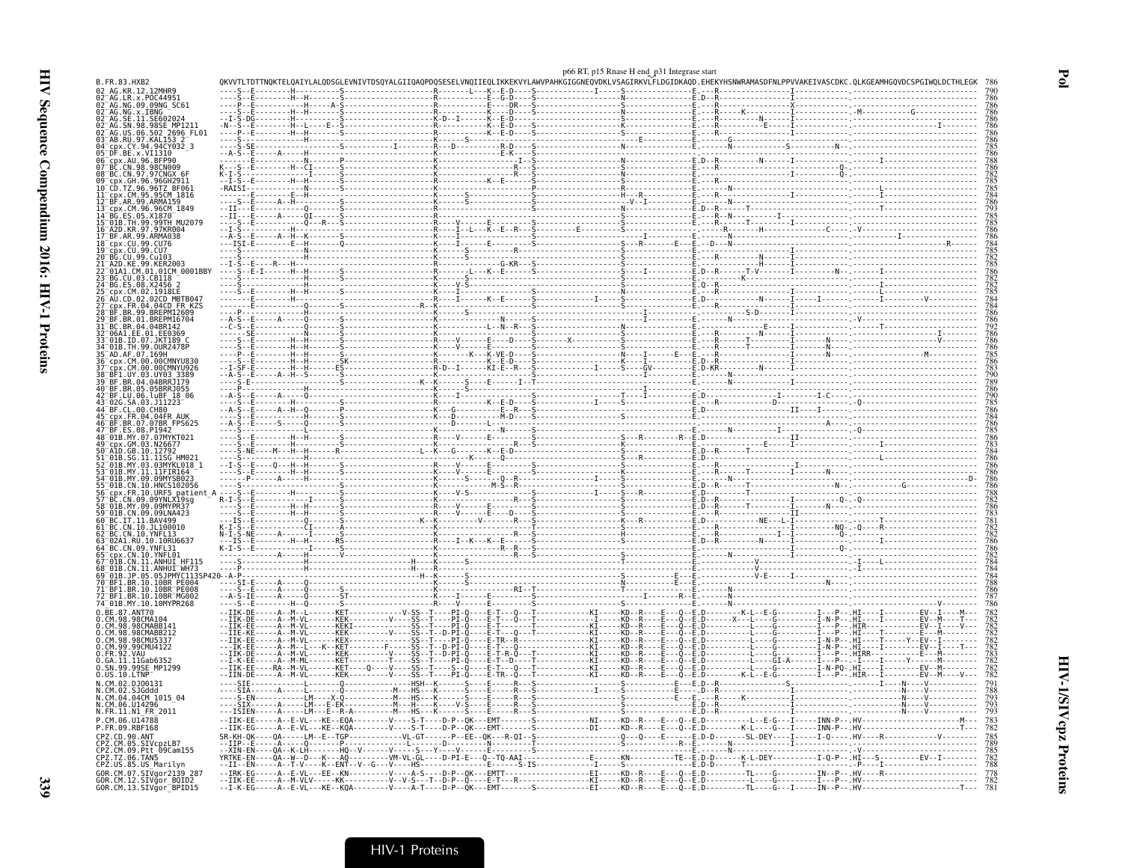| B.FR.83.HXB2<br>02 AG.KR.12.12MHR9<br>02 <sup>-</sup> AG.LR.x.P0C44951                                                                         |  |  |  |  |  |  |
|------------------------------------------------------------------------------------------------------------------------------------------------|--|--|--|--|--|--|
| 02 AG.NG.09.09NG SC61<br>02 AG. NG. x. IBNG<br>02 <sup>-</sup> AG.SE.11.SE602024                                                               |  |  |  |  |  |  |
| 02 AG.SN.98.98SE MP1211<br>03 AB.RU.97.KALI53 2<br>04 cpx.CY.94.94CY032_3                                                                      |  |  |  |  |  |  |
| 05 DF.BE.x.VI1310<br>06 cpx.AU.96.BFP90                                                                                                        |  |  |  |  |  |  |
| 07 BC.CN.98.98CN009<br>08 BC.CN.97.97CNGX_6F<br>09 <sup>-</sup> cpx.GH.96.96GH2911                                                             |  |  |  |  |  |  |
| CD.TZ.96.96TZ BF061<br>11 cpx.CM.95.95CM 1816<br>12 BF.AR.99.ARMA159                                                                           |  |  |  |  |  |  |
| 13 <sup>-</sup> cpx.CM.96.96CM 1849<br>BG.ES.05.X1870<br>15 <sup>-</sup> 01B.TH.99.99TH MU2079                                                 |  |  |  |  |  |  |
| 16 A2D.KR.97.97KR004<br>17 BF.AR.99.ARMA038<br>18 <sup>-</sup> cpx.CU.99.CU76<br>19 <sup>-</sup> cpx.CU.99.CU7                                 |  |  |  |  |  |  |
| 20 BG.CU.99.Cu103<br>21 A2D.KE.99.KER2003<br>01A1.CM.01.01CM 0001BBY                                                                           |  |  |  |  |  |  |
| 23 BG.CU.03.CB118<br>24-BG.ES.08.X2456 2<br>25-cpx.CM.02.1918EE                                                                                |  |  |  |  |  |  |
| 26 <sup>-</sup> AU.CD.02.02CD MBTB047<br>27 cpx.FR.04.04CD FR KZS<br>28 BF.BR.99.BREPM12609<br>.BR.99.BREPM12609                               |  |  |  |  |  |  |
| 29 BF.BR.01.BREPM16704<br>31 BC.BR.04.04BR142<br>32 06A1.EE.01.EE0369                                                                          |  |  |  |  |  |  |
| 33 <sup>-</sup> 01B.ID.07.JKT189 C<br>34 <sup>-</sup> 01B.TH.99.0UR2478P<br>35 AD.AF.07.169H                                                   |  |  |  |  |  |  |
| 36 cpx.CM.00.00CMNYU830<br>37 cpx.CM.00.00CMNYU926<br>38 BF1.UY.03.UY03 3389                                                                   |  |  |  |  |  |  |
| 39 BF.BR.04.04BRRJ179<br>40 BF. BR. 05.05BRRJ055<br>42 <sup>-</sup> BF.LU.06.luBF 18 06                                                        |  |  |  |  |  |  |
| 43 <sup>-</sup> 02G.SA.03.J11223<br>44 BF.CL.00.CH80<br>45 cpx. FR. 04.04FR AUK<br>BR.07.07BR FPS625                                           |  |  |  |  |  |  |
| 47 BF.ES.08.P1942<br>48-01B.MY.07.07MYKT021<br>49-cpx.GM.03.N26677                                                                             |  |  |  |  |  |  |
| 50 <sup>-</sup> AlD.GB.10.12792<br>51 <sup>-</sup> 01B.SG.11.11SG HM021<br>52 <sup>-</sup> 01B.MY.03.03MYKL018 1                               |  |  |  |  |  |  |
| 53 <sup>-</sup> 01B.MY.11.11FIR164<br>54 <sup>-</sup> 01B.MY.09.09MYSB023<br>55 01B.CN.10.HNCS102056                                           |  |  |  |  |  |  |
| cpx.FR.10.URF5_patient_A ----<br>BC.CN.09.09YNLX19sg R-I-<br>58 <sup>-</sup> 01B.MY.09.09MYPR37                                                |  |  |  |  |  |  |
| 59 <sup>-</sup> 01B.CN.09.09LNA423<br>60 BC.IT.11.BAV499<br>61 BC.CN.10.JL100010                                                               |  |  |  |  |  |  |
| CN.10.YNFL13<br>63 <sup>-</sup> 02A1.RU.10.10RU6637<br>64 <sup>-</sup> BC.CN.09.YNFL31<br>65 <sup>-</sup> cpx.CN.10.YNFL01                     |  |  |  |  |  |  |
| 01B.CN.11.ANHUI HF115<br>68 <sup>-</sup> 01B.CN.11.ANHUI <sup>-</sup> WH73<br>69 <sup>-</sup> 01B.JP.05.05JPMYC113SP420--A                     |  |  |  |  |  |  |
| 70 <sup>-</sup> BF1.BR.10.10BR PE004<br>71 <sup>-</sup> BF1.BR.10.10BR <sup>-</sup> PE008<br>72 <sup>-</sup> BF1.BR.10.10BR <sup>-</sup> MG002 |  |  |  |  |  |  |
| 74 01B.MY.10.10MYPR268<br>0.BE.87.ANT70<br>0.CM.98.98CMA104                                                                                    |  |  |  |  |  |  |
| 0.CM.98.98CMABB141<br>0.CM.98.98CMABB212<br>0.CM.98.98CMU5337                                                                                  |  |  |  |  |  |  |
| 0.CM.99.99CMU4122<br>0.FR.92.VAU                                                                                                               |  |  |  |  |  |  |
| D.SN.99.99SE MP1299<br>$0.05.10.$ LTNP<br>N.CM.02.DJ00131                                                                                      |  |  |  |  |  |  |
| N.CM.02.SJGddd<br>N.CM.04.04CM 1015 04<br>N.CM.06.U14296                                                                                       |  |  |  |  |  |  |
| N.FR.11.N1 FR 2011<br>P.CM.06.U14788<br>P.FR.09.RBF168                                                                                         |  |  |  |  |  |  |
| CPZ.CD.90.ANT<br>CPZ.CM.05.SIVcpzLB7<br>CPZ.CM.09.Ptt_09Cam155                                                                                 |  |  |  |  |  |  |
| CPZ.TZ.06.TAN5<br>CPZ.US.85.US_Marilyn                                                                                                         |  |  |  |  |  |  |
| GOR.CM.07.SIVgor2139 287<br>GOR.CM.12.SIVgor_BOID2<br>GOR.CM.13.SIVgor_BPID15                                                                  |  |  |  |  |  |  |

 $\mathbf{F}$ ol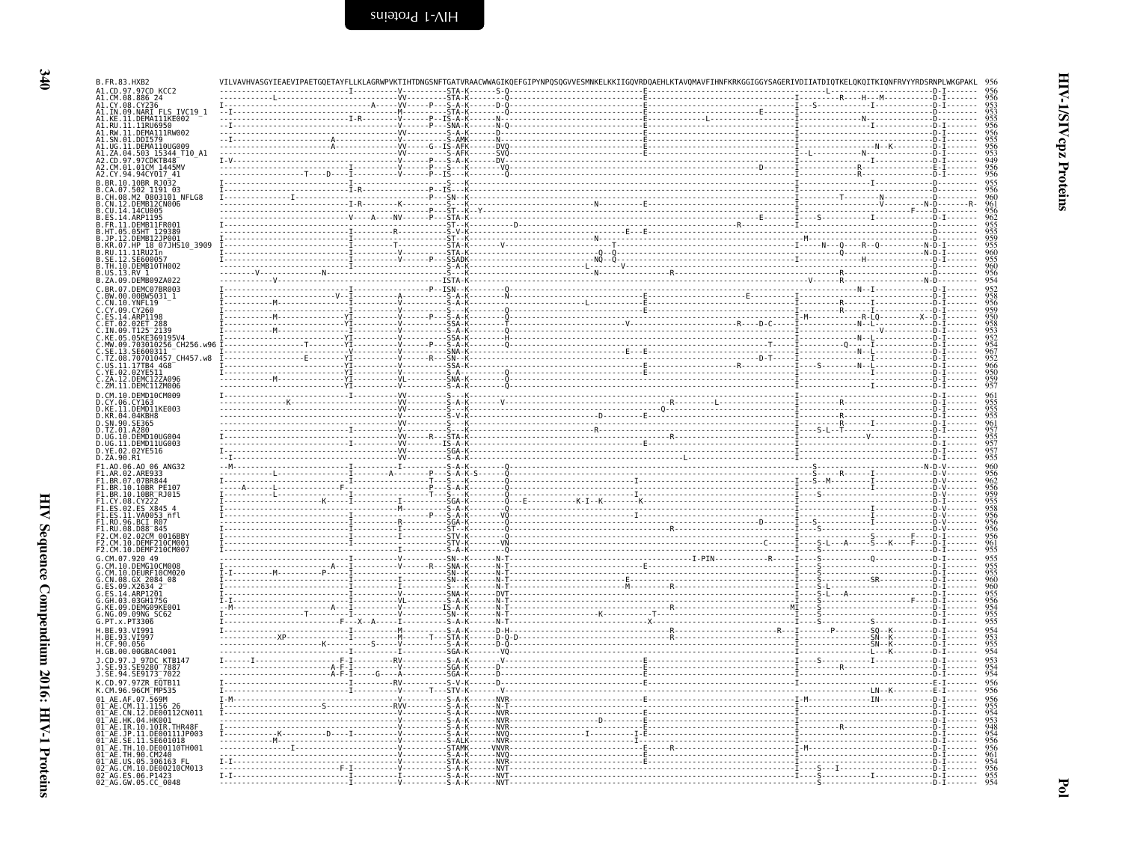| B.FR.83.HXB2                                                                                            |                                               |             |                                                                                                                                       |                                                  |
|---------------------------------------------------------------------------------------------------------|-----------------------------------------------|-------------|---------------------------------------------------------------------------------------------------------------------------------------|--------------------------------------------------|
| 41.CD.97.97CD KCC2                                                                                      |                                               |             |                                                                                                                                       |                                                  |
| .CM.08.886 24<br>.CY.08.CY236                                                                           |                                               |             |                                                                                                                                       | 956<br>953<br>953<br>955<br>956                  |
|                                                                                                         |                                               |             |                                                                                                                                       |                                                  |
| RU.11.11RU6950                                                                                          |                                               |             |                                                                                                                                       |                                                  |
|                                                                                                         |                                               |             |                                                                                                                                       |                                                  |
| .RW.11.DEMA111RW002<br>.SN.01.DDI579<br>.JSN.01.DDI579<br>.ZA.04.503 15344 T10_A1<br>.CD.97.97CDKTB48_, |                                               |             |                                                                                                                                       |                                                  |
|                                                                                                         |                                               |             |                                                                                                                                       |                                                  |
| .CM.01.01CM 1445MV<br>42.CY.94.94CY017 41                                                               |                                               |             |                                                                                                                                       | 949<br>956<br>956                                |
| BR.10.10BR RJ032                                                                                        |                                               |             |                                                                                                                                       |                                                  |
|                                                                                                         |                                               |             |                                                                                                                                       | 956<br>960                                       |
| CA.07.502 1191 03<br>CH.08.M2 0803101 NFLG8<br>CN.12.DEMB12CN006<br>CN.12.DEMB12CN006                   |                                               |             |                                                                                                                                       |                                                  |
| CII.14<br>14CH005<br>ES.14.ARP1195                                                                      |                                               |             |                                                                                                                                       | 961<br>9562<br>9555<br>9559<br>955<br>960<br>955 |
| FR.11.<br>.DEMB11FR001                                                                                  |                                               |             |                                                                                                                                       |                                                  |
| .05HT 129389<br>DEMB12JP001.<br>.HT . 05<br>. JP . 12                                                   |                                               |             |                                                                                                                                       |                                                  |
| KR.07.HP 18 07JHS10 3909<br>RU.11.11RU2In                                                               |                                               |             |                                                                                                                                       |                                                  |
| SE.12<br>SE600057                                                                                       |                                               |             |                                                                                                                                       |                                                  |
| TH.10.DEMB10TH002<br>US.13<br>RV 1                                                                      |                                               |             |                                                                                                                                       | 960<br>956<br>954                                |
| ZA.09.DEMB09ZA022                                                                                       |                                               |             |                                                                                                                                       |                                                  |
| BR.07<br>DEMC07BR003<br>BW.00<br>00BW5031 1                                                             |                                               |             |                                                                                                                                       |                                                  |
| CN.10.YNFL19                                                                                            |                                               |             |                                                                                                                                       |                                                  |
| CY.09<br>CY260<br>ARP1198                                                                               |                                               |             |                                                                                                                                       |                                                  |
| ET.02.02ET 288                                                                                          |                                               |             |                                                                                                                                       |                                                  |
| IN.09<br>.T125 <sup>-</sup> 2139<br>05KE369195V4<br>KE.05                                               |                                               |             |                                                                                                                                       |                                                  |
| MW 09<br>703010256_CH256.w96<br>SE600311                                                                |                                               |             |                                                                                                                                       |                                                  |
| TZ.08.707010457_CH457.w8                                                                                |                                               |             |                                                                                                                                       | $\frac{967}{952}$                                |
| .17TB4 4G8<br>.02YE511<br>.US.11<br>.YE.02                                                              |                                               |             | $\frac{1}{1}$ - - - - S - - - - - - - - N - - 1<br>T - - - - - - - - - - - - - - - - - -<br>. <del>.</del> D<br>. <u>p</u> . <b>i</b> |                                                  |
| ZM.11.DEMC11ZM006                                                                                       |                                               |             |                                                                                                                                       | 966<br>950<br>959<br>957                         |
| CM.10.DEMD10CM009                                                                                       |                                               |             |                                                                                                                                       |                                                  |
| .CY.06.CY163<br>.KE.11.DEMD11KE003                                                                      |                                               |             |                                                                                                                                       |                                                  |
| KR.04.04KBH8                                                                                            |                                               |             |                                                                                                                                       |                                                  |
| . SN. 90. SE365<br>. TZ. 01. A280                                                                       |                                               |             |                                                                                                                                       | 961<br>961<br>957<br>957<br>957                  |
| UG.10.<br>DEMD10UG004                                                                                   |                                               |             |                                                                                                                                       |                                                  |
| UG.11.DEMD11UG003<br>. YE . 02<br>02YE516                                                               |                                               |             |                                                                                                                                       |                                                  |
| .ZA.90.R1                                                                                               |                                               |             |                                                                                                                                       | 955                                              |
| .AO.06.AO 06 ANG32                                                                                      |                                               |             |                                                                                                                                       |                                                  |
| .AR.02.ARE933<br>.BR.07.07BR844<br>.BR.10.10BR PE107                                                    |                                               |             |                                                                                                                                       |                                                  |
| .BR.10.10BR-RJ015<br>.CY.08.CY222                                                                       |                                               |             |                                                                                                                                       |                                                  |
|                                                                                                         |                                               |             |                                                                                                                                       |                                                  |
| .ĒS.02.ĒS X845 4<br>.ES.11.VA0053 nfl                                                                   |                                               |             |                                                                                                                                       | $\frac{956}{956}$                                |
| .RO.96.BCI R07<br>RU.08.D88-845.<br>CM.02.02CM.00.                                                      |                                               |             |                                                                                                                                       |                                                  |
| .02CM 0016BB<br>DEMF210CM001<br>CM 10                                                                   |                                               |             |                                                                                                                                       |                                                  |
| .CM.10.DEMF210CM007                                                                                     |                                               |             |                                                                                                                                       | 956<br>956<br>961<br>955                         |
| 920 49                                                                                                  |                                               |             |                                                                                                                                       |                                                  |
| CM.10.DEURF10CM020                                                                                      |                                               |             |                                                                                                                                       | $\frac{955}{960}$                                |
| CN.08.GX 2084-08<br>ES.09.X2634 2<br>ES.14.ARP1201                                                      |                                               |             |                                                                                                                                       |                                                  |
|                                                                                                         |                                               |             |                                                                                                                                       | $\frac{960}{955}$                                |
| GH 03<br>03GH175G<br>KE.09.DEMG09KE001                                                                  |                                               |             |                                                                                                                                       |                                                  |
| G.NG.09.09NG SC62<br>G.PT.x.PT3306                                                                      |                                               |             |                                                                                                                                       | $\frac{955}{955}$                                |
| BE.93.VI991                                                                                             |                                               |             |                                                                                                                                       |                                                  |
| 93.VI997<br>CF.90.056                                                                                   |                                               |             |                                                                                                                                       | 954<br>953<br>955<br>954                         |
| H.GB.00.00GBAC4001                                                                                      |                                               |             |                                                                                                                                       |                                                  |
| CD.97.J 97DC KTB147<br>SE9280<br>7887                                                                   | $-RV - - - - - - - - - S - A - K -$           |             |                                                                                                                                       | 953<br>954<br>954                                |
| SE.94.SE9173 <sup>-</sup> 7022.                                                                         |                                               |             |                                                                                                                                       |                                                  |
| .CD.97.97ZR EQTB11                                                                                      |                                               |             |                                                                                                                                       | 956                                              |
| .CM.96.96CM⊤MP535<br>01 AE.AF.07.569M                                                                   |                                               |             |                                                                                                                                       | 956                                              |
| -AE.CM.11.1156                                                                                          |                                               |             |                                                                                                                                       |                                                  |
| .DE00112CN011<br>AE.<br>. CN . 12<br>AE.HK.04.HK00                                                      |                                               |             |                                                                                                                                       |                                                  |
| . TR<br>10.10IR.THR48F<br>.11.DE00111JP003                                                              |                                               |             |                                                                                                                                       |                                                  |
| AE<br>SE601018<br>AE.SE.11.                                                                             |                                               |             |                                                                                                                                       |                                                  |
| AE.TH.10.DE00110TH001<br>AE.TH.90.CM240                                                                 |                                               |             |                                                                                                                                       |                                                  |
| AE.US.05.306163                                                                                         | $- - - - V - - - - - - - - - - - - - - - - K$ |             |                                                                                                                                       | 961<br>954                                       |
| 02_AG.CM.10.DE00210CM013                                                                                |                                               | $- NVT - -$ |                                                                                                                                       | 956<br>$\frac{955}{954}$                         |
| 02 AG.ES.06.P1423<br>02 AG.GW.05.CC 0048                                                                |                                               |             |                                                                                                                                       |                                                  |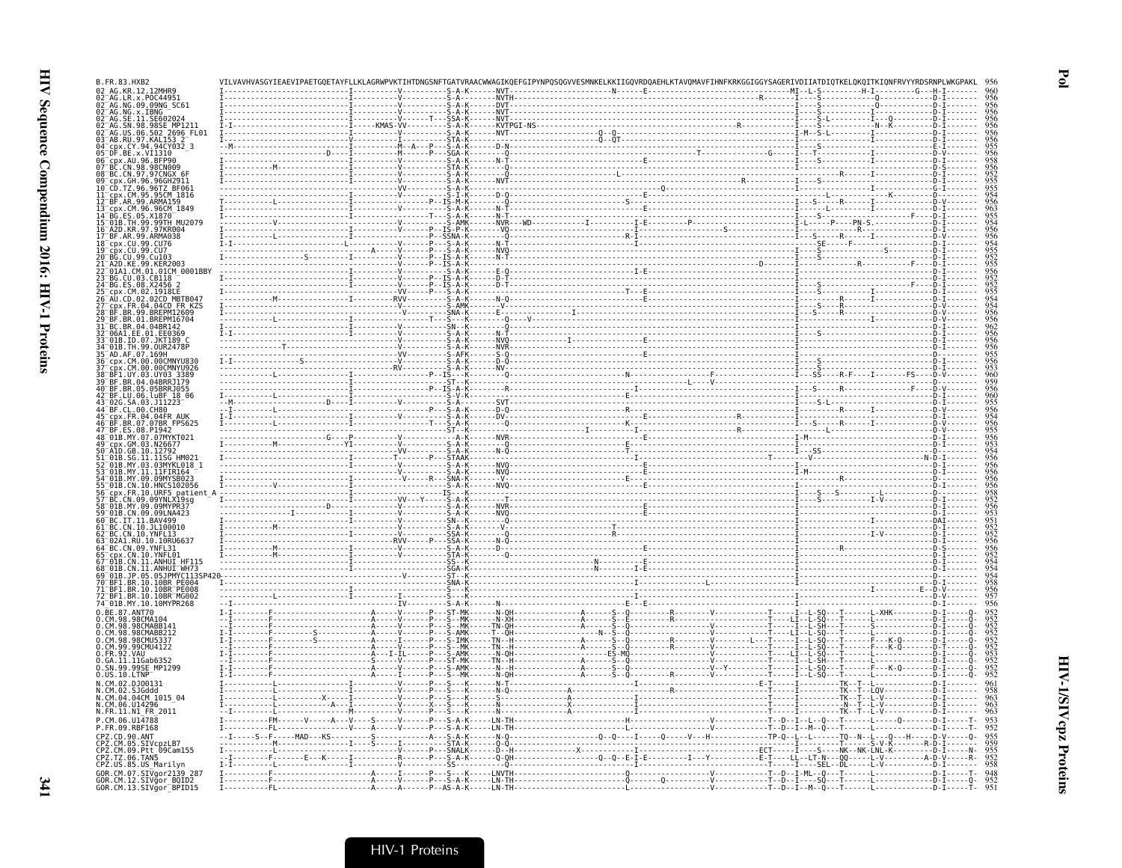| B.FR.83.HXB2                                                                                              |                   |                          |                                                        |            |
|-----------------------------------------------------------------------------------------------------------|-------------------|--------------------------|--------------------------------------------------------|------------|
| AG.KR.12.12MHR9                                                                                           |                   |                          |                                                        |            |
| 02 AG.NG.09.09NG SC61                                                                                     |                   |                          | ----DVT--                                              |            |
| AG.NG.x.IBNG                                                                                              |                   | - - - - NVT -            |                                                        |            |
| . SE602<br>98SE MP1211<br>98.                                                                             | - - - KMAS - VV - |                          |                                                        |            |
| .06.502 2696 FL01<br>.97.KAL153 2                                                                         |                   |                          |                                                        |            |
| CY.94.94CY032 3                                                                                           |                   |                          |                                                        |            |
|                                                                                                           |                   |                          |                                                        |            |
| CN.98.98CN009                                                                                             |                   |                          |                                                        |            |
| 98 BC.CN.97.97CNGX 6F                                                                                     |                   |                          |                                                        |            |
| -RE06                                                                                                     |                   |                          |                                                        |            |
| ČM.95.95ČM 1816<br>R.99.ARMA159                                                                           |                   |                          |                                                        |            |
| 96.96CM 1849.                                                                                             |                   |                          |                                                        |            |
|                                                                                                           |                   |                          |                                                        |            |
| 99TH MU2079<br>A2D.KR.97.97KR004                                                                          |                   |                          |                                                        |            |
| 99.ARMA038                                                                                                |                   |                          |                                                        |            |
| cpx.CU.99.CU76<br>CII 99 CII7                                                                             |                   |                          |                                                        |            |
| BG.CU.99.Cu103                                                                                            |                   |                          |                                                        |            |
| 99.KER2003<br>01A1.CM.01.01CM 0001BBY                                                                     |                   |                          |                                                        |            |
|                                                                                                           |                   |                          |                                                        |            |
| cpx.CM.02.1918EE                                                                                          |                   | .p. S.                   |                                                        |            |
| AU.CD.02.02CD MBTB047                                                                                     |                   |                          |                                                        |            |
| FR.04.04CD FR KZS<br>R.99.BREPM12609                                                                      |                   |                          |                                                        |            |
| . 01<br>.BREPM16704                                                                                       |                   |                          |                                                        |            |
| 04 04RR147<br>06A1.EE.01.EE0369                                                                           |                   |                          |                                                        |            |
| ID.07.JKT189 0                                                                                            |                   |                          |                                                        |            |
| 01B. TH. 99. OUR2478P<br>07.169H                                                                          |                   |                          |                                                        |            |
| 00.00CMNYU830<br>00.00CMNYU926.                                                                           |                   |                          |                                                        |            |
| UY.03.UY03_3389                                                                                           |                   |                          | - - -R - F - - - - I - - - - - - - FS - - -            |            |
| .BR.04.04BRRJ179<br>05.05BRR1055                                                                          |                   |                          |                                                        |            |
| BF.LU.06.luBF 18_06<br>102G.SA.03.J11223                                                                  |                   |                          |                                                        |            |
| BF.CL.00.CH80                                                                                             |                   |                          |                                                        |            |
| CDX.FR.04.04FR AUM                                                                                        |                   |                          |                                                        |            |
| 07.07BR FPS625<br>08.P1942                                                                                |                   |                          |                                                        |            |
| .07.07MYKT021<br>01B.MY                                                                                   |                   |                          |                                                        |            |
| GM.03.N26677<br>10.12792                                                                                  |                   |                          |                                                        |            |
| ŠĞ.ÎI.ÎISĞ HM021<br>MY.03.03MYKL018 1                                                                     |                   | - P - - - STAAK-         |                                                        |            |
| .11.11FIR164                                                                                              |                   |                          |                                                        |            |
| 102056                                                                                                    |                   |                          |                                                        |            |
| FR.10.URF5 patient<br>CN.09.09YNLX19sg                                                                    |                   |                          |                                                        |            |
|                                                                                                           |                   |                          |                                                        |            |
| MY.09.09MYPR37<br>CN.09.09LNA423                                                                          |                   |                          |                                                        |            |
| .11.BAV499<br>BC.CN.10.JL100010                                                                           |                   |                          |                                                        |            |
| BC.CN.10.YNFL13<br>02A1.RU.10.10RU6637                                                                    |                   |                          |                                                        |            |
|                                                                                                           |                   |                          |                                                        |            |
|                                                                                                           |                   |                          |                                                        |            |
| 11.ANHUI WH73                                                                                             |                   |                          |                                                        |            |
| JP.05.05JPMYC113S<br>.RR 10.10RR PE004                                                                    |                   |                          |                                                        |            |
| BF1.BR.10.10BR PE008                                                                                      |                   |                          |                                                        |            |
| 72 BFI.BR.10.10BR MG002<br>74 <sup>-</sup> 01B.MY.10.10MYPR268                                            |                   |                          |                                                        |            |
|                                                                                                           |                   | ·Š-A-K-<br>-ST-MK·       |                                                        |            |
| 98CMABB141<br>CM.98                                                                                       |                   | $-MK$                    |                                                        |            |
| CM.98.98CMABB212<br>CM.98.98CMU5337                                                                       |                   |                          |                                                        |            |
| 0.CM.99.99CMU4122                                                                                         |                   | - AMK<br>- IMK<br>- - MK |                                                        |            |
| 0.FR.92.<br>0.GA.11.<br>.VAU<br>.11Gab6352                                                                |                   | <b>AMK</b>               |                                                        |            |
|                                                                                                           |                   | ·ŠT-MK                   |                                                        |            |
| 0.SN.99.99SE_MP1299<br>0.US.10.LTNP                                                                       |                   |                          |                                                        |            |
| N.CM.02.DJ00131<br>CM.02<br>.SJGddd                                                                       |                   |                          |                                                        |            |
| N.CM.04.04CM 1015_04                                                                                      |                   |                          |                                                        |            |
| N.CM.06.U14296<br>N.FR.11.N1_FR_2011                                                                      |                   |                          |                                                        | 963<br>963 |
| P.CM.06.U14788                                                                                            |                   |                          | L0D-I-----T-<br>$-$ - $D$ - $ I$ - $ L$ - $ O$ - $  T$ |            |
| P.FR.09.RBF168                                                                                            |                   |                          | - D - - I - - M - - Q -                                | 953<br>952 |
| . ANT                                                                                                     |                   |                          |                                                        |            |
| .<br>.SIVcpzLB7<br>. <u>Ptt</u> _09Cam155<br>Z.CM.09.                                                     |                   |                          |                                                        |            |
| 06.TAN5<br>CPZ.US.85.US Marilyn                                                                           |                   |                          |                                                        | 952<br>958 |
|                                                                                                           |                   |                          |                                                        | 948        |
| GOR.CM.07.SIVgor2139 287<br>GOR.CM.12.SIVgor2139 287<br>GOR.CM.12.SIVgor_BOID2<br>GOR.CM.13.SIVgor_BPID15 |                   | - P - - AS - A - K-      | - LN - TH<br>- I - -D - - I - -M - -Q -                |            |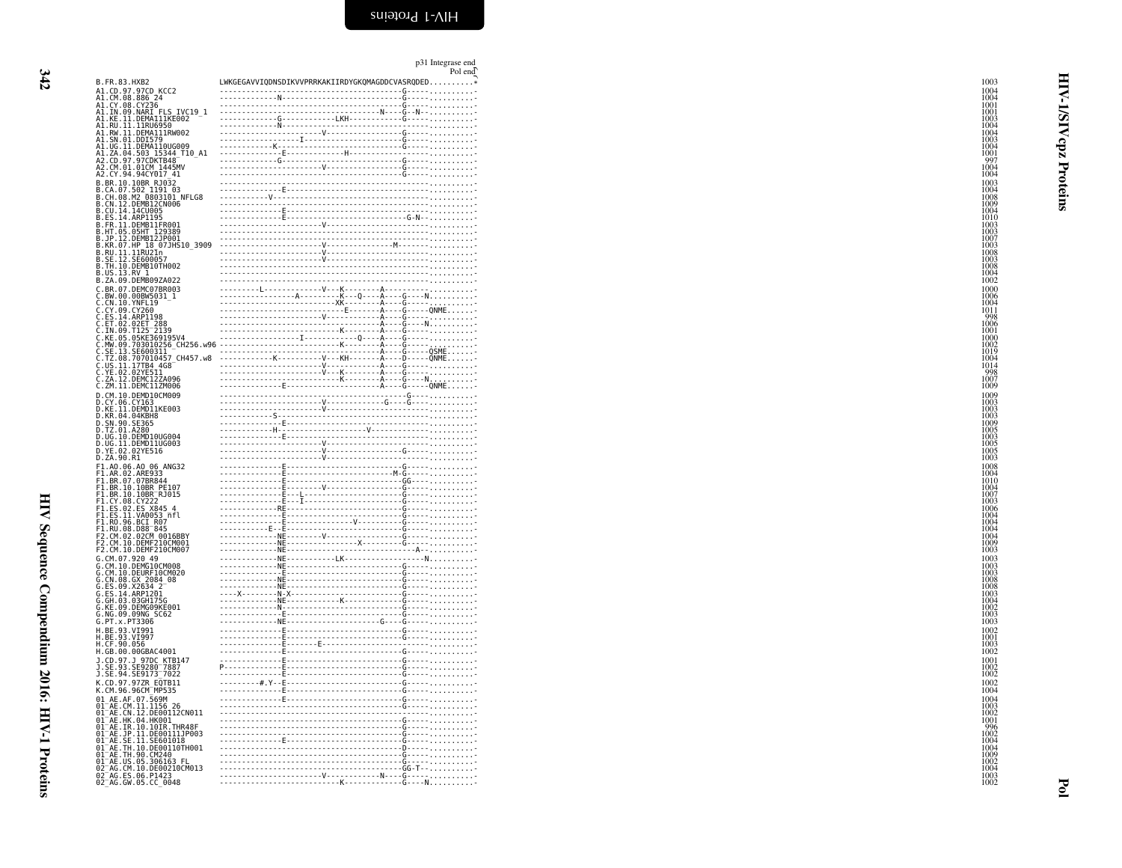<span id="page-31-0"></span>

|                                                                                                                                                                                                                                                                                |                                                                                                                                                                                                                                                                                                                                                                                                                                                     | p31 Integrase end<br>Pol end |
|--------------------------------------------------------------------------------------------------------------------------------------------------------------------------------------------------------------------------------------------------------------------------------|-----------------------------------------------------------------------------------------------------------------------------------------------------------------------------------------------------------------------------------------------------------------------------------------------------------------------------------------------------------------------------------------------------------------------------------------------------|------------------------------|
| B. FR. 83. HXB2                                                                                                                                                                                                                                                                | LWKGEGAVVIQDNSDIKVVPRRKAKIIRDYGKQMAGDDCVASRQDED.                                                                                                                                                                                                                                                                                                                                                                                                    |                              |
|                                                                                                                                                                                                                                                                                | . - N<br>. G .                                                                                                                                                                                                                                                                                                                                                                                                                                      |                              |
|                                                                                                                                                                                                                                                                                | .                                                                                                                                                                                                                                                                                                                                                                                                                                                   |                              |
|                                                                                                                                                                                                                                                                                |                                                                                                                                                                                                                                                                                                                                                                                                                                                     |                              |
|                                                                                                                                                                                                                                                                                |                                                                                                                                                                                                                                                                                                                                                                                                                                                     |                              |
|                                                                                                                                                                                                                                                                                |                                                                                                                                                                                                                                                                                                                                                                                                                                                     |                              |
|                                                                                                                                                                                                                                                                                |                                                                                                                                                                                                                                                                                                                                                                                                                                                     |                              |
|                                                                                                                                                                                                                                                                                |                                                                                                                                                                                                                                                                                                                                                                                                                                                     |                              |
|                                                                                                                                                                                                                                                                                |                                                                                                                                                                                                                                                                                                                                                                                                                                                     |                              |
|                                                                                                                                                                                                                                                                                |                                                                                                                                                                                                                                                                                                                                                                                                                                                     |                              |
|                                                                                                                                                                                                                                                                                |                                                                                                                                                                                                                                                                                                                                                                                                                                                     |                              |
| B.ES.14.ARP1195<br>B.FR.11.DEMB11FR001<br>B.J.P.12.DEMB12FR001<br>B.J.P.12.DEMB12JP001<br>B.KR.07.HP 18 07JHS10_3909<br>B.KR.11.11RV21n<br>B.CE.12.SE600057<br>B.CE.12.SE600057<br>B.CK.13.RV<br>B.CA.09.DEMB037A022<br>B.CA.09.DEMB037A0222<br>CA.09.DEMB037A0                |                                                                                                                                                                                                                                                                                                                                                                                                                                                     |                              |
|                                                                                                                                                                                                                                                                                |                                                                                                                                                                                                                                                                                                                                                                                                                                                     |                              |
|                                                                                                                                                                                                                                                                                |                                                                                                                                                                                                                                                                                                                                                                                                                                                     |                              |
|                                                                                                                                                                                                                                                                                |                                                                                                                                                                                                                                                                                                                                                                                                                                                     |                              |
|                                                                                                                                                                                                                                                                                |                                                                                                                                                                                                                                                                                                                                                                                                                                                     |                              |
|                                                                                                                                                                                                                                                                                |                                                                                                                                                                                                                                                                                                                                                                                                                                                     |                              |
|                                                                                                                                                                                                                                                                                |                                                                                                                                                                                                                                                                                                                                                                                                                                                     |                              |
|                                                                                                                                                                                                                                                                                | $\begin{minipage}{0.99\textwidth} \begin{tabular}{ c c } \hline & \multicolumn{3}{ c }{0.99\textwidth} \begin{tabular}{ c c } \hline & \multicolumn{3}{ c }{0.99\textwidth} \begin{tabular}{ c c } \hline & \multicolumn{3}{ c }{0.99\textwidth} \begin{tabular}{ c c } \hline & \multicolumn{3}{ c }{0.99\textwidth} \begin{tabular}{ c c } \hline & \multicolumn{3}{ c }{0.99\textwidth} \begin{tabular}{ c c } \hline \multicolumn{3}{ c }{0.99$ |                              |
|                                                                                                                                                                                                                                                                                |                                                                                                                                                                                                                                                                                                                                                                                                                                                     |                              |
|                                                                                                                                                                                                                                                                                |                                                                                                                                                                                                                                                                                                                                                                                                                                                     |                              |
|                                                                                                                                                                                                                                                                                |                                                                                                                                                                                                                                                                                                                                                                                                                                                     |                              |
|                                                                                                                                                                                                                                                                                |                                                                                                                                                                                                                                                                                                                                                                                                                                                     |                              |
| , ZA. 09. DEMB092A022<br>.: BN. 00. DEMB092A022<br>.: EN. 00. 00BW5031_1<br>.: CY. 10. (YPLE)<br>.: ET. 02. 02ET_288<br>.: ET. 02. 02ET_289<br>.: ET. 02. 02ET_289<br>.: ET. 02. 02ET_239<br>.: KE. 09. 05KE3031950_CH256. w96<br>.: KE. 03. 05KE3031950<br>.CM.10.DEMD10CM009 | $\begin{minipage}{0.99\textwidth} \begin{tabular}{ c c c } \hline & \multicolumn{2}{ c }{0.99\textwidth} \begin{tabular}{ c c } \hline & \multicolumn{2}{ c }{0.99\textwidth} \begin{tabular}{ c c } \hline \multicolumn{2}{ c }{0.99\textwidth} \begin{tabular}{ c c } \hline \multicolumn{2}{ c }{0.99\textwidth} \begin{tabular}{ c c } \hline \multicolumn{2}{ c }{0.99\textwidth} \begin{tabular}{ c c } \hline \multicolumn{2}{ c }{0.99\$    |                              |
|                                                                                                                                                                                                                                                                                |                                                                                                                                                                                                                                                                                                                                                                                                                                                     |                              |
|                                                                                                                                                                                                                                                                                |                                                                                                                                                                                                                                                                                                                                                                                                                                                     |                              |
| <b>D.CM.10.DEMPD10CM009</b><br><b>D.CY.06.CY163</b><br>D.KR.04.04KBH8<br>D.KR.04.04KBH8<br>D.SN.90.SE365<br>D.JUG.10.DEMPD10UG004<br>D.VG.10.DEMPD10UG004<br>D.VG.10.DEMPD10UG004<br>D.VG.10.DEMPD10UG003<br>D.VG.02.02YE516<br>D.ZA.90.R1                                     |                                                                                                                                                                                                                                                                                                                                                                                                                                                     |                              |
|                                                                                                                                                                                                                                                                                |                                                                                                                                                                                                                                                                                                                                                                                                                                                     |                              |
|                                                                                                                                                                                                                                                                                |                                                                                                                                                                                                                                                                                                                                                                                                                                                     |                              |
| D.ZA. 90. R1<br>F1. AR. 02. ARE9334<br>F1. AR. 02. ARE9334<br>F1. BR. 10. 10BR PE107<br>F1. BR. 10. 10BR PE107<br>F1. BR. 10. 10BR PE107<br>F1. CY. 08. CY222<br>4<br>F1. ES. 02. CY228<br>F1. ES. 11. VA0653<br>T4<br>F1. ES. 11. VA0653<br>T4<br>F1. R                       |                                                                                                                                                                                                                                                                                                                                                                                                                                                     |                              |
|                                                                                                                                                                                                                                                                                |                                                                                                                                                                                                                                                                                                                                                                                                                                                     |                              |
|                                                                                                                                                                                                                                                                                |                                                                                                                                                                                                                                                                                                                                                                                                                                                     |                              |
|                                                                                                                                                                                                                                                                                | $\begin{picture}(100,100)(0,-0.0000,0){\line(0,-1){20}} \put(10,0){\line(0,-1){20}} \put(10,0){\line(0,-1){20}} \put(10,0){\line(0,-1){20}} \put(10,0){\line(0,-1){20}} \put(10,0){\line(0,-1){20}} \put(10,0){\line(0,-1){20}} \put(10,0){\line(0,-1){20}} \put(10,0){\line(0,-1){20}} \put(10,0){\line(0,-1){20}} \put(10,0){\line(0,-1){20}} \put(10,$                                                                                           |                              |
|                                                                                                                                                                                                                                                                                |                                                                                                                                                                                                                                                                                                                                                                                                                                                     |                              |
|                                                                                                                                                                                                                                                                                |                                                                                                                                                                                                                                                                                                                                                                                                                                                     |                              |
|                                                                                                                                                                                                                                                                                |                                                                                                                                                                                                                                                                                                                                                                                                                                                     |                              |
|                                                                                                                                                                                                                                                                                |                                                                                                                                                                                                                                                                                                                                                                                                                                                     |                              |
|                                                                                                                                                                                                                                                                                |                                                                                                                                                                                                                                                                                                                                                                                                                                                     |                              |
| F2. CM. 10. DEMF210CM00<br>G. CM. 10. DEMG10CM008<br>G. CM. 10. DEMG10CM008<br>G. CM. 10. DEURF10CM020<br>G. CM. 00. GX. 2084<br>G. ES. 09. X2634<br>G. GH. 03. 03GH175G<br>G. NG. 09. DEMG90RE001<br>G. NG. 09. DEMG90RE001<br>G. NG. 09. DEMG9                               |                                                                                                                                                                                                                                                                                                                                                                                                                                                     |                              |
|                                                                                                                                                                                                                                                                                | - E - - - -                                                                                                                                                                                                                                                                                                                                                                                                                                         |                              |
|                                                                                                                                                                                                                                                                                |                                                                                                                                                                                                                                                                                                                                                                                                                                                     |                              |
| H. BE.93.VI991<br>H. BE.93.VI997<br>H. CF.90.056<br>H. GB.00.00GBAC4001                                                                                                                                                                                                        | . G -  -  -  -                                                                                                                                                                                                                                                                                                                                                                                                                                      |                              |
|                                                                                                                                                                                                                                                                                |                                                                                                                                                                                                                                                                                                                                                                                                                                                     |                              |
| 1.05.00.00000000001<br>1.00.97.1 97DC KTB147<br>1.SE.93.SE9280 <sup>-7887</sup><br>1.SE.94.SE9173 <sup>-7022</sup>                                                                                                                                                             |                                                                                                                                                                                                                                                                                                                                                                                                                                                     |                              |
|                                                                                                                                                                                                                                                                                |                                                                                                                                                                                                                                                                                                                                                                                                                                                     |                              |
| K.CD.97.97ZR EQTB11<br>K.CM.96.96CM_MP535                                                                                                                                                                                                                                      |                                                                                                                                                                                                                                                                                                                                                                                                                                                     |                              |
| M. 96. 96CM-MP535<br>A.E. A.F. 07. 569M<br>A.E. C.M. 11. 1156<br>A.E. C.M. 11. 1156<br>A.E. C.M. 11. 1156<br>A.E. I.R. 04. 116001<br>A.E. I.R. 04. 11600111119003<br>A.E. J.P. 11. 116.000111119003<br>A.E. TH. 10. 01240<br>A.E. TH. 10. 01240<br><br>01<br>Ò1                |                                                                                                                                                                                                                                                                                                                                                                                                                                                     |                              |
| 01                                                                                                                                                                                                                                                                             |                                                                                                                                                                                                                                                                                                                                                                                                                                                     |                              |
| 01<br>01                                                                                                                                                                                                                                                                       |                                                                                                                                                                                                                                                                                                                                                                                                                                                     |                              |
| ĀĪ<br>01                                                                                                                                                                                                                                                                       |                                                                                                                                                                                                                                                                                                                                                                                                                                                     |                              |
|                                                                                                                                                                                                                                                                                |                                                                                                                                                                                                                                                                                                                                                                                                                                                     |                              |
| 02<br>AG.ES.06.P1423<br>AG.ES.06.P1423<br>02                                                                                                                                                                                                                                   |                                                                                                                                                                                                                                                                                                                                                                                                                                                     |                              |
| 02                                                                                                                                                                                                                                                                             |                                                                                                                                                                                                                                                                                                                                                                                                                                                     |                              |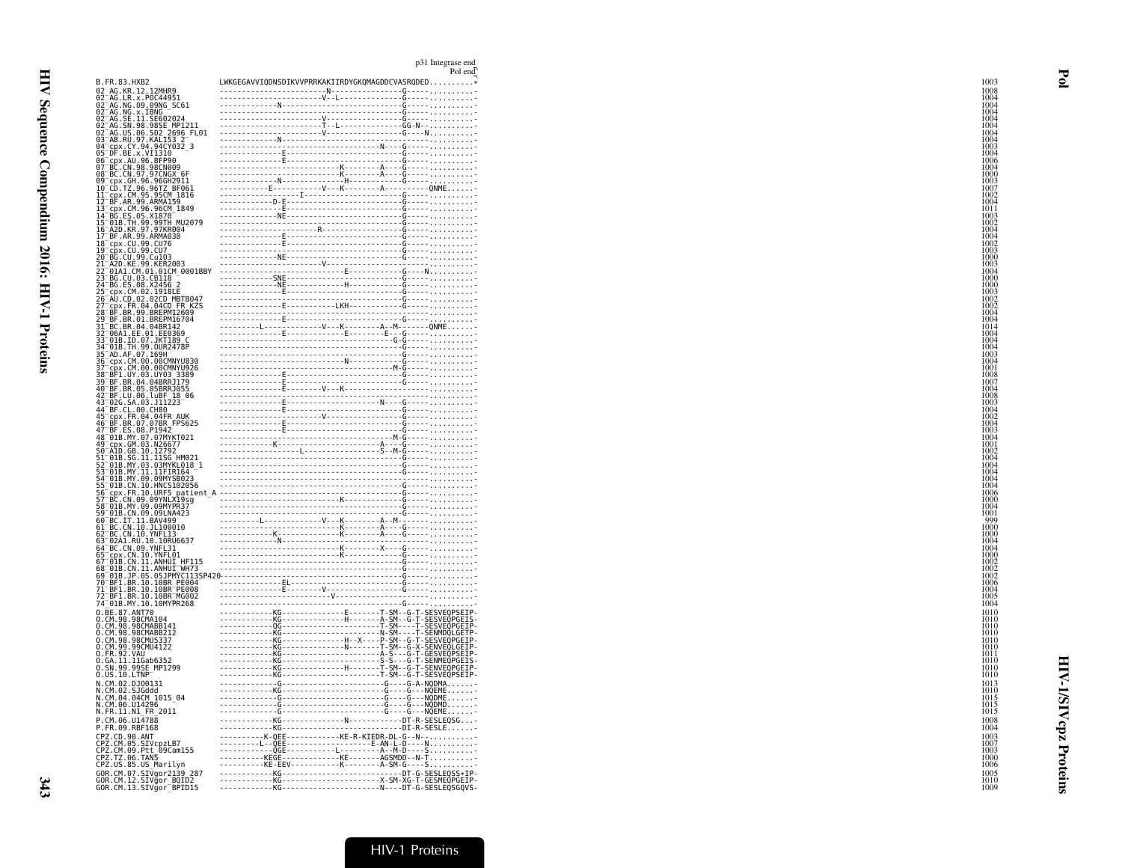|                                                                                  | 3 (1, 0) $\frac{1}{2}$ (1, 0) $\frac{1}{2}$ (1, 0) $\frac{1}{2}$ (1, 0) $\frac{1}{2}$ (1, 0) $\frac{1}{2}$ (1, 0) $\frac{1}{2}$ (1, 0) $\frac{1}{2}$ (1, 0) $\frac{1}{2}$ (1, 0) $\frac{1}{2}$ (1, 0) $\frac{1}{2}$ (1, 0) $\frac{1}{2}$ (1, 0) $\frac{1}{2}$ (1, 0) $\frac{1}{2}$ | p31 Integrase end<br>Pol end |                      |                            |
|----------------------------------------------------------------------------------|------------------------------------------------------------------------------------------------------------------------------------------------------------------------------------------------------------------------------------------------------------------------------------|------------------------------|----------------------|----------------------------|
|                                                                                  | LWKGEGAVVIQDNSDIKVVPRRKAKIIRDYGKQMAGDDCVASRQDED*                                                                                                                                                                                                                                   |                              |                      | 1003                       |
|                                                                                  |                                                                                                                                                                                                                                                                                    |                              | 1008<br>1004<br>1004 |                            |
|                                                                                  |                                                                                                                                                                                                                                                                                    |                              |                      | 1004                       |
|                                                                                  |                                                                                                                                                                                                                                                                                    |                              |                      | 1004<br>1004<br>1004       |
|                                                                                  |                                                                                                                                                                                                                                                                                    |                              |                      | 1004<br>1003               |
|                                                                                  |                                                                                                                                                                                                                                                                                    |                              |                      | 1004                       |
|                                                                                  |                                                                                                                                                                                                                                                                                    |                              | $\frac{1006}{1004}$  | 1000                       |
|                                                                                  |                                                                                                                                                                                                                                                                                    |                              |                      | 1003<br>007                |
|                                                                                  |                                                                                                                                                                                                                                                                                    |                              | 1004                 | 1002                       |
|                                                                                  |                                                                                                                                                                                                                                                                                    |                              |                      | 1011<br>1003               |
|                                                                                  |                                                                                                                                                                                                                                                                                    |                              |                      | 1002<br>1004               |
|                                                                                  |                                                                                                                                                                                                                                                                                    |                              | 1004<br>1002         | 1003                       |
|                                                                                  |                                                                                                                                                                                                                                                                                    |                              |                      | 1000<br>1003               |
|                                                                                  |                                                                                                                                                                                                                                                                                    |                              |                      | 1004<br>1000               |
|                                                                                  |                                                                                                                                                                                                                                                                                    |                              |                      | 1000<br>1003               |
|                                                                                  |                                                                                                                                                                                                                                                                                    |                              | 1002                 | 1002                       |
|                                                                                  |                                                                                                                                                                                                                                                                                    |                              | 1004                 | 1004                       |
|                                                                                  |                                                                                                                                                                                                                                                                                    |                              |                      | 1014<br>004                |
|                                                                                  |                                                                                                                                                                                                                                                                                    |                              | 1003                 | 1004<br>1004               |
|                                                                                  |                                                                                                                                                                                                                                                                                    |                              |                      | 1004<br>1001               |
|                                                                                  |                                                                                                                                                                                                                                                                                    |                              |                      | 1008<br>1007               |
|                                                                                  |                                                                                                                                                                                                                                                                                    |                              | 1004                 | 1008                       |
|                                                                                  |                                                                                                                                                                                                                                                                                    |                              |                      | 1003<br>1004               |
|                                                                                  |                                                                                                                                                                                                                                                                                    |                              | 1002<br>1004         |                            |
|                                                                                  |                                                                                                                                                                                                                                                                                    |                              |                      | 1003<br>1004               |
|                                                                                  |                                                                                                                                                                                                                                                                                    |                              |                      | 1001<br>1002<br>1004       |
|                                                                                  |                                                                                                                                                                                                                                                                                    |                              |                      | 1004<br>1004               |
|                                                                                  |                                                                                                                                                                                                                                                                                    |                              | 1004                 | 1004                       |
|                                                                                  |                                                                                                                                                                                                                                                                                    |                              | 1006                 | 1000                       |
|                                                                                  |                                                                                                                                                                                                                                                                                    |                              |                      | 1004<br>1001<br><b>QQC</b> |
|                                                                                  |                                                                                                                                                                                                                                                                                    |                              | 1000                 | 1000                       |
|                                                                                  |                                                                                                                                                                                                                                                                                    |                              |                      | 1004<br>004                |
|                                                                                  |                                                                                                                                                                                                                                                                                    |                              | 1000                 |                            |
|                                                                                  |                                                                                                                                                                                                                                                                                    |                              |                      | 1002<br>1002               |
|                                                                                  |                                                                                                                                                                                                                                                                                    |                              |                      | 1006<br>1004               |
|                                                                                  |                                                                                                                                                                                                                                                                                    |                              | 1005<br>1004         |                            |
| 0.BE.87.ANT70<br>0. CM. 98.98CMA104                                              |                                                                                                                                                                                                                                                                                    |                              |                      | 1010<br>1010               |
| 0.CM.98.98CMABB141                                                               |                                                                                                                                                                                                                                                                                    |                              | 1010                 | 101C<br>1010               |
| 0.CM.98.98CMABB212<br>0.CM.98.98CMU5337<br>0.CM.99.99CMU4122<br>0. FR. 92. VAU   |                                                                                                                                                                                                                                                                                    |                              |                      | 101C<br>1011               |
| 0.GA.11.11Gab6352                                                                |                                                                                                                                                                                                                                                                                    |                              |                      | 1010<br>1010               |
| 0.SN.99.99SE_MP1299<br>0.US.10.LTNP<br>N.CM.02.DJ00131                           |                                                                                                                                                                                                                                                                                    |                              | 1010<br>1013         |                            |
| N.CM.02.SJGddd<br>CM.04.04CM 1015 04                                             |                                                                                                                                                                                                                                                                                    |                              | $\frac{1010}{1015}$  |                            |
| N.CM.06.U14296<br>N.FR.11.N1 FR 2011                                             |                                                                                                                                                                                                                                                                                    |                              | 1015<br>1015         |                            |
| P.CM.06.U14788<br>P.FR.09.RBF168                                                 |                                                                                                                                                                                                                                                                                    |                              | 1004                 | 1008                       |
|                                                                                  |                                                                                                                                                                                                                                                                                    |                              | 1003                 | 1007                       |
| CPZ.CD.90.ANT<br>CPZ.CM.05.SIVcpzLB7<br>CPZ.CM.09.Ptt 09Cam155<br>CPZ.TZ.06.TAN5 |                                                                                                                                                                                                                                                                                    |                              |                      | 1003<br>1000               |
| CPZ.US.85.US Marilyn                                                             |                                                                                                                                                                                                                                                                                    |                              | 1006<br>1005         |                            |
| GOR.CM.07.SIVgor2139 287<br>GOR.CM.12.SIVgor_BOID2<br>GOR.CM.13.SIVgor_BPID15    |                                                                                                                                                                                                                                                                                    |                              | 1010<br>1009         |                            |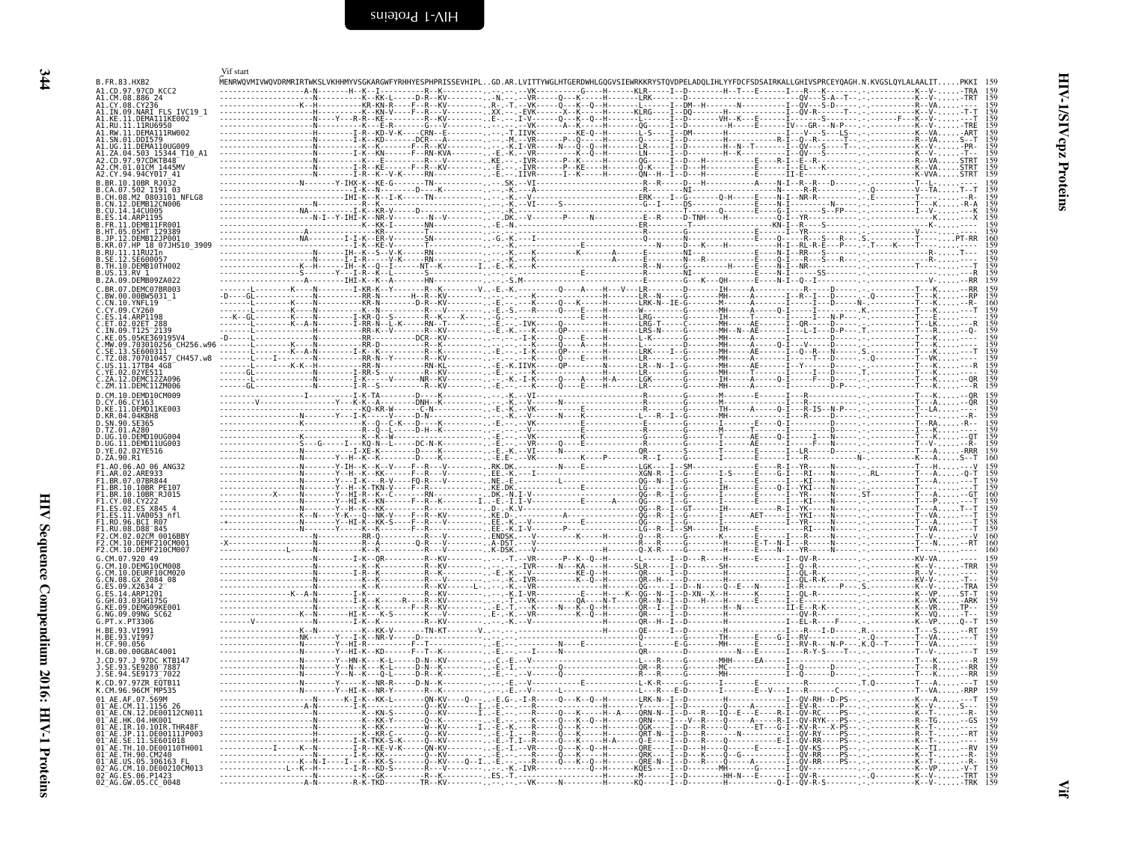<span id="page-33-0"></span>

| B.FR.83.HXB2                                                                      | vii stait                                                                                                                                                                                                                                                                                                                                                                                                                                                 |                                        |                               |  |  |
|-----------------------------------------------------------------------------------|-----------------------------------------------------------------------------------------------------------------------------------------------------------------------------------------------------------------------------------------------------------------------------------------------------------------------------------------------------------------------------------------------------------------------------------------------------------|----------------------------------------|-------------------------------|--|--|
|                                                                                   | MENRWQVMIVWQVDRMRIRTWKSLVKHHMYVSGKARGWFYRHHYESPHPRISSEVHIPL                                                                                                                                                                                                                                                                                                                                                                                               |                                        |                               |  |  |
| A1.CD.97.97CD KCC2<br>A1.CM.08.886 24<br>A1.CY.08.CY236                           |                                                                                                                                                                                                                                                                                                                                                                                                                                                           |                                        |                               |  |  |
| A1.IN.09.NARI FLS IVC19 1                                                         |                                                                                                                                                                                                                                                                                                                                                                                                                                                           |                                        |                               |  |  |
| A1.KE.11.DEMAI11KE002                                                             |                                                                                                                                                                                                                                                                                                                                                                                                                                                           |                                        |                               |  |  |
| A1.RU.11.11RU6950<br>A1.RW.11.DEMA111RW002                                        |                                                                                                                                                                                                                                                                                                                                                                                                                                                           |                                        |                               |  |  |
| A1.SN.01.DDI579                                                                   |                                                                                                                                                                                                                                                                                                                                                                                                                                                           |                                        |                               |  |  |
| A1.UG.11.DEMA110UG009                                                             |                                                                                                                                                                                                                                                                                                                                                                                                                                                           |                                        |                               |  |  |
| .ZA.04.503 15344 T10_A1<br>.CD.97.97CDKTB48                                       |                                                                                                                                                                                                                                                                                                                                                                                                                                                           |                                        |                               |  |  |
| AZ.CM.01.01CM 1445MV                                                              |                                                                                                                                                                                                                                                                                                                                                                                                                                                           |                                        |                               |  |  |
| A2.CY.94.94CY017 41<br>B.BR.10.10BR RJ032                                         |                                                                                                                                                                                                                                                                                                                                                                                                                                                           |                                        |                               |  |  |
| B.CA.07.502 1191 03<br>B.CH.08.M2 0803101 NFLG8                                   |                                                                                                                                                                                                                                                                                                                                                                                                                                                           |                                        |                               |  |  |
|                                                                                   |                                                                                                                                                                                                                                                                                                                                                                                                                                                           |                                        |                               |  |  |
| :.CN.12.DEMB12CN006<br>:.CU.14.14CU005<br>:.ES.14.ARP1195                         |                                                                                                                                                                                                                                                                                                                                                                                                                                                           |                                        |                               |  |  |
|                                                                                   |                                                                                                                                                                                                                                                                                                                                                                                                                                                           |                                        |                               |  |  |
| <br>R.II.DEMBIIFR001<br>3.HT.05.05HT 129389                                       |                                                                                                                                                                                                                                                                                                                                                                                                                                                           |                                        |                               |  |  |
| .DEMB12JP001                                                                      |                                                                                                                                                                                                                                                                                                                                                                                                                                                           |                                        |                               |  |  |
| .07.HP 18 07JH510 3909                                                            |                                                                                                                                                                                                                                                                                                                                                                                                                                                           |                                        |                               |  |  |
| RU.11.11RU21n<br>SE.12.SE600057                                                   |                                                                                                                                                                                                                                                                                                                                                                                                                                                           |                                        |                               |  |  |
| B.TH.10.DEMB10TH002                                                               |                                                                                                                                                                                                                                                                                                                                                                                                                                                           |                                        |                               |  |  |
| B.US.13.RV 1                                                                      |                                                                                                                                                                                                                                                                                                                                                                                                                                                           |                                        |                               |  |  |
| B.ZA.09.DEMB09ZA022<br>C.BR.07.DEMC07BR003                                        |                                                                                                                                                                                                                                                                                                                                                                                                                                                           |                                        |                               |  |  |
| C.BW.00.00BW5031_1<br>C.CN.10.YNFL19                                              |                                                                                                                                                                                                                                                                                                                                                                                                                                                           |                                        |                               |  |  |
|                                                                                   |                                                                                                                                                                                                                                                                                                                                                                                                                                                           |                                        |                               |  |  |
| C.CY.09.CY260<br>C.ES.14.ARP1198                                                  |                                                                                                                                                                                                                                                                                                                                                                                                                                                           |                                        |                               |  |  |
| .02ET 288                                                                         |                                                                                                                                                                                                                                                                                                                                                                                                                                                           |                                        |                               |  |  |
| IN.09.T125 <sup>-21</sup><br>KE.05<br>05KE369195V4                                |                                                                                                                                                                                                                                                                                                                                                                                                                                                           |                                        |                               |  |  |
| MW.09.703010256 CH256.w96                                                         |                                                                                                                                                                                                                                                                                                                                                                                                                                                           |                                        |                               |  |  |
| .SE.13.SE600311<br>.TZ.08.707010457<br>CH457.w8                                   |                                                                                                                                                                                                                                                                                                                                                                                                                                                           |                                        |                               |  |  |
| C.US.11.17TB4 4G8                                                                 |                                                                                                                                                                                                                                                                                                                                                                                                                                                           |                                        |                               |  |  |
| C.YE.02.02YE511                                                                   |                                                                                                                                                                                                                                                                                                                                                                                                                                                           |                                        |                               |  |  |
| 12.DEMC12ZA096<br>C.ZM.11.DEMC11ZM006                                             |                                                                                                                                                                                                                                                                                                                                                                                                                                                           |                                        |                               |  |  |
| D.CM.10.DEMD10CM009                                                               |                                                                                                                                                                                                                                                                                                                                                                                                                                                           |                                        |                               |  |  |
| D.CY.06.CY163<br>D.KE.11.DEMD11KE003<br>D.KR.04.04KBH8<br>D.SN.90.SE365           |                                                                                                                                                                                                                                                                                                                                                                                                                                                           |                                        |                               |  |  |
|                                                                                   |                                                                                                                                                                                                                                                                                                                                                                                                                                                           |                                        |                               |  |  |
|                                                                                   |                                                                                                                                                                                                                                                                                                                                                                                                                                                           |                                        |                               |  |  |
| .TZ.01.A280                                                                       |                                                                                                                                                                                                                                                                                                                                                                                                                                                           |                                        |                               |  |  |
| D.UG.10.DEMD10UG004<br>D.UG.11.DEMD11UG003                                        |                                                                                                                                                                                                                                                                                                                                                                                                                                                           |                                        |                               |  |  |
| YE.02.02YE516                                                                     |                                                                                                                                                                                                                                                                                                                                                                                                                                                           |                                        |                               |  |  |
| D.ZA.90.R1                                                                        |                                                                                                                                                                                                                                                                                                                                                                                                                                                           |                                        |                               |  |  |
| F1.A0.06.A0_06_ANG32                                                              |                                                                                                                                                                                                                                                                                                                                                                                                                                                           |                                        |                               |  |  |
|                                                                                   |                                                                                                                                                                                                                                                                                                                                                                                                                                                           |                                        |                               |  |  |
| F1.AR.02.ARE933<br>F1.BR.07.07BR844<br>F1.BR.10.10BR PE107<br>F1.BR.10.10BR RJ015 |                                                                                                                                                                                                                                                                                                                                                                                                                                                           |                                        |                               |  |  |
| FI.CY.08.CY222<br>F1.ES.02.ES X845                                                |                                                                                                                                                                                                                                                                                                                                                                                                                                                           |                                        |                               |  |  |
|                                                                                   |                                                                                                                                                                                                                                                                                                                                                                                                                                                           |                                        |                               |  |  |
| ES.11.VA0053 nfl<br>RO.96.BCI R07                                                 |                                                                                                                                                                                                                                                                                                                                                                                                                                                           |                                        |                               |  |  |
| RU.08.D88 <sup>-</sup> 845                                                        |                                                                                                                                                                                                                                                                                                                                                                                                                                                           |                                        |                               |  |  |
| CM.02.02CM 0016BBY                                                                |                                                                                                                                                                                                                                                                                                                                                                                                                                                           |                                        |                               |  |  |
| CM.10.DEMF210CM001<br>F2.CM.10.DEMF210CM007                                       |                                                                                                                                                                                                                                                                                                                                                                                                                                                           |                                        |                               |  |  |
| G.CM.07.920 49                                                                    |                                                                                                                                                                                                                                                                                                                                                                                                                                                           |                                        |                               |  |  |
| G.CM.10.DEMG10CM008<br>G.CM.10.DEURF10CM020                                       |                                                                                                                                                                                                                                                                                                                                                                                                                                                           |                                        |                               |  |  |
| G.CN.08.GX 2084 08                                                                |                                                                                                                                                                                                                                                                                                                                                                                                                                                           |                                        |                               |  |  |
| ES.09.X2634 2                                                                     |                                                                                                                                                                                                                                                                                                                                                                                                                                                           |                                        |                               |  |  |
| ES.14.ARP1201<br>03GH175G<br>.GH.03                                               |                                                                                                                                                                                                                                                                                                                                                                                                                                                           |                                        |                               |  |  |
| G.KE.09.DEMG09KE001<br>G.NG.09.09NG SC62                                          |                                                                                                                                                                                                                                                                                                                                                                                                                                                           |                                        |                               |  |  |
| G.PT.x.PT3306                                                                     |                                                                                                                                                                                                                                                                                                                                                                                                                                                           |                                        |                               |  |  |
| H.BE.93.VI991                                                                     |                                                                                                                                                                                                                                                                                                                                                                                                                                                           |                                        |                               |  |  |
| H.BE.93.VI997                                                                     | $\frac{1}{1} \cdot \frac{1}{1} \cdot \frac{1}{1} \cdot \frac{1}{1} \cdot \frac{1}{1} \cdot \frac{1}{1} \cdot \frac{1}{1} \cdot \frac{1}{1} \cdot \frac{1}{1} \cdot \frac{1}{1} \cdot \frac{1}{1} \cdot \frac{1}{1} \cdot \frac{1}{1} \cdot \frac{1}{1} \cdot \frac{1}{1} \cdot \frac{1}{1} \cdot \frac{1}{1} \cdot \frac{1}{1} \cdot \frac{1}{1} \cdot \frac{1}{1} \cdot \frac{1}{1} \cdot \frac{1}{1} \cdot \frac{1}{1} \cdot \frac{1}{1} \cdot \frac{1$ |                                        |                               |  |  |
| .90.056                                                                           |                                                                                                                                                                                                                                                                                                                                                                                                                                                           |                                        |                               |  |  |
| H.GB.00.00GBAC4001<br>J.CD.97.J 97DC KTB147                                       |                                                                                                                                                                                                                                                                                                                                                                                                                                                           |                                        |                               |  |  |
| SE9280<br>7887                                                                    |                                                                                                                                                                                                                                                                                                                                                                                                                                                           |                                        |                               |  |  |
| J.SE.94.SE9173 7022                                                               |                                                                                                                                                                                                                                                                                                                                                                                                                                                           |                                        |                               |  |  |
| K.CD.97.97ZR EQTB11                                                               |                                                                                                                                                                                                                                                                                                                                                                                                                                                           |                                        |                               |  |  |
| K.CM.96.96CM MP535<br>01 AE.AF.07.569M                                            |                                                                                                                                                                                                                                                                                                                                                                                                                                                           |                                        |                               |  |  |
|                                                                                   |                                                                                                                                                                                                                                                                                                                                                                                                                                                           |                                        |                               |  |  |
| AE.CN.12.DE00112CN011                                                             |                                                                                                                                                                                                                                                                                                                                                                                                                                                           | - K - - - - - - -<br>- K - - KN - S    |                               |  |  |
| AE.HK.04.HK001                                                                    |                                                                                                                                                                                                                                                                                                                                                                                                                                                           | - KK - Y                               |                               |  |  |
|                                                                                   |                                                                                                                                                                                                                                                                                                                                                                                                                                                           | K - -KR - C - - - - - - -<br>--------E |                               |  |  |
| AE.SE.11.SE601018<br>AE.SE.11.SE601018                                            |                                                                                                                                                                                                                                                                                                                                                                                                                                                           |                                        |                               |  |  |
| AE.TH.90.CM240                                                                    |                                                                                                                                                                                                                                                                                                                                                                                                                                                           |                                        |                               |  |  |
| AE US 05.306163 FL                                                                |                                                                                                                                                                                                                                                                                                                                                                                                                                                           |                                        |                               |  |  |
| 02 AG.CM.10.DE00210CM013                                                          |                                                                                                                                                                                                                                                                                                                                                                                                                                                           |                                        |                               |  |  |
| 02 AG.ES.06.P1423                                                                 |                                                                                                                                                                                                                                                                                                                                                                                                                                                           | . - - - - TR - -KV - - - - - - - - - - | ---------H------KQ------I--D- |  |  |
|                                                                                   |                                                                                                                                                                                                                                                                                                                                                                                                                                                           |                                        |                               |  |  |

<span id="page-33-1"></span>Vif start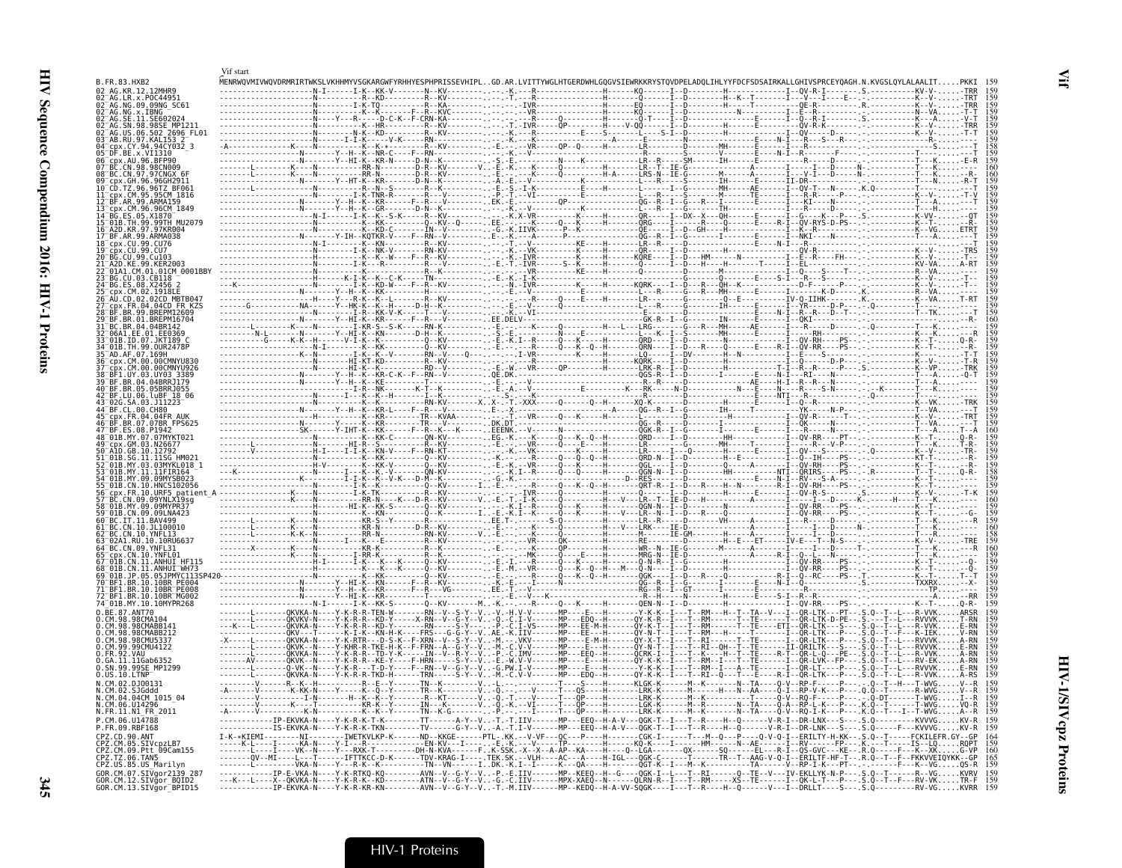|                                                  | Vif start<br>.<br>MENRWOVMIVWOVDRMRIRTWKSLVKHHMYVSGKARGWFYRHHYESPHPRISS                                                                                                                                                                                                                                                                                                                  |                                |                             |                                                                                                                                                                 |                                                                                                                                                                                                                                  |                                                                                                                                                                           |            |
|--------------------------------------------------|------------------------------------------------------------------------------------------------------------------------------------------------------------------------------------------------------------------------------------------------------------------------------------------------------------------------------------------------------------------------------------------|--------------------------------|-----------------------------|-----------------------------------------------------------------------------------------------------------------------------------------------------------------|----------------------------------------------------------------------------------------------------------------------------------------------------------------------------------------------------------------------------------|---------------------------------------------------------------------------------------------------------------------------------------------------------------------------|------------|
| B.FR.83.HXB2<br>AG. KR. 12. 12MHR9               |                                                                                                                                                                                                                                                                                                                                                                                          |                                |                             |                                                                                                                                                                 |                                                                                                                                                                                                                                  |                                                                                                                                                                           |            |
| 09NG SC61                                        | $\begin{minipage}{0.99\textwidth} \begin{tabular}{ c c c } \hline \textbf{1.01} & \textbf{2.02} & \textbf{3.03} & \textbf{4.04} & \textbf{5.04} & \textbf{6.05} \\ \hline \textbf{2.01} & \textbf{3.04} & \textbf{4.05} & \textbf{5.06} & \textbf{6.06} & \textbf{6.06} & \textbf{6.06} \\ \hline \textbf{3.01} & \textbf{3.06} & \textbf{3.06} & \textbf{3.06} & \textbf{3.06} & \text$ |                                |                             |                                                                                                                                                                 |                                                                                                                                                                                                                                  |                                                                                                                                                                           |            |
|                                                  |                                                                                                                                                                                                                                                                                                                                                                                          |                                |                             |                                                                                                                                                                 |                                                                                                                                                                                                                                  |                                                                                                                                                                           |            |
| SN.98.98SE MP1213<br>502 2696 FL01               |                                                                                                                                                                                                                                                                                                                                                                                          |                                |                             |                                                                                                                                                                 |                                                                                                                                                                                                                                  |                                                                                                                                                                           |            |
|                                                  |                                                                                                                                                                                                                                                                                                                                                                                          |                                |                             |                                                                                                                                                                 |                                                                                                                                                                                                                                  |                                                                                                                                                                           |            |
|                                                  |                                                                                                                                                                                                                                                                                                                                                                                          |                                |                             |                                                                                                                                                                 |                                                                                                                                                                                                                                  |                                                                                                                                                                           |            |
|                                                  |                                                                                                                                                                                                                                                                                                                                                                                          |                                |                             |                                                                                                                                                                 |                                                                                                                                                                                                                                  |                                                                                                                                                                           |            |
|                                                  |                                                                                                                                                                                                                                                                                                                                                                                          |                                |                             |                                                                                                                                                                 |                                                                                                                                                                                                                                  |                                                                                                                                                                           |            |
|                                                  |                                                                                                                                                                                                                                                                                                                                                                                          |                                |                             |                                                                                                                                                                 |                                                                                                                                                                                                                                  |                                                                                                                                                                           |            |
|                                                  |                                                                                                                                                                                                                                                                                                                                                                                          |                                |                             |                                                                                                                                                                 |                                                                                                                                                                                                                                  |                                                                                                                                                                           |            |
|                                                  |                                                                                                                                                                                                                                                                                                                                                                                          |                                |                             |                                                                                                                                                                 |                                                                                                                                                                                                                                  |                                                                                                                                                                           |            |
|                                                  |                                                                                                                                                                                                                                                                                                                                                                                          |                                |                             |                                                                                                                                                                 |                                                                                                                                                                                                                                  |                                                                                                                                                                           |            |
|                                                  |                                                                                                                                                                                                                                                                                                                                                                                          |                                |                             |                                                                                                                                                                 |                                                                                                                                                                                                                                  |                                                                                                                                                                           |            |
|                                                  |                                                                                                                                                                                                                                                                                                                                                                                          |                                |                             |                                                                                                                                                                 |                                                                                                                                                                                                                                  |                                                                                                                                                                           |            |
|                                                  |                                                                                                                                                                                                                                                                                                                                                                                          |                                |                             |                                                                                                                                                                 |                                                                                                                                                                                                                                  |                                                                                                                                                                           |            |
|                                                  |                                                                                                                                                                                                                                                                                                                                                                                          |                                |                             |                                                                                                                                                                 |                                                                                                                                                                                                                                  |                                                                                                                                                                           |            |
|                                                  |                                                                                                                                                                                                                                                                                                                                                                                          |                                |                             |                                                                                                                                                                 |                                                                                                                                                                                                                                  |                                                                                                                                                                           |            |
|                                                  |                                                                                                                                                                                                                                                                                                                                                                                          |                                |                             |                                                                                                                                                                 |                                                                                                                                                                                                                                  |                                                                                                                                                                           |            |
|                                                  |                                                                                                                                                                                                                                                                                                                                                                                          |                                |                             |                                                                                                                                                                 |                                                                                                                                                                                                                                  |                                                                                                                                                                           |            |
|                                                  |                                                                                                                                                                                                                                                                                                                                                                                          |                                |                             |                                                                                                                                                                 |                                                                                                                                                                                                                                  |                                                                                                                                                                           |            |
|                                                  |                                                                                                                                                                                                                                                                                                                                                                                          |                                |                             |                                                                                                                                                                 |                                                                                                                                                                                                                                  |                                                                                                                                                                           |            |
| <b>03 UY03 3389</b>                              |                                                                                                                                                                                                                                                                                                                                                                                          |                                |                             |                                                                                                                                                                 |                                                                                                                                                                                                                                  |                                                                                                                                                                           |            |
|                                                  |                                                                                                                                                                                                                                                                                                                                                                                          |                                |                             |                                                                                                                                                                 |                                                                                                                                                                                                                                  |                                                                                                                                                                           |            |
|                                                  |                                                                                                                                                                                                                                                                                                                                                                                          |                                |                             |                                                                                                                                                                 |                                                                                                                                                                                                                                  |                                                                                                                                                                           |            |
|                                                  |                                                                                                                                                                                                                                                                                                                                                                                          |                                |                             |                                                                                                                                                                 |                                                                                                                                                                                                                                  |                                                                                                                                                                           |            |
|                                                  |                                                                                                                                                                                                                                                                                                                                                                                          |                                |                             |                                                                                                                                                                 |                                                                                                                                                                                                                                  |                                                                                                                                                                           |            |
|                                                  |                                                                                                                                                                                                                                                                                                                                                                                          |                                |                             |                                                                                                                                                                 |                                                                                                                                                                                                                                  |                                                                                                                                                                           |            |
|                                                  |                                                                                                                                                                                                                                                                                                                                                                                          |                                |                             |                                                                                                                                                                 |                                                                                                                                                                                                                                  |                                                                                                                                                                           |            |
|                                                  |                                                                                                                                                                                                                                                                                                                                                                                          |                                |                             |                                                                                                                                                                 |                                                                                                                                                                                                                                  |                                                                                                                                                                           |            |
|                                                  |                                                                                                                                                                                                                                                                                                                                                                                          |                                |                             |                                                                                                                                                                 |                                                                                                                                                                                                                                  |                                                                                                                                                                           |            |
|                                                  |                                                                                                                                                                                                                                                                                                                                                                                          |                                |                             |                                                                                                                                                                 |                                                                                                                                                                                                                                  |                                                                                                                                                                           |            |
|                                                  |                                                                                                                                                                                                                                                                                                                                                                                          |                                |                             |                                                                                                                                                                 |                                                                                                                                                                                                                                  |                                                                                                                                                                           |            |
|                                                  |                                                                                                                                                                                                                                                                                                                                                                                          |                                |                             |                                                                                                                                                                 |                                                                                                                                                                                                                                  |                                                                                                                                                                           |            |
|                                                  |                                                                                                                                                                                                                                                                                                                                                                                          |                                |                             |                                                                                                                                                                 |                                                                                                                                                                                                                                  |                                                                                                                                                                           |            |
|                                                  |                                                                                                                                                                                                                                                                                                                                                                                          |                                |                             |                                                                                                                                                                 |                                                                                                                                                                                                                                  |                                                                                                                                                                           |            |
|                                                  |                                                                                                                                                                                                                                                                                                                                                                                          |                                |                             |                                                                                                                                                                 |                                                                                                                                                                                                                                  |                                                                                                                                                                           |            |
| 05.05.1PMYC113SI<br>.10BR PF004                  |                                                                                                                                                                                                                                                                                                                                                                                          |                                |                             |                                                                                                                                                                 |                                                                                                                                                                                                                                  |                                                                                                                                                                           |            |
| BR. 10. 10BR <sup>-</sup> PE008<br>10.10BR MG002 |                                                                                                                                                                                                                                                                                                                                                                                          |                                |                             |                                                                                                                                                                 |                                                                                                                                                                                                                                  |                                                                                                                                                                           |            |
| $\_01B$ .MY.10.10MYPR268                         |                                                                                                                                                                                                                                                                                                                                                                                          |                                |                             |                                                                                                                                                                 | - K - - - - - H - - - - - - - QEN - N - - I -                                                                                                                                                                                    |                                                                                                                                                                           |            |
| 98CMARR14                                        |                                                                                                                                                                                                                                                                                                                                                                                          |                                |                             |                                                                                                                                                                 |                                                                                                                                                                                                                                  | -T--RM---H--T--TA--V---1--VIR-LIK-D-PE--<br>-T--RM------T--TE-----ETI--QR-LIK-D-PE--<br>-T--RM------T--TE----ETI--QR-LIK---S---<br>-T--PM---H-----T------I--QR-LIK---P--- |            |
|                                                  |                                                                                                                                                                                                                                                                                                                                                                                          |                                |                             |                                                                                                                                                                 |                                                                                                                                                                                                                                  |                                                                                                                                                                           |            |
|                                                  |                                                                                                                                                                                                                                                                                                                                                                                          |                                |                             |                                                                                                                                                                 |                                                                                                                                                                                                                                  |                                                                                                                                                                           |            |
| 99.                                              |                                                                                                                                                                                                                                                                                                                                                                                          |                                |                             | $-RN - V - G - Y -$                                                                                                                                             |                                                                                                                                                                                                                                  |                                                                                                                                                                           |            |
|                                                  |                                                                                                                                                                                                                                                                                                                                                                                          |                                |                             |                                                                                                                                                                 |                                                                                                                                                                                                                                  |                                                                                                                                                                           |            |
| CM.02.DJ00131                                    |                                                                                                                                                                                                                                                                                                                                                                                          |                                |                             |                                                                                                                                                                 |                                                                                                                                                                                                                                  |                                                                                                                                                                           | $I-WVG$    |
| .04CM 1015 04                                    |                                                                                                                                                                                                                                                                                                                                                                                          |                                |                             |                                                                                                                                                                 |                                                                                                                                                                                                                                  |                                                                                                                                                                           |            |
| N1_FR_2011                                       |                                                                                                                                                                                                                                                                                                                                                                                          | IP-EKVKA-N----Y-K-R-K-T-K-     |                             |                                                                                                                                                                 | -x------NN--x------V-0.-K.---VI----T---0P----H-----LGK-K------NA--R----N--TA----Ö-Å--RB-L-K--<br>-Y------TN--K-G--------P.----I----I----OP----H------LESK-K-----IRK-K-----N----N--TA----Ö-V--RO-I-K--<br>------------------A-Y-- |                                                                                                                                                                           | T-WVG.     |
|                                                  |                                                                                                                                                                                                                                                                                                                                                                                          |                                |                             | ----Y-K-R-K-TKN--------TV------G-Y--V-A.-T.Ī-V------MP---ĒĒŎ--H-Â-V<br>------IWETKVLKP-K------N <u>D--KK</u> GE- <u>-</u> ----PTL_.KK.--V-VF---QC---P----H----- |                                                                                                                                                                                                                                  |                                                                                                                                                                           |            |
| SIVcpzLB7                                        |                                                                                                                                                                                                                                                                                                                                                                                          |                                |                             |                                                                                                                                                                 | √- - - - - т̀Р - - - - - - -<br>- Х - - А - АР - -КА - - -                                                                                                                                                                       |                                                                                                                                                                           |            |
| Ptt 09Cam155<br><b>96 TAN5</b>                   | $I - - - VK - - N - - - Y - -$                                                                                                                                                                                                                                                                                                                                                           |                                |                             |                                                                                                                                                                 | KRAG-I----.TEK.SK.--VLH----AC---A----H-IGL---QGK-C                                                                                                                                                                               |                                                                                                                                                                           |            |
| CPZ.US.85.US Marilvn<br>.CM.07.SIVgor2139 28     |                                                                                                                                                                                                                                                                                                                                                                                          |                                |                             | $-G-Y - V. - P.$                                                                                                                                                | -0GT-K<br>-MP - - KEEQ - - H - - G - - -                                                                                                                                                                                         |                                                                                                                                                                           |            |
| SIVgor BQID2<br>GOR.CM.13.SIVgor_BPID15          |                                                                                                                                                                                                                                                                                                                                                                                          | $0$ KVKA - N - - - - Y - K - R | $KR-KN - - - - - - - AVN -$ | $K - KD - - - - - - ATN - - V - - G - Y - - V - - G$<br>-M.IIV----                                                                                              | -C.IIV------MPX-XAEQ̂--N------QLRN-R-<br>-MP - - KEDQ - - H - A - VV - SQGK -                                                                                                                                                    | ---T--RM------XS--TE-------I--QK-L<br>$R - - -H - -Q - - - - -$                                                                                                           | - RV - VG. |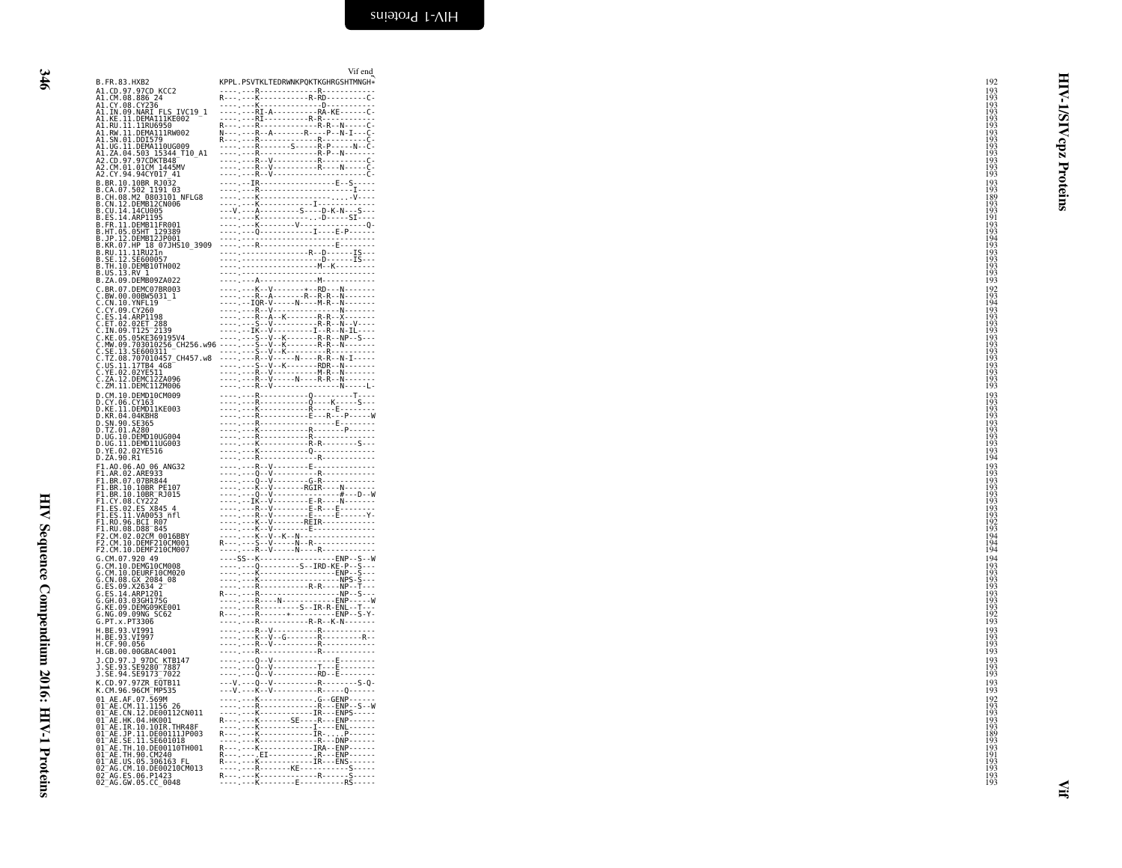346 346 HIV Sequence Compendium 2016: HIV-1 Proteins

HIV Sequence Compendium 2016: HIV-1 Proteins

| B.FR.83.HXB2                                                                                         | Vif end<br>KPPL.PSVTKLTEDRWNKPQKTKGHRGSHTMNGH*                                                                                                                                                                                                                                                                                                                                                                                                                                                   | 192                                                         |              |
|------------------------------------------------------------------------------------------------------|--------------------------------------------------------------------------------------------------------------------------------------------------------------------------------------------------------------------------------------------------------------------------------------------------------------------------------------------------------------------------------------------------------------------------------------------------------------------------------------------------|-------------------------------------------------------------|--------------|
| A1.CD.97.97CD KCC2<br>A1.CM.08.886 24                                                                | . <sub>.</sub> R R                                                                                                                                                                                                                                                                                                                                                                                                                                                                               | 193<br>193<br>193<br>193<br>193<br>193                      | ⋖            |
| A1.CY.08.CY236<br>A1.IN.09.NARI FLS IVC19 1<br>A1.KE.11.DEMAI11KE002                                 |                                                                                                                                                                                                                                                                                                                                                                                                                                                                                                  |                                                             |              |
| A1.RU.11.11RU6950<br>A1.RW.11.DEMA111RW002<br>A1.SN.01.DDI579                                        |                                                                                                                                                                                                                                                                                                                                                                                                                                                                                                  |                                                             | <b>AIS/I</b> |
| A1.UG.11.DEMA110UG009                                                                                |                                                                                                                                                                                                                                                                                                                                                                                                                                                                                                  |                                                             | cpz          |
| A1.ZA.04.503 15344 T10_A1<br>A2.CD.97.97CDKTB48<br>A2.CM.01.01CM_1445MV                              |                                                                                                                                                                                                                                                                                                                                                                                                                                                                                                  | 193<br>193<br>193<br>193<br>193<br>193<br>193               |              |
| A2.CY.94.94CY017_41<br>B.BR.10.10BR RJ032                                                            |                                                                                                                                                                                                                                                                                                                                                                                                                                                                                                  |                                                             | Proteins     |
| B.CA.07.502 1191 03<br>B.CH.08.M2 0803101 NFLG8<br>B.CN.12.DEMB12CN006                               |                                                                                                                                                                                                                                                                                                                                                                                                                                                                                                  | 193<br>193<br>189<br>193                                    |              |
| B.CU.14.14CU005<br>B.ES.14.ARP1195<br>B.FR.11.DEMB11FR001                                            |                                                                                                                                                                                                                                                                                                                                                                                                                                                                                                  | i 93<br>iőĭ                                                 |              |
| B.HT.05.05HT 129389<br>B.JP.12.DEMBI2JP001                                                           | $\begin{tabular}{cccccccc} \multicolumn{1}{c}{\begin{tabular}{l} \multicolumn{1}{c}{\textbf{0.0000}} \multicolumn{1}{c}{\textbf{0.0000}} \multicolumn{1}{c}{\textbf{0.0000}} \multicolumn{1}{c}{\textbf{0.0000}} \multicolumn{1}{c}{\textbf{0.0000}} \multicolumn{1}{c}{\textbf{0.0000}} \multicolumn{1}{c}{\textbf{0.0000}} \multicolumn{1}{c}{\textbf{0.0000}} \multicolumn{1}{c}{\textbf{0.0000}} \multicolumn{1}{c}{\textbf{0$                                                               | 193<br>193<br>194                                           |              |
| B. KR. 07. HP 18 07JHS10_3909<br>B. RU. 11. 11RU2In<br>B. SE. 12. SE600057<br>B. TH. 10. DEMB10TH002 |                                                                                                                                                                                                                                                                                                                                                                                                                                                                                                  | 193<br>193                                                  |              |
| B.U.S. 13.RV 1                                                                                       |                                                                                                                                                                                                                                                                                                                                                                                                                                                                                                  | $\frac{193}{193}$                                           |              |
| B.ZA.09.DEMB09ZA022<br>C.BR.07.DEMC07BR003                                                           |                                                                                                                                                                                                                                                                                                                                                                                                                                                                                                  | $\frac{193}{193}$                                           |              |
|                                                                                                      |                                                                                                                                                                                                                                                                                                                                                                                                                                                                                                  | 192<br>193<br>194                                           |              |
|                                                                                                      |                                                                                                                                                                                                                                                                                                                                                                                                                                                                                                  | 193<br>i 93                                                 |              |
|                                                                                                      |                                                                                                                                                                                                                                                                                                                                                                                                                                                                                                  |                                                             |              |
|                                                                                                      |                                                                                                                                                                                                                                                                                                                                                                                                                                                                                                  |                                                             |              |
|                                                                                                      |                                                                                                                                                                                                                                                                                                                                                                                                                                                                                                  | 193<br>193<br>193<br>193<br>193<br>193<br>193<br>193<br>193 |              |
|                                                                                                      |                                                                                                                                                                                                                                                                                                                                                                                                                                                                                                  |                                                             |              |
| D. CY.06. CY163<br>D.KE.11.DEMD11KE003                                                               | $\begin{minipage}{0.99\textwidth} \begin{tabular}{@{}c@{}} \hline \multicolumn{3}{c}{\textbf{0.99\textwidth} \begin{tabular}{@{}c@{}} \hline \multicolumn{3}{c}{\textbf{0.99\textwidth} \begin{tabular}{@{}c@{}} \hline \multicolumn{3}{c}{\textbf{0.99\textwidth} \begin{tabular}{@{}c@{}} \hline \multicolumn{3}{c}{\textbf{0.99\textwidth} \begin{tabular}{@{}c@{}} \hline \multicolumn{3}{c}{\textbf{0.99\textwidth} \begin{tabular}{@{}c@{}} \hline \multicolumn{3}{c}{\$                   | 193                                                         |              |
| D.KR.04.04KBH8<br>D.SN.90.SE365                                                                      |                                                                                                                                                                                                                                                                                                                                                                                                                                                                                                  | 193<br>193<br>193<br>193<br>193                             |              |
| D.TZ.01.A280<br>D.UG.10.DEMD10UG004<br>D.UG.11.DEMD11UG003                                           |                                                                                                                                                                                                                                                                                                                                                                                                                                                                                                  | 193<br>193<br>193                                           |              |
| D.YE.02.02YE516<br>D.ZA.90.R1                                                                        |                                                                                                                                                                                                                                                                                                                                                                                                                                                                                                  | 194                                                         |              |
| F1.A0.06.A0 06 ANG32                                                                                 | ----.---R--V--------E---------------                                                                                                                                                                                                                                                                                                                                                                                                                                                             | 193<br>193<br>193                                           |              |
| F1.AR.02.ARE933<br>F1.BR.07.07BR844<br>F1.BR.10.10BR PE107<br>F1.BR.10.10BR PE107                    |                                                                                                                                                                                                                                                                                                                                                                                                                                                                                                  | i 93                                                        |              |
| F1.CY.08.CY222<br>F1.ES.02.ES X845 4<br>F1.ES.11.VA0053_nfl                                          | ---- . - - IK - - V - - - - - - - - E - R - - - - N - - - - - - -                                                                                                                                                                                                                                                                                                                                                                                                                                | 193<br>193<br>193<br>193<br>192<br>193                      |              |
| F1.R0.96.BCI R07<br>F1.RU.08.D88 845<br>F2.CM.02.02CM_0016BBY                                        |                                                                                                                                                                                                                                                                                                                                                                                                                                                                                                  | i 94                                                        |              |
| F2.CM.10.DEMF210CM001<br>F2.CM.10.DEMF210CM007                                                       | -------R--V-----N----R-------------                                                                                                                                                                                                                                                                                                                                                                                                                                                              | 194<br>194                                                  |              |
| G.CM.07.920_49                                                                                       |                                                                                                                                                                                                                                                                                                                                                                                                                                                                                                  | 194<br>193                                                  |              |
| G.CM.10.DEMG10CM008<br>G.CM.10.DEURF10CM020<br>G.CN.08.GX 2084_08<br>G.ES.09.X2634_2                 |                                                                                                                                                                                                                                                                                                                                                                                                                                                                                                  | 193                                                         |              |
| G.ES.14.ARP1201                                                                                      |                                                                                                                                                                                                                                                                                                                                                                                                                                                                                                  | 193<br>193<br>193<br>193<br>193<br>193                      |              |
| G.GH.03.03GH175G<br>G.KE.09.DEMG09KE001<br>G.NG.09.09NG_SC62<br>G.PT.x.PT3306                        |                                                                                                                                                                                                                                                                                                                                                                                                                                                                                                  | 193                                                         |              |
| H.BE.93.VI991<br>H.BE.93.VI997                                                                       | ----.---R--V-----------R-------------                                                                                                                                                                                                                                                                                                                                                                                                                                                            | 193<br>193<br>193<br>193                                    |              |
| H. CF.90.056<br>H.GB.00.00GBAC4001                                                                   | 0. V  F                                                                                                                                                                                                                                                                                                                                                                                                                                                                                          | 193                                                         |              |
| J.CD.97.J 97DC KTB147<br>J.SE.93.SE9280 7887<br>J.SE.94.SE9173 7022                                  |                                                                                                                                                                                                                                                                                                                                                                                                                                                                                                  | 193<br>193                                                  |              |
| K.CD.97.97ZR EQTB11<br>K.CM.96.96CM MP535                                                            |                                                                                                                                                                                                                                                                                                                                                                                                                                                                                                  | $\frac{193}{193}$                                           |              |
| 01 AE.AF.07.569M<br>01-AE.CM.11.1156 26<br>01-AE.CM.11.1156 26<br>01-AE.CN.12.DE00112CN011           | ------K------------.G--GENP------                                                                                                                                                                                                                                                                                                                                                                                                                                                                | 192<br>193<br>193                                           |              |
| 01 AE.HK.04.HK001                                                                                    | $\begin{array}{cccccccccccc} \multicolumn{2}{c}{\begin{tabular}{l} \multicolumn{2}{c}{\multicolumn{2}{c}{\multicolumn{2}{c}{\multicolumn{2}{c}{\multicolumn{2}{c}{\multicolumn{2}{c}{\multicolumn{2}{c}{\multicolumn{2}{c}{\multicolumn{2}{c}{\multicolumn{2}{c}{\multicolumn{2}{c}{\multicolumn{2}{c}{\multicolumn{2}{c}{\multicolumn{2}{c}{\multicolumn{2}{c}{\multicolumn{2}{c}{\multicolumn{2}{c}{\multicolumn{2}{c}{\multicolumn{2}{c}{\multicolumn{2}{c}{\multicolumn{2}{c}{\multicolumn{$ | 193<br>$\frac{193}{189}$                                    |              |
|                                                                                                      |                                                                                                                                                                                                                                                                                                                                                                                                                                                                                                  | 193<br>193                                                  |              |
| 01 AE. TH. 90. CM240<br>01 AE.US.05.306163 FL                                                        | R---.----`EI------------R---ENP------<br>R---.---K--------------IR---ENS------                                                                                                                                                                                                                                                                                                                                                                                                                   | i9ī<br>193<br>193                                           |              |
| 02 AG.CM.10.DE00210CM013<br>02 AG.ES.06.P1423<br>02_AG.GW.05.CC_0048                                 |                                                                                                                                                                                                                                                                                                                                                                                                                                                                                                  | 193<br>193                                                  |              |
|                                                                                                      |                                                                                                                                                                                                                                                                                                                                                                                                                                                                                                  |                                                             |              |

<span id="page-35-0"></span>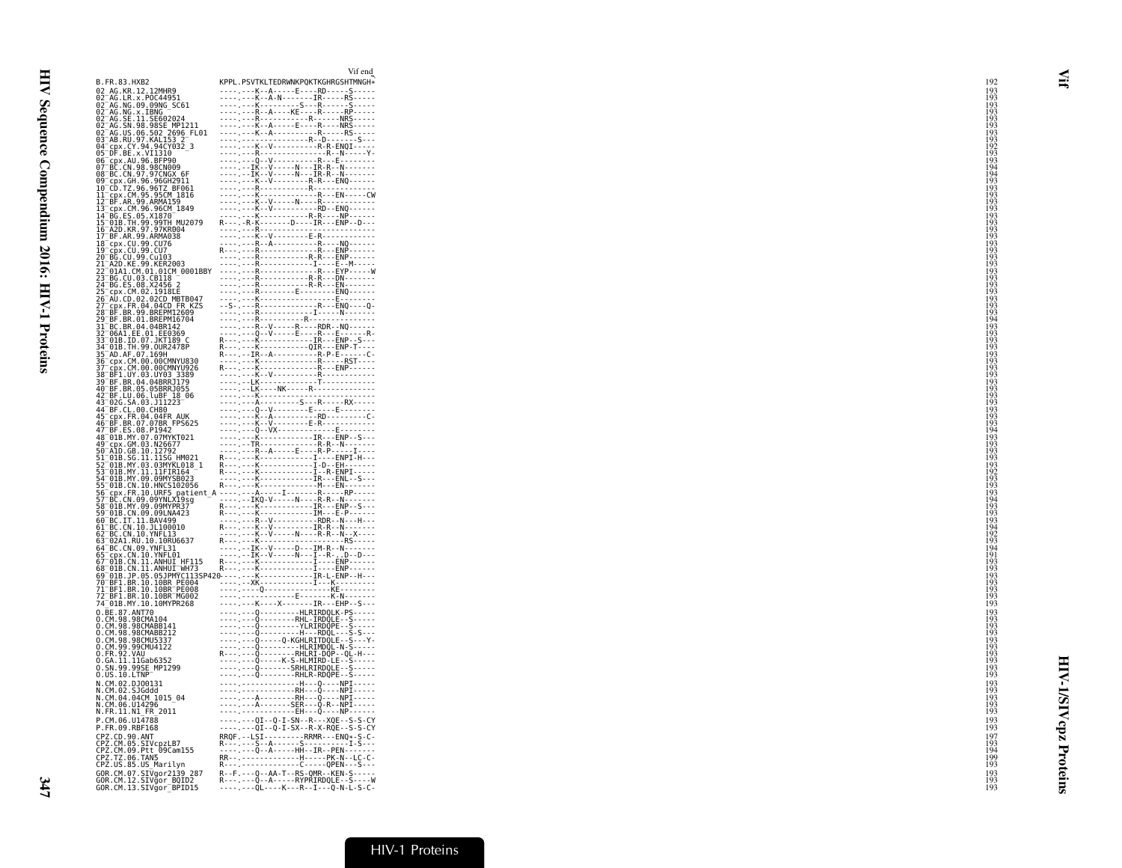|                                                                                                                                                                                                                                                    | Vif end                                                                                                                                                                                                                                                                                                                                                                                                                                                                                                                                                             |
|----------------------------------------------------------------------------------------------------------------------------------------------------------------------------------------------------------------------------------------------------|---------------------------------------------------------------------------------------------------------------------------------------------------------------------------------------------------------------------------------------------------------------------------------------------------------------------------------------------------------------------------------------------------------------------------------------------------------------------------------------------------------------------------------------------------------------------|
| B.FR.83.HXB2                                                                                                                                                                                                                                       | KPPL.PSVTKLTEDRWNKPQKTKGHRGSHTMNGH*                                                                                                                                                                                                                                                                                                                                                                                                                                                                                                                                 |
| 02_AG.KR.12.12MHR9<br>02 <sup>_</sup> AG.LR.x.POC44951                                                                                                                                                                                             |                                                                                                                                                                                                                                                                                                                                                                                                                                                                                                                                                                     |
| 02 AG.NG.09.09NG SC61                                                                                                                                                                                                                              |                                                                                                                                                                                                                                                                                                                                                                                                                                                                                                                                                                     |
|                                                                                                                                                                                                                                                    |                                                                                                                                                                                                                                                                                                                                                                                                                                                                                                                                                                     |
|                                                                                                                                                                                                                                                    |                                                                                                                                                                                                                                                                                                                                                                                                                                                                                                                                                                     |
|                                                                                                                                                                                                                                                    |                                                                                                                                                                                                                                                                                                                                                                                                                                                                                                                                                                     |
|                                                                                                                                                                                                                                                    |                                                                                                                                                                                                                                                                                                                                                                                                                                                                                                                                                                     |
| 93 AB. RU. 97. KAL153<br>04 Tepx.CY. 94.9427032<br>05 TDF. BE. x. VII310<br>07 BC. CN. 98.98CN009<br>07 BC. CN. 97. 97. CNOX 6F<br>09 TCDX. GH. 96.96GH2911<br>19 TCD. TZ. 96.96GH2911<br>19 TCD. TZ. 96.9657. BF061<br>19 TCD. TZ. 96.9657. BF061 |                                                                                                                                                                                                                                                                                                                                                                                                                                                                                                                                                                     |
|                                                                                                                                                                                                                                                    |                                                                                                                                                                                                                                                                                                                                                                                                                                                                                                                                                                     |
|                                                                                                                                                                                                                                                    |                                                                                                                                                                                                                                                                                                                                                                                                                                                                                                                                                                     |
|                                                                                                                                                                                                                                                    |                                                                                                                                                                                                                                                                                                                                                                                                                                                                                                                                                                     |
|                                                                                                                                                                                                                                                    |                                                                                                                                                                                                                                                                                                                                                                                                                                                                                                                                                                     |
| cpx.CM.95.95CM 1816                                                                                                                                                                                                                                |                                                                                                                                                                                                                                                                                                                                                                                                                                                                                                                                                                     |
| BF.AR.99.ARMA159                                                                                                                                                                                                                                   |                                                                                                                                                                                                                                                                                                                                                                                                                                                                                                                                                                     |
|                                                                                                                                                                                                                                                    |                                                                                                                                                                                                                                                                                                                                                                                                                                                                                                                                                                     |
|                                                                                                                                                                                                                                                    |                                                                                                                                                                                                                                                                                                                                                                                                                                                                                                                                                                     |
|                                                                                                                                                                                                                                                    |                                                                                                                                                                                                                                                                                                                                                                                                                                                                                                                                                                     |
| 17 BF.AR.99.ARMA038                                                                                                                                                                                                                                |                                                                                                                                                                                                                                                                                                                                                                                                                                                                                                                                                                     |
| 17 – Fr. AK. 33. AK. 1111<br>18 – Cpx. CU. 99. CU76<br>29 – Bo. CU. 99. CU17<br>21 – AZD. KE. 99. KER2003<br>23 – 91. A.I. (M. 91. 01. 01. 01. 0001BBY<br>23 – 91. A.I. (M. 91. 01. 01. 0001BBY                                                    |                                                                                                                                                                                                                                                                                                                                                                                                                                                                                                                                                                     |
|                                                                                                                                                                                                                                                    |                                                                                                                                                                                                                                                                                                                                                                                                                                                                                                                                                                     |
|                                                                                                                                                                                                                                                    |                                                                                                                                                                                                                                                                                                                                                                                                                                                                                                                                                                     |
|                                                                                                                                                                                                                                                    |                                                                                                                                                                                                                                                                                                                                                                                                                                                                                                                                                                     |
| 3-BG.CU.03.CB118<br>4-BG.ES.08.X2456                                                                                                                                                                                                               |                                                                                                                                                                                                                                                                                                                                                                                                                                                                                                                                                                     |
|                                                                                                                                                                                                                                                    |                                                                                                                                                                                                                                                                                                                                                                                                                                                                                                                                                                     |
| 24-00:L2:00:24-00:24<br>25-cpx.CM.02.02CD_MBTB047<br>26-AU.CD.02.02CD_MBTB047<br>27-cpx.FR.04.04CD_FR_KZS                                                                                                                                          |                                                                                                                                                                                                                                                                                                                                                                                                                                                                                                                                                                     |
|                                                                                                                                                                                                                                                    |                                                                                                                                                                                                                                                                                                                                                                                                                                                                                                                                                                     |
|                                                                                                                                                                                                                                                    |                                                                                                                                                                                                                                                                                                                                                                                                                                                                                                                                                                     |
| 29 BF.BR.01.BREPM16704<br>31 BC.BR.04.04BR142                                                                                                                                                                                                      |                                                                                                                                                                                                                                                                                                                                                                                                                                                                                                                                                                     |
| 2-06A1.EE.01.EE0369                                                                                                                                                                                                                                |                                                                                                                                                                                                                                                                                                                                                                                                                                                                                                                                                                     |
| 3-01B.ID.07.JKT189 C<br>4-01B.TH.99.OUR2478P                                                                                                                                                                                                       |                                                                                                                                                                                                                                                                                                                                                                                                                                                                                                                                                                     |
|                                                                                                                                                                                                                                                    |                                                                                                                                                                                                                                                                                                                                                                                                                                                                                                                                                                     |
| 35 - AD. 11: 39.10024770<br>35 - AD. AF. 07.169H<br>36 - cpx.CM. 00.00CMNYU830<br>38 - BF1.UY. 03.UY03 3389<br>39 - BF. BR. 04.04BRRJ179<br>39 - BF. BR. 04.04BRRJ179                                                                              |                                                                                                                                                                                                                                                                                                                                                                                                                                                                                                                                                                     |
|                                                                                                                                                                                                                                                    |                                                                                                                                                                                                                                                                                                                                                                                                                                                                                                                                                                     |
|                                                                                                                                                                                                                                                    |                                                                                                                                                                                                                                                                                                                                                                                                                                                                                                                                                                     |
|                                                                                                                                                                                                                                                    |                                                                                                                                                                                                                                                                                                                                                                                                                                                                                                                                                                     |
| 40 BF.BR.05.05BRRJ055                                                                                                                                                                                                                              |                                                                                                                                                                                                                                                                                                                                                                                                                                                                                                                                                                     |
| 49 Br.BN.99.9958KN993<br>42 BF.LU.06.luBF 18 06<br>43 02G.SA.03.J11223<br>45 CP.X.FR.04.04FR AUK<br>45 BF.BR.07.07BR FPS625<br>40 BF.BR.07.07BR FPS625<br>47 BF.BS.08.7.03MV<br>47 BT.ES.08.7.03MV                                                 | $R_{1},\ldots, R_{k},\ldots, R_{k},\ldots, R_{k},\ldots, R_{k},\ldots, R_{k},\ldots, R_{k},\ldots, R_{k},\ldots, R_{k},\ldots, R_{k},\ldots, R_{k},\ldots, R_{k},\ldots, R_{k},\ldots, R_{k},\ldots, R_{k},\ldots, R_{k},\ldots, R_{k},\ldots, R_{k},\ldots, R_{k},\ldots, R_{k},\ldots, R_{k},\ldots, R_{k},\ldots, R_{k},\ldots, R_{k},\ldots, R_{k},\ldots, R_{k},\ldots, R_{k},\ldots, R_{k},$                                                                                                                                                                  |
|                                                                                                                                                                                                                                                    |                                                                                                                                                                                                                                                                                                                                                                                                                                                                                                                                                                     |
|                                                                                                                                                                                                                                                    |                                                                                                                                                                                                                                                                                                                                                                                                                                                                                                                                                                     |
|                                                                                                                                                                                                                                                    |                                                                                                                                                                                                                                                                                                                                                                                                                                                                                                                                                                     |
| 48 <sup>-</sup> 01B.MY.07.07MYKT021                                                                                                                                                                                                                |                                                                                                                                                                                                                                                                                                                                                                                                                                                                                                                                                                     |
|                                                                                                                                                                                                                                                    |                                                                                                                                                                                                                                                                                                                                                                                                                                                                                                                                                                     |
| 49-cpx.GM.03.N26677<br>50-AlD.GB.10.12792<br>51-01B.SG.11.11SG HM021<br>52-01B.MY.03.03MYKL018_1                                                                                                                                                   |                                                                                                                                                                                                                                                                                                                                                                                                                                                                                                                                                                     |
|                                                                                                                                                                                                                                                    |                                                                                                                                                                                                                                                                                                                                                                                                                                                                                                                                                                     |
|                                                                                                                                                                                                                                                    |                                                                                                                                                                                                                                                                                                                                                                                                                                                                                                                                                                     |
|                                                                                                                                                                                                                                                    |                                                                                                                                                                                                                                                                                                                                                                                                                                                                                                                                                                     |
|                                                                                                                                                                                                                                                    |                                                                                                                                                                                                                                                                                                                                                                                                                                                                                                                                                                     |
|                                                                                                                                                                                                                                                    | 34 018: MV, 09. 09MYPR37<br>S4 018: MV, 09. 09MYS8023<br>S5 02. CM, 10. 10. 10. 2010<br>S6 02. CM, 10. 10. 2010<br>S6 02. CM, 10. 10. 2010<br>S6 02. CM, 09. 09MYPR37<br>S6 018: MV, 09. 09MYPR37<br>S6 018: MV, 09. 09MYPR37<br>P6 02. CM, 09                                                                                                                                                                                                                                                                                                                      |
|                                                                                                                                                                                                                                                    |                                                                                                                                                                                                                                                                                                                                                                                                                                                                                                                                                                     |
|                                                                                                                                                                                                                                                    |                                                                                                                                                                                                                                                                                                                                                                                                                                                                                                                                                                     |
|                                                                                                                                                                                                                                                    |                                                                                                                                                                                                                                                                                                                                                                                                                                                                                                                                                                     |
|                                                                                                                                                                                                                                                    |                                                                                                                                                                                                                                                                                                                                                                                                                                                                                                                                                                     |
|                                                                                                                                                                                                                                                    |                                                                                                                                                                                                                                                                                                                                                                                                                                                                                                                                                                     |
|                                                                                                                                                                                                                                                    |                                                                                                                                                                                                                                                                                                                                                                                                                                                                                                                                                                     |
|                                                                                                                                                                                                                                                    |                                                                                                                                                                                                                                                                                                                                                                                                                                                                                                                                                                     |
|                                                                                                                                                                                                                                                    |                                                                                                                                                                                                                                                                                                                                                                                                                                                                                                                                                                     |
|                                                                                                                                                                                                                                                    |                                                                                                                                                                                                                                                                                                                                                                                                                                                                                                                                                                     |
|                                                                                                                                                                                                                                                    |                                                                                                                                                                                                                                                                                                                                                                                                                                                                                                                                                                     |
|                                                                                                                                                                                                                                                    |                                                                                                                                                                                                                                                                                                                                                                                                                                                                                                                                                                     |
|                                                                                                                                                                                                                                                    |                                                                                                                                                                                                                                                                                                                                                                                                                                                                                                                                                                     |
|                                                                                                                                                                                                                                                    | $\begin{minipage}[t]{.00\textwidth}\begin{tabular}{0.9\textwidth}\begin{tabular}{0.9\textwidth}\begin{tabular}{0.9\textwidth}\begin{tabular}{0.9\textwidth}\begin{tabular}{0.9\textwidth}\begin{tabular}{0.9\textwidth}\begin{tabular}{0.9\textwidth}\begin{tabular}{0.9\textwidth}\begin{tabular}{0.9\textwidth}\begin{tabular}{0.9\textwidth}\begin{tabular}{0.9\textwidth}\begin{tabular}{0.9\textwidth}\begin{tabular}{0.9\textwidth}\begin{tabular}{0.9\textwidth}\begin{tabular}{0.9\textwidth}\begin{tabular}{0.9\textwidth}\begin{tabular}{0.9\textwidth}\$ |
|                                                                                                                                                                                                                                                    |                                                                                                                                                                                                                                                                                                                                                                                                                                                                                                                                                                     |
|                                                                                                                                                                                                                                                    |                                                                                                                                                                                                                                                                                                                                                                                                                                                                                                                                                                     |
|                                                                                                                                                                                                                                                    |                                                                                                                                                                                                                                                                                                                                                                                                                                                                                                                                                                     |
|                                                                                                                                                                                                                                                    |                                                                                                                                                                                                                                                                                                                                                                                                                                                                                                                                                                     |
|                                                                                                                                                                                                                                                    |                                                                                                                                                                                                                                                                                                                                                                                                                                                                                                                                                                     |
|                                                                                                                                                                                                                                                    |                                                                                                                                                                                                                                                                                                                                                                                                                                                                                                                                                                     |
|                                                                                                                                                                                                                                                    |                                                                                                                                                                                                                                                                                                                                                                                                                                                                                                                                                                     |
|                                                                                                                                                                                                                                                    |                                                                                                                                                                                                                                                                                                                                                                                                                                                                                                                                                                     |
|                                                                                                                                                                                                                                                    |                                                                                                                                                                                                                                                                                                                                                                                                                                                                                                                                                                     |
|                                                                                                                                                                                                                                                    |                                                                                                                                                                                                                                                                                                                                                                                                                                                                                                                                                                     |
|                                                                                                                                                                                                                                                    |                                                                                                                                                                                                                                                                                                                                                                                                                                                                                                                                                                     |
| N.CM.06.U14296                                                                                                                                                                                                                                     |                                                                                                                                                                                                                                                                                                                                                                                                                                                                                                                                                                     |
| N.FR.11.N1_FR_2011<br>P. CM. 06. U14788                                                                                                                                                                                                            |                                                                                                                                                                                                                                                                                                                                                                                                                                                                                                                                                                     |
| P.FR.09.RBF168                                                                                                                                                                                                                                     |                                                                                                                                                                                                                                                                                                                                                                                                                                                                                                                                                                     |
| CPZ.CD.90.ANT                                                                                                                                                                                                                                      | PROF. - LSI<br>PROF. - LSI<br>PROF. - LSI<br>PROF. - LSI<br>PROF. - LSI<br>PROF. - LSI<br>PROF. - LSI<br>PROF. - LSI<br>PROF. - LSI<br>PROF. - LSI<br>PROF. - LSI<br>PROF. - LSI<br>PROF. - LSI<br>PROF. - LSI<br>PROF. - LSI<br>PROF. - LSI<br>PROF. - LSI<br>P                                                                                                                                                                                                                                                                                                    |
|                                                                                                                                                                                                                                                    |                                                                                                                                                                                                                                                                                                                                                                                                                                                                                                                                                                     |
|                                                                                                                                                                                                                                                    |                                                                                                                                                                                                                                                                                                                                                                                                                                                                                                                                                                     |
|                                                                                                                                                                                                                                                    |                                                                                                                                                                                                                                                                                                                                                                                                                                                                                                                                                                     |
| CPZ.CM.05.STVcpzLB7<br>CPZ.CM.09.Ptt 09Cam155<br>CPZ.CM.09.Ptt 09Cam155<br>CPZ.US.85.US_Marilyn                                                                                                                                                    |                                                                                                                                                                                                                                                                                                                                                                                                                                                                                                                                                                     |
|                                                                                                                                                                                                                                                    |                                                                                                                                                                                                                                                                                                                                                                                                                                                                                                                                                                     |
|                                                                                                                                                                                                                                                    | R--F.---Q--AA-T--RS-QMR--KEN-S-----<br>R---.---Q--A-----RYPRIRDQLE--S----W<br>----.---QL----K---R--I---Q-N-L-S-C-                                                                                                                                                                                                                                                                                                                                                                                                                                                   |
|                                                                                                                                                                                                                                                    |                                                                                                                                                                                                                                                                                                                                                                                                                                                                                                                                                                     |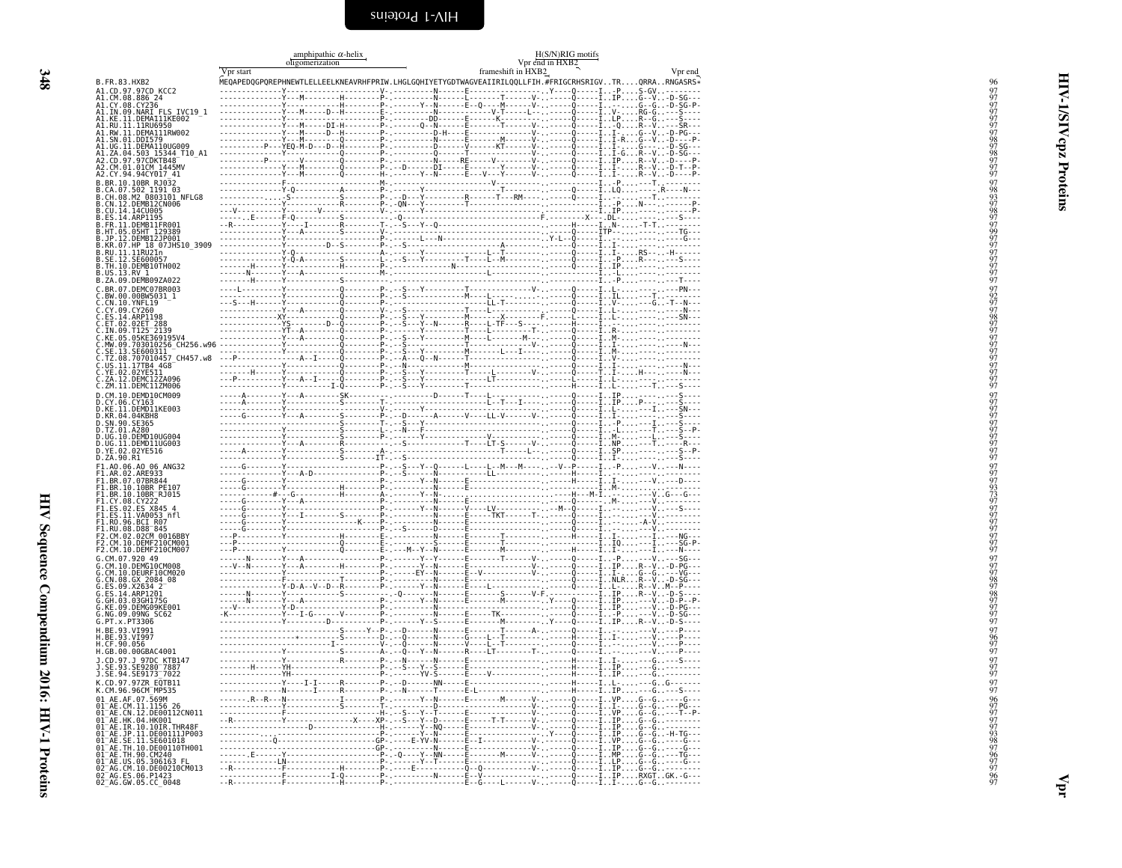<span id="page-37-0"></span>

|                                                                                                                                                                                                                                                                                         |                                                                                                                                                                                                                                                                                                                                                                                                                                                                         | amphipathic $\alpha$ -helix<br>oligomerization                                                                                                                                                          |                                                           | H(S/N)RIG motifs<br>Vpr end in HXB2<br>frameshift in HXB2                                                                                                                                                                                                                                                                                                                                                                                                                    |  |                                               |                |
|-----------------------------------------------------------------------------------------------------------------------------------------------------------------------------------------------------------------------------------------------------------------------------------------|-------------------------------------------------------------------------------------------------------------------------------------------------------------------------------------------------------------------------------------------------------------------------------------------------------------------------------------------------------------------------------------------------------------------------------------------------------------------------|---------------------------------------------------------------------------------------------------------------------------------------------------------------------------------------------------------|-----------------------------------------------------------|------------------------------------------------------------------------------------------------------------------------------------------------------------------------------------------------------------------------------------------------------------------------------------------------------------------------------------------------------------------------------------------------------------------------------------------------------------------------------|--|-----------------------------------------------|----------------|
|                                                                                                                                                                                                                                                                                         | Vpr start                                                                                                                                                                                                                                                                                                                                                                                                                                                               |                                                                                                                                                                                                         |                                                           |                                                                                                                                                                                                                                                                                                                                                                                                                                                                              |  |                                               | Vpr end        |
| B.FR.83.HXB2                                                                                                                                                                                                                                                                            | $\begin{minipage}{0.99\textwidth} \begin{tabular}{ c c c } \hline \multicolumn{3}{ c }{\textbf{0.99\textwidth}} \end{tabular} \hline \multicolumn{2}{ c }{\textbf{0.99\textwidth}} \hline \multicolumn{2}{ c }{\textbf{0.99\textwidth}} \end{tabular} \hline \multicolumn{2}{ c }{\textbf{0.99\textwidth}} \hline \multicolumn{2}{ c }{\textbf{0.99\textwidth}} \end{tabular} \hline \multicolumn{2}{ c }{\textbf{0.99\textwidth}} \hline \multicolumn{2}{ c }{\textbf$ |                                                                                                                                                                                                         |                                                           |                                                                                                                                                                                                                                                                                                                                                                                                                                                                              |  |                                               |                |
|                                                                                                                                                                                                                                                                                         |                                                                                                                                                                                                                                                                                                                                                                                                                                                                         |                                                                                                                                                                                                         |                                                           |                                                                                                                                                                                                                                                                                                                                                                                                                                                                              |  |                                               |                |
|                                                                                                                                                                                                                                                                                         |                                                                                                                                                                                                                                                                                                                                                                                                                                                                         |                                                                                                                                                                                                         |                                                           |                                                                                                                                                                                                                                                                                                                                                                                                                                                                              |  |                                               |                |
|                                                                                                                                                                                                                                                                                         |                                                                                                                                                                                                                                                                                                                                                                                                                                                                         |                                                                                                                                                                                                         |                                                           |                                                                                                                                                                                                                                                                                                                                                                                                                                                                              |  |                                               |                |
|                                                                                                                                                                                                                                                                                         |                                                                                                                                                                                                                                                                                                                                                                                                                                                                         |                                                                                                                                                                                                         |                                                           |                                                                                                                                                                                                                                                                                                                                                                                                                                                                              |  |                                               |                |
| A1.RW.11.DEMA111RW002                                                                                                                                                                                                                                                                   |                                                                                                                                                                                                                                                                                                                                                                                                                                                                         |                                                                                                                                                                                                         |                                                           |                                                                                                                                                                                                                                                                                                                                                                                                                                                                              |  |                                               |                |
| 1. SN. 01. DDM579<br>11. SN. 01. DDM579<br>11. UG. 11. DEMA110UG009<br>2. CD. 97. 97. OKT888<br>2. CM. 01. 01CM_1445MV<br>2. CM. 01. 01CM_1445MV                                                                                                                                        |                                                                                                                                                                                                                                                                                                                                                                                                                                                                         |                                                                                                                                                                                                         |                                                           |                                                                                                                                                                                                                                                                                                                                                                                                                                                                              |  |                                               |                |
|                                                                                                                                                                                                                                                                                         |                                                                                                                                                                                                                                                                                                                                                                                                                                                                         |                                                                                                                                                                                                         |                                                           |                                                                                                                                                                                                                                                                                                                                                                                                                                                                              |  |                                               |                |
| 2.CY.94.94CY017 41                                                                                                                                                                                                                                                                      |                                                                                                                                                                                                                                                                                                                                                                                                                                                                         | -Y---M--------Q-                                                                                                                                                                                        |                                                           |                                                                                                                                                                                                                                                                                                                                                                                                                                                                              |  | $-1.1 - 1 -  - R - V$                         |                |
| 2. C. 1941<br>- SR. 10. 10BR RJ032<br>- CA. 07. 502 1191 03<br>- CH. 08. M2. 0803101<br>- CU. 12. DEMB12CN006<br>- CU. 14. 14CU005<br>- CU. 14. 14CU005                                                                                                                                 |                                                                                                                                                                                                                                                                                                                                                                                                                                                                         |                                                                                                                                                                                                         |                                                           | $\begin{picture}(1,1) \put(0,0) {\put(0,0){\vector(1,0){150}} \put(0,0) {\put(0,0){\vector(1,0){150}} \put(0,0) {\put(0,0){\vector(1,0){150}} \put(0,0) {\put(0,0){\vector(1,0){150}} \put(0,0) {\put(0,0){\vector(1,0){150}} \put(0,0) {\put(0,0){\vector(1,0){150}} \put(0,0) {\put(0,0){\vector(1,0){150}} \put(0,0) {\put(0,0){\vector(1,0){150}} \put(0,0) {\put(0$                                                                                                     |  | $-1.1 - P.$                                   |                |
|                                                                                                                                                                                                                                                                                         |                                                                                                                                                                                                                                                                                                                                                                                                                                                                         |                                                                                                                                                                                                         |                                                           |                                                                                                                                                                                                                                                                                                                                                                                                                                                                              |  |                                               |                |
|                                                                                                                                                                                                                                                                                         |                                                                                                                                                                                                                                                                                                                                                                                                                                                                         |                                                                                                                                                                                                         |                                                           |                                                                                                                                                                                                                                                                                                                                                                                                                                                                              |  |                                               |                |
| . CL. 14. 14C005<br>. FES. 14. ARP1195<br>. HT. 05. 05HT 129389<br>. HT. 05. 05HT 129389<br>. KR. 07. HP 18. 07. 2011<br>. KR. 07. HP 18. 07JHS10_3909<br>. SE. 12. SE0000TH002<br>. SE. 12. SE0000TH002<br>. IST. 13. REMBA074027<br>. JS. 13. REMBA074                                |                                                                                                                                                                                                                                                                                                                                                                                                                                                                         |                                                                                                                                                                                                         |                                                           |                                                                                                                                                                                                                                                                                                                                                                                                                                                                              |  |                                               |                |
|                                                                                                                                                                                                                                                                                         |                                                                                                                                                                                                                                                                                                                                                                                                                                                                         |                                                                                                                                                                                                         |                                                           |                                                                                                                                                                                                                                                                                                                                                                                                                                                                              |  |                                               |                |
|                                                                                                                                                                                                                                                                                         |                                                                                                                                                                                                                                                                                                                                                                                                                                                                         |                                                                                                                                                                                                         |                                                           |                                                                                                                                                                                                                                                                                                                                                                                                                                                                              |  |                                               |                |
|                                                                                                                                                                                                                                                                                         |                                                                                                                                                                                                                                                                                                                                                                                                                                                                         |                                                                                                                                                                                                         |                                                           |                                                                                                                                                                                                                                                                                                                                                                                                                                                                              |  |                                               |                |
|                                                                                                                                                                                                                                                                                         |                                                                                                                                                                                                                                                                                                                                                                                                                                                                         |                                                                                                                                                                                                         |                                                           |                                                                                                                                                                                                                                                                                                                                                                                                                                                                              |  |                                               |                |
|                                                                                                                                                                                                                                                                                         |                                                                                                                                                                                                                                                                                                                                                                                                                                                                         |                                                                                                                                                                                                         |                                                           |                                                                                                                                                                                                                                                                                                                                                                                                                                                                              |  |                                               |                |
| ZA.09.DEMB09ZA022                                                                                                                                                                                                                                                                       |                                                                                                                                                                                                                                                                                                                                                                                                                                                                         |                                                                                                                                                                                                         |                                                           |                                                                                                                                                                                                                                                                                                                                                                                                                                                                              |  |                                               |                |
| BR.07.DEMC07BR003<br>.BR.07.DEMONO7BR093<br>.EW.00.00BW50311<br>.CY.09.CY260<br>.CY.09.CY260<br>.ET.14.ARP1198<br>.ET.02.02ET 288<br>.ET.02.02ET 288<br>.KE.05.05KE369195V4<br>.KE.05.05KE369195V4<br>.ME.05.05KE369195V4<br>.NE.05.05KE369195V4<br>.NE.05.05KE3691975CH457.w96<br>.T.1 |                                                                                                                                                                                                                                                                                                                                                                                                                                                                         |                                                                                                                                                                                                         |                                                           | $\begin{minipage}[t]{.4cm} \put(0,0){\line(0,0){1.5}} \put(1,0){\line(0,0){1.5}} \put(1,0){\line(0,0){1.5}} \put(1,0){\line(0,0){1.5}} \put(1,0){\line(0,0){1.5}} \put(1,0){\line(0,0){1.5}} \put(1,0){\line(0,0){1.5}} \put(1,0){\line(0,0){1.5}} \put(1,0){\line(0,0){1.5}} \put(1,0){\line(0,0){1.5}} \put(1,0){\line(0,0){1.5}} \put(1,0){\line$                                                                                                                         |  |                                               |                |
|                                                                                                                                                                                                                                                                                         |                                                                                                                                                                                                                                                                                                                                                                                                                                                                         |                                                                                                                                                                                                         |                                                           |                                                                                                                                                                                                                                                                                                                                                                                                                                                                              |  |                                               |                |
|                                                                                                                                                                                                                                                                                         |                                                                                                                                                                                                                                                                                                                                                                                                                                                                         |                                                                                                                                                                                                         |                                                           |                                                                                                                                                                                                                                                                                                                                                                                                                                                                              |  |                                               | $-SN -$        |
|                                                                                                                                                                                                                                                                                         |                                                                                                                                                                                                                                                                                                                                                                                                                                                                         |                                                                                                                                                                                                         |                                                           |                                                                                                                                                                                                                                                                                                                                                                                                                                                                              |  |                                               |                |
|                                                                                                                                                                                                                                                                                         |                                                                                                                                                                                                                                                                                                                                                                                                                                                                         |                                                                                                                                                                                                         |                                                           |                                                                                                                                                                                                                                                                                                                                                                                                                                                                              |  |                                               |                |
|                                                                                                                                                                                                                                                                                         |                                                                                                                                                                                                                                                                                                                                                                                                                                                                         |                                                                                                                                                                                                         |                                                           |                                                                                                                                                                                                                                                                                                                                                                                                                                                                              |  |                                               |                |
|                                                                                                                                                                                                                                                                                         |                                                                                                                                                                                                                                                                                                                                                                                                                                                                         |                                                                                                                                                                                                         |                                                           |                                                                                                                                                                                                                                                                                                                                                                                                                                                                              |  |                                               |                |
| . 12.00.17784<br>18.11.17TB4 468<br>.YE.02.02YE511<br>.ZA.12.DEMC12ZA096<br>.ZM.11.DEMC11ZM006                                                                                                                                                                                          |                                                                                                                                                                                                                                                                                                                                                                                                                                                                         |                                                                                                                                                                                                         |                                                           |                                                                                                                                                                                                                                                                                                                                                                                                                                                                              |  |                                               |                |
|                                                                                                                                                                                                                                                                                         |                                                                                                                                                                                                                                                                                                                                                                                                                                                                         |                                                                                                                                                                                                         |                                                           |                                                                                                                                                                                                                                                                                                                                                                                                                                                                              |  |                                               |                |
| CM.10.DEMD10CM009                                                                                                                                                                                                                                                                       |                                                                                                                                                                                                                                                                                                                                                                                                                                                                         |                                                                                                                                                                                                         |                                                           |                                                                                                                                                                                                                                                                                                                                                                                                                                                                              |  | $$ $\bar{H}$ $\bar{I}$<br>q <u>t</u> <u>.</u> |                |
| CY.06.CY163                                                                                                                                                                                                                                                                             |                                                                                                                                                                                                                                                                                                                                                                                                                                                                         |                                                                                                                                                                                                         |                                                           |                                                                                                                                                                                                                                                                                                                                                                                                                                                                              |  |                                               |                |
| .KE.11.DEMD11KE003<br>.KR.04.04KBH8<br>. <u>SN</u> .90.SE365                                                                                                                                                                                                                            |                                                                                                                                                                                                                                                                                                                                                                                                                                                                         |                                                                                                                                                                                                         |                                                           |                                                                                                                                                                                                                                                                                                                                                                                                                                                                              |  |                                               |                |
| TZ.01.A280                                                                                                                                                                                                                                                                              |                                                                                                                                                                                                                                                                                                                                                                                                                                                                         |                                                                                                                                                                                                         |                                                           |                                                                                                                                                                                                                                                                                                                                                                                                                                                                              |  |                                               | $-$ -P $-$     |
| .UG.10.DEMD10UG004                                                                                                                                                                                                                                                                      |                                                                                                                                                                                                                                                                                                                                                                                                                                                                         |                                                                                                                                                                                                         |                                                           |                                                                                                                                                                                                                                                                                                                                                                                                                                                                              |  |                                               |                |
| .UG.11.DEMD11UG003<br>.YE.02.02YE516<br>.ZA.90.R1                                                                                                                                                                                                                                       |                                                                                                                                                                                                                                                                                                                                                                                                                                                                         |                                                                                                                                                                                                         |                                                           |                                                                                                                                                                                                                                                                                                                                                                                                                                                                              |  |                                               |                |
|                                                                                                                                                                                                                                                                                         |                                                                                                                                                                                                                                                                                                                                                                                                                                                                         |                                                                                                                                                                                                         |                                                           |                                                                                                                                                                                                                                                                                                                                                                                                                                                                              |  |                                               |                |
| F1.A0.06.A0 06 ANG32<br>F1.AR.02.ARE933<br>F1.BR.07.07BR844                                                                                                                                                                                                                             |                                                                                                                                                                                                                                                                                                                                                                                                                                                                         |                                                                                                                                                                                                         |                                                           |                                                                                                                                                                                                                                                                                                                                                                                                                                                                              |  |                                               |                |
|                                                                                                                                                                                                                                                                                         |                                                                                                                                                                                                                                                                                                                                                                                                                                                                         |                                                                                                                                                                                                         |                                                           |                                                                                                                                                                                                                                                                                                                                                                                                                                                                              |  |                                               |                |
|                                                                                                                                                                                                                                                                                         |                                                                                                                                                                                                                                                                                                                                                                                                                                                                         | '-------------H---<br>--G-----------H---<br>'---A-------------                                                                                                                                          |                                                           |                                                                                                                                                                                                                                                                                                                                                                                                                                                                              |  |                                               |                |
|                                                                                                                                                                                                                                                                                         |                                                                                                                                                                                                                                                                                                                                                                                                                                                                         |                                                                                                                                                                                                         |                                                           |                                                                                                                                                                                                                                                                                                                                                                                                                                                                              |  | .нм.ї<br>-Q------м-<br>-Q----- <u>I</u> --    |                |
|                                                                                                                                                                                                                                                                                         |                                                                                                                                                                                                                                                                                                                                                                                                                                                                         |                                                                                                                                                                                                         |                                                           |                                                                                                                                                                                                                                                                                                                                                                                                                                                                              |  |                                               |                |
|                                                                                                                                                                                                                                                                                         |                                                                                                                                                                                                                                                                                                                                                                                                                                                                         |                                                                                                                                                                                                         |                                                           |                                                                                                                                                                                                                                                                                                                                                                                                                                                                              |  |                                               |                |
| -1.BR.00.0088844<br>-1.BR.10.10BR9454<br>-1.CY.08.CY222<br>-1.CY.08.CY222<br>-1.ES.02.ES.X845<br>-1.ES.11.VA0053.nfl<br>-1.RO.06.DBC1.RO<br>-1.RU.08.DBC1.RO<br>-2.CM.00.DBC1000001<br>-2.CM.00.DBC1000001<br>-2.CM.00.DBC1000001                                                       |                                                                                                                                                                                                                                                                                                                                                                                                                                                                         |                                                                                                                                                                                                         |                                                           |                                                                                                                                                                                                                                                                                                                                                                                                                                                                              |  |                                               | I. . - - - SG· |
| 2.CM.10.DEMF210CM007                                                                                                                                                                                                                                                                    |                                                                                                                                                                                                                                                                                                                                                                                                                                                                         |                                                                                                                                                                                                         |                                                           | $\begin{minipage}{0.99\textwidth} \begin{tabular}{ c c c } \hline & \multicolumn{3}{ c }{0.99\textwidth} \put(0,0) & \multicolumn{3}{ c }{0.99\textwidth} \put(0,0) & \multicolumn{3}{ c }{0.99\textwidth} \put(0,0) & \multicolumn{3}{ c }{0.99\textwidth} \put(0,0) & \multicolumn{3}{ c }{0.99\textwidth} \put(0,0) & \multicolumn{3}{ c }{0.99\textwidth} \put(0,0) & \multicolumn{3}{ c }{0.99\textwidth} \put(0,0$                                                     |  |                                               |                |
| 2. CM. 10. 9209<br>2. CM. 10. DEMG10CM008<br>2. CM. 10. DEMG10CM008<br>2. CM. 10. DEURF10CM020<br>2. CM. 08. GX. 2084–08<br>2. ES. 09. X2634–2<br>2. ES. 14. ARP1176                                                                                                                    |                                                                                                                                                                                                                                                                                                                                                                                                                                                                         |                                                                                                                                                                                                         |                                                           |                                                                                                                                                                                                                                                                                                                                                                                                                                                                              |  |                                               |                |
|                                                                                                                                                                                                                                                                                         |                                                                                                                                                                                                                                                                                                                                                                                                                                                                         |                                                                                                                                                                                                         |                                                           |                                                                                                                                                                                                                                                                                                                                                                                                                                                                              |  |                                               | .vg.           |
|                                                                                                                                                                                                                                                                                         |                                                                                                                                                                                                                                                                                                                                                                                                                                                                         | Y - D - A - - V - - D - - R - - -                                                                                                                                                                       |                                                           |                                                                                                                                                                                                                                                                                                                                                                                                                                                                              |  |                                               |                |
|                                                                                                                                                                                                                                                                                         |                                                                                                                                                                                                                                                                                                                                                                                                                                                                         |                                                                                                                                                                                                         |                                                           |                                                                                                                                                                                                                                                                                                                                                                                                                                                                              |  |                                               | $-D-S$         |
| GH.03.03GH175G<br>.KE.09.DEMGO9KE001<br>.NG.09.09NG_SC62                                                                                                                                                                                                                                | -------Ñ--------Ŷ---A--------<br>---V------------Y-D-----------                                                                                                                                                                                                                                                                                                                                                                                                         |                                                                                                                                                                                                         |                                                           |                                                                                                                                                                                                                                                                                                                                                                                                                                                                              |  |                                               | . D - PG.      |
| .PT.x.PT3306                                                                                                                                                                                                                                                                            |                                                                                                                                                                                                                                                                                                                                                                                                                                                                         |                                                                                                                                                                                                         |                                                           | ---------N------E-----TK---<br>-----Y--S------E--------M--<br>--                                                                                                                                                                                                                                                                                                                                                                                                             |  | . R - - V - D - S<br>$--IIP$                  |                |
| BE.93.VI991                                                                                                                                                                                                                                                                             |                                                                                                                                                                                                                                                                                                                                                                                                                                                                         |                                                                                                                                                                                                         |                                                           |                                                                                                                                                                                                                                                                                                                                                                                                                                                                              |  |                                               |                |
|                                                                                                                                                                                                                                                                                         |                                                                                                                                                                                                                                                                                                                                                                                                                                                                         |                                                                                                                                                                                                         |                                                           |                                                                                                                                                                                                                                                                                                                                                                                                                                                                              |  |                                               |                |
| H.BE.93.VI997<br>H.BE.93.VI997<br>H.GB.00.00GBAC4001                                                                                                                                                                                                                                    |                                                                                                                                                                                                                                                                                                                                                                                                                                                                         |                                                                                                                                                                                                         |                                                           |                                                                                                                                                                                                                                                                                                                                                                                                                                                                              |  |                                               |                |
| .CD.97.J 97DC KTB147<br>93<br>SE9280<br>7887                                                                                                                                                                                                                                            |                                                                                                                                                                                                                                                                                                                                                                                                                                                                         |                                                                                                                                                                                                         |                                                           |                                                                                                                                                                                                                                                                                                                                                                                                                                                                              |  |                                               |                |
| SE.94.SE9173 <sup>-</sup> 7022.                                                                                                                                                                                                                                                         |                                                                                                                                                                                                                                                                                                                                                                                                                                                                         |                                                                                                                                                                                                         |                                                           | $\begin{minipage}{0.99\textwidth} \begin{tabular}{@{}c@{}} \multicolumn{2}{c}{\textbf{0.99\textwidth} \begin{tabular}{@{}c@{}} \multicolumn{2}{c}{\textbf{0.99\textwidth} \begin{tabular}{@{}c@{}} \multicolumn{2}{c}{\textbf{0.99\textwidth} \begin{tabular}{@{}c@{}} \multicolumn{2}{c}{\textbf{0.99\textwidth} \begin{tabular}{@{}c@{}} \multicolumn{2}{c}{\textbf{0.99\textwidth} \begin{tabular}{@{}c@{}} \multicolumn{2}{c}{\textbf{0.99\textwidth} \begin{tabular}{@$ |  |                                               |                |
| <br>K.CD.97.97ZR EQTB11<br>K.CM.96.96CM MP535                                                                                                                                                                                                                                           |                                                                                                                                                                                                                                                                                                                                                                                                                                                                         | $\begin{array}{cccc}\n\cdot & \cdot & \cdot & \cdot & \cdot & \cdot & \cdot & P \\ \cdot & \cdot & \cdot & \cdot & \cdot & \cdot & P \\ \cdot & \cdot & \cdot & \cdot & \cdot & \cdot & P\n\end{array}$ |                                                           |                                                                                                                                                                                                                                                                                                                                                                                                                                                                              |  |                                               |                |
| AE.AF.07.569M                                                                                                                                                                                                                                                                           |                                                                                                                                                                                                                                                                                                                                                                                                                                                                         |                                                                                                                                                                                                         |                                                           |                                                                                                                                                                                                                                                                                                                                                                                                                                                                              |  |                                               | G. . - -       |
| CM.11.1156 26                                                                                                                                                                                                                                                                           |                                                                                                                                                                                                                                                                                                                                                                                                                                                                         |                                                                                                                                                                                                         |                                                           |                                                                                                                                                                                                                                                                                                                                                                                                                                                                              |  |                                               |                |
| CN.12.DE00112CN011<br>HK.04.HK001<br>IR.10.10IR.THR48F                                                                                                                                                                                                                                  |                                                                                                                                                                                                                                                                                                                                                                                                                                                                         |                                                                                                                                                                                                         |                                                           |                                                                                                                                                                                                                                                                                                                                                                                                                                                                              |  | ---IVP<br>---IIP<br>---IIP                    |                |
|                                                                                                                                                                                                                                                                                         |                                                                                                                                                                                                                                                                                                                                                                                                                                                                         |                                                                                                                                                                                                         |                                                           |                                                                                                                                                                                                                                                                                                                                                                                                                                                                              |  |                                               |                |
| JP.11.DE00111JP003<br>SE.11.SE601018                                                                                                                                                                                                                                                    |                                                                                                                                                                                                                                                                                                                                                                                                                                                                         |                                                                                                                                                                                                         |                                                           |                                                                                                                                                                                                                                                                                                                                                                                                                                                                              |  |                                               | - H - TG       |
| -AE: 3E.11.3E001010TH001<br>-AE: TH.10.DE00110TH001<br>-AE: TH.90.CM240<br>-AG.CM.10.DE00210CM013<br>-AG.ES.06.P1423<br>-AG.ES.06.P1423                                                                                                                                                 |                                                                                                                                                                                                                                                                                                                                                                                                                                                                         |                                                                                                                                                                                                         | - - - - - - - N - - - - - -<br>- - - - Y - - NN - - - - - |                                                                                                                                                                                                                                                                                                                                                                                                                                                                              |  | iVP<br>iIP<br>iMP<br>i <u>L</u> P             |                |
|                                                                                                                                                                                                                                                                                         |                                                                                                                                                                                                                                                                                                                                                                                                                                                                         |                                                                                                                                                                                                         |                                                           |                                                                                                                                                                                                                                                                                                                                                                                                                                                                              |  |                                               | 5. 5           |
|                                                                                                                                                                                                                                                                                         |                                                                                                                                                                                                                                                                                                                                                                                                                                                                         | $- - - - - I - 0 - - -$                                                                                                                                                                                 |                                                           |                                                                                                                                                                                                                                                                                                                                                                                                                                                                              |  | $-1$ . IP $-6 - 6$<br>T. TP<br>RXGTGK.-G-     |                |
| 02 AG.GW.05.CC 0048                                                                                                                                                                                                                                                                     | $-R$                                                                                                                                                                                                                                                                                                                                                                                                                                                                    | . H                                                                                                                                                                                                     |                                                           | . - G                                                                                                                                                                                                                                                                                                                                                                                                                                                                        |  | . G - - G -<br>-1. . I-                       |                |

<span id="page-37-1"></span>HIV-1/SIV cpz Proteins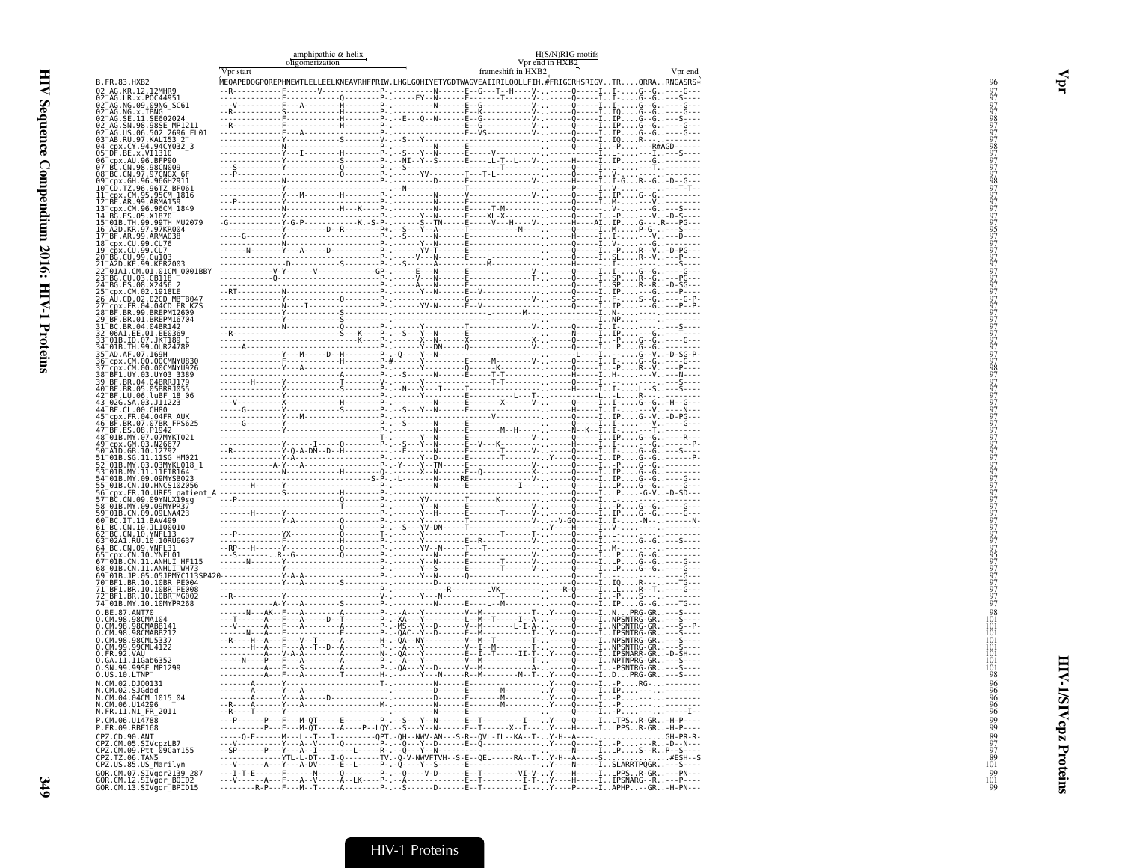|                                                                                                |           | amphipathic $\alpha$ -helix<br>oligomerization | Vpr end in HXB2<br>frameshift in HXB2                                                                                                                                                                                                                                                                                                                                                                                                                                                                | H(S/N)RIG motifs       |                           |         |
|------------------------------------------------------------------------------------------------|-----------|------------------------------------------------|------------------------------------------------------------------------------------------------------------------------------------------------------------------------------------------------------------------------------------------------------------------------------------------------------------------------------------------------------------------------------------------------------------------------------------------------------------------------------------------------------|------------------------|---------------------------|---------|
| B.FR.83.HXB2                                                                                   | Vpr start |                                                |                                                                                                                                                                                                                                                                                                                                                                                                                                                                                                      |                        |                           | Vpr end |
| 02 AG.KR.12.12MHR9                                                                             |           |                                                |                                                                                                                                                                                                                                                                                                                                                                                                                                                                                                      |                        |                           |         |
| 02-AG.LR.x.POC44951<br>02-AG.NG.09.09NG_SC61<br>02-AG.NG.x.IBNG_<br>02-AG.NG.x.IBNG            |           |                                                |                                                                                                                                                                                                                                                                                                                                                                                                                                                                                                      |                        |                           |         |
|                                                                                                |           |                                                |                                                                                                                                                                                                                                                                                                                                                                                                                                                                                                      |                        |                           |         |
|                                                                                                |           |                                                |                                                                                                                                                                                                                                                                                                                                                                                                                                                                                                      |                        |                           |         |
|                                                                                                |           |                                                |                                                                                                                                                                                                                                                                                                                                                                                                                                                                                                      |                        |                           |         |
| 05 DF.BE.x.VII310<br>06 cpx.AU.96.BFP90                                                        |           |                                                |                                                                                                                                                                                                                                                                                                                                                                                                                                                                                                      |                        |                           |         |
|                                                                                                |           |                                                |                                                                                                                                                                                                                                                                                                                                                                                                                                                                                                      |                        |                           |         |
| 08 <sup>-</sup> BC.CN.97.97CNGX 6F                                                             |           |                                                |                                                                                                                                                                                                                                                                                                                                                                                                                                                                                                      |                        |                           |         |
|                                                                                                |           |                                                |                                                                                                                                                                                                                                                                                                                                                                                                                                                                                                      |                        |                           |         |
|                                                                                                |           |                                                |                                                                                                                                                                                                                                                                                                                                                                                                                                                                                                      |                        |                           |         |
|                                                                                                |           |                                                |                                                                                                                                                                                                                                                                                                                                                                                                                                                                                                      |                        |                           |         |
| :4-00:1-3.00:1.1070<br>15-01B.TH.99.99TH MU2079<br>16-A2D.KR.97.97KR004<br>17-BF.AR.99.ARMA038 |           |                                                |                                                                                                                                                                                                                                                                                                                                                                                                                                                                                                      |                        |                           |         |
|                                                                                                |           |                                                |                                                                                                                                                                                                                                                                                                                                                                                                                                                                                                      |                        |                           |         |
|                                                                                                |           |                                                |                                                                                                                                                                                                                                                                                                                                                                                                                                                                                                      |                        |                           |         |
|                                                                                                |           |                                                |                                                                                                                                                                                                                                                                                                                                                                                                                                                                                                      |                        |                           |         |
|                                                                                                |           |                                                |                                                                                                                                                                                                                                                                                                                                                                                                                                                                                                      |                        |                           |         |
|                                                                                                |           |                                                |                                                                                                                                                                                                                                                                                                                                                                                                                                                                                                      |                        |                           |         |
|                                                                                                |           |                                                |                                                                                                                                                                                                                                                                                                                                                                                                                                                                                                      |                        |                           |         |
|                                                                                                |           |                                                |                                                                                                                                                                                                                                                                                                                                                                                                                                                                                                      |                        |                           |         |
|                                                                                                |           |                                                |                                                                                                                                                                                                                                                                                                                                                                                                                                                                                                      |                        |                           |         |
|                                                                                                |           |                                                |                                                                                                                                                                                                                                                                                                                                                                                                                                                                                                      |                        |                           |         |
|                                                                                                |           |                                                |                                                                                                                                                                                                                                                                                                                                                                                                                                                                                                      |                        |                           |         |
|                                                                                                |           |                                                |                                                                                                                                                                                                                                                                                                                                                                                                                                                                                                      |                        |                           |         |
|                                                                                                |           |                                                |                                                                                                                                                                                                                                                                                                                                                                                                                                                                                                      |                        |                           |         |
|                                                                                                |           |                                                |                                                                                                                                                                                                                                                                                                                                                                                                                                                                                                      |                        |                           |         |
|                                                                                                |           |                                                |                                                                                                                                                                                                                                                                                                                                                                                                                                                                                                      |                        |                           |         |
|                                                                                                |           |                                                |                                                                                                                                                                                                                                                                                                                                                                                                                                                                                                      |                        |                           |         |
|                                                                                                |           |                                                |                                                                                                                                                                                                                                                                                                                                                                                                                                                                                                      |                        |                           |         |
|                                                                                                |           |                                                |                                                                                                                                                                                                                                                                                                                                                                                                                                                                                                      |                        |                           |         |
|                                                                                                |           |                                                |                                                                                                                                                                                                                                                                                                                                                                                                                                                                                                      |                        |                           |         |
| 48−01В.МҮ.07.07МҮКТ021<br>49−срх.GM.03.N26677                                                  |           |                                                |                                                                                                                                                                                                                                                                                                                                                                                                                                                                                                      |                        |                           |         |
|                                                                                                |           |                                                |                                                                                                                                                                                                                                                                                                                                                                                                                                                                                                      |                        |                           |         |
|                                                                                                |           |                                                |                                                                                                                                                                                                                                                                                                                                                                                                                                                                                                      |                        |                           |         |
|                                                                                                |           |                                                |                                                                                                                                                                                                                                                                                                                                                                                                                                                                                                      |                        |                           |         |
|                                                                                                |           |                                                |                                                                                                                                                                                                                                                                                                                                                                                                                                                                                                      |                        |                           |         |
|                                                                                                |           |                                                |                                                                                                                                                                                                                                                                                                                                                                                                                                                                                                      |                        |                           |         |
|                                                                                                |           |                                                |                                                                                                                                                                                                                                                                                                                                                                                                                                                                                                      |                        |                           |         |
|                                                                                                |           |                                                |                                                                                                                                                                                                                                                                                                                                                                                                                                                                                                      |                        |                           |         |
|                                                                                                |           |                                                |                                                                                                                                                                                                                                                                                                                                                                                                                                                                                                      |                        |                           |         |
|                                                                                                |           |                                                |                                                                                                                                                                                                                                                                                                                                                                                                                                                                                                      |                        |                           |         |
|                                                                                                |           |                                                |                                                                                                                                                                                                                                                                                                                                                                                                                                                                                                      |                        |                           |         |
|                                                                                                |           |                                                |                                                                                                                                                                                                                                                                                                                                                                                                                                                                                                      |                        |                           |         |
|                                                                                                |           |                                                |                                                                                                                                                                                                                                                                                                                                                                                                                                                                                                      |                        |                           |         |
| 74 <sup>-</sup> 01B.MY.10.10MYPR268                                                            |           |                                                |                                                                                                                                                                                                                                                                                                                                                                                                                                                                                                      |                        |                           |         |
| 0.BE.87.ANT70                                                                                  |           |                                                |                                                                                                                                                                                                                                                                                                                                                                                                                                                                                                      |                        |                           |         |
|                                                                                                |           |                                                |                                                                                                                                                                                                                                                                                                                                                                                                                                                                                                      |                        |                           |         |
| 0.CM.98.98CMU5337                                                                              |           |                                                |                                                                                                                                                                                                                                                                                                                                                                                                                                                                                                      |                        |                           |         |
| 0.CM.99.99CMU4122                                                                              |           |                                                |                                                                                                                                                                                                                                                                                                                                                                                                                                                                                                      |                        |                           |         |
| 0.FR.92.VAU<br>0.GA.11.11Gab6352                                                               |           |                                                |                                                                                                                                                                                                                                                                                                                                                                                                                                                                                                      |                        |                           |         |
| 0.SN.99.99SE MP1299<br>0.05.10. LTNP                                                           |           |                                                |                                                                                                                                                                                                                                                                                                                                                                                                                                                                                                      |                        |                           |         |
| N.CM.02.DJ00131<br>N.CM.02.SJGddd                                                              |           |                                                |                                                                                                                                                                                                                                                                                                                                                                                                                                                                                                      | $Y - - -Q - - - - I$ . | $\frac{1}{2}P$ RG-------- |         |
| N.CM.04.04CM 1015 04                                                                           |           |                                                |                                                                                                                                                                                                                                                                                                                                                                                                                                                                                                      |                        |                           |         |
| N.CM.06.U14296                                                                                 |           |                                                | $\begin{minipage}{0.99\textwidth} \begin{minipage}{0.99\textwidth} \begin{minipage}{0.99\textwidth} \begin{minipage}{0.99\textwidth} \begin{minipage}{0.99\textwidth} \begin{minipage}{0.99\textwidth} \begin{minipage}{0.99\textwidth} \begin{minipage}{0.99\textwidth} \begin{minipage}{0.99\textwidth} \begin{minipage}{0.99\textwidth} \begin{minipage}{0.99\textwidth} \begin{minipage}{0.99\textwidth} \begin{minipage}{0.99\textwidth} \begin{minipage}{0.99\textwidth} \begin{minipage}{0.9$ |                        |                           |         |
| N.FR.11.N1_FR_2011<br>P.CM.06.U14788                                                           |           |                                                | ---P------P---F---M-QT-----E--------P- --S---Y--N------E--T----------I---- Y----Q-----I .LTPS. R-GR. .-H-P----<br>-----------P---F---M-QT-----A----P--LQY.--S---Y--N------E--T------X--I---. Y----H-----ILPPS. R-GR. .-H-P----                                                                                                                                                                                                                                                                       |                        |                           |         |
| P.FR.09.RBF168                                                                                 |           |                                                |                                                                                                                                                                                                                                                                                                                                                                                                                                                                                                      |                        |                           |         |
| CPZ.CD.90.ANT                                                                                  |           |                                                |                                                                                                                                                                                                                                                                                                                                                                                                                                                                                                      |                        |                           |         |
| CPZ.CM.05.SIVcpzLB7<br>CPZ.CM.09.Ptt 09Cam155<br>CPZ.TZ.06.TAN5<br>CPZ.US.85.US_Marilyn        |           |                                                |                                                                                                                                                                                                                                                                                                                                                                                                                                                                                                      |                        |                           |         |
|                                                                                                |           |                                                |                                                                                                                                                                                                                                                                                                                                                                                                                                                                                                      |                        |                           |         |
| GOR.CM.07.SIVgor2139 287<br>GOR.CM.12.SIVgor BOID2<br>GOR.CM.13.SIVgor BPID15                  |           |                                                |                                                                                                                                                                                                                                                                                                                                                                                                                                                                                                      |                        |                           |         |
|                                                                                                |           |                                                |                                                                                                                                                                                                                                                                                                                                                                                                                                                                                                      |                        |                           |         |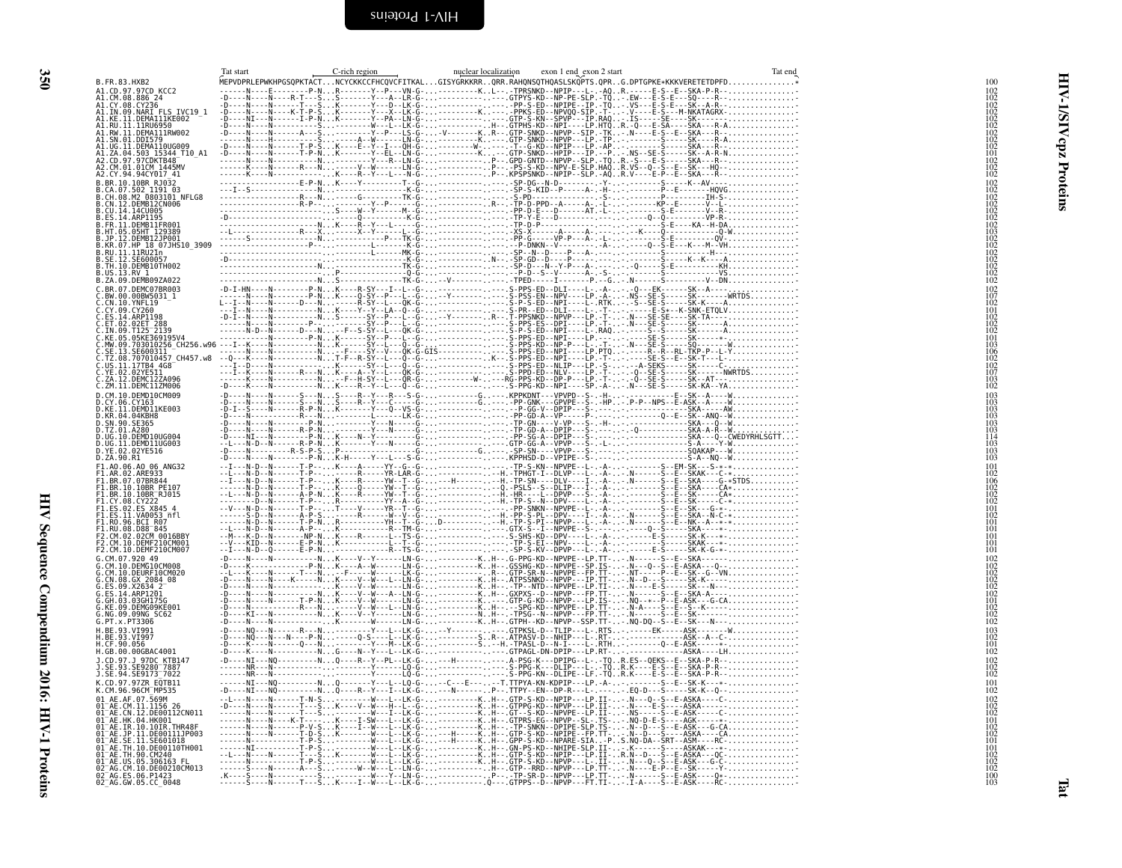<span id="page-39-0"></span>

|  | × |  |
|--|---|--|
|  |   |  |

<span id="page-39-1"></span>

| B.FR.83.HXB2                                                                                                                                                                      | Tat start | C-rich region | nuclear localization exon 1 end exon 2 start<br>Tat end | 100                                                                   |
|-----------------------------------------------------------------------------------------------------------------------------------------------------------------------------------|-----------|---------------|---------------------------------------------------------|-----------------------------------------------------------------------|
| -<br>A1.CD.97.97CD KCC2<br>A1.CM.08.886 24<br>A1.CY.08.CY236                                                                                                                      |           |               |                                                         |                                                                       |
| A1.IN.09.NARI FLS IVC19 1<br>A1.KE.11.DEMAI11KE002                                                                                                                                |           |               |                                                         |                                                                       |
| A1.RU.11.11RU6950<br>A1.RU.11.11RU6950<br>A1.RW.11.DEMA111RW002<br>A1.SN.01.DDI579                                                                                                |           |               |                                                         |                                                                       |
| A1.UG.11.DEMA110UG009                                                                                                                                                             |           |               |                                                         |                                                                       |
| A1.2A.04.563.15344_T10_A1<br>A1.2A.04.503_15344_T10_A1<br>A2.CD.97.97CDKTB48<br>A2.CY.94.94CY017_41                                                                               |           |               |                                                         | $\frac{102}{102}$                                                     |
| B.BR.10.10BR_RJ032                                                                                                                                                                |           |               |                                                         |                                                                       |
| B.CA.07.502 1191 03<br>B.CH.08.M2 0803101 NFLG8<br>B.CN.12.DEMB12CN006                                                                                                            |           |               |                                                         |                                                                       |
| B.CU.14.14CU005                                                                                                                                                                   |           |               |                                                         |                                                                       |
| ES.14.ARP1195                                                                                                                                                                     |           |               |                                                         |                                                                       |
| B.FR.11.DEMB11FR001<br>B.HT.05.05HT 129389<br>B.JP.12.DEMB12JP001<br>B.KR.07.HP.18.07JHS10_3909                                                                                   |           |               |                                                         |                                                                       |
| 3.RU.11.11RU21n<br>.SE.12.SE600057                                                                                                                                                |           |               |                                                         |                                                                       |
| B.TH.10.DEMB10TH002<br>B.US.13.RV_1<br>B.ZA.09.DEMB09ZA022                                                                                                                        |           |               |                                                         | $\frac{102}{102}$                                                     |
| C.BR.07.DEMC07BR003<br>.BW.00.00BW5031 1                                                                                                                                          |           |               |                                                         | $^{102}_{107}$                                                        |
| C.CN.10.YNFL19<br>C.CY.09.CY260<br>C.CY.09.CY260<br>C.ET.02.02ET_288.                                                                                                             |           |               |                                                         | $\frac{102}{101}$<br>$\frac{102}{102}$                                |
|                                                                                                                                                                                   |           |               |                                                         |                                                                       |
| C.IN.09.T125-2139<br>C.IN.09.T125-2139<br>C.KE.05.05KE369195V4 -----<br>C.MW.09.703010256_CH256.w96 ---I-                                                                         |           |               |                                                         | $\begin{array}{c} 102 \\ 102 \\ 101 \\ 103 \\ 106 \\ 102 \end{array}$ |
| Č.SE.13.SE600311 –<br>C.TZ.08.707010457_CH457.w8                                                                                                                                  |           |               |                                                         |                                                                       |
| C.12.00.707010437<br>C.US.11.17TB4_4G8<br>C.YE.02.02YE511<br>C.ZM.12.DEMC12ZA096<br>C.ZM.11.DEMC11ZM006                                                                           |           |               |                                                         | $\frac{102}{107}$<br>$\frac{103}{103}$                                |
|                                                                                                                                                                                   |           |               |                                                         |                                                                       |
| D.CM.10.DEMD10CM009<br>D.CY.06.CY163<br>D.KE.11.DEMD11KE003                                                                                                                       |           |               |                                                         | 103                                                                   |
| D.KR.04.04KBH8<br>D.SN.90.SE365                                                                                                                                                   |           |               |                                                         | $\begin{array}{c} 103 \\ 103 \\ 103 \\ 103 \\ 103 \end{array}$        |
| D.TZ.01.A280<br>D.UG.10.DEMD10UG004                                                                                                                                               |           |               |                                                         | 103<br>114                                                            |
| D.UG.11.DEMD11UG003<br>D.YE.02.02YE516<br>D.ZA.90.R1                                                                                                                              |           |               |                                                         | $\frac{103}{103}$                                                     |
| F1.A0.06.A0 06 ANG32<br>F1.AR.02.ARE933                                                                                                                                           |           |               |                                                         | 101                                                                   |
| F1.BR.07.07BR844<br>FI.BR.10.10BR PE107                                                                                                                                           |           |               |                                                         | 102<br>106<br>102<br>102<br>102                                       |
| F1.BR.10.10BR RJ015                                                                                                                                                               |           |               |                                                         |                                                                       |
| FI.CY.08.CY222<br>FI.ES.02.ES X845 4<br>FI.ES.11.VA0053.nfl<br>F1.RO.96.BCI R07                                                                                                   |           |               |                                                         | 101<br>102<br>101                                                     |
| FI.RU.08.D88-845<br>F1.RU.08.D88-845<br>F2.CM.10.DEMF210CM001                                                                                                                     |           |               |                                                         | $\frac{101}{101}$                                                     |
| F2.CM.10.DEMF210CM007                                                                                                                                                             |           |               |                                                         | 101<br>101                                                            |
| F 2. CM . 10 . 020 49<br>G. CM . 10 . DEMG10CM008<br>G. CM . 10 . DEMG10CM008<br>G. CM . 08 . GX 2084 08<br>G. ES . 09 . X2634 2<br>C. ES . 14 . ARP1201<br>C. ES . 14 . ARP12101 |           |               |                                                         |                                                                       |
|                                                                                                                                                                                   |           |               |                                                         |                                                                       |
| G.GH.03.03GH175G<br>G.KE.09.DEMG09KE001                                                                                                                                           |           |               |                                                         |                                                                       |
| G.NG.09.09NG_SC62                                                                                                                                                                 |           |               |                                                         |                                                                       |
| G.PT.x.PT3306<br>H.BE.93.VI991                                                                                                                                                    |           |               |                                                         |                                                                       |
| H.BE.93.VĪ997<br>H.CF.90.056<br>H.GB.00.00GBAC4001                                                                                                                                |           |               |                                                         | $\begin{array}{c} 103 \\ 102 \\ 101 \\ 102 \end{array}$               |
| J.CD.97.J 97DC KTB147<br>J.SE.93.SE9280 <sup>-</sup> 7887                                                                                                                         |           |               |                                                         | $\frac{102}{102}$                                                     |
| J.SE.94.SE9173 <sup>-</sup> 7022<br>K.CD.97.97ZR EQTB11                                                                                                                           |           |               |                                                         | 101                                                                   |
| K.CM.96.96CM MP535<br>01 AE.AF.07.569M                                                                                                                                            |           |               |                                                         | 102                                                                   |
|                                                                                                                                                                                   |           |               |                                                         | $\frac{102}{102}$                                                     |
| 01 AE:CM:11.1156 26<br>01 AE:CM:12.DE00112CN011<br>01 AE:CN:12.DE00112CN011<br>01 AE:TR:10.10IR.THR48F<br>01 AE:JP:11.DE00111JP003<br>01 AE:JP:11.DE00111JP003                    |           |               |                                                         | 101<br>$^{102}_{102}$                                                 |
| 01 AE.SE.11.SE601018<br>01 AE.TH.10.DE00110TH001                                                                                                                                  |           |               |                                                         | $\frac{101}{101}$                                                     |
| 01 AE. TH. 90. CM240<br>01 AE.US.05.306163 FL                                                                                                                                     |           |               |                                                         | 102<br>102<br>102<br>102                                              |
| 02 AG.CM.10.DE00210CM013<br>02 AG.ES.06.P1423<br>02 AG.ES.06.P1423                                                                                                                |           |               |                                                         | $\frac{100}{103}$                                                     |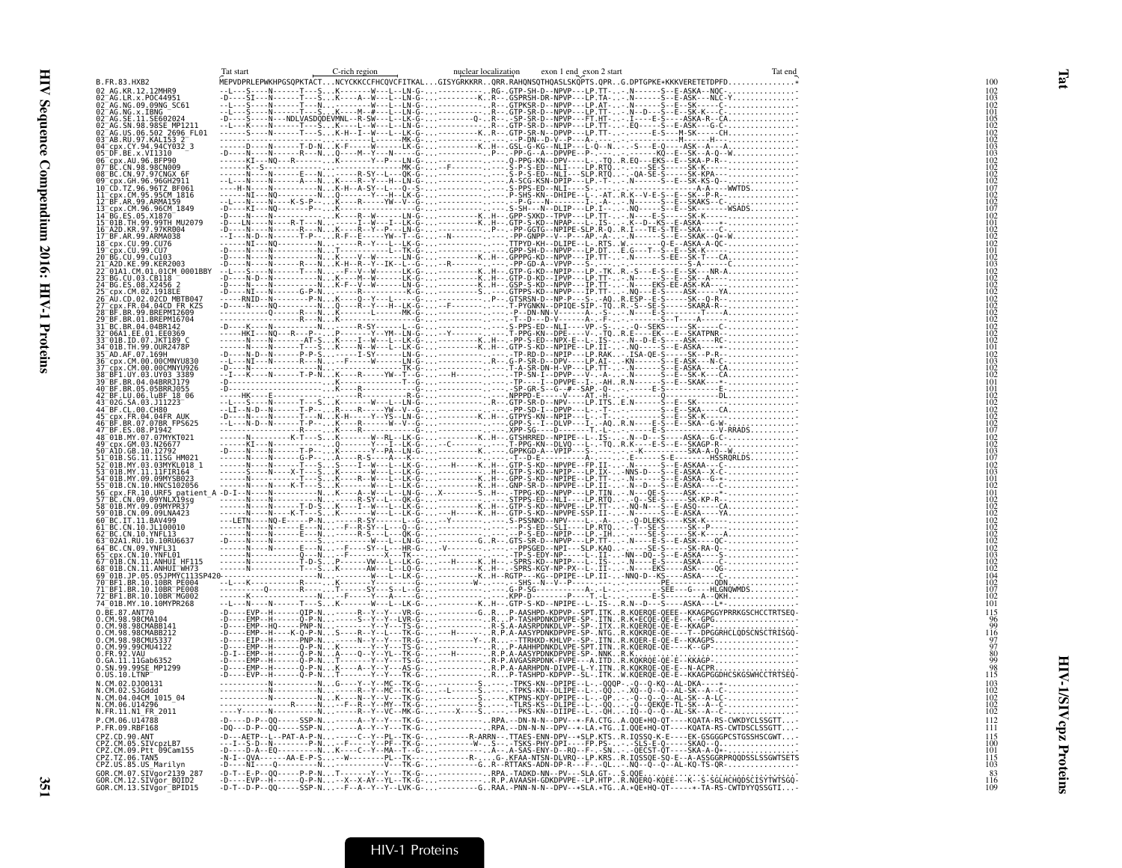| Tat start | C-rich region | nuclear localization exon 1 end exon 2 start | Tat end |                                     |
|-----------|---------------|----------------------------------------------|---------|-------------------------------------|
|           |               |                                              |         |                                     |
|           |               |                                              |         |                                     |
|           |               |                                              |         |                                     |
|           |               |                                              |         |                                     |
|           |               |                                              |         |                                     |
|           |               |                                              |         |                                     |
|           |               |                                              |         |                                     |
|           |               |                                              |         |                                     |
|           |               |                                              |         |                                     |
|           |               |                                              |         |                                     |
|           |               |                                              |         |                                     |
|           |               |                                              |         |                                     |
|           |               |                                              |         |                                     |
|           |               |                                              |         |                                     |
|           |               |                                              |         |                                     |
|           |               |                                              |         |                                     |
|           |               |                                              |         |                                     |
|           |               |                                              |         |                                     |
|           |               |                                              |         |                                     |
|           |               |                                              |         |                                     |
|           |               |                                              |         |                                     |
|           |               |                                              |         |                                     |
|           |               |                                              |         |                                     |
|           |               |                                              |         |                                     |
|           |               |                                              |         |                                     |
|           |               |                                              |         |                                     |
|           |               |                                              |         |                                     |
|           |               |                                              |         |                                     |
|           |               |                                              |         |                                     |
|           |               |                                              |         |                                     |
|           |               |                                              |         |                                     |
|           |               |                                              |         |                                     |
|           |               |                                              |         |                                     |
|           |               |                                              |         |                                     |
|           |               |                                              |         |                                     |
|           |               |                                              |         |                                     |
|           |               |                                              |         |                                     |
|           |               |                                              |         |                                     |
|           |               |                                              |         |                                     |
|           |               |                                              |         |                                     |
|           |               |                                              |         |                                     |
|           |               |                                              |         |                                     |
|           |               |                                              |         |                                     |
|           |               |                                              |         |                                     |
|           |               |                                              |         |                                     |
|           |               |                                              |         |                                     |
|           |               |                                              |         | $\frac{102}{101}$                   |
|           |               |                                              |         | 115                                 |
|           |               |                                              |         | $\frac{96}{99}$<br>$\frac{116}{97}$ |
|           |               |                                              |         |                                     |
|           |               |                                              |         |                                     |
|           |               |                                              |         |                                     |
|           |               |                                              |         | 115                                 |
|           |               |                                              |         |                                     |
|           |               |                                              |         |                                     |
|           |               |                                              |         |                                     |
|           |               |                                              |         |                                     |
|           |               |                                              |         | 112<br>111                          |
|           |               |                                              |         |                                     |
|           |               |                                              |         |                                     |
|           |               |                                              |         | 103                                 |
|           |               |                                              |         | $^{83}_{116}$                       |
|           |               |                                              |         | 109                                 |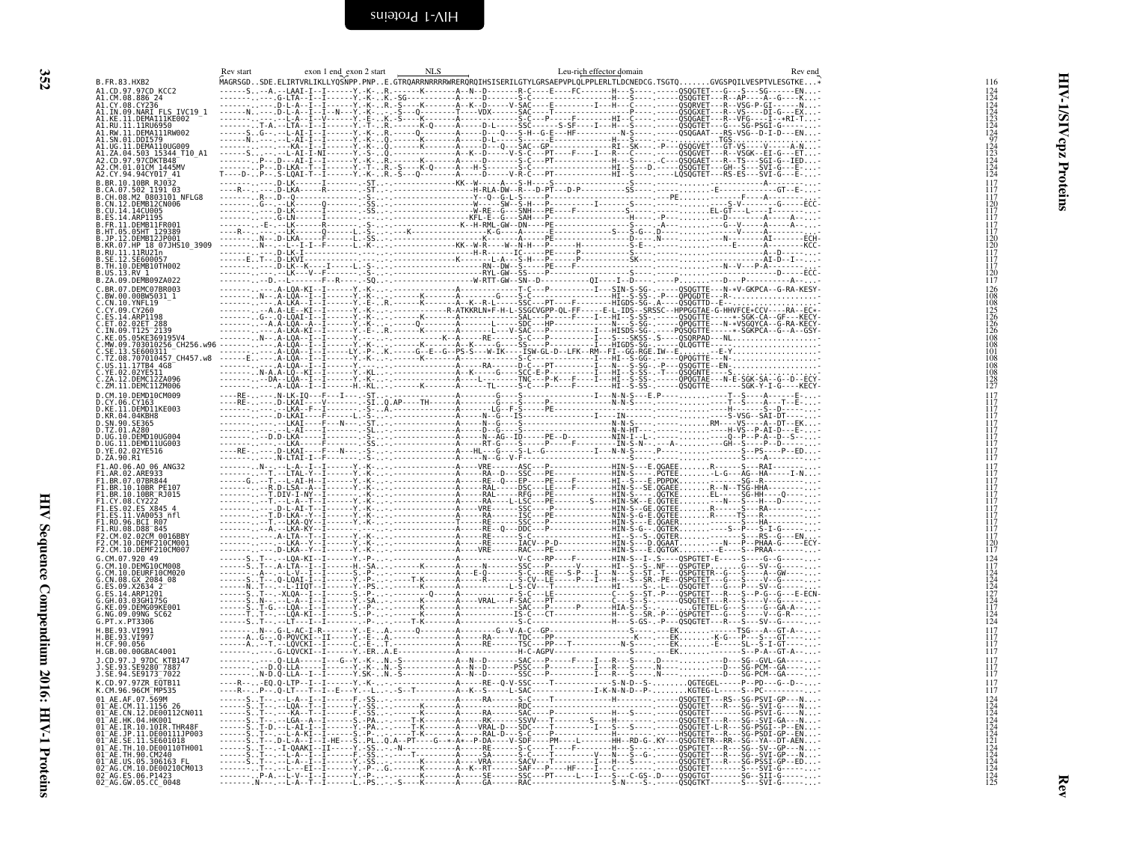<span id="page-41-0"></span>

|  | ×, |  |
|--|----|--|
|  |    |  |
|  |    |  |
|  |    |  |

<span id="page-41-1"></span>

| Rev start<br>exon 1 end exon 2 start | <b>NLS</b><br>Leu-rich effector domain | Rev end<br>116                                                     |
|--------------------------------------|----------------------------------------|--------------------------------------------------------------------|
|                                      |                                        | 124<br>124<br>124<br>123<br>124<br>124<br>124<br>124<br>124<br>124 |
|                                      |                                        |                                                                    |
|                                      |                                        |                                                                    |
|                                      |                                        |                                                                    |
|                                      |                                        |                                                                    |
|                                      |                                        |                                                                    |
|                                      |                                        | $\frac{117}{117}$                                                  |
|                                      |                                        |                                                                    |
|                                      |                                        |                                                                    |
|                                      |                                        |                                                                    |
|                                      |                                        | $\frac{120}{120}$<br>$\frac{17}{117}$                              |
|                                      |                                        |                                                                    |
|                                      |                                        |                                                                    |
|                                      |                                        | 126<br>108<br>108<br>125<br>126<br>126<br>126<br>126<br>108        |
|                                      |                                        |                                                                    |
|                                      |                                        |                                                                    |
|                                      |                                        |                                                                    |
|                                      |                                        |                                                                    |
|                                      |                                        | $\frac{128}{127}$                                                  |
|                                      |                                        | $\frac{117}{117}$                                                  |
|                                      |                                        |                                                                    |
|                                      |                                        |                                                                    |
|                                      |                                        |                                                                    |
|                                      |                                        |                                                                    |
|                                      |                                        |                                                                    |
|                                      |                                        |                                                                    |
|                                      |                                        |                                                                    |
|                                      |                                        |                                                                    |
|                                      |                                        |                                                                    |
|                                      |                                        | $\frac{120}{117}$                                                  |
|                                      |                                        | $^{124}_{117}$                                                     |
|                                      |                                        |                                                                    |
|                                      |                                        |                                                                    |
|                                      |                                        | 124<br>124<br>127<br>127<br>124<br>117<br>124<br>124               |
|                                      |                                        |                                                                    |
|                                      |                                        | $\frac{117}{117}$                                                  |
|                                      |                                        |                                                                    |
|                                      |                                        |                                                                    |
|                                      |                                        |                                                                    |
|                                      |                                        |                                                                    |
|                                      |                                        |                                                                    |
|                                      |                                        |                                                                    |
|                                      |                                        |                                                                    |
|                                      |                                        |                                                                    |
|                                      |                                        |                                                                    |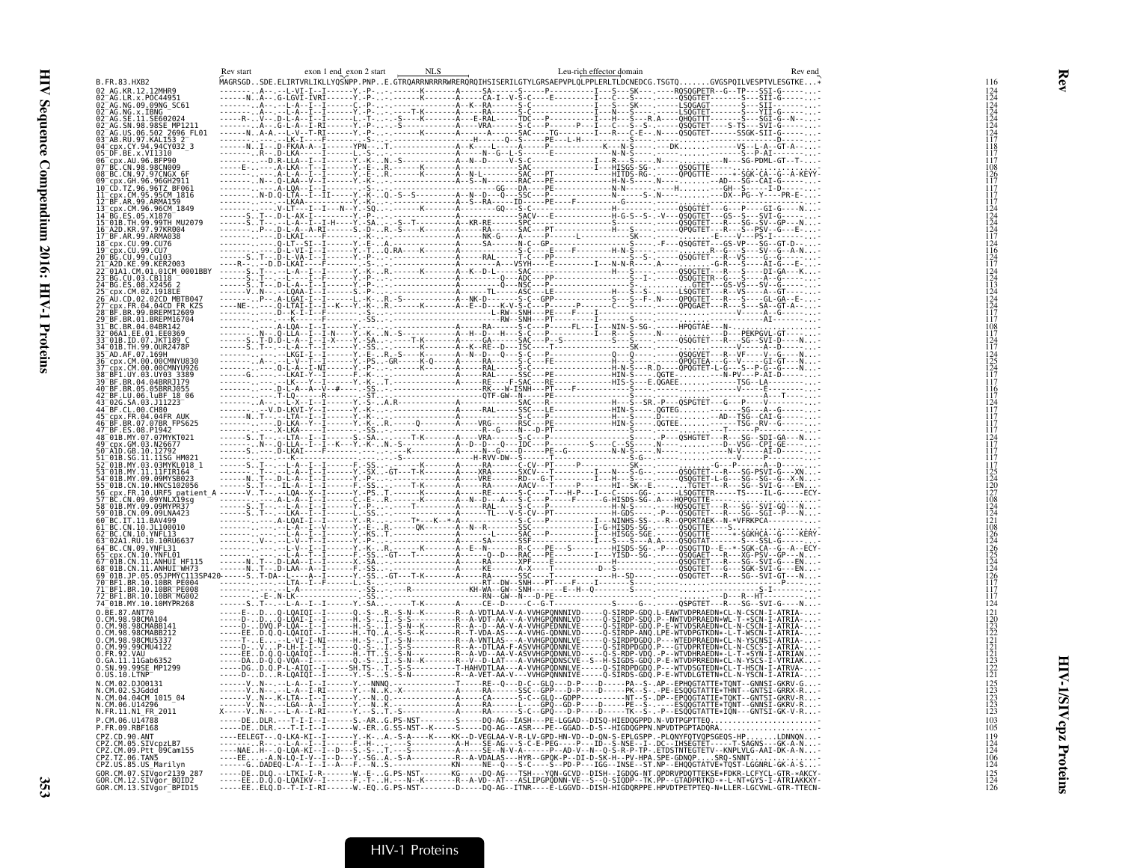|                                                                                    | Rev start | exon 1 end exon 2 start | NLS | Leu-rich effector domain |  | Rev end |                |
|------------------------------------------------------------------------------------|-----------|-------------------------|-----|--------------------------|--|---------|----------------|
|                                                                                    |           |                         |     |                          |  |         |                |
|                                                                                    |           |                         |     |                          |  |         |                |
|                                                                                    |           |                         |     |                          |  |         |                |
|                                                                                    |           |                         |     |                          |  |         |                |
|                                                                                    |           |                         |     |                          |  |         |                |
|                                                                                    |           |                         |     |                          |  |         |                |
|                                                                                    |           |                         |     |                          |  |         |                |
|                                                                                    |           |                         |     |                          |  |         |                |
|                                                                                    |           |                         |     |                          |  |         |                |
|                                                                                    |           |                         |     |                          |  |         |                |
|                                                                                    |           |                         |     |                          |  |         |                |
|                                                                                    |           |                         |     |                          |  |         |                |
|                                                                                    |           |                         |     |                          |  |         |                |
|                                                                                    |           |                         |     |                          |  |         |                |
|                                                                                    |           |                         |     |                          |  |         |                |
|                                                                                    |           |                         |     |                          |  |         |                |
|                                                                                    |           |                         |     |                          |  |         |                |
|                                                                                    |           |                         |     |                          |  |         |                |
|                                                                                    |           |                         |     |                          |  |         |                |
|                                                                                    |           |                         |     |                          |  |         |                |
|                                                                                    |           |                         |     |                          |  |         |                |
|                                                                                    |           |                         |     |                          |  |         |                |
|                                                                                    |           |                         |     |                          |  |         |                |
|                                                                                    |           |                         |     |                          |  |         |                |
|                                                                                    |           |                         |     |                          |  |         |                |
|                                                                                    |           |                         |     |                          |  |         |                |
|                                                                                    |           |                         |     |                          |  |         |                |
|                                                                                    |           |                         |     |                          |  |         |                |
|                                                                                    |           |                         |     |                          |  |         |                |
|                                                                                    |           |                         |     |                          |  |         |                |
|                                                                                    |           |                         |     |                          |  |         |                |
|                                                                                    |           |                         |     |                          |  |         |                |
|                                                                                    |           |                         |     |                          |  |         |                |
|                                                                                    |           |                         |     |                          |  |         |                |
|                                                                                    |           |                         |     |                          |  |         |                |
|                                                                                    |           |                         |     |                          |  |         |                |
|                                                                                    |           |                         |     |                          |  |         |                |
|                                                                                    |           |                         |     |                          |  |         |                |
|                                                                                    |           |                         |     |                          |  |         |                |
|                                                                                    |           |                         |     |                          |  |         |                |
|                                                                                    |           |                         |     |                          |  |         |                |
|                                                                                    |           |                         |     |                          |  |         |                |
|                                                                                    |           |                         |     |                          |  |         |                |
|                                                                                    |           |                         |     |                          |  |         | $^{103}_{105}$ |
|                                                                                    |           |                         |     |                          |  |         |                |
|                                                                                    |           |                         |     |                          |  |         |                |
|                                                                                    |           |                         |     |                          |  |         |                |
| -<br>GOR.CM.07.SIVgor2139 287<br>GOR.CM.12.SIVgor_BQID2<br>GOR.CM.13.SIVgor_BPID15 |           |                         |     |                          |  |         |                |
|                                                                                    |           |                         |     |                          |  |         |                |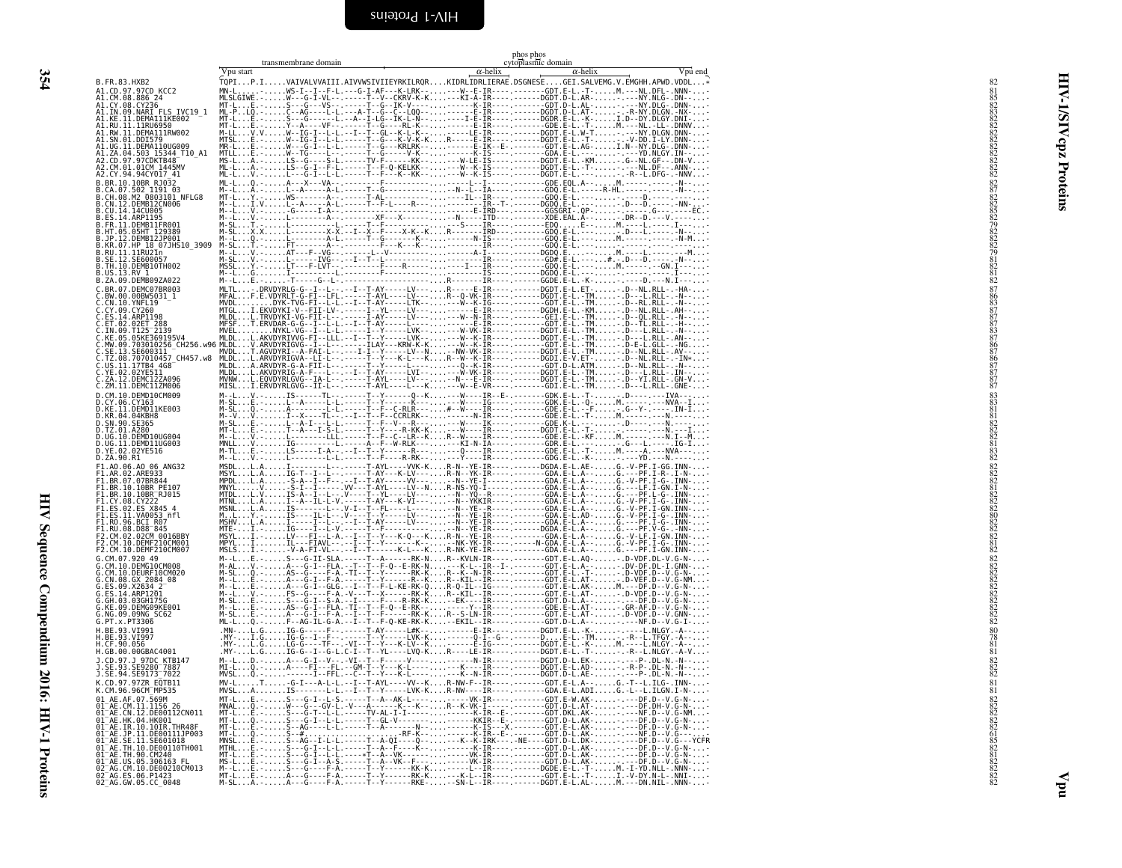| I<br>í<br>Ì                                                       |
|-------------------------------------------------------------------|
|                                                                   |
|                                                                   |
|                                                                   |
|                                                                   |
|                                                                   |
|                                                                   |
|                                                                   |
|                                                                   |
|                                                                   |
|                                                                   |
|                                                                   |
|                                                                   |
|                                                                   |
|                                                                   |
|                                                                   |
| $\overline{a}$<br>ĺ                                               |
|                                                                   |
| I                                                                 |
| i<br>China and<br>ℷ                                               |
| I<br>İ                                                            |
| $\ddot{\phantom{a}}$<br>í                                         |
|                                                                   |
|                                                                   |
| <b>THE SALAS</b>                                                  |
| $\begin{array}{c} \hline \end{array}$<br>$\overline{\phantom{0}}$ |
| j<br>֠<br>Proteins                                                |
|                                                                   |

<span id="page-43-0"></span>HIV Sequence Compendium 2016: HIV-1 Proteins

<span id="page-43-1"></span>

| Vpu start<br>$\alpha$ -helix<br>$\alpha$ -helix<br>Vpu end<br>TQPIP.IVAIVALVVAIII.AIVVWSIVIIEYRKILRQRKIDRLIDRLIERAE.DSGNESEGEI.SALVEMG.V.EMGHH.APWD.VDDL*<br>B.FR.83.HXB2                                                                                                                                                                                                                                                 | 82<br>81                                                 |
|---------------------------------------------------------------------------------------------------------------------------------------------------------------------------------------------------------------------------------------------------------------------------------------------------------------------------------------------------------------------------------------------------------------------------|----------------------------------------------------------|
|                                                                                                                                                                                                                                                                                                                                                                                                                           |                                                          |
|                                                                                                                                                                                                                                                                                                                                                                                                                           |                                                          |
|                                                                                                                                                                                                                                                                                                                                                                                                                           |                                                          |
|                                                                                                                                                                                                                                                                                                                                                                                                                           |                                                          |
|                                                                                                                                                                                                                                                                                                                                                                                                                           |                                                          |
|                                                                                                                                                                                                                                                                                                                                                                                                                           |                                                          |
|                                                                                                                                                                                                                                                                                                                                                                                                                           |                                                          |
|                                                                                                                                                                                                                                                                                                                                                                                                                           | 82782852922222238229382293822                            |
|                                                                                                                                                                                                                                                                                                                                                                                                                           |                                                          |
|                                                                                                                                                                                                                                                                                                                                                                                                                           |                                                          |
|                                                                                                                                                                                                                                                                                                                                                                                                                           |                                                          |
|                                                                                                                                                                                                                                                                                                                                                                                                                           | 87863877733887                                           |
|                                                                                                                                                                                                                                                                                                                                                                                                                           |                                                          |
|                                                                                                                                                                                                                                                                                                                                                                                                                           |                                                          |
|                                                                                                                                                                                                                                                                                                                                                                                                                           | 86786777888                                              |
|                                                                                                                                                                                                                                                                                                                                                                                                                           |                                                          |
| D.CM.10.DEMD10CM009                                                                                                                                                                                                                                                                                                                                                                                                       |                                                          |
| D.CY.06.CY163<br>D.KE.11.DEMD11KE003<br>D.KR.04.04KBH8                                                                                                                                                                                                                                                                                                                                                                    |                                                          |
| D.SN.90.SE365<br>D.TZ.01.A280<br>D.UG.10.DEMD10UG004                                                                                                                                                                                                                                                                                                                                                                      |                                                          |
| D.UG.11.DEMD11UG003<br>D.YE.02.02YE516<br>D.ZA.90.R1                                                                                                                                                                                                                                                                                                                                                                      | 83<br>88<br>81<br>82<br>82<br>82<br>83<br>83<br>82       |
| F1.A0.06.A0_06_ANG32<br>F1.AR.02.ARE933                                                                                                                                                                                                                                                                                                                                                                                   |                                                          |
| F1.BR.07.07BR844<br>F1.BR.10.10BR PE107<br>F1.BR.10.10BR RJ015                                                                                                                                                                                                                                                                                                                                                            |                                                          |
| F1.CY.08.CY222<br>F1.ES.02.ES X845<br>F1.ES.11.VA0053 nfl<br>F1.R0.96.BCI R07                                                                                                                                                                                                                                                                                                                                             |                                                          |
| F1.RU.08.D88 <sup>-</sup> 845<br>F2.CM.02.02CM 0016BB\                                                                                                                                                                                                                                                                                                                                                                    |                                                          |
| F2.CM.10.DEMF210CM001<br>F2.CM.10.DEMF210CM007                                                                                                                                                                                                                                                                                                                                                                            |                                                          |
| .E. - S---G-II-SLA. -----T--A------RK-N. R--KVLN-IR---- . -------GDT.E-L.AQ- D-VDF.DL-V.G-N-<br>G.CM.07.920 49<br>G.CM.10.DEMG10CM008<br>G.CM.10.DEURF10CM020                                                                                                                                                                                                                                                             |                                                          |
| CN.08.GX 2084 08<br>ES.09.X2634 2<br>ES.14.ARP1201                                                                                                                                                                                                                                                                                                                                                                        |                                                          |
| $M=1, \ldots, 1, \ldots, 1, \ldots, 1, \ldots, 1, \ldots, 1, \ldots, 1, \ldots, 1, \ldots, 1, \ldots, 1, \ldots, 1, \ldots, 1, \ldots, 1, \ldots, 1, \ldots, 1, \ldots, 1, \ldots, 1, \ldots, 1, \ldots, 1, \ldots, 1, \ldots, 1, \ldots, 1, \ldots, 1, \ldots, 1, \ldots, 1, \ldots, 1, \ldots, 1, \ldots, 1, \ldots, 1, \ldots, 1, \ldots, 1, \ldots, 1$<br>.GH.03.03GH175G<br>G.KE.09.DEMG09KE001<br>G.NG.09.09NG SC62 | 82<br>882<br>882<br>82<br>82<br>82<br>82<br>82<br>82<br> |
| G.PT.x.PT3306<br>H. BE. 93. VT991                                                                                                                                                                                                                                                                                                                                                                                         |                                                          |
| H.BE.93.VI997<br>H.CF.90.056<br>H.GB.00.00GBAC4001                                                                                                                                                                                                                                                                                                                                                                        | $\frac{80}{78}$<br>81                                    |
| J.CD.97.J 97DC_KTB147<br>J.SE.93.SE9280 <sup>-</sup> 7887                                                                                                                                                                                                                                                                                                                                                                 | 828282                                                   |
| J.SE.94.SE9173 <sup>-</sup> 7022<br>MV-LTG-I---A-L-L.--I--T-AYL----VV--KR-NW-F--IR----.-------GDT.E-L.A--G.-T--L.ILG-.INN--<br>K.CD.97.97ZR EQTB11<br>. . A. IS- - - - - - L- L . -- I - - T - - Y - - - - LVK-K. R - NW- - - - IR- - - - - - - - - GDA . E- L . ADI G . - L - - L . ILGN . I - N -<br>K.CM.96.96CM_MP535                                                                                                 | 81<br>81                                                 |
| к. ил. 90. 90cm – 17-559M<br>01 – АЕ. СМ. 11, 11,569 26<br>01 – АЕ. СМ. 12, 0. 00001 – 20. 0001 – АЕ. НК. 04. 12, 0. 000011<br>01 – АЕ. НК. 04. 1. 0000111110003<br>01 – АЕ. - 17. 11, 0. 000011110003<br>01 – АЕ. - ТН. 10, 0. 000011110003<br>MT-LE.-S---G-I--L-S.-----T--A--AK-L---------VK-IR------------GDT.E-W.AK--.---DF.D--V.G-N--                                                                                |                                                          |
|                                                                                                                                                                                                                                                                                                                                                                                                                           |                                                          |
|                                                                                                                                                                                                                                                                                                                                                                                                                           |                                                          |
| 01-AE.TH.90.CM240<br>01-AE.TH.90.CM240<br>01-AE.US.05.306163 FL<br>02-AG.ES.06.P1423<br>02-AG.ES.06.P1423<br>02-AG.GW.05.CC_0048                                                                                                                                                                                                                                                                                          |                                                          |
|                                                                                                                                                                                                                                                                                                                                                                                                                           |                                                          |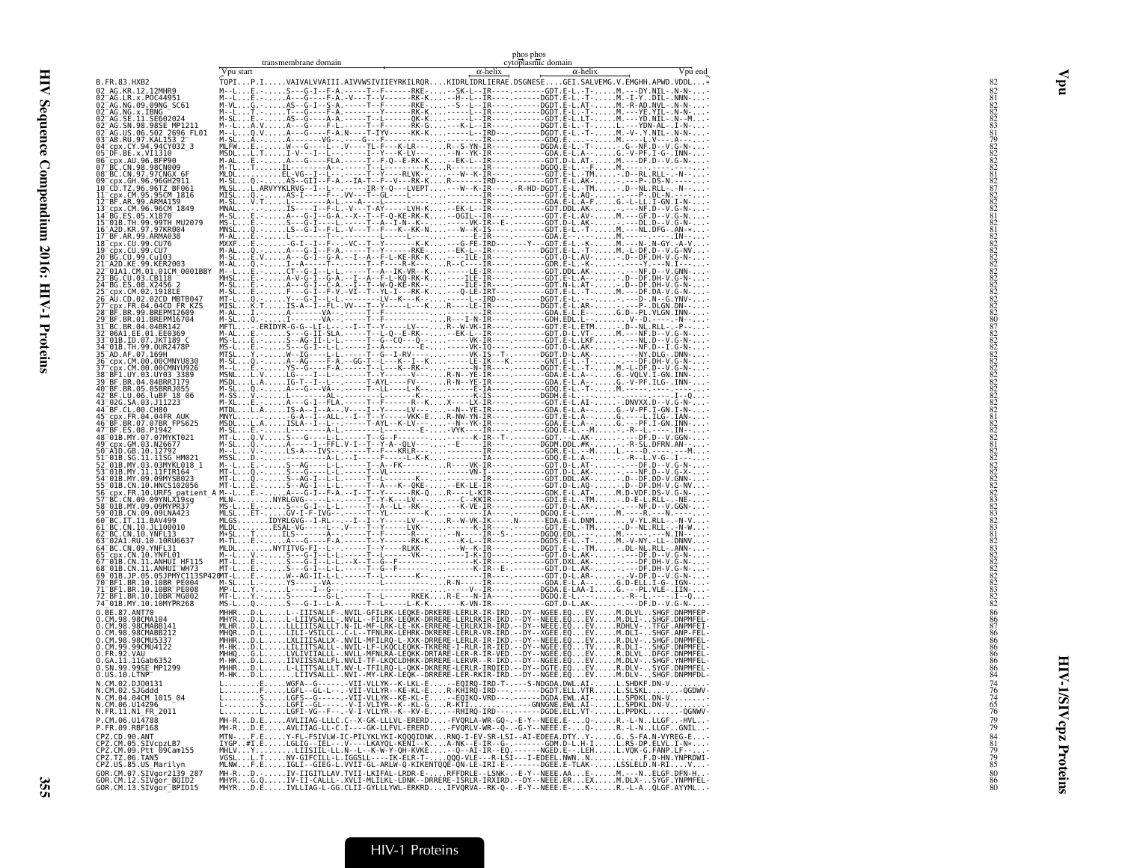|                                                                                  | transmembrane domain                                                                                                                                                                        | phos phos<br>cytoplasmic domain |                 |
|----------------------------------------------------------------------------------|---------------------------------------------------------------------------------------------------------------------------------------------------------------------------------------------|---------------------------------|-----------------|
| B.FR.83.HXB2                                                                     | Vpu start<br>TQPIP.IVAIVALVVAIII.AIVVWSIVIIEYRKILRQRKIDRLIDRLIERAE.DSGNESEGEI.SALVEMG.V.EMGHH.APWD.VDDL*                                                                                    | $\alpha$ -helix                 | $\alpha$ -helix |
|                                                                                  |                                                                                                                                                                                             |                                 |                 |
|                                                                                  |                                                                                                                                                                                             |                                 |                 |
|                                                                                  |                                                                                                                                                                                             |                                 |                 |
|                                                                                  |                                                                                                                                                                                             |                                 |                 |
|                                                                                  |                                                                                                                                                                                             |                                 |                 |
|                                                                                  |                                                                                                                                                                                             |                                 |                 |
|                                                                                  |                                                                                                                                                                                             |                                 |                 |
|                                                                                  |                                                                                                                                                                                             |                                 |                 |
|                                                                                  |                                                                                                                                                                                             |                                 |                 |
|                                                                                  |                                                                                                                                                                                             |                                 |                 |
|                                                                                  |                                                                                                                                                                                             |                                 |                 |
|                                                                                  |                                                                                                                                                                                             |                                 |                 |
|                                                                                  |                                                                                                                                                                                             |                                 |                 |
|                                                                                  |                                                                                                                                                                                             |                                 |                 |
|                                                                                  |                                                                                                                                                                                             |                                 |                 |
|                                                                                  |                                                                                                                                                                                             |                                 |                 |
|                                                                                  |                                                                                                                                                                                             |                                 |                 |
|                                                                                  |                                                                                                                                                                                             |                                 |                 |
|                                                                                  |                                                                                                                                                                                             |                                 |                 |
|                                                                                  |                                                                                                                                                                                             |                                 |                 |
|                                                                                  |                                                                                                                                                                                             |                                 |                 |
|                                                                                  |                                                                                                                                                                                             |                                 |                 |
|                                                                                  |                                                                                                                                                                                             |                                 |                 |
|                                                                                  |                                                                                                                                                                                             |                                 |                 |
|                                                                                  |                                                                                                                                                                                             |                                 |                 |
|                                                                                  |                                                                                                                                                                                             |                                 |                 |
|                                                                                  |                                                                                                                                                                                             |                                 |                 |
|                                                                                  |                                                                                                                                                                                             |                                 |                 |
|                                                                                  |                                                                                                                                                                                             |                                 |                 |
|                                                                                  |                                                                                                                                                                                             |                                 |                 |
|                                                                                  |                                                                                                                                                                                             |                                 |                 |
|                                                                                  |                                                                                                                                                                                             |                                 |                 |
|                                                                                  |                                                                                                                                                                                             |                                 |                 |
|                                                                                  |                                                                                                                                                                                             |                                 |                 |
|                                                                                  |                                                                                                                                                                                             |                                 |                 |
|                                                                                  |                                                                                                                                                                                             |                                 |                 |
| 0.BE.87.ANT70<br>0.CM.98.98CMA104<br>0.CM.98.98CMABB141                          |                                                                                                                                                                                             |                                 |                 |
| 0.CM.98.98CMABB212                                                               |                                                                                                                                                                                             |                                 |                 |
| 0.CM.98.98CMU5337<br>0.CM.99.99CMU4122<br>0.FR.92.VAU                            |                                                                                                                                                                                             |                                 |                 |
| 0.GA.11.11Gab6352<br>0.SN.99.99SE_MP1299<br>$0.05.10.$ LTNP                      | MHHRD.I-S~~G-T--L-A---T--L-MF-L-ROCLOHK-ORRERE-LERLR-TR-IRD.--DY--NGEE.EOEVDF.L.HET-D--V<br>MHHRD.LLLITISALLE.NVIL-GFILRR-LEOKE-DRRERE-LERLRYRP-TRD.--DY--NGEE.EOEVM.DLVLSHGF.DNPMFEE-<br>M |                                 |                 |
| N.CM.02.DJ00131                                                                  |                                                                                                                                                                                             |                                 |                 |
| N.CM.02.SJGddd<br>N.CM.04.04CM_1015_04<br>CM.06.U14296                           |                                                                                                                                                                                             |                                 |                 |
| N.FR.11.N1_FR_2011                                                               |                                                                                                                                                                                             |                                 |                 |
| P.CM.06.U14788<br>P.FR.09.RBF168                                                 |                                                                                                                                                                                             |                                 |                 |
| CPZ.CD.90.ANT<br>CPZ.CM.05.SIVcpzLB7<br>CPZ.CM.09.Ptt 09Cam155<br>CPZ.TZ.06.TAN5 |                                                                                                                                                                                             |                                 |                 |
|                                                                                  | MTNB.EY-FL-FSIVLW-IC-PILYKLYKI-KOOOIDNKRNO-I-EV-SR-LSI--AI-EDEEA.BTYY-GS-FA.N-VYREG-E<br>TYGP-#I.EY-FL-FSIVLW-IC-PILYKLYKI-KOOOIDNKRNO-I-EV-SR-LSI--AI-EDEEA.BTY.Y-GS-FA.N-VYREG-E-<br>     |                                 |                 |
| CPZ.US.85.US Marilyn                                                             |                                                                                                                                                                                             |                                 |                 |
| GOR.CM.07.SIVgor2139 287<br>GOR.CM.12.SIVgor_BOID2<br>GOR.CM.13.SIVgor_BPID15    |                                                                                                                                                                                             |                                 |                 |

Vpu

HIV-1 Proteins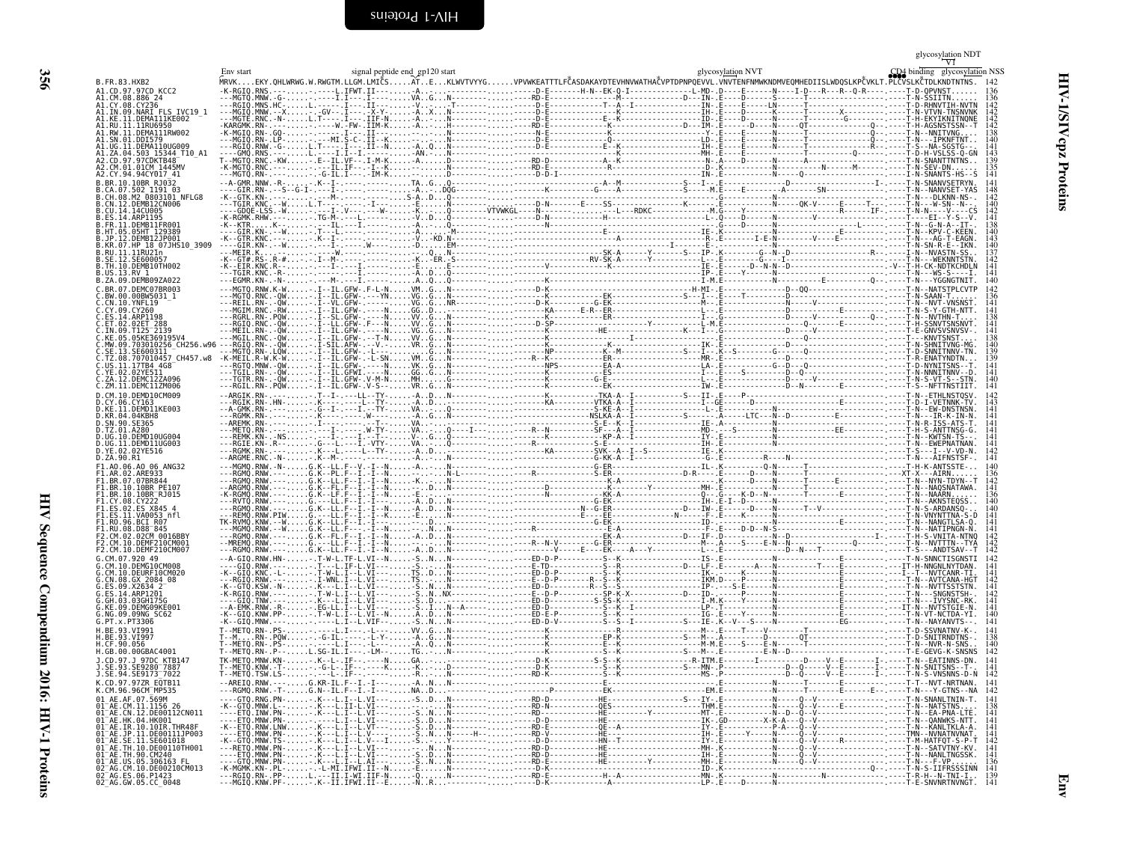<span id="page-45-0"></span>

| 02 AG. GW. 05. CC_0048 |  |  |  |  |  |  |  |
|------------------------|--|--|--|--|--|--|--|

**HIV-I/SIV cpz Proteins** 

<span id="page-45-1"></span>glycosylation NDT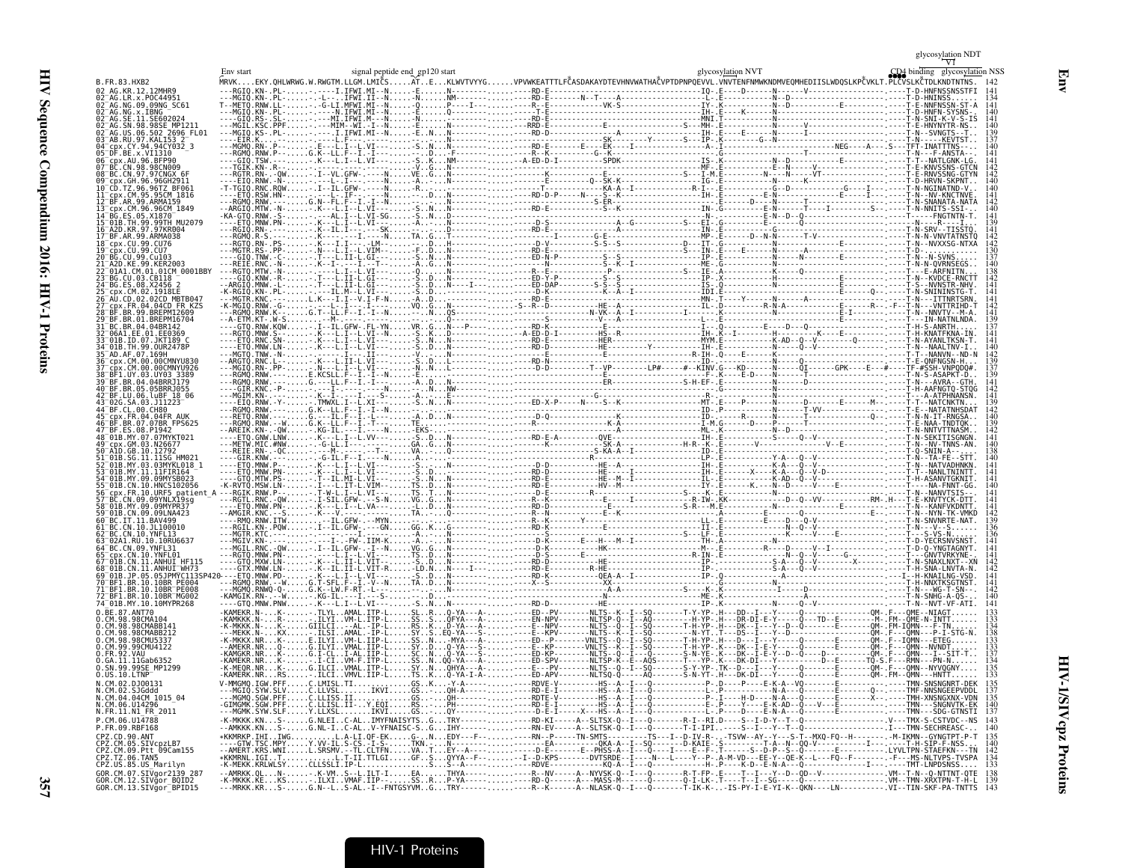| B. FR. 83. HXB2                                                                                         |  |  |  |  |  |  |
|---------------------------------------------------------------------------------------------------------|--|--|--|--|--|--|
| AG.KR.12.12MHR9<br>.P0C4495                                                                             |  |  |  |  |  |  |
| AG.NG.09.09NG SC61                                                                                      |  |  |  |  |  |  |
| SN.98.98SE MP1211<br>.06.502_2696_FL01                                                                  |  |  |  |  |  |  |
| "AR RII 97 KAI 153 2                                                                                    |  |  |  |  |  |  |
|                                                                                                         |  |  |  |  |  |  |
|                                                                                                         |  |  |  |  |  |  |
| .95CM 1816                                                                                              |  |  |  |  |  |  |
| .99TH MU207                                                                                             |  |  |  |  |  |  |
| 17 97KR004                                                                                              |  |  |  |  |  |  |
|                                                                                                         |  |  |  |  |  |  |
| 01.01CM 0001BBY                                                                                         |  |  |  |  |  |  |
| 02.02CD MRTR043                                                                                         |  |  |  |  |  |  |
| .04CD FR KZS                                                                                            |  |  |  |  |  |  |
|                                                                                                         |  |  |  |  |  |  |
| TD 07 IKT189 O                                                                                          |  |  |  |  |  |  |
|                                                                                                         |  |  |  |  |  |  |
|                                                                                                         |  |  |  |  |  |  |
|                                                                                                         |  |  |  |  |  |  |
| 00 CH80<br>BR.07.07BR FPS625                                                                            |  |  |  |  |  |  |
|                                                                                                         |  |  |  |  |  |  |
|                                                                                                         |  |  |  |  |  |  |
|                                                                                                         |  |  |  |  |  |  |
|                                                                                                         |  |  |  |  |  |  |
|                                                                                                         |  |  |  |  |  |  |
|                                                                                                         |  |  |  |  |  |  |
| RU 10 10RU663.                                                                                          |  |  |  |  |  |  |
|                                                                                                         |  |  |  |  |  |  |
| 10.10BR PE004                                                                                           |  |  |  |  |  |  |
| 3R.10.10BR <sup>—</sup> PE008<br>F1.BR.10.10BR <sup>-</sup> MG002<br>4 <sup>-</sup> 01B.MY.10.10MYPR268 |  |  |  |  |  |  |
| 98CMA104                                                                                                |  |  |  |  |  |  |
| 98CMABB141<br>98CMABB212<br>98CMU5337                                                                   |  |  |  |  |  |  |
| 99.99CMU4122<br>FR 92 VAII<br>11.11Gab6352                                                              |  |  |  |  |  |  |
| E_MP1299                                                                                                |  |  |  |  |  |  |
| CM.02.DJ00131<br>.CM.04.04CM 1015 04                                                                    |  |  |  |  |  |  |
| N.FR.11.N1 FR 2011                                                                                      |  |  |  |  |  |  |
| 2 CM A6 1114788<br>P.FR.09.RBF168                                                                       |  |  |  |  |  |  |
| PZ CD QA ANT<br>2.CM.09.Ptt_09Cam155                                                                    |  |  |  |  |  |  |
| TZ.06.TAN5<br>PZ.US.85.US Marilyn                                                                       |  |  |  |  |  |  |
| GOR.CM.07.SIVgor2139 287<br>GOR.CM.12.SIVğor_BQID2<br>GOR.CM.13.SIVgor_BPID15                           |  |  |  |  |  |  |

Env

glycosy<u>lati</u>on NDT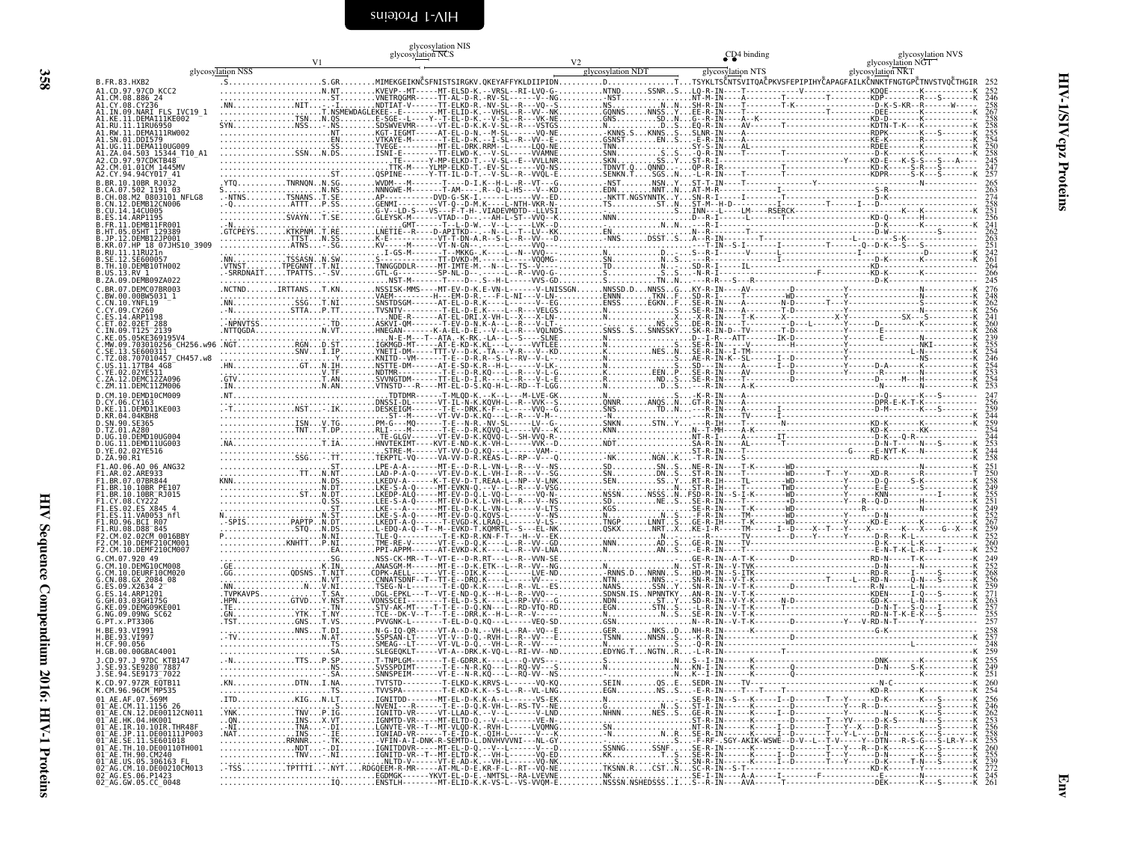<span id="page-47-0"></span>

| glycosylation NIS      |  |
|------------------------|--|
| i.a. <del>Tar</del> ac |  |

|                                                                                                                                                                                            |                   | glycosylation NIS<br>glycosylation NCS |                   | CD <sub>4</sub> binding | glycosylation NVS<br>glycosylation NGT                                                                                                                                                                                                                                                                                                                                                                                                                                                                  |
|--------------------------------------------------------------------------------------------------------------------------------------------------------------------------------------------|-------------------|----------------------------------------|-------------------|-------------------------|---------------------------------------------------------------------------------------------------------------------------------------------------------------------------------------------------------------------------------------------------------------------------------------------------------------------------------------------------------------------------------------------------------------------------------------------------------------------------------------------------------|
|                                                                                                                                                                                            | glycosylation NSS |                                        | glycosylation NDT | glycosylation NTS       | glycosylation NKT                                                                                                                                                                                                                                                                                                                                                                                                                                                                                       |
| B. FR. 83. HXB2<br>A1.CD.97.97CD KCC2                                                                                                                                                      |                   |                                        |                   |                         | .SS.GRMIMEKGEIKNČSFNISTSIRGKV.QKEYAFFYKLDIIPIDNDTSYKLTSČNTSVITQAČPKVSFEPIPIHYČAPAGFAILKČNNKTFNGTGPČTNVSTVOČTHGIR 252                                                                                                                                                                                                                                                                                                                                                                                    |
| A1.CM.08.886 24<br>A1.CY.08.CY236                                                                                                                                                          |                   |                                        |                   |                         |                                                                                                                                                                                                                                                                                                                                                                                                                                                                                                         |
| A1.IN.09.NARI FLS IVC19 1<br>KE.11.DEMAI11KE002                                                                                                                                            |                   |                                        |                   |                         |                                                                                                                                                                                                                                                                                                                                                                                                                                                                                                         |
| A1.RU.11.11RU6950<br>A1.RW.11.DEMA111RW002                                                                                                                                                 |                   |                                        |                   |                         |                                                                                                                                                                                                                                                                                                                                                                                                                                                                                                         |
| A1.SN.01.DDI579<br>A1.UG.11.DEMA110UG009                                                                                                                                                   |                   |                                        |                   |                         |                                                                                                                                                                                                                                                                                                                                                                                                                                                                                                         |
| A1.ZA.04.503 15344 T10 A1<br>A2.CD.97.97CDKTB48 <sup>-</sup>                                                                                                                               |                   |                                        |                   |                         |                                                                                                                                                                                                                                                                                                                                                                                                                                                                                                         |
| A2.CM.01.01CM 1445MV<br>A2.CY.94.94CY017 41                                                                                                                                                |                   |                                        |                   |                         |                                                                                                                                                                                                                                                                                                                                                                                                                                                                                                         |
| CA.07.502 1191 03                                                                                                                                                                          |                   |                                        |                   |                         |                                                                                                                                                                                                                                                                                                                                                                                                                                                                                                         |
| .CH.08.M2 0803101 NFLG8<br>.CN.12.DEMB12CN006                                                                                                                                              |                   |                                        |                   |                         |                                                                                                                                                                                                                                                                                                                                                                                                                                                                                                         |
| CU.14.14CU005<br>ES.14.ARP1195.                                                                                                                                                            |                   |                                        |                   |                         |                                                                                                                                                                                                                                                                                                                                                                                                                                                                                                         |
| .FR.11.DEMB11FR001<br>HT.05.05HT 129389                                                                                                                                                    |                   |                                        |                   |                         |                                                                                                                                                                                                                                                                                                                                                                                                                                                                                                         |
| JP.12.DEMB12JP001<br>KR.07.HP 18 07JHS10 3909<br>.RU.11.11RU2In                                                                                                                            |                   |                                        |                   |                         |                                                                                                                                                                                                                                                                                                                                                                                                                                                                                                         |
| SE.12.SE600057.<br>.TH.10.DEMB10TH002                                                                                                                                                      |                   |                                        |                   |                         |                                                                                                                                                                                                                                                                                                                                                                                                                                                                                                         |
| .US.13.RV 1<br>.ZA.09.DEMB09ZA022                                                                                                                                                          |                   |                                        |                   |                         |                                                                                                                                                                                                                                                                                                                                                                                                                                                                                                         |
| .BR.07.DEMC07BR003                                                                                                                                                                         |                   |                                        |                   |                         |                                                                                                                                                                                                                                                                                                                                                                                                                                                                                                         |
| 00BW5031 1<br>.CN.10.YNFL19<br>CY.09.CY260                                                                                                                                                 |                   |                                        |                   |                         |                                                                                                                                                                                                                                                                                                                                                                                                                                                                                                         |
| ES.14.ARP1198<br>ET.02.02ET 288                                                                                                                                                            |                   |                                        |                   |                         |                                                                                                                                                                                                                                                                                                                                                                                                                                                                                                         |
|                                                                                                                                                                                            |                   |                                        |                   |                         | $\begin{small} \mathbf{F}_{11}^{(0)}(0) \end{smallmatrix} \begin{smallmatrix} \mathbf{F}_{12}^{(0)}(0) \end{smallmatrix} \begin{smallmatrix} \mathbf{F}_{13}^{(0)}(0) \end{smallmatrix} \begin{smallmatrix} \mathbf{F}_{13}^{(0)}(0) \end{smallmatrix} \begin{smallmatrix} \mathbf{F}_{13}^{(0)}(0) \end{smallmatrix} \begin{smallmatrix} \mathbf{F}_{13}^{(0)}(0) \end{smallmatrix} \begin{smallmatrix} \mathbf{F}_{13}^{(0)}(0) \end{smallmatrix} \begin{smallmatrix} \mathbf{F}_{14}^{(0)}(0) \end{$ |
| 703010256 CH256.w96                                                                                                                                                                        |                   |                                        |                   |                         |                                                                                                                                                                                                                                                                                                                                                                                                                                                                                                         |
| TZ.08.707010457 CH457.w8                                                                                                                                                                   |                   |                                        |                   |                         |                                                                                                                                                                                                                                                                                                                                                                                                                                                                                                         |
| YE.02.02YE5I1<br>.ZA.12.DEMC12ZA096                                                                                                                                                        |                   |                                        |                   |                         |                                                                                                                                                                                                                                                                                                                                                                                                                                                                                                         |
| CM 10 DEMD10CM009                                                                                                                                                                          |                   |                                        |                   |                         |                                                                                                                                                                                                                                                                                                                                                                                                                                                                                                         |
| .KE.11.DEMD11KE003                                                                                                                                                                         |                   |                                        |                   |                         |                                                                                                                                                                                                                                                                                                                                                                                                                                                                                                         |
| KR.04.04KBH8<br>SN.90.SE365.                                                                                                                                                               |                   |                                        |                   |                         |                                                                                                                                                                                                                                                                                                                                                                                                                                                                                                         |
| UG.10.DEMD10UG004                                                                                                                                                                          |                   |                                        |                   |                         |                                                                                                                                                                                                                                                                                                                                                                                                                                                                                                         |
| .ŪĞ.II.DEMDIIŪĞÕÕ3<br>.YE.02.02YE516                                                                                                                                                       |                   |                                        |                   |                         |                                                                                                                                                                                                                                                                                                                                                                                                                                                                                                         |
| .ZA.90.R1<br>1.AO.06.AO 06 ANG32"                                                                                                                                                          |                   |                                        |                   |                         |                                                                                                                                                                                                                                                                                                                                                                                                                                                                                                         |
| 1.AR.02.ARE933<br>BR.07.07BR844.                                                                                                                                                           |                   |                                        |                   |                         |                                                                                                                                                                                                                                                                                                                                                                                                                                                                                                         |
| 1.BR.10.10BR PE107:<br>FI.BR.10.10BR RJ015<br>F1.CY.08.CY222                                                                                                                               |                   |                                        |                   |                         |                                                                                                                                                                                                                                                                                                                                                                                                                                                                                                         |
| 1.ES.02.ES X845"                                                                                                                                                                           |                   |                                        |                   |                         |                                                                                                                                                                                                                                                                                                                                                                                                                                                                                                         |
| F1.ES.11.VA0053 nfl<br>1.RO.96.BCI R07=                                                                                                                                                    |                   |                                        |                   |                         |                                                                                                                                                                                                                                                                                                                                                                                                                                                                                                         |
| F1.RU.08.D88 <sup>-</sup> 845<br>2.CM.02.02CM 0016BB'<br>2.CM.10.DEMF210CM001                                                                                                              |                   |                                        |                   |                         |                                                                                                                                                                                                                                                                                                                                                                                                                                                                                                         |
| F2.CM.10.DEMF210CM007                                                                                                                                                                      |                   |                                        |                   |                         |                                                                                                                                                                                                                                                                                                                                                                                                                                                                                                         |
|                                                                                                                                                                                            |                   |                                        |                   |                         |                                                                                                                                                                                                                                                                                                                                                                                                                                                                                                         |
| CM.10.DEURF10CM020<br>CN.08.GX 2084 08                                                                                                                                                     |                   |                                        |                   |                         |                                                                                                                                                                                                                                                                                                                                                                                                                                                                                                         |
| ES.14.ARP1201                                                                                                                                                                              |                   |                                        |                   |                         |                                                                                                                                                                                                                                                                                                                                                                                                                                                                                                         |
| .KE.09.DEMG09KE001<br>NG.09.09NG SC62                                                                                                                                                      |                   |                                        |                   |                         |                                                                                                                                                                                                                                                                                                                                                                                                                                                                                                         |
| RE 93 VT991                                                                                                                                                                                |                   |                                        |                   |                         |                                                                                                                                                                                                                                                                                                                                                                                                                                                                                                         |
| .BE.93.VI997<br>H.CF.90.056                                                                                                                                                                |                   |                                        |                   |                         |                                                                                                                                                                                                                                                                                                                                                                                                                                                                                                         |
| H.GB.00.00GBAC4001                                                                                                                                                                         |                   |                                        |                   |                         |                                                                                                                                                                                                                                                                                                                                                                                                                                                                                                         |
| J.CD.97.J 97DC KTB147<br>J.SE.93.SE9280 <sup>-</sup> 7887                                                                                                                                  |                   |                                        |                   |                         | 255                                                                                                                                                                                                                                                                                                                                                                                                                                                                                                     |
| .SE.94.SE9173 <sup>-</sup> 7022<br>K.CD.97.97ZR EQTB11                                                                                                                                     |                   |                                        |                   |                         |                                                                                                                                                                                                                                                                                                                                                                                                                                                                                                         |
| K.CM.96.96CM_MP535                                                                                                                                                                         |                   |                                        |                   |                         | 254                                                                                                                                                                                                                                                                                                                                                                                                                                                                                                     |
| 01_AE.AF.07.569M<br>01_AE.CM.11.1156_26<br>01 <sup>-</sup> AE.CN.12.DE00112CN011                                                                                                           |                   |                                        |                   |                         |                                                                                                                                                                                                                                                                                                                                                                                                                                                                                                         |
| 91 АЕ∴им: 12: РЕКРОВИДСК<br>01 AE.HR.10.10IR.THR48F<br>01 AE.JR.10.10IR.THR48F<br>01 AE.SE.11.SE601018<br>01 AE.SE.11.0E601018<br>03 - AE.TH.10.DE00110TH001<br>03 - AE.TH.10.DE00110TH001 |                   |                                        |                   |                         |                                                                                                                                                                                                                                                                                                                                                                                                                                                                                                         |
|                                                                                                                                                                                            |                   |                                        |                   |                         |                                                                                                                                                                                                                                                                                                                                                                                                                                                                                                         |
| 01 AE.TH.90.CM240<br>01 AE.US.05.306163 FL                                                                                                                                                 |                   |                                        |                   |                         |                                                                                                                                                                                                                                                                                                                                                                                                                                                                                                         |
| 02-AG.CM.10.DE00210CM013<br>02-AG.ES.06.P1423<br>02-AG.ES.06.P1423<br>02-AG.GW.05.CC_0048                                                                                                  |                   |                                        |                   |                         |                                                                                                                                                                                                                                                                                                                                                                                                                                                                                                         |
|                                                                                                                                                                                            |                   |                                        |                   |                         |                                                                                                                                                                                                                                                                                                                                                                                                                                                                                                         |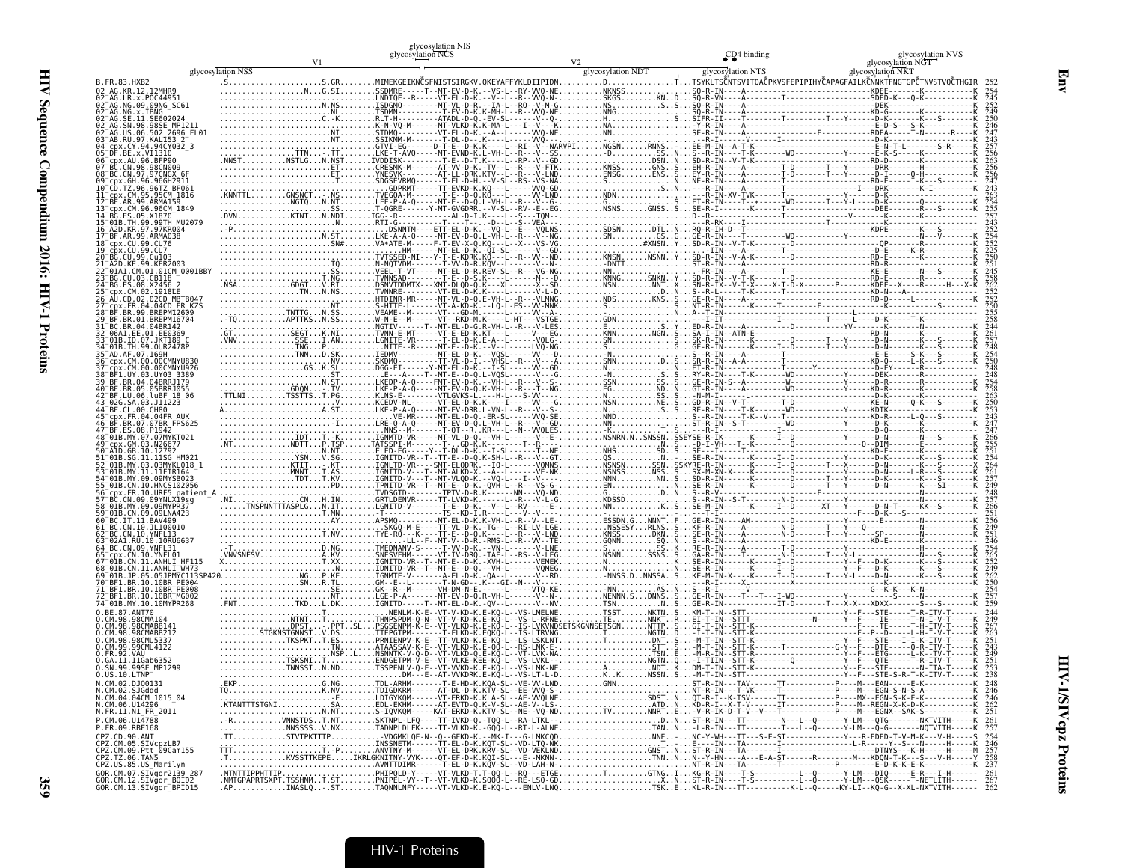|                                                                                                               |                   |                                        | glycosylation NIS<br>glycosylation NCS |                                                                                      |        |                                               | CD <sub>4</sub> binding                                                                                                                                                                                                                                                                                                                                                                                                                                 | glycosylation NVS                                                                                                                                                                                                                |
|---------------------------------------------------------------------------------------------------------------|-------------------|----------------------------------------|----------------------------------------|--------------------------------------------------------------------------------------|--------|-----------------------------------------------|---------------------------------------------------------------------------------------------------------------------------------------------------------------------------------------------------------------------------------------------------------------------------------------------------------------------------------------------------------------------------------------------------------------------------------------------------------|----------------------------------------------------------------------------------------------------------------------------------------------------------------------------------------------------------------------------------|
|                                                                                                               | glycosylation NSS |                                        |                                        |                                                                                      |        |                                               |                                                                                                                                                                                                                                                                                                                                                                                                                                                         | glycosylation NGT<br>glycosylation NKT                                                                                                                                                                                           |
| B.FR.83.HXB2<br>.12.12MHR9                                                                                    |                   |                                        |                                        |                                                                                      |        |                                               |                                                                                                                                                                                                                                                                                                                                                                                                                                                         | glycosylation NDT glycosylation NDT glycosylation NTS glycosylation NTS glycosylation NTS glycosylation NTS glycosylation NTS glycosylation NDT glycosylation NTS glycosylation NTS glycosylation NTS glycosylation NTS glyco    |
| 09NG SC61                                                                                                     |                   |                                        |                                        |                                                                                      |        |                                               |                                                                                                                                                                                                                                                                                                                                                                                                                                                         |                                                                                                                                                                                                                                  |
|                                                                                                               |                   |                                        |                                        |                                                                                      |        |                                               |                                                                                                                                                                                                                                                                                                                                                                                                                                                         |                                                                                                                                                                                                                                  |
|                                                                                                               |                   |                                        |                                        |                                                                                      |        |                                               |                                                                                                                                                                                                                                                                                                                                                                                                                                                         |                                                                                                                                                                                                                                  |
|                                                                                                               |                   |                                        |                                        |                                                                                      |        |                                               |                                                                                                                                                                                                                                                                                                                                                                                                                                                         | . "PURPORTANT AND THE UP OF A CONTROL THE CONTROL INTERNATIONAL CONTROL INTERNATIONAL CONTROL INTERNATIONAL CON<br>1. ESPIN CONTROL INTERNATIONAL CONTROL INTERNATIONAL CONTROL INTERNATIONAL CONTROL INTERNATIONAL CONTROL INTE |
|                                                                                                               |                   |                                        |                                        |                                                                                      |        |                                               |                                                                                                                                                                                                                                                                                                                                                                                                                                                         |                                                                                                                                                                                                                                  |
|                                                                                                               | . F1              |                                        |                                        |                                                                                      |        |                                               |                                                                                                                                                                                                                                                                                                                                                                                                                                                         |                                                                                                                                                                                                                                  |
|                                                                                                               |                   |                                        |                                        |                                                                                      |        |                                               |                                                                                                                                                                                                                                                                                                                                                                                                                                                         |                                                                                                                                                                                                                                  |
|                                                                                                               |                   |                                        |                                        |                                                                                      |        |                                               |                                                                                                                                                                                                                                                                                                                                                                                                                                                         |                                                                                                                                                                                                                                  |
|                                                                                                               |                   |                                        |                                        |                                                                                      |        |                                               |                                                                                                                                                                                                                                                                                                                                                                                                                                                         |                                                                                                                                                                                                                                  |
|                                                                                                               |                   |                                        |                                        |                                                                                      |        |                                               |                                                                                                                                                                                                                                                                                                                                                                                                                                                         |                                                                                                                                                                                                                                  |
|                                                                                                               |                   |                                        |                                        |                                                                                      |        |                                               |                                                                                                                                                                                                                                                                                                                                                                                                                                                         |                                                                                                                                                                                                                                  |
|                                                                                                               |                   |                                        |                                        |                                                                                      |        |                                               |                                                                                                                                                                                                                                                                                                                                                                                                                                                         |                                                                                                                                                                                                                                  |
|                                                                                                               |                   |                                        |                                        |                                                                                      |        |                                               |                                                                                                                                                                                                                                                                                                                                                                                                                                                         |                                                                                                                                                                                                                                  |
| 04CD FR KZS                                                                                                   |                   |                                        |                                        |                                                                                      |        |                                               |                                                                                                                                                                                                                                                                                                                                                                                                                                                         |                                                                                                                                                                                                                                  |
|                                                                                                               |                   |                                        |                                        |                                                                                      |        |                                               |                                                                                                                                                                                                                                                                                                                                                                                                                                                         |                                                                                                                                                                                                                                  |
|                                                                                                               |                   |                                        |                                        |                                                                                      |        |                                               |                                                                                                                                                                                                                                                                                                                                                                                                                                                         |                                                                                                                                                                                                                                  |
|                                                                                                               |                   |                                        |                                        |                                                                                      |        |                                               |                                                                                                                                                                                                                                                                                                                                                                                                                                                         |                                                                                                                                                                                                                                  |
|                                                                                                               |                   |                                        |                                        |                                                                                      |        |                                               |                                                                                                                                                                                                                                                                                                                                                                                                                                                         |                                                                                                                                                                                                                                  |
|                                                                                                               |                   |                                        |                                        |                                                                                      |        |                                               |                                                                                                                                                                                                                                                                                                                                                                                                                                                         |                                                                                                                                                                                                                                  |
|                                                                                                               |                   |                                        |                                        |                                                                                      |        |                                               |                                                                                                                                                                                                                                                                                                                                                                                                                                                         |                                                                                                                                                                                                                                  |
|                                                                                                               |                   |                                        |                                        |                                                                                      |        |                                               |                                                                                                                                                                                                                                                                                                                                                                                                                                                         |                                                                                                                                                                                                                                  |
|                                                                                                               |                   |                                        |                                        |                                                                                      |        |                                               |                                                                                                                                                                                                                                                                                                                                                                                                                                                         |                                                                                                                                                                                                                                  |
|                                                                                                               |                   |                                        |                                        |                                                                                      |        |                                               |                                                                                                                                                                                                                                                                                                                                                                                                                                                         |                                                                                                                                                                                                                                  |
|                                                                                                               |                   |                                        |                                        |                                                                                      |        |                                               |                                                                                                                                                                                                                                                                                                                                                                                                                                                         |                                                                                                                                                                                                                                  |
|                                                                                                               |                   |                                        |                                        |                                                                                      |        |                                               |                                                                                                                                                                                                                                                                                                                                                                                                                                                         |                                                                                                                                                                                                                                  |
|                                                                                                               |                   |                                        |                                        |                                                                                      |        |                                               |                                                                                                                                                                                                                                                                                                                                                                                                                                                         |                                                                                                                                                                                                                                  |
|                                                                                                               |                   | NSPNNTTTASPLGN.ITLGNITD-V-------T-E--D |                                        |                                                                                      |        |                                               |                                                                                                                                                                                                                                                                                                                                                                                                                                                         |                                                                                                                                                                                                                                  |
|                                                                                                               |                   |                                        |                                        |                                                                                      |        |                                               | $IN - - - AM - - - - - - - - D - - - - - - - - - - -$                                                                                                                                                                                                                                                                                                                                                                                                   |                                                                                                                                                                                                                                  |
|                                                                                                               |                   |                                        |                                        |                                                                                      |        |                                               | . KF-R-IN----A---------N-D-------T---Y---Q-----<br>. KF-R-IN----A---------N-D-------T---Y-------SP                                                                                                                                                                                                                                                                                                                                                      |                                                                                                                                                                                                                                  |
|                                                                                                               |                   |                                        |                                        |                                                                                      |        |                                               |                                                                                                                                                                                                                                                                                                                                                                                                                                                         |                                                                                                                                                                                                                                  |
|                                                                                                               | .                 |                                        |                                        |                                                                                      |        |                                               |                                                                                                                                                                                                                                                                                                                                                                                                                                                         |                                                                                                                                                                                                                                  |
| 10.10BR PE008                                                                                                 | . SN R . TL GM -  |                                        |                                        |                                                                                      |        |                                               |                                                                                                                                                                                                                                                                                                                                                                                                                                                         |                                                                                                                                                                                                                                  |
|                                                                                                               |                   |                                        |                                        |                                                                                      |        |                                               |                                                                                                                                                                                                                                                                                                                                                                                                                                                         |                                                                                                                                                                                                                                  |
|                                                                                                               |                   |                                        |                                        |                                                                                      |        |                                               |                                                                                                                                                                                                                                                                                                                                                                                                                                                         |                                                                                                                                                                                                                                  |
|                                                                                                               |                   |                                        | PRNIENPV-K-E--TT-VLKD-                 |                                                                                      | 16. T. | .NTTP. .S.GI - T - IN<br>.NGTND. - I - T - IN |                                                                                                                                                                                                                                                                                                                                                                                                                                                         |                                                                                                                                                                                                                                  |
|                                                                                                               |                   |                                        |                                        |                                                                                      |        | DNT. S.                                       | $\overline{\text{S}}$ $\overline{\text{S}}$ $\overline{\text{S}}$ $\overline{\text{S}}$ $\overline{\text{S}}$ $\overline{\text{S}}$ $\overline{\text{S}}$ $\overline{\text{S}}$ $\overline{\text{S}}$ $\overline{\text{S}}$ $\overline{\text{S}}$ $\overline{\text{S}}$ $\overline{\text{S}}$ $\overline{\text{S}}$ $\overline{\text{S}}$ $\overline{\text{S}}$ $\overline{\text{S}}$ $\overline{\text{S}}$ $\overline{\text{S}}$ $\overline{\text{S}}$ |                                                                                                                                                                                                                                  |
|                                                                                                               |                   |                                        |                                        | . ENDGETPM-V-E--VT-VLKE-KEE-KO-L--VS<br>TNNSSIN.NDTSSPENLV-Q-E--VT-VVKD-K.E-KQ-L--VS |        |                                               |                                                                                                                                                                                                                                                                                                                                                                                                                                                         | .NDTKDM-T-IN--STT-K------------------------Y--F---STE---------                                                                                                                                                                   |
|                                                                                                               |                   |                                        |                                        |                                                                                      |        |                                               |                                                                                                                                                                                                                                                                                                                                                                                                                                                         |                                                                                                                                                                                                                                  |
| N.CM.02.DJ00131<br>N.CM.02.SJGddd<br>N.CM.04.04CM 1015_04<br>N.CM.06.U14296                                   |                   |                                        |                                        |                                                                                      |        |                                               |                                                                                                                                                                                                                                                                                                                                                                                                                                                         |                                                                                                                                                                                                                                  |
| N.FR.11.N1 FR 2011                                                                                            |                   |                                        |                                        |                                                                                      |        |                                               |                                                                                                                                                                                                                                                                                                                                                                                                                                                         |                                                                                                                                                                                                                                  |
| P.CM.06.U14788<br>P.FR.09.RBF168                                                                              |                   |                                        |                                        |                                                                                      |        |                                               |                                                                                                                                                                                                                                                                                                                                                                                                                                                         |                                                                                                                                                                                                                                  |
|                                                                                                               |                   |                                        |                                        |                                                                                      |        |                                               |                                                                                                                                                                                                                                                                                                                                                                                                                                                         |                                                                                                                                                                                                                                  |
| CPZ.CD.90.ANT<br>CPZ.CM.05.SIVCpzLB7<br>CPZ.CM.05.SIVCpzLB7<br>CPZ.CM.09.Ptt 09Cam155<br>CPZ.US.05.US_Marilyn |                   |                                        |                                        |                                                                                      |        |                                               |                                                                                                                                                                                                                                                                                                                                                                                                                                                         |                                                                                                                                                                                                                                  |
| GOR.CM.07.SIVgor2139 287<br>GOR.CM.12.SIVgor BOID2<br>GOR.CM.12.SIVgor BOID2<br>GOR.CM.13.SIVgor BPID15       |                   |                                        |                                        |                                                                                      |        |                                               |                                                                                                                                                                                                                                                                                                                                                                                                                                                         |                                                                                                                                                                                                                                  |
|                                                                                                               |                   |                                        |                                        |                                                                                      |        |                                               |                                                                                                                                                                                                                                                                                                                                                                                                                                                         |                                                                                                                                                                                                                                  |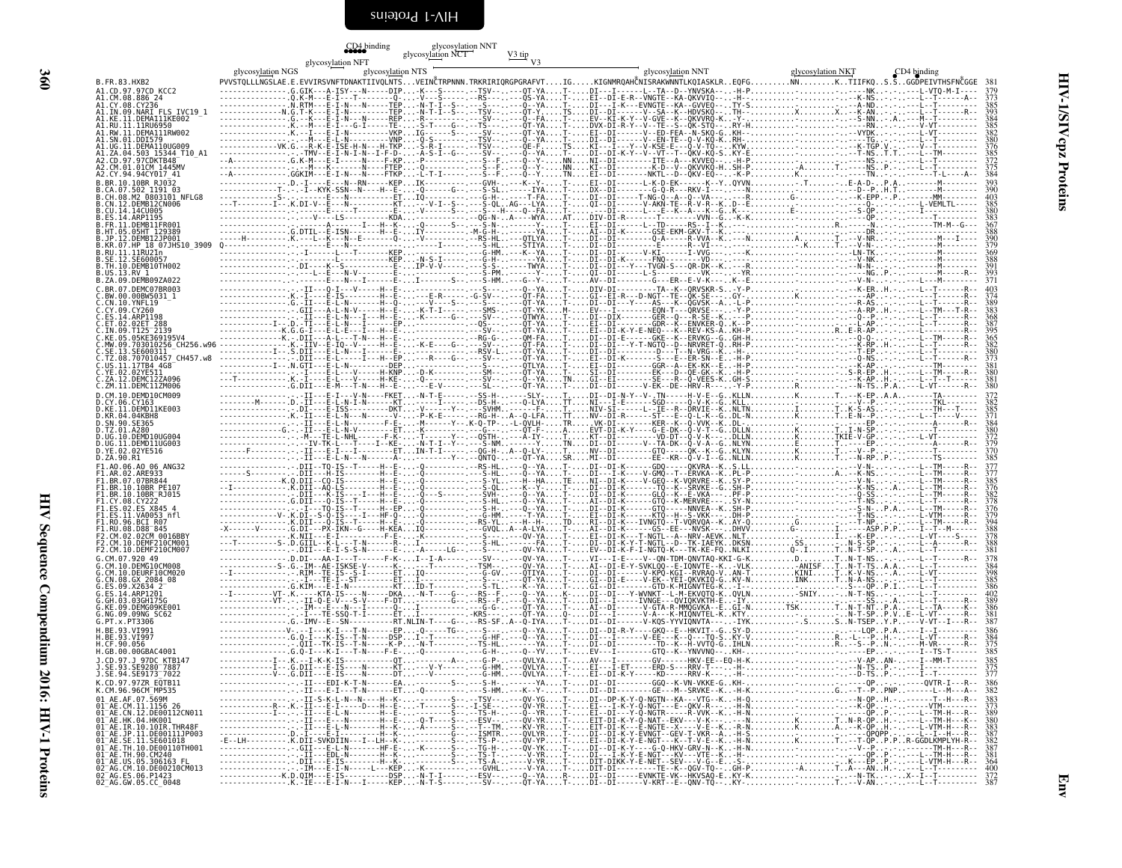<span id="page-49-0"></span>CD4 binding<sup>g</sup>lycosylation NNT

|                                                                                                                                                              | glycosylation NCT<br>$\frac{V3 \text{ tip}}{V3}$<br>glycosylation NFT                                                                                                                                                                                                                                                                                                                                                                                                                                |                   |                   |             |
|--------------------------------------------------------------------------------------------------------------------------------------------------------------|------------------------------------------------------------------------------------------------------------------------------------------------------------------------------------------------------------------------------------------------------------------------------------------------------------------------------------------------------------------------------------------------------------------------------------------------------------------------------------------------------|-------------------|-------------------|-------------|
| B.FR.83.HXB2                                                                                                                                                 | glycosylation NGS<br>glycosylation NTS<br>PVVSTQLLLNGSLAE.E.EVVIRSVNFTDNAKTIIVQLNTSVEINČTRPNNN.TRKRIRIQRGPGRAFVTIGKIGNMRQAHČNISRAKWNNTLKQIASKLREQFGNNK.TIIFKQS.SGGDPEIVTHSFNČGGE 381                                                                                                                                                                                                                                                                                                                 | glycosylation NNT | glycosylation NKT | CD4 binding |
|                                                                                                                                                              |                                                                                                                                                                                                                                                                                                                                                                                                                                                                                                      |                   |                   |             |
|                                                                                                                                                              |                                                                                                                                                                                                                                                                                                                                                                                                                                                                                                      |                   |                   |             |
|                                                                                                                                                              |                                                                                                                                                                                                                                                                                                                                                                                                                                                                                                      |                   |                   |             |
|                                                                                                                                                              |                                                                                                                                                                                                                                                                                                                                                                                                                                                                                                      |                   |                   | 376         |
|                                                                                                                                                              |                                                                                                                                                                                                                                                                                                                                                                                                                                                                                                      |                   |                   |             |
|                                                                                                                                                              |                                                                                                                                                                                                                                                                                                                                                                                                                                                                                                      |                   |                   | 384<br>393  |
|                                                                                                                                                              |                                                                                                                                                                                                                                                                                                                                                                                                                                                                                                      |                   |                   | 385         |
|                                                                                                                                                              |                                                                                                                                                                                                                                                                                                                                                                                                                                                                                                      |                   |                   | 383         |
|                                                                                                                                                              |                                                                                                                                                                                                                                                                                                                                                                                                                                                                                                      |                   |                   |             |
|                                                                                                                                                              |                                                                                                                                                                                                                                                                                                                                                                                                                                                                                                      |                   |                   |             |
|                                                                                                                                                              |                                                                                                                                                                                                                                                                                                                                                                                                                                                                                                      |                   |                   |             |
|                                                                                                                                                              |                                                                                                                                                                                                                                                                                                                                                                                                                                                                                                      |                   |                   |             |
|                                                                                                                                                              |                                                                                                                                                                                                                                                                                                                                                                                                                                                                                                      |                   |                   |             |
|                                                                                                                                                              |                                                                                                                                                                                                                                                                                                                                                                                                                                                                                                      |                   |                   |             |
|                                                                                                                                                              |                                                                                                                                                                                                                                                                                                                                                                                                                                                                                                      |                   |                   |             |
|                                                                                                                                                              |                                                                                                                                                                                                                                                                                                                                                                                                                                                                                                      |                   |                   |             |
|                                                                                                                                                              |                                                                                                                                                                                                                                                                                                                                                                                                                                                                                                      |                   |                   |             |
|                                                                                                                                                              |                                                                                                                                                                                                                                                                                                                                                                                                                                                                                                      |                   |                   |             |
|                                                                                                                                                              |                                                                                                                                                                                                                                                                                                                                                                                                                                                                                                      |                   |                   |             |
|                                                                                                                                                              |                                                                                                                                                                                                                                                                                                                                                                                                                                                                                                      |                   |                   |             |
|                                                                                                                                                              |                                                                                                                                                                                                                                                                                                                                                                                                                                                                                                      |                   |                   | 372<br>379  |
|                                                                                                                                                              |                                                                                                                                                                                                                                                                                                                                                                                                                                                                                                      |                   |                   | 385         |
|                                                                                                                                                              |                                                                                                                                                                                                                                                                                                                                                                                                                                                                                                      |                   |                   |             |
|                                                                                                                                                              |                                                                                                                                                                                                                                                                                                                                                                                                                                                                                                      |                   |                   |             |
|                                                                                                                                                              |                                                                                                                                                                                                                                                                                                                                                                                                                                                                                                      |                   |                   |             |
|                                                                                                                                                              |                                                                                                                                                                                                                                                                                                                                                                                                                                                                                                      |                   |                   |             |
|                                                                                                                                                              |                                                                                                                                                                                                                                                                                                                                                                                                                                                                                                      |                   |                   | 388<br>378  |
|                                                                                                                                                              |                                                                                                                                                                                                                                                                                                                                                                                                                                                                                                      |                   |                   | 381         |
|                                                                                                                                                              |                                                                                                                                                                                                                                                                                                                                                                                                                                                                                                      |                   |                   |             |
|                                                                                                                                                              |                                                                                                                                                                                                                                                                                                                                                                                                                                                                                                      |                   |                   |             |
|                                                                                                                                                              |                                                                                                                                                                                                                                                                                                                                                                                                                                                                                                      |                   |                   |             |
|                                                                                                                                                              |                                                                                                                                                                                                                                                                                                                                                                                                                                                                                                      |                   |                   |             |
| H.BE.93.VI997                                                                                                                                                |                                                                                                                                                                                                                                                                                                                                                                                                                                                                                                      |                   |                   |             |
| H.CF.90.056<br>H.GB.00.00GBAC4001                                                                                                                            |                                                                                                                                                                                                                                                                                                                                                                                                                                                                                                      |                   |                   |             |
| J.CD.97.J 97DC KTB147<br>J.SE.93.SE9280 7887<br>J.SE.94.SE9173 <sup>-</sup> 7022                                                                             |                                                                                                                                                                                                                                                                                                                                                                                                                                                                                                      |                   |                   |             |
| K.CD.97.97ZR EOTB11<br>K.CM.96.96CM MP535                                                                                                                    |                                                                                                                                                                                                                                                                                                                                                                                                                                                                                                      |                   |                   |             |
| 01 AE.AF.07.569M<br>01 AE.CM.11.1156 26<br>01 AE.CN.12.DE00112CN011                                                                                          |                                                                                                                                                                                                                                                                                                                                                                                                                                                                                                      |                   |                   |             |
| 01 AE.HK.04.HK001<br>01 AE.IR.10.10IR.THR48F                                                                                                                 |                                                                                                                                                                                                                                                                                                                                                                                                                                                                                                      |                   |                   |             |
|                                                                                                                                                              |                                                                                                                                                                                                                                                                                                                                                                                                                                                                                                      |                   |                   |             |
| 01-AE.JP.11.DE001111P063<br>01-AE.JP.11.DE001111P063<br>01-AE.TH.10.DE00118<br>01-AE.TH.10.DE00110TH001<br>01-AE.US.05.306163 FL<br>02-AG.CM.10.DE00210CM013 |                                                                                                                                                                                                                                                                                                                                                                                                                                                                                                      |                   |                   |             |
|                                                                                                                                                              | $\begin{minipage}{0.99\textwidth} \begin{minipage}{0.99\textwidth} \begin{minipage}{0.99\textwidth} \begin{minipage}{0.99\textwidth} \begin{minipage}{0.99\textwidth} \begin{minipage}{0.99\textwidth} \begin{minipage}{0.99\textwidth} \begin{minipage}{0.99\textwidth} \begin{minipage}{0.99\textwidth} \begin{minipage}{0.99\textwidth} \begin{minipage}{0.99\textwidth} \begin{minipage}{0.99\textwidth} \begin{minipage}{0.99\textwidth} \begin{minipage}{0.99\textwidth} \begin{minipage}{0.9$ |                   |                   |             |
| 02 AG. ES. 06. P1423<br>02 AG. GW. 05. CC_0048                                                                                                               |                                                                                                                                                                                                                                                                                                                                                                                                                                                                                                      |                   |                   |             |

360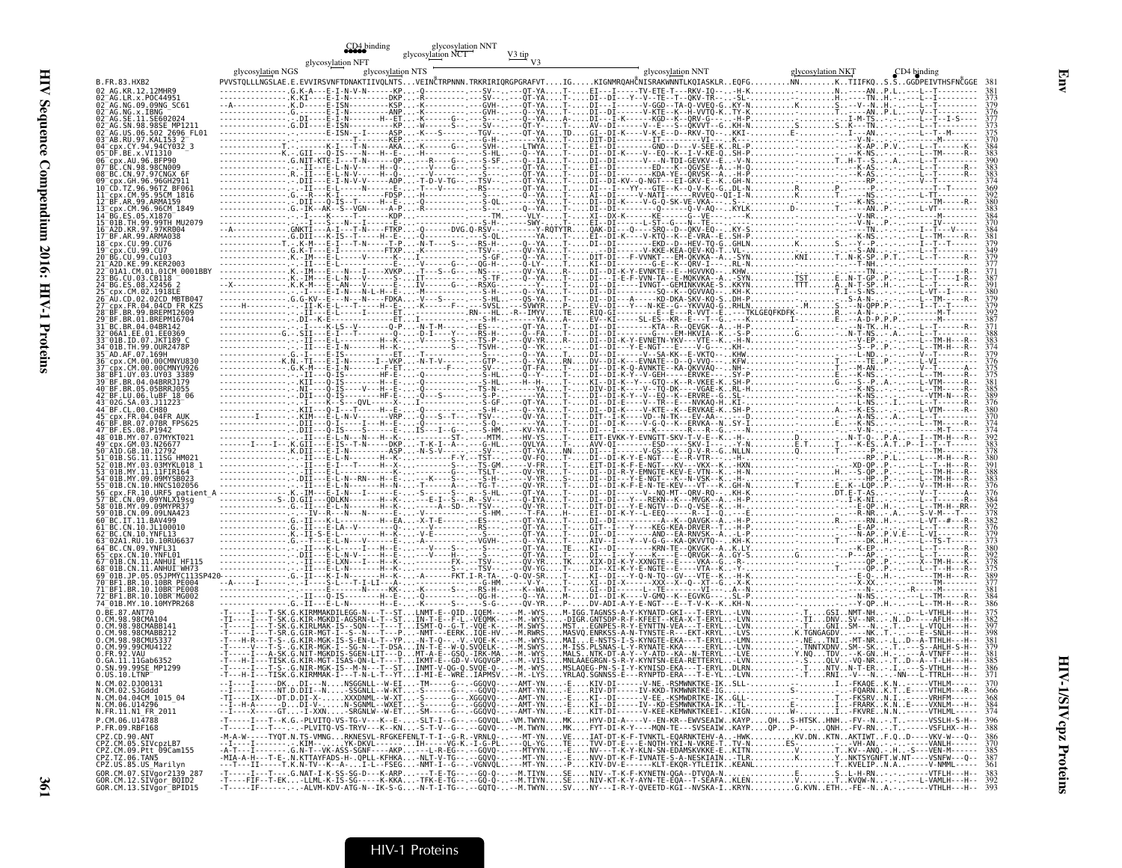|                                                                                    | CD4 binding                                                 | glycosylation NNT<br>glycosylation NCT |                   |                                                                                                                                                                                                  |
|------------------------------------------------------------------------------------|-------------------------------------------------------------|----------------------------------------|-------------------|--------------------------------------------------------------------------------------------------------------------------------------------------------------------------------------------------|
|                                                                                    | glycosylation NFT<br>glycosylation NGS<br>glycosylation NTS |                                        | glycosylation NNT | glycosylation NKT<br>CD4 binding                                                                                                                                                                 |
| B. FR. 83. HXB2<br>02 AG KR 12 12MHR9                                              |                                                             |                                        |                   | PVVSTQLLLNGSLAE.E.EVVIRSVNFTDNAKTIIVQLNTSVEINČTRPNNN.TRKRIRIQRGPGRAFVTIGKIGNMRQAHČNISRAKWNNTLKQIASKLREQFGNNK.TIIFKQS.SGGDPEIVTHSFNČGGE 38                                                        |
| AG.LR.x.POC44951                                                                   |                                                             |                                        |                   |                                                                                                                                                                                                  |
|                                                                                    |                                                             |                                        |                   |                                                                                                                                                                                                  |
|                                                                                    |                                                             |                                        |                   |                                                                                                                                                                                                  |
|                                                                                    |                                                             |                                        |                   |                                                                                                                                                                                                  |
|                                                                                    |                                                             |                                        |                   |                                                                                                                                                                                                  |
|                                                                                    |                                                             |                                        |                   |                                                                                                                                                                                                  |
|                                                                                    |                                                             |                                        |                   |                                                                                                                                                                                                  |
|                                                                                    |                                                             |                                        |                   |                                                                                                                                                                                                  |
|                                                                                    |                                                             |                                        |                   |                                                                                                                                                                                                  |
|                                                                                    |                                                             |                                        |                   |                                                                                                                                                                                                  |
|                                                                                    |                                                             |                                        |                   |                                                                                                                                                                                                  |
|                                                                                    |                                                             |                                        |                   |                                                                                                                                                                                                  |
|                                                                                    |                                                             |                                        |                   |                                                                                                                                                                                                  |
|                                                                                    |                                                             |                                        |                   |                                                                                                                                                                                                  |
|                                                                                    |                                                             |                                        |                   |                                                                                                                                                                                                  |
|                                                                                    |                                                             |                                        |                   |                                                                                                                                                                                                  |
|                                                                                    |                                                             |                                        |                   |                                                                                                                                                                                                  |
|                                                                                    |                                                             |                                        |                   |                                                                                                                                                                                                  |
|                                                                                    |                                                             |                                        |                   |                                                                                                                                                                                                  |
|                                                                                    |                                                             |                                        |                   |                                                                                                                                                                                                  |
|                                                                                    |                                                             |                                        |                   |                                                                                                                                                                                                  |
|                                                                                    |                                                             |                                        |                   |                                                                                                                                                                                                  |
|                                                                                    |                                                             |                                        |                   |                                                                                                                                                                                                  |
|                                                                                    |                                                             |                                        |                   |                                                                                                                                                                                                  |
|                                                                                    |                                                             |                                        |                   |                                                                                                                                                                                                  |
|                                                                                    |                                                             |                                        |                   |                                                                                                                                                                                                  |
|                                                                                    |                                                             |                                        |                   |                                                                                                                                                                                                  |
|                                                                                    |                                                             |                                        |                   |                                                                                                                                                                                                  |
|                                                                                    |                                                             |                                        |                   |                                                                                                                                                                                                  |
|                                                                                    |                                                             |                                        |                   |                                                                                                                                                                                                  |
|                                                                                    |                                                             |                                        |                   |                                                                                                                                                                                                  |
|                                                                                    |                                                             |                                        |                   |                                                                                                                                                                                                  |
|                                                                                    |                                                             |                                        |                   |                                                                                                                                                                                                  |
|                                                                                    |                                                             |                                        |                   |                                                                                                                                                                                                  |
|                                                                                    |                                                             |                                        |                   |                                                                                                                                                                                                  |
|                                                                                    |                                                             |                                        |                   |                                                                                                                                                                                                  |
|                                                                                    |                                                             |                                        |                   |                                                                                                                                                                                                  |
|                                                                                    |                                                             |                                        |                   |                                                                                                                                                                                                  |
| N.CM.02.DJ00131<br>N.CM.02.SJGddd<br>N.CM.04.04CM_1015_04                          |                                                             |                                        |                   |                                                                                                                                                                                                  |
| N.CM.06.U14296<br>N.FR.11.N1_FR_2011                                               |                                                             |                                        |                   |                                                                                                                                                                                                  |
| P.CM.06.U14788<br>P.FR.09.RBF168                                                   |                                                             |                                        |                   | -T-----I---T--K.G.-PLVITQ-VS-TG-V---K--E--SLT-I--G--.--GQVQL-VM.TwYNMKHYV-DI-A---V--EN-KR--EW\SEAIWKAYPQHS-HTSKHNH-FV--N-.T-----VSSLH-S-H-- 396<br>-T-----I---T---.-.-PLVITQ-VS-TRYV---K--KN-S-T |
|                                                                                    |                                                             |                                        |                   | 370                                                                                                                                                                                              |
| CPZ.CD.90.ANT<br>CPZ.CM.05.SIVcpzLB7<br>CPZ.CM.09.Ptt 09Cam155<br>CPZ.TZ.06.TAN5   |                                                             |                                        |                   | 385<br>387                                                                                                                                                                                       |
| CPZ.US.85.US Marilyn                                                               |                                                             |                                        |                   | 361                                                                                                                                                                                              |
| -<br>GOR.CM.07.SIVgor2139 287<br>GOR.CM.12.SIVgor_BOID2<br>GOR.CM.13.SIVgor_BPID15 |                                                             |                                        |                   |                                                                                                                                                                                                  |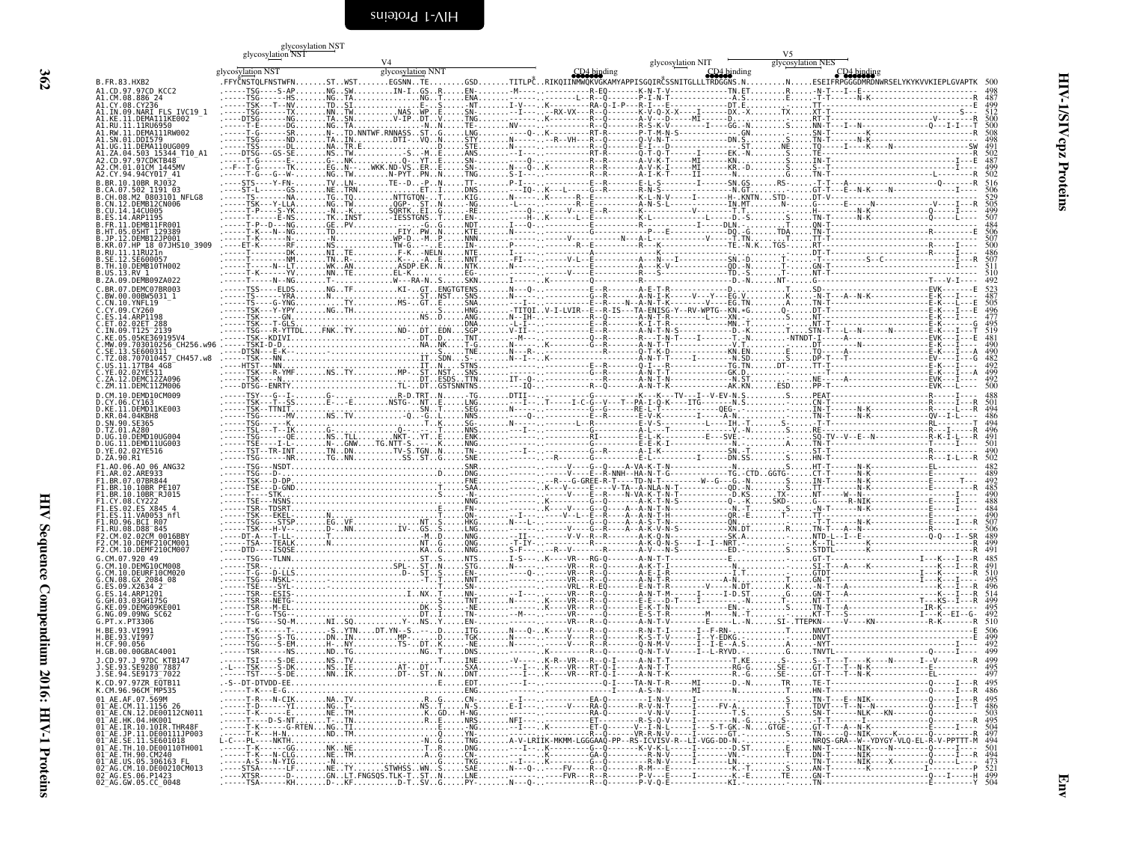#### <span id="page-51-0"></span>glycosylation NST  $\sigma$ <sub>120</sub>

|                                                        | geosyiation ins l<br>glycosylation NST |  | glycosylation NIT | V <sub>5</sub><br>glycosylation NES |                                                    |
|--------------------------------------------------------|----------------------------------------|--|-------------------|-------------------------------------|----------------------------------------------------|
| B.FR.83.HXB2                                           | glycosylation NST                      |  |                   |                                     | CD4 binding<br>ESEIFRPGGGDMRDNWRSELYKYKVVKIEPLGVAP |
| A1.CD.97.97CD_KCC2<br>1.CM.08.886 24                   |                                        |  |                   |                                     |                                                    |
| A1.IN.09.NARI FLS IVC19                                |                                        |  |                   |                                     |                                                    |
| 11.DEMA111KE002<br>.RU. 11. 11RU6950                   |                                        |  |                   |                                     |                                                    |
|                                                        |                                        |  |                   |                                     |                                                    |
| 11.DEMA110UG009<br>17CDKTR48                           |                                        |  |                   |                                     |                                                    |
| 1445MV<br>CY.94.94CY017 41                             |                                        |  |                   |                                     |                                                    |
| BR 10 10BR R1032                                       |                                        |  |                   |                                     |                                                    |
|                                                        |                                        |  |                   |                                     |                                                    |
|                                                        |                                        |  |                   |                                     |                                                    |
|                                                        |                                        |  |                   |                                     |                                                    |
|                                                        |                                        |  |                   |                                     |                                                    |
|                                                        |                                        |  |                   |                                     |                                                    |
|                                                        |                                        |  |                   |                                     |                                                    |
| DEMC07BR003                                            |                                        |  |                   |                                     |                                                    |
|                                                        |                                        |  |                   |                                     |                                                    |
| ARP1198                                                |                                        |  |                   |                                     |                                                    |
|                                                        |                                        |  |                   |                                     |                                                    |
| CH457.w8                                               |                                        |  |                   |                                     |                                                    |
|                                                        |                                        |  |                   |                                     |                                                    |
|                                                        |                                        |  |                   |                                     |                                                    |
|                                                        |                                        |  |                   |                                     |                                                    |
|                                                        |                                        |  |                   |                                     |                                                    |
|                                                        |                                        |  |                   |                                     |                                                    |
| UG.11.DEMD11UG003                                      |                                        |  |                   |                                     |                                                    |
|                                                        |                                        |  |                   |                                     |                                                    |
| 2.ARF933<br>07 07BR844                                 |                                        |  |                   |                                     |                                                    |
| L.RR.10.10RR PF16                                      |                                        |  |                   |                                     |                                                    |
|                                                        |                                        |  |                   |                                     |                                                    |
|                                                        |                                        |  |                   |                                     |                                                    |
| CM.10.DEMF210CM001                                     |                                        |  |                   |                                     |                                                    |
|                                                        |                                        |  |                   |                                     |                                                    |
| DEURE10CM020                                           |                                        |  |                   |                                     |                                                    |
|                                                        |                                        |  |                   |                                     |                                                    |
|                                                        |                                        |  |                   |                                     |                                                    |
|                                                        |                                        |  |                   |                                     |                                                    |
|                                                        |                                        |  |                   |                                     |                                                    |
| H.GB.00.00GBAC4001                                     |                                        |  |                   |                                     |                                                    |
| CD 97 1 97DC KTR14                                     |                                        |  |                   |                                     |                                                    |
| .SE9173 <sup>-</sup> 7022                              |                                        |  |                   |                                     |                                                    |
|                                                        |                                        |  |                   |                                     |                                                    |
|                                                        |                                        |  |                   |                                     |                                                    |
|                                                        |                                        |  |                   |                                     |                                                    |
| E601018                                                |                                        |  |                   |                                     |                                                    |
| 306163 FL                                              |                                        |  |                   |                                     |                                                    |
| DE00210CM013<br>02 AG.ES.06.P1423<br>02 AG.GW.AF.P1423 |                                        |  |                   |                                     |                                                    |
|                                                        |                                        |  |                   |                                     |                                                    |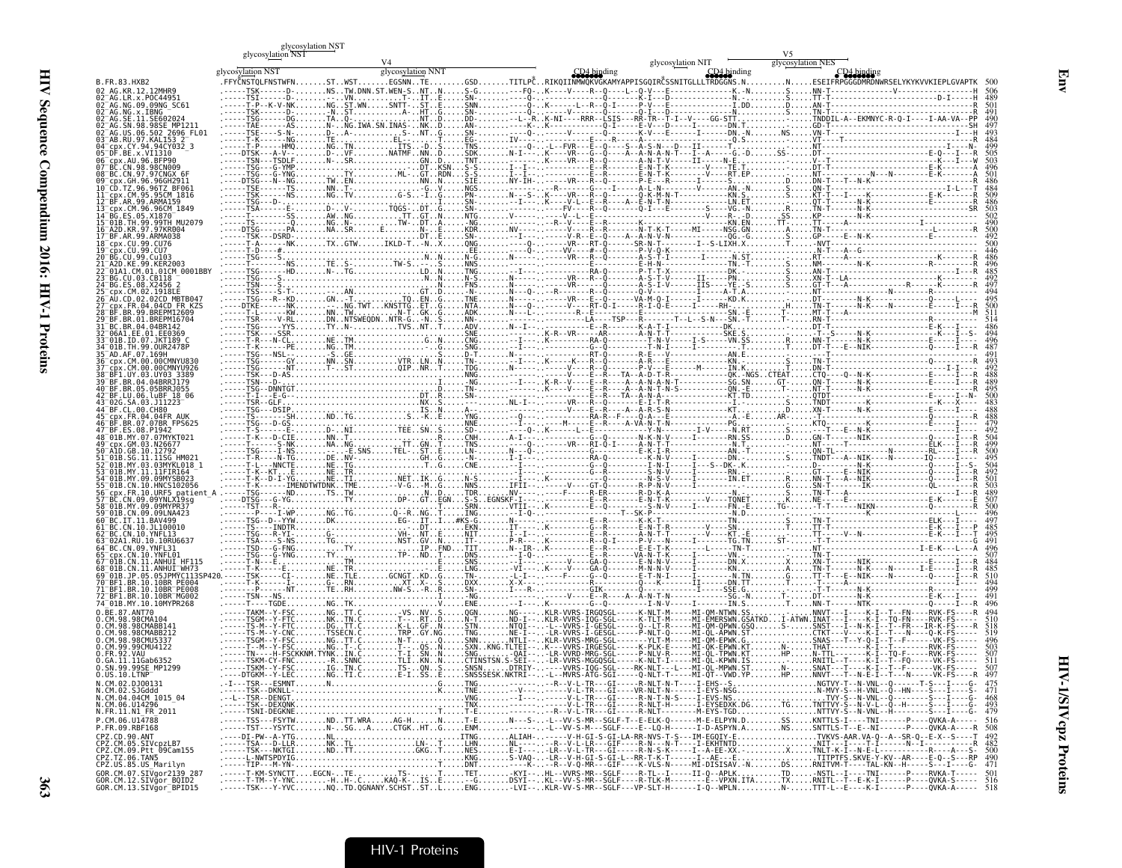| glycosylation NST |  |
|-------------------|--|
| glycosylation NST |  |

| ı<br>$\begin{bmatrix} 1 & 0 \\ 0 & 1 \end{bmatrix}$ |
|-----------------------------------------------------|
| t                                                   |
|                                                     |
| <b>FFF NS LS: FFF 1 LFF 50</b><br>ı                 |
|                                                     |

| Ptt 09Cam155<br>IA TAN5           |  |  |  |  |  |
|-----------------------------------|--|--|--|--|--|
| US.85.US Marilvn                  |  |  |  |  |  |
| CM.07.SIVgor2139 2<br>STVãor ROTD |  |  |  |  |  |
|                                   |  |  |  |  |  |

 $V5$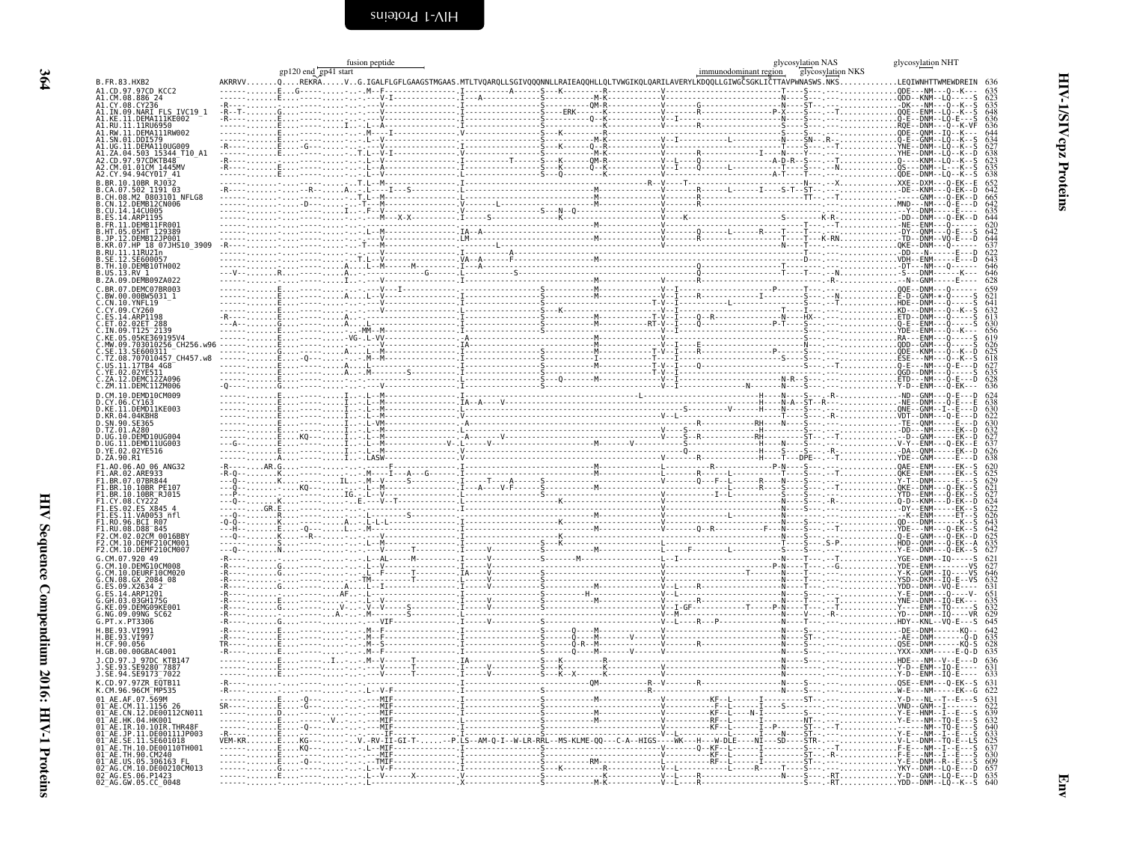<span id="page-53-0"></span>

|                                                                                                                             | gp120 end gp41 start | fusion peptide |  |           | immunodominant region                                                                                                 | glycosylation NAS<br>ion glycosylation NKS |                                                                | glycosylation NHT                                                                                                                                                                           |                                                             |
|-----------------------------------------------------------------------------------------------------------------------------|----------------------|----------------|--|-----------|-----------------------------------------------------------------------------------------------------------------------|--------------------------------------------|----------------------------------------------------------------|---------------------------------------------------------------------------------------------------------------------------------------------------------------------------------------------|-------------------------------------------------------------|
| B.FR.83.HXB2                                                                                                                |                      |                |  |           | .QREKRAVG.IGALFLGFLGAAGSTMGAAS.MTLTVQARQLLSGIVQQQNNLLRAIEAQQHLLQLTVWGIKQLQARILAVERYLKDQQLLGIWGĈSGKLIĈTTAVPWNASWS.NKS. |                                            |                                                                |                                                                                                                                                                                             | .LEQIWNHTTWMEWDREIN<br>636                                  |
| A1.CD.97.97CD KCC2<br>A1.CM.08.886 24<br>A1.CY.08.CY236                                                                     |                      |                |  |           |                                                                                                                       |                                            |                                                                | - COLOR-<br>- ODD - - KNM - - LO-<br>- - DK - - - NM - - LO-<br>- - DK - - - NM - - LO-<br>- QUE - - ENM - - LO-<br>- ROE - - DNM - - LO-<br>- QNE - - GNM - - LO-<br>- QNE - - GNM - - LO- | -к.<br>635<br>623<br>635                                    |
|                                                                                                                             |                      |                |  |           |                                                                                                                       |                                            |                                                                |                                                                                                                                                                                             | 648                                                         |
|                                                                                                                             |                      |                |  |           |                                                                                                                       |                                            |                                                                |                                                                                                                                                                                             | ٠E٠                                                         |
| tv.00.lt/20<br>tm.00.NART FLS IVC19_1<br>KE.11.DEMAI11KE002<br>RU.11.11RU0950<br>RW.11.DEMA111RW002<br>.SM.01.DDI579.ouceoo |                      |                |  |           |                                                                                                                       |                                            |                                                                |                                                                                                                                                                                             | 636<br>636<br>644<br>634<br>627<br>638<br>623<br>635<br>638 |
| DEMA110UG009<br>.UG.11                                                                                                      |                      |                |  |           |                                                                                                                       |                                            | . YNE - - DNM -                                                | $YHE - DNM - LQ$                                                                                                                                                                            |                                                             |
| 20.04.563_15344_T10_A1<br>2A.04.503_15344_T10_A1<br>CD.97.97CDKTB48<br>CM.01.01CM_1445MV<br>CY.94.94CY017_41                |                      |                |  |           |                                                                                                                       |                                            |                                                                | . 0 - - - - KNM - - I<br>QS - - - DNM - - I<br>- LQ                                                                                                                                         |                                                             |
| B.BR.10.10BR RJ032                                                                                                          |                      |                |  |           |                                                                                                                       |                                            |                                                                | . 0DE - - DNM - - LQ<br>. 0DE - - DNM - - LQ<br>. XXE - - DXM - - - Q                                                                                                                       | -EK                                                         |
| .17.502 1191 03<br>.07.502 1191 03<br>.08.M2 0803101 NFLG8                                                                  |                      |                |  |           |                                                                                                                       |                                            |                                                                | - DE - - KNM - -                                                                                                                                                                            | 652<br>642<br>665<br>642<br>- EK<br>- EK - - D              |
| .08.M2 0803101  <br>12.DEMB12CN006 .<br>CU.14.14CU005                                                                       |                      |                |  |           |                                                                                                                       |                                            |                                                                | . - - - - - GNM - - - 0<br>. MND - - - NM - - - 0<br>. - - Y - - DNM - - - -                                                                                                                | ٠E                                                          |
| .ARP1195<br>.DEMB11FR00                                                                                                     |                      |                |  |           |                                                                                                                       |                                            | $\ldots \ldots \cdot$ NE - - ENM - -                           | - DD - - DNM - - - Q -<br>- 0                                                                                                                                                               | $635$<br>$644$<br>- EK - - D                                |
| .05.05HT 129389<br>.12.DEMBI2JP001                                                                                          |                      |                |  |           |                                                                                                                       |                                            |                                                                | - DY - - QNM - - - Q<br>- TD - - DNM - - VQ                                                                                                                                                 | $620$<br>$642$<br>$644$<br>- E -<br>- E -                   |
| .KR.07.HP 18 07JHS10_3909<br>.RU.11.11RU2In_                                                                                |                      |                |  |           |                                                                                                                       |                                            |                                                                | .QKË - - DNM - - - Q -<br>. - DD - - - N - - - - - -                                                                                                                                        | $637$<br>$622$<br>$643$                                     |
| SE600057<br>TH.10.DEMB10TH002                                                                                               |                      |                |  |           |                                                                                                                       |                                            |                                                                | VDH - - ENM - - - -<br>- DT - - - NM - - - 0 - - - -<br>- S - - - DNM - - - - - - K -                                                                                                       | - D<br>646                                                  |
| 13.RV<br>B.ZA.09.DEMB09ZA022                                                                                                |                      |                |  |           |                                                                                                                       |                                            |                                                                | . - -N - - GNM - - - - - E                                                                                                                                                                  | $-K - -$<br>$646$<br>$628$                                  |
| .BR.07.DEMC07BR003<br>BW.00.00BW5031 1                                                                                      |                      |                |  |           |                                                                                                                       |                                            | .00E - - DNM -                                                 | $E - D - GNM - *$                                                                                                                                                                           | 659                                                         |
| .CN.10.YNFL19<br>.CY.09.CY260<br>.ES.14.ARP1198                                                                             |                      |                |  |           |                                                                                                                       |                                            |                                                                | . HDE - - DNM - - - Q<br>. KD - - - DNM - - - Q<br>. ETD - - DNM - - - Q                                                                                                                    | $621$<br>$641$<br>$632$<br>$613$<br>- - K - - S             |
| 02.02ET 288                                                                                                                 |                      |                |  |           |                                                                                                                       |                                            | .Q - E - - ENM -                                               |                                                                                                                                                                                             | 630                                                         |
| 05KE369195V4                                                                                                                |                      |                |  |           |                                                                                                                       |                                            |                                                                | ÝDE - - ENM - -<br>RA---ENM-                                                                                                                                                                |                                                             |
| 703010256_CH256.w96<br>SE600311                                                                                             |                      |                |  |           |                                                                                                                       |                                            | . QDD - - GNM -<br>. QDE - - KNM -                             |                                                                                                                                                                                             | $656$<br>$619$<br>$626$<br>$625$<br>-K-                     |
| CH457.w8<br>TZ.08.707010457<br>11.17TB4 4G8                                                                                 |                      |                |  |           |                                                                                                                       |                                            | .ÈSE - - - NM -                                                |                                                                                                                                                                                             | 618<br>627<br>627<br>635<br>628<br>636<br>-к-<br>٠Ε۰        |
| .02.02YE5I1<br>.DEMC12ZA096<br>12                                                                                           |                      |                |  |           |                                                                                                                       |                                            |                                                                | . ÒGD - - DNM - -<br>. ÈTD - - - NM - -<br>- 0                                                                                                                                              | - E - - - D                                                 |
| C.ZM.11.DEMC11ZM006<br>.10.DEMD10CM009                                                                                      |                      |                |  |           |                                                                                                                       |                                            | . Y - D - - ENM -<br>. - ND - -GNM-                            | - 0                                                                                                                                                                                         | -0-EK                                                       |
|                                                                                                                             |                      |                |  |           |                                                                                                                       |                                            |                                                                | - NE - - DNM - - - Q -                                                                                                                                                                      | ٠E                                                          |
| .11. DEMD11КЕ003<br>.04.04КВН8<br>D.KR                                                                                      |                      |                |  |           |                                                                                                                       |                                            |                                                                | ONE - - GNM - - I -<br>VDT - - DNM - - - Q                                                                                                                                                  | $624638630622630632632$                                     |
|                                                                                                                             |                      |                |  |           |                                                                                                                       |                                            |                                                                | - TE - - QNM - - - - - E<br>- DD - - - NM - - - - - EI<br>-D--GNM-----EK                                                                                                                    |                                                             |
| D.UG.10.DEMD10UG004<br>D.UG.11.DEMD11UG003<br>D.YE.02.02YE516<br>D.ZA.90.R1                                                 |                      |                |  |           |                                                                                                                       |                                            |                                                                |                                                                                                                                                                                             | $\frac{637}{626}$<br>626                                    |
| F1.A0.06.A0 06 ANG32                                                                                                        |                      |                |  |           |                                                                                                                       |                                            |                                                                | . YDE - - ĞNM - - - - - E -<br>$. QAE - ENM - - -$                                                                                                                                          | 620<br>- FK                                                 |
| .AR.02.ARE933<br>.BR.07.07BR844<br>F1                                                                                       |                      |                |  |           |                                                                                                                       |                                            |                                                                | . QKE - - ENM - - - - - EK<br>. QKE - - ENM - - - - - E-<br>. QKE - - DNM - - - 0 - EK<br>. YTD - - ENM - - - Q - EK                                                                        |                                                             |
| F1.BR.10.10BR PE107<br>F1.BR.10.10BR RJ015                                                                                  |                      |                |  |           |                                                                                                                       |                                            |                                                                |                                                                                                                                                                                             |                                                             |
| .CY.08.CY222<br>ES X845 4                                                                                                   |                      |                |  |           |                                                                                                                       |                                            |                                                                | .Q - D - - KNM - - - D - EK -<br>DY - - ENM - -                                                                                                                                             | 625<br>629<br>621<br>627<br>622<br>626<br>643<br>635<br>627 |
| 11.VA0053 nfl                                                                                                               |                      |                |  |           |                                                                                                                       |                                            |                                                                | -К- - ENM- - - -<br>0D - - - DNM - - - - - - K<br>YDE - - - NM - - - 0 - EK                                                                                                                 |                                                             |
| .RO.96.BCI R07<br>.RU.08.D88 845<br>F2.CM.02.02CM 0016BBY                                                                   |                      |                |  |           |                                                                                                                       |                                            |                                                                | $Q - E - GNN - - Q - EK -$                                                                                                                                                                  | - D                                                         |
| DEMF210CM001<br>F2.CM.10.DEMF210CM007                                                                                       |                      |                |  |           |                                                                                                                       |                                            | . Y - E - - DNM -                                              |                                                                                                                                                                                             | ٥٠<br>- EK                                                  |
| CM.07.920 49<br>CM.10.DEMG10CM008                                                                                           |                      |                |  |           |                                                                                                                       |                                            | . YGE--DNM--IQ--                                               |                                                                                                                                                                                             | $621$<br>$627$                                              |
| CM.10.DEURF10CM020<br>CN.08.GX 2084 08                                                                                      |                      |                |  |           |                                                                                                                       |                                            |                                                                | $YSD - DKM - IQ - E$                                                                                                                                                                        | 646                                                         |
| .ES.09.X2634_2-<br>.ES.14.ARP1201<br>.GH.03.03GH175G                                                                        |                      |                |  |           |                                                                                                                       |                                            |                                                                | . YDD - - DNM - - VQ - E<br>. Y - E - - DNM - - - Q - - -                                                                                                                                   | $631$<br>$651$<br>$635$<br>$632$                            |
| G.KE.09.DEMG09KE001                                                                                                         |                      |                |  |           |                                                                                                                       |                                            |                                                                | . YNĒ - - DNM - - IQ - EK - - -<br>- TQ -                                                                                                                                                   |                                                             |
| NG.09.09NG SC62<br>. PT . x . PT3306                                                                                        |                      |                |  |           |                                                                                                                       |                                            | .HDY - -KNL                                                    |                                                                                                                                                                                             | $629$<br>$645$<br>. - - - VR<br>- - VQ - E - - - S          |
| .93.VI991<br>.93.VI997                                                                                                      |                      |                |  |           |                                                                                                                       |                                            | $-DE -$                                                        |                                                                                                                                                                                             | - N                                                         |
| .90.056<br>H.GB.00.00GBAC4001                                                                                               |                      |                |  | - 0 - R - |                                                                                                                       |                                            |                                                                | - ĀĒ - - DNM - - - - - - - 0<br>- QSE - - DNM - - - - - - KQ                                                                                                                                | $642$<br>$635$<br>$628$<br>$635$                            |
| J.CD.97.J_97DC_KTB147                                                                                                       |                      |                |  |           |                                                                                                                       |                                            | YXX--XNM-----Е-0-D<br>HDE-- <u>-NM--V--</u> E---D<br>$Y - D -$ | $-ENM - TO$                                                                                                                                                                                 | 636                                                         |
| J.SE.93.SE9280 7887<br>J.SE.94.SE9173 7022                                                                                  |                      |                |  |           |                                                                                                                       |                                            |                                                                | . Y - Ď - - ĒNM - - ĪO - E -                                                                                                                                                                | $\frac{631}{633}$                                           |
| K.CD.97.97ZR<br>EQTB11<br>K.CM.96.96CM MP535                                                                                |                      |                |  |           |                                                                                                                       |                                            |                                                                | .QSE - - ENM - - - Q - EK -                                                                                                                                                                 | 631                                                         |
| 01_AE.AF.07.569M<br>01 AE.CM.11.1156 26                                                                                     |                      |                |  |           |                                                                                                                       |                                            |                                                                | VND - -GNM - - I - - -                                                                                                                                                                      | $Y - D - - - N L - - T - - E - - - S$<br>$631$<br>$622$     |
| CN.12.DE00112CN011<br>HK.04.HK001                                                                                           |                      |                |  |           |                                                                                                                       |                                            |                                                                | - - - NM - - TQ -                                                                                                                                                                           | $639$<br>$632$                                              |
| TR.10.10IR.THR48F<br>JP.11.DE00111JP003<br>SE.11.SE601018                                                                   |                      |                |  |           |                                                                                                                       |                                            |                                                                | - - <u>-</u> - - - NM - - TQ -<br>$-E - - NM - - I$                                                                                                                                         | 640                                                         |
| AE.TH.10.DE00110TH001                                                                                                       |                      |                |  |           |                                                                                                                       |                                            |                                                                | - L̃ - - DNM -<br>TQ.<br>E---NM--I-                                                                                                                                                         |                                                             |
| TH.90.CM240                                                                                                                 |                      |                |  |           |                                                                                                                       |                                            |                                                                | - E - - - NM - - I - - E                                                                                                                                                                    | $630$<br>$609$<br>$657$<br>$635$<br>$640$                   |
| 01 - AE . UT. 99. - UT. 49<br>02 - AG. CM. 10. DE00210CM013<br>02 - AG. ES. 06. P1423<br>02 - AG. GW. 05. CC_0048           |                      |                |  |           |                                                                                                                       |                                            |                                                                |                                                                                                                                                                                             |                                                             |
|                                                                                                                             |                      |                |  |           |                                                                                                                       |                                            |                                                                |                                                                                                                                                                                             |                                                             |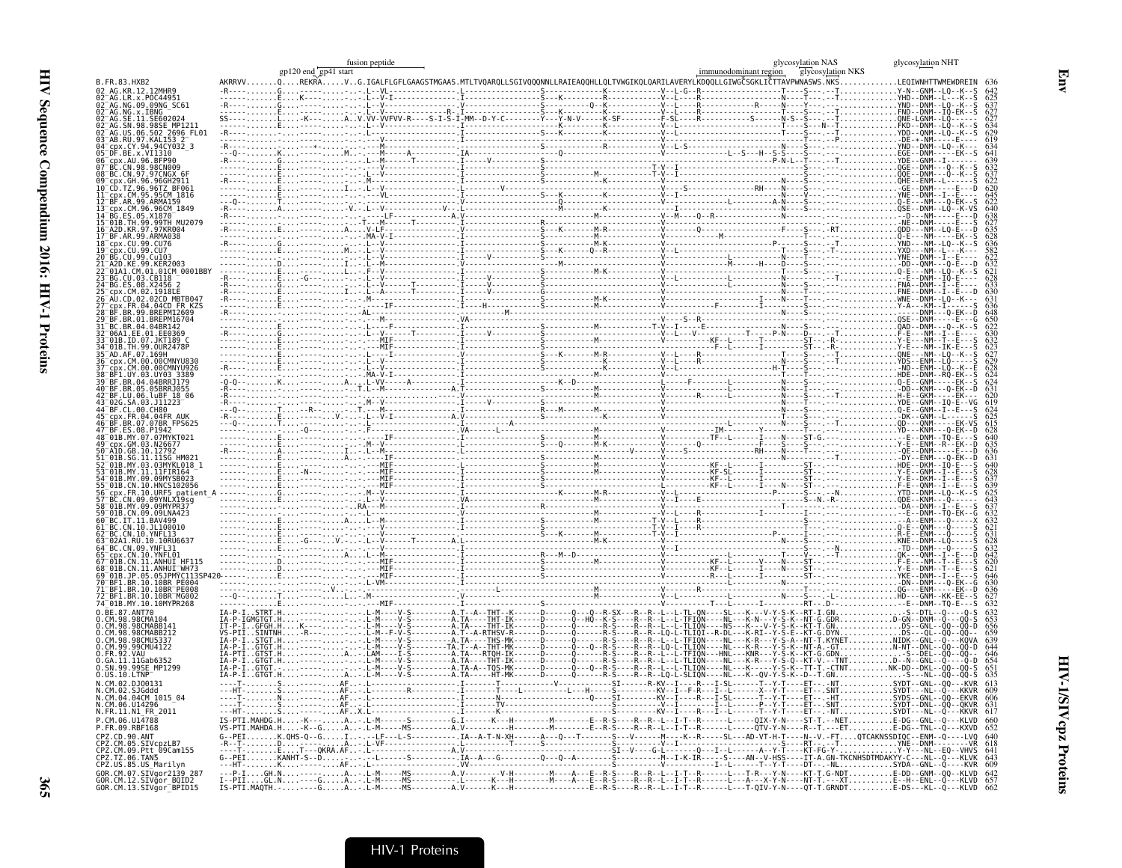|                                                                                                           |  | fusion peptide |                                                                                                                                                                                                                                                                                                                                                                                                                                  | immunodominant region glycosylation NKS                                                                                                 |                                                  | glycosy <u>lati</u> on NHT                                             |
|-----------------------------------------------------------------------------------------------------------|--|----------------|----------------------------------------------------------------------------------------------------------------------------------------------------------------------------------------------------------------------------------------------------------------------------------------------------------------------------------------------------------------------------------------------------------------------------------|-----------------------------------------------------------------------------------------------------------------------------------------|--------------------------------------------------|------------------------------------------------------------------------|
| B.FR.83.HXB2                                                                                              |  |                | gp120 end ' <del>gp41 start'   styco</del> sylation NK<br>QREKRAVG.IGALFLGFLGAAGSTMGAAS.MTLTVQARQLLSGIVQQQNNLLRAIEAQQHLLQLTVWGIKQLQARILAVERYLKDQQLLGIWGCSGKLICTTAVPWNASWS.NKS                                                                                                                                                                                                                                                    |                                                                                                                                         |                                                  |                                                                        |
|                                                                                                           |  |                |                                                                                                                                                                                                                                                                                                                                                                                                                                  |                                                                                                                                         |                                                  |                                                                        |
| -AG.<br>NG.09.09NG SC61<br>-AG.NG.x.IBNG                                                                  |  |                |                                                                                                                                                                                                                                                                                                                                                                                                                                  |                                                                                                                                         |                                                  |                                                                        |
| .SE602024                                                                                                 |  |                |                                                                                                                                                                                                                                                                                                                                                                                                                                  |                                                                                                                                         |                                                  |                                                                        |
| 2696_FL01<br>RU.97.KAL153 2                                                                               |  |                |                                                                                                                                                                                                                                                                                                                                                                                                                                  |                                                                                                                                         |                                                  |                                                                        |
|                                                                                                           |  |                |                                                                                                                                                                                                                                                                                                                                                                                                                                  |                                                                                                                                         |                                                  |                                                                        |
| VT1310                                                                                                    |  |                |                                                                                                                                                                                                                                                                                                                                                                                                                                  |                                                                                                                                         |                                                  |                                                                        |
| BC.CN.97.97CNGX                                                                                           |  |                |                                                                                                                                                                                                                                                                                                                                                                                                                                  |                                                                                                                                         |                                                  |                                                                        |
| GH.96.96GH2911<br>CD.TZ.96.96TZ BF061                                                                     |  |                |                                                                                                                                                                                                                                                                                                                                                                                                                                  |                                                                                                                                         |                                                  |                                                                        |
|                                                                                                           |  |                |                                                                                                                                                                                                                                                                                                                                                                                                                                  |                                                                                                                                         |                                                  |                                                                        |
| .96.96CM 1849                                                                                             |  |                |                                                                                                                                                                                                                                                                                                                                                                                                                                  |                                                                                                                                         |                                                  |                                                                        |
| TH.99.99TH MU2079                                                                                         |  |                |                                                                                                                                                                                                                                                                                                                                                                                                                                  |                                                                                                                                         |                                                  |                                                                        |
| 97.97KR004<br>99.ARMA038                                                                                  |  |                |                                                                                                                                                                                                                                                                                                                                                                                                                                  |                                                                                                                                         |                                                  |                                                                        |
| .99.CU76                                                                                                  |  |                |                                                                                                                                                                                                                                                                                                                                                                                                                                  |                                                                                                                                         |                                                  |                                                                        |
| BG.CU.99.Cu103<br>99 KFR2003                                                                              |  |                |                                                                                                                                                                                                                                                                                                                                                                                                                                  |                                                                                                                                         |                                                  |                                                                        |
| .01CM 0001BBY<br>03.CB118                                                                                 |  |                |                                                                                                                                                                                                                                                                                                                                                                                                                                  |                                                                                                                                         |                                                  |                                                                        |
|                                                                                                           |  |                |                                                                                                                                                                                                                                                                                                                                                                                                                                  |                                                                                                                                         |                                                  |                                                                        |
|                                                                                                           |  |                |                                                                                                                                                                                                                                                                                                                                                                                                                                  |                                                                                                                                         |                                                  |                                                                        |
|                                                                                                           |  |                |                                                                                                                                                                                                                                                                                                                                                                                                                                  |                                                                                                                                         |                                                  |                                                                        |
| 04 04RR142                                                                                                |  |                |                                                                                                                                                                                                                                                                                                                                                                                                                                  |                                                                                                                                         |                                                  |                                                                        |
| .ID.07.JKT189                                                                                             |  |                |                                                                                                                                                                                                                                                                                                                                                                                                                                  |                                                                                                                                         |                                                  |                                                                        |
|                                                                                                           |  |                |                                                                                                                                                                                                                                                                                                                                                                                                                                  |                                                                                                                                         |                                                  |                                                                        |
| <b>AACMNYII926</b>                                                                                        |  |                |                                                                                                                                                                                                                                                                                                                                                                                                                                  |                                                                                                                                         |                                                  |                                                                        |
| BF1.UY.03.UY03.3389                                                                                       |  |                |                                                                                                                                                                                                                                                                                                                                                                                                                                  |                                                                                                                                         |                                                  |                                                                        |
|                                                                                                           |  |                |                                                                                                                                                                                                                                                                                                                                                                                                                                  |                                                                                                                                         |                                                  |                                                                        |
| 06.luBF 18 06                                                                                             |  |                |                                                                                                                                                                                                                                                                                                                                                                                                                                  |                                                                                                                                         |                                                  |                                                                        |
| .00.CH80                                                                                                  |  |                |                                                                                                                                                                                                                                                                                                                                                                                                                                  |                                                                                                                                         |                                                  |                                                                        |
|                                                                                                           |  |                |                                                                                                                                                                                                                                                                                                                                                                                                                                  |                                                                                                                                         |                                                  |                                                                        |
| .07.07MYKT021<br>GM.03.N26677                                                                             |  |                |                                                                                                                                                                                                                                                                                                                                                                                                                                  |                                                                                                                                         |                                                  |                                                                        |
|                                                                                                           |  |                |                                                                                                                                                                                                                                                                                                                                                                                                                                  |                                                                                                                                         |                                                  |                                                                        |
|                                                                                                           |  |                |                                                                                                                                                                                                                                                                                                                                                                                                                                  |                                                                                                                                         |                                                  |                                                                        |
|                                                                                                           |  |                |                                                                                                                                                                                                                                                                                                                                                                                                                                  |                                                                                                                                         |                                                  |                                                                        |
| N 10 HNCS102056                                                                                           |  |                |                                                                                                                                                                                                                                                                                                                                                                                                                                  |                                                                                                                                         |                                                  |                                                                        |
|                                                                                                           |  |                |                                                                                                                                                                                                                                                                                                                                                                                                                                  |                                                                                                                                         |                                                  |                                                                        |
|                                                                                                           |  |                |                                                                                                                                                                                                                                                                                                                                                                                                                                  |                                                                                                                                         |                                                  |                                                                        |
|                                                                                                           |  |                |                                                                                                                                                                                                                                                                                                                                                                                                                                  |                                                                                                                                         |                                                  |                                                                        |
| 10RU663                                                                                                   |  |                |                                                                                                                                                                                                                                                                                                                                                                                                                                  |                                                                                                                                         |                                                  |                                                                        |
|                                                                                                           |  |                |                                                                                                                                                                                                                                                                                                                                                                                                                                  |                                                                                                                                         |                                                  |                                                                        |
|                                                                                                           |  |                |                                                                                                                                                                                                                                                                                                                                                                                                                                  |                                                                                                                                         |                                                  |                                                                        |
| .05.05.1PMYC1139<br>BR 10 10BR PE004                                                                      |  |                |                                                                                                                                                                                                                                                                                                                                                                                                                                  |                                                                                                                                         |                                                  |                                                                        |
| BR.10.10BR <sup>-</sup> PE008<br>BR.10.10BR MG002                                                         |  |                |                                                                                                                                                                                                                                                                                                                                                                                                                                  |                                                                                                                                         |                                                  |                                                                        |
| MY.10.10MYPR268                                                                                           |  |                |                                                                                                                                                                                                                                                                                                                                                                                                                                  |                                                                                                                                         |                                                  |                                                                        |
| BE.87.ANT70<br>98CMA104                                                                                   |  |                |                                                                                                                                                                                                                                                                                                                                                                                                                                  |                                                                                                                                         |                                                  | 632<br>653<br>656<br>659                                               |
| .98CMABB141<br>CM.98.98CMABB212                                                                           |  |                |                                                                                                                                                                                                                                                                                                                                                                                                                                  |                                                                                                                                         |                                                  | - D                                                                    |
| 98CMU5337<br>CM.99.99CMU4122                                                                              |  |                |                                                                                                                                                                                                                                                                                                                                                                                                                                  |                                                                                                                                         |                                                  | 639<br>639<br>644<br>654<br>651<br>635                                 |
| FR.92.VAU<br>.11Gab6352<br>GA.11                                                                          |  |                |                                                                                                                                                                                                                                                                                                                                                                                                                                  |                                                                                                                                         |                                                  |                                                                        |
| 9SE MP1299<br>US.10.LTNP                                                                                  |  |                |                                                                                                                                                                                                                                                                                                                                                                                                                                  |                                                                                                                                         |                                                  |                                                                        |
| CM.02.DJ00131                                                                                             |  |                |                                                                                                                                                                                                                                                                                                                                                                                                                                  |                                                                                                                                         |                                                  |                                                                        |
| CM.02.SJGddd<br>CM.04.04CM 1015.                                                                          |  |                | $\begin{bmatrix} \mathbf{1} & \mathbf{1} & \mathbf{1} & \mathbf{1} & \mathbf{1} & \mathbf{1} & \mathbf{1} & \mathbf{1} & \mathbf{1} & \mathbf{1} & \mathbf{1} & \mathbf{1} & \mathbf{1} & \mathbf{1} & \mathbf{1} & \mathbf{1} & \mathbf{1} & \mathbf{1} & \mathbf{1} & \mathbf{1} & \mathbf{1} & \mathbf{1} & \mathbf{1} & \mathbf{1} & \mathbf{1} & \mathbf{1} & \mathbf{1} & \mathbf{1} & \mathbf{1} & \mathbf{1} & \mathbf{$ |                                                                                                                                         |                                                  | $\frac{613}{609}$                                                      |
| N.FR.11.N1 FR 2011                                                                                        |  |                |                                                                                                                                                                                                                                                                                                                                                                                                                                  |                                                                                                                                         |                                                  |                                                                        |
| CM 06 U14788                                                                                              |  |                |                                                                                                                                                                                                                                                                                                                                                                                                                                  |                                                                                                                                         |                                                  | KLVD-                                                                  |
| CPZ.CD.90.ANT                                                                                             |  |                |                                                                                                                                                                                                                                                                                                                                                                                                                                  |                                                                                                                                         |                                                  | $-LVO$<br>640                                                          |
| 05.SIVcpzLB7<br>.09.Ptt_09Cam155                                                                          |  |                |                                                                                                                                                                                                                                                                                                                                                                                                                                  |                                                                                                                                         |                                                  | $\frac{618}{641}$<br>$Y - \overline{Y} - -\overline{N}L - -EQ - -VHVS$ |
| 06.TAN5<br>CPZ.US.85.US_Marilyn                                                                           |  |                |                                                                                                                                                                                                                                                                                                                                                                                                                                  |                                                                                                                                         | .I--L------T--Y-T----DT--.-NLSYDA--GNL--Q----KVR | -KLVK<br>$643$<br>$609$                                                |
|                                                                                                           |  |                |                                                                                                                                                                                                                                                                                                                                                                                                                                  |                                                                                                                                         | .---T-R---Y-N----KT-T.G-NDTE-DD--GNM--QQ--KLVD   | $642$<br>$657$<br>$662$                                                |
| GOR.CM.07.SIVgor2139 287<br>GOR.CM.12.SIVgor2139 287<br>GOR.CM.12.SIVgor_BOID2<br>GOR.CM.13.SIVgor_BPID15 |  |                |                                                                                                                                                                                                                                                                                                                                                                                                                                  | - Š- - - - R - - R - - L - - I - T - - R - - - - - - L - - - A - - - X - Y - N - - - - NT - T . - - - XT E - - H - - ENL - - Q - - KLVD |                                                  |                                                                        |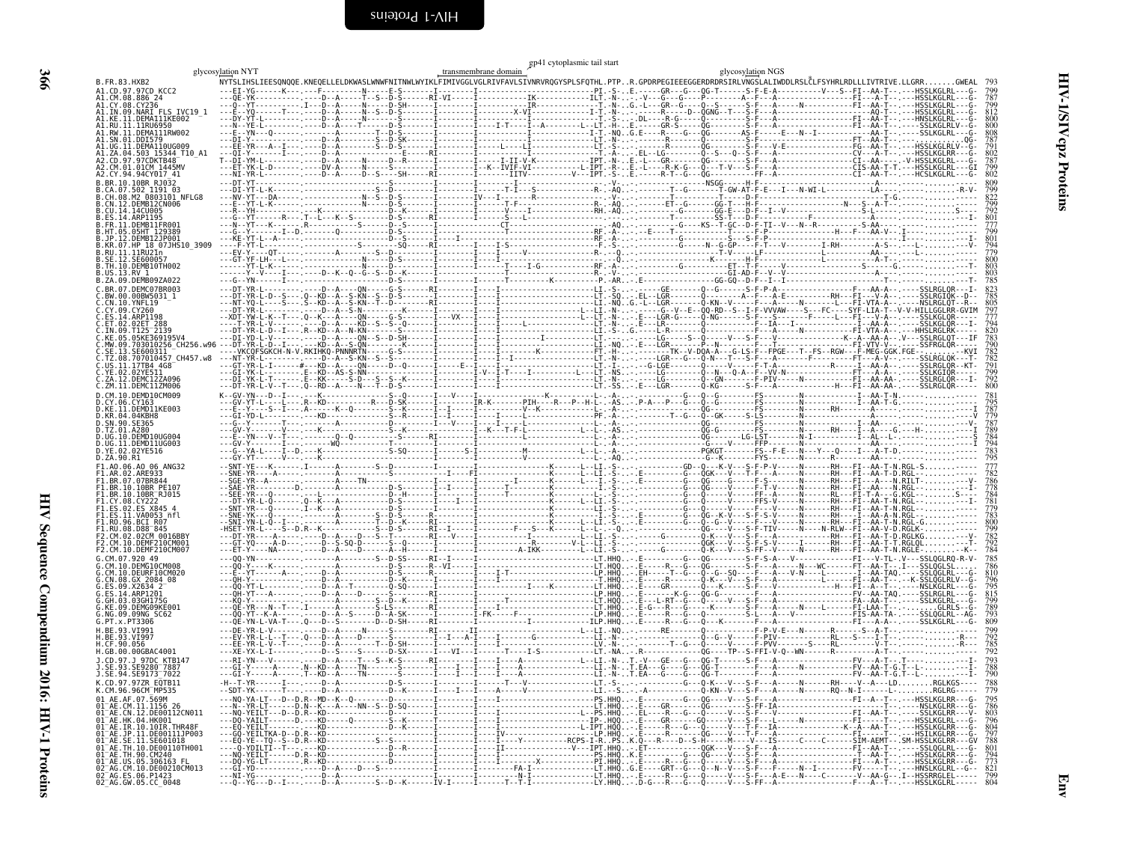<span id="page-55-0"></span>

| glycosylation NYT |                                                                                                                                                                       | gp41 cytoplasmic tail start<br>transmembrane domain |  | glycosylation NGS |  |                                        |
|-------------------|-----------------------------------------------------------------------------------------------------------------------------------------------------------------------|-----------------------------------------------------|--|-------------------|--|----------------------------------------|
|                   | NYTSLIHSLIEESQNQQE.KNEQELLELDKWASLWNWFNITNWLWYIKLFIMIVGGLVGLRIVFAVLSIVNRVRQGYSPLSFQTHL.PTPR.GPDRPEGIEEEGGERDRDRSIRLVNGSLALIWDDLRSLČLFSYHRLRDLLLIVTRIVE.LLGRRGWEAL 793 |                                                     |  |                   |  |                                        |
|                   |                                                                                                                                                                       |                                                     |  |                   |  |                                        |
|                   |                                                                                                                                                                       |                                                     |  |                   |  |                                        |
|                   |                                                                                                                                                                       |                                                     |  |                   |  | 808<br>787<br>791                      |
|                   |                                                                                                                                                                       |                                                     |  |                   |  |                                        |
|                   |                                                                                                                                                                       |                                                     |  |                   |  |                                        |
|                   |                                                                                                                                                                       |                                                     |  |                   |  | 802                                    |
|                   |                                                                                                                                                                       |                                                     |  |                   |  |                                        |
|                   |                                                                                                                                                                       |                                                     |  |                   |  | 799<br>792                             |
|                   |                                                                                                                                                                       |                                                     |  |                   |  | $\frac{80}{777}$                       |
|                   |                                                                                                                                                                       |                                                     |  |                   |  |                                        |
|                   |                                                                                                                                                                       |                                                     |  |                   |  | $\frac{779}{800}$                      |
|                   |                                                                                                                                                                       |                                                     |  |                   |  |                                        |
|                   |                                                                                                                                                                       |                                                     |  |                   |  |                                        |
|                   |                                                                                                                                                                       |                                                     |  |                   |  |                                        |
|                   |                                                                                                                                                                       |                                                     |  |                   |  |                                        |
|                   |                                                                                                                                                                       |                                                     |  |                   |  | 820<br>783                             |
|                   |                                                                                                                                                                       |                                                     |  |                   |  | 782<br>782<br>791<br>799               |
|                   |                                                                                                                                                                       |                                                     |  |                   |  |                                        |
|                   |                                                                                                                                                                       |                                                     |  |                   |  | 800                                    |
|                   |                                                                                                                                                                       |                                                     |  |                   |  |                                        |
|                   |                                                                                                                                                                       |                                                     |  |                   |  |                                        |
|                   |                                                                                                                                                                       |                                                     |  |                   |  |                                        |
|                   |                                                                                                                                                                       |                                                     |  |                   |  |                                        |
|                   |                                                                                                                                                                       |                                                     |  |                   |  |                                        |
|                   |                                                                                                                                                                       |                                                     |  |                   |  |                                        |
|                   |                                                                                                                                                                       |                                                     |  |                   |  | 778<br>778<br>784<br>779<br>779<br>783 |
|                   |                                                                                                                                                                       |                                                     |  |                   |  |                                        |
|                   |                                                                                                                                                                       |                                                     |  |                   |  | $\frac{782}{792}$                      |
|                   |                                                                                                                                                                       |                                                     |  |                   |  |                                        |
|                   |                                                                                                                                                                       |                                                     |  |                   |  |                                        |
|                   |                                                                                                                                                                       |                                                     |  |                   |  | 796                                    |
|                   |                                                                                                                                                                       |                                                     |  |                   |  | 799                                    |
|                   |                                                                                                                                                                       |                                                     |  |                   |  | $\frac{789}{793}$                      |
|                   |                                                                                                                                                                       |                                                     |  |                   |  | 799                                    |
|                   |                                                                                                                                                                       |                                                     |  |                   |  | $\frac{785}{792}$                      |
|                   |                                                                                                                                                                       |                                                     |  |                   |  |                                        |
|                   |                                                                                                                                                                       |                                                     |  |                   |  | $\frac{788}{790}$                      |
|                   |                                                                                                                                                                       |                                                     |  |                   |  | 788<br>795                             |
|                   |                                                                                                                                                                       |                                                     |  |                   |  |                                        |
|                   |                                                                                                                                                                       |                                                     |  |                   |  | 796                                    |
|                   |                                                                                                                                                                       |                                                     |  |                   |  |                                        |
|                   |                                                                                                                                                                       |                                                     |  |                   |  |                                        |
|                   |                                                                                                                                                                       |                                                     |  |                   |  | 799                                    |
|                   |                                                                                                                                                                       |                                                     |  |                   |  |                                        |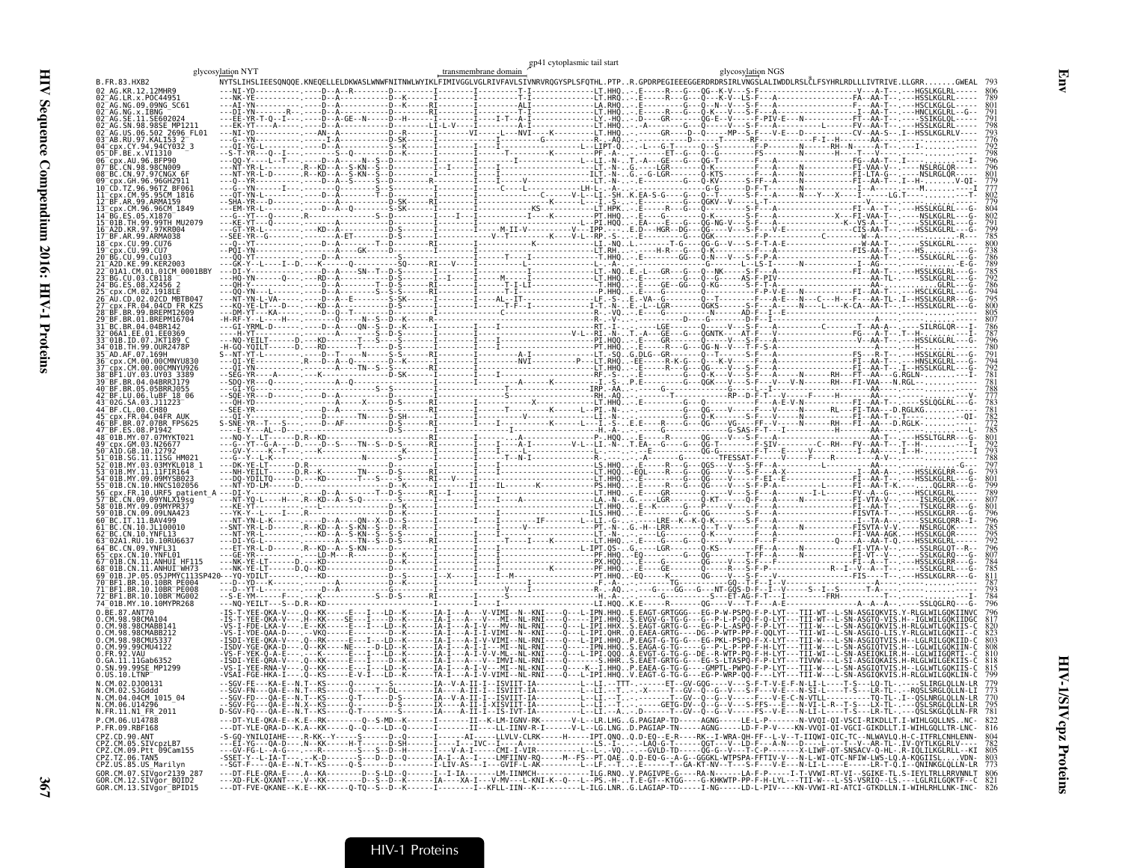| gp41 cytoplasmic tail start<br>glycosylation NYT<br>transmembrane domain |  |                                                                                                                                                                                                                                   |  |                                                                                                                                                                                                                             |  |                                                                          |                                            |
|--------------------------------------------------------------------------|--|-----------------------------------------------------------------------------------------------------------------------------------------------------------------------------------------------------------------------------------|--|-----------------------------------------------------------------------------------------------------------------------------------------------------------------------------------------------------------------------------|--|--------------------------------------------------------------------------|--------------------------------------------|
|                                                                          |  |                                                                                                                                                                                                                                   |  |                                                                                                                                                                                                                             |  |                                                                          |                                            |
|                                                                          |  |                                                                                                                                                                                                                                   |  |                                                                                                                                                                                                                             |  |                                                                          |                                            |
| AG NG 09 09NG SC61                                                       |  |                                                                                                                                                                                                                                   |  |                                                                                                                                                                                                                             |  |                                                                          |                                            |
|                                                                          |  |                                                                                                                                                                                                                                   |  |                                                                                                                                                                                                                             |  |                                                                          |                                            |
| SN.98.98SE<br>2696 FL01                                                  |  |                                                                                                                                                                                                                                   |  |                                                                                                                                                                                                                             |  |                                                                          |                                            |
|                                                                          |  |                                                                                                                                                                                                                                   |  |                                                                                                                                                                                                                             |  |                                                                          |                                            |
| ALL Q6 REPQ6                                                             |  |                                                                                                                                                                                                                                   |  |                                                                                                                                                                                                                             |  |                                                                          |                                            |
|                                                                          |  |                                                                                                                                                                                                                                   |  |                                                                                                                                                                                                                             |  |                                                                          |                                            |
|                                                                          |  |                                                                                                                                                                                                                                   |  |                                                                                                                                                                                                                             |  |                                                                          |                                            |
|                                                                          |  |                                                                                                                                                                                                                                   |  |                                                                                                                                                                                                                             |  |                                                                          |                                            |
| 96.96CM 1849                                                             |  |                                                                                                                                                                                                                                   |  |                                                                                                                                                                                                                             |  |                                                                          |                                            |
|                                                                          |  |                                                                                                                                                                                                                                   |  |                                                                                                                                                                                                                             |  |                                                                          |                                            |
| <b>ARMA038</b>                                                           |  |                                                                                                                                                                                                                                   |  |                                                                                                                                                                                                                             |  |                                                                          |                                            |
|                                                                          |  |                                                                                                                                                                                                                                   |  |                                                                                                                                                                                                                             |  |                                                                          |                                            |
|                                                                          |  |                                                                                                                                                                                                                                   |  |                                                                                                                                                                                                                             |  |                                                                          |                                            |
| 01CM 0001BB                                                              |  |                                                                                                                                                                                                                                   |  |                                                                                                                                                                                                                             |  |                                                                          |                                            |
|                                                                          |  |                                                                                                                                                                                                                                   |  |                                                                                                                                                                                                                             |  |                                                                          |                                            |
| A2CD MRTRA4                                                              |  |                                                                                                                                                                                                                                   |  |                                                                                                                                                                                                                             |  |                                                                          |                                            |
|                                                                          |  |                                                                                                                                                                                                                                   |  |                                                                                                                                                                                                                             |  |                                                                          |                                            |
|                                                                          |  |                                                                                                                                                                                                                                   |  |                                                                                                                                                                                                                             |  |                                                                          |                                            |
|                                                                          |  |                                                                                                                                                                                                                                   |  |                                                                                                                                                                                                                             |  |                                                                          |                                            |
|                                                                          |  |                                                                                                                                                                                                                                   |  |                                                                                                                                                                                                                             |  |                                                                          |                                            |
|                                                                          |  |                                                                                                                                                                                                                                   |  |                                                                                                                                                                                                                             |  |                                                                          |                                            |
|                                                                          |  |                                                                                                                                                                                                                                   |  |                                                                                                                                                                                                                             |  |                                                                          |                                            |
| 05BRR1055                                                                |  |                                                                                                                                                                                                                                   |  |                                                                                                                                                                                                                             |  |                                                                          |                                            |
|                                                                          |  |                                                                                                                                                                                                                                   |  |                                                                                                                                                                                                                             |  |                                                                          |                                            |
|                                                                          |  |                                                                                                                                                                                                                                   |  |                                                                                                                                                                                                                             |  |                                                                          |                                            |
|                                                                          |  |                                                                                                                                                                                                                                   |  |                                                                                                                                                                                                                             |  |                                                                          |                                            |
|                                                                          |  |                                                                                                                                                                                                                                   |  |                                                                                                                                                                                                                             |  |                                                                          |                                            |
|                                                                          |  |                                                                                                                                                                                                                                   |  |                                                                                                                                                                                                                             |  |                                                                          |                                            |
|                                                                          |  |                                                                                                                                                                                                                                   |  |                                                                                                                                                                                                                             |  |                                                                          |                                            |
|                                                                          |  |                                                                                                                                                                                                                                   |  |                                                                                                                                                                                                                             |  |                                                                          |                                            |
|                                                                          |  |                                                                                                                                                                                                                                   |  |                                                                                                                                                                                                                             |  |                                                                          |                                            |
|                                                                          |  |                                                                                                                                                                                                                                   |  |                                                                                                                                                                                                                             |  |                                                                          |                                            |
|                                                                          |  |                                                                                                                                                                                                                                   |  |                                                                                                                                                                                                                             |  |                                                                          |                                            |
|                                                                          |  |                                                                                                                                                                                                                                   |  |                                                                                                                                                                                                                             |  |                                                                          |                                            |
|                                                                          |  |                                                                                                                                                                                                                                   |  |                                                                                                                                                                                                                             |  |                                                                          |                                            |
|                                                                          |  |                                                                                                                                                                                                                                   |  |                                                                                                                                                                                                                             |  |                                                                          |                                            |
|                                                                          |  |                                                                                                                                                                                                                                   |  |                                                                                                                                                                                                                             |  |                                                                          |                                            |
| 10.10BR PE008<br>10.10BRTMG002                                           |  |                                                                                                                                                                                                                                   |  |                                                                                                                                                                                                                             |  |                                                                          |                                            |
| _⊍1B.MY.10.10MYPR268                                                     |  |                                                                                                                                                                                                                                   |  |                                                                                                                                                                                                                             |  |                                                                          |                                            |
|                                                                          |  | $QKA-V--.0.4K-0.0.4K-0.0.4K-0.0.4K-0.0.4K-0.0.4K-0.0.4K-0.0.4K-0.0.4K-0.0.4K-0.0.4K-0.0.4K-0.0.4K-0.0.4K-0.0.4K-0.0.4K-0.0.4K-0.0.4K-0.0.4K-0.0.4K-0.0.4K-0.0.4K-0.0.4K-0.0.4K-0.0.4K-0.0.4K-0.0.4K-0.0.4K-0.0.4K-0.0.4K-0.0.4K-$ |  |                                                                                                                                                                                                                             |  |                                                                          |                                            |
| 98CMARR14<br>98CMABB212                                                  |  |                                                                                                                                                                                                                                   |  |                                                                                                                                                                                                                             |  |                                                                          |                                            |
|                                                                          |  |                                                                                                                                                                                                                                   |  |                                                                                                                                                                                                                             |  |                                                                          |                                            |
|                                                                          |  |                                                                                                                                                                                                                                   |  |                                                                                                                                                                                                                             |  |                                                                          |                                            |
| 99SE MP1299                                                              |  |                                                                                                                                                                                                                                   |  |                                                                                                                                                                                                                             |  |                                                                          |                                            |
| CM.02.DJ00131                                                            |  |                                                                                                                                                                                                                                   |  |                                                                                                                                                                                                                             |  |                                                                          |                                            |
| CM.04.04CM 1015 04                                                       |  |                                                                                                                                                                                                                                   |  | -Nit-RS-----0-------DL---------TA---A-II-I-ISVIII-IA----------L-LI.--TX----T--GV-70--G--V---S-F---V-E--NSTI-L---T-S---LR-TL-.-ROSESRGLOLEN-LI<br>-N.T--KS-----O-T------D-S-------IA-V-A-II-I-XISVIII-IA---------L-LI.--T--- |  |                                                                          |                                            |
| N.FR.11.N1_FR_2011                                                       |  |                                                                                                                                                                                                                                   |  |                                                                                                                                                                                                                             |  |                                                                          |                                            |
|                                                                          |  |                                                                                                                                                                                                                                   |  |                                                                                                                                                                                                                             |  |                                                                          |                                            |
|                                                                          |  |                                                                                                                                                                                                                                   |  |                                                                                                                                                                                                                             |  |                                                                          |                                            |
| Ptt 09Cam155                                                             |  |                                                                                                                                                                                                                                   |  |                                                                                                                                                                                                                             |  |                                                                          |                                            |
| TZ.06.TAN5<br>PZ.US.85.US Marilvn:                                       |  | ----QA-E--N.T--KS-----Q-S------D----------I-LIV-AS---I---GVIF-L-AK----------L--LF.--T E--                                                                                                                                         |  |                                                                                                                                                                                                                             |  | --T--GA-KT-NV--T---S-F---V-E---N-LI-L----E-----LR-T-Q.I--QNINKGLQLLN-LR- |                                            |
| GOR.CM.07.SIVgor2139 287                                                 |  | -DT-FLE-ORA-E---.A--KA-------D--S-LD--Q------I--I-IA-------LM-IINMCH------------ILG.RNQV.PAGIVPE-G----RA-N------LA-F-P--<br>V - - KK - - - - - - - - D - - S - - D - - K - - - - - - IA - - - - XA - I - - - V - MV -             |  |                                                                                                                                                                                                                             |  |                                                                          | I-T-VVWI-RT-VI--SGIKE-TL.S-IEYLTRLLRRVNNLT |
| GOR.CM.12.SIVğor_BQID2<br>GOR.CM.13.SIVgor_BPID15                        |  | QKANE--K.E--KK-----Q-TQ--S--D--K------I---------I--KFLL                                                                                                                                                                           |  | <br>.-L-KNI-K--Q---L--PSH-T.E-GT--KTĞG----G-KHKWTP-PP-F-H-LYL---TII-W<br>N--K---------L-ILG.LNRG.LAGIAP-TD-----I-NG-----LD-L-PIV----KN-VVW                                                                                  |  | ---LD-L-PIV----KN-VVWI-RI-ATCI                                           |                                            |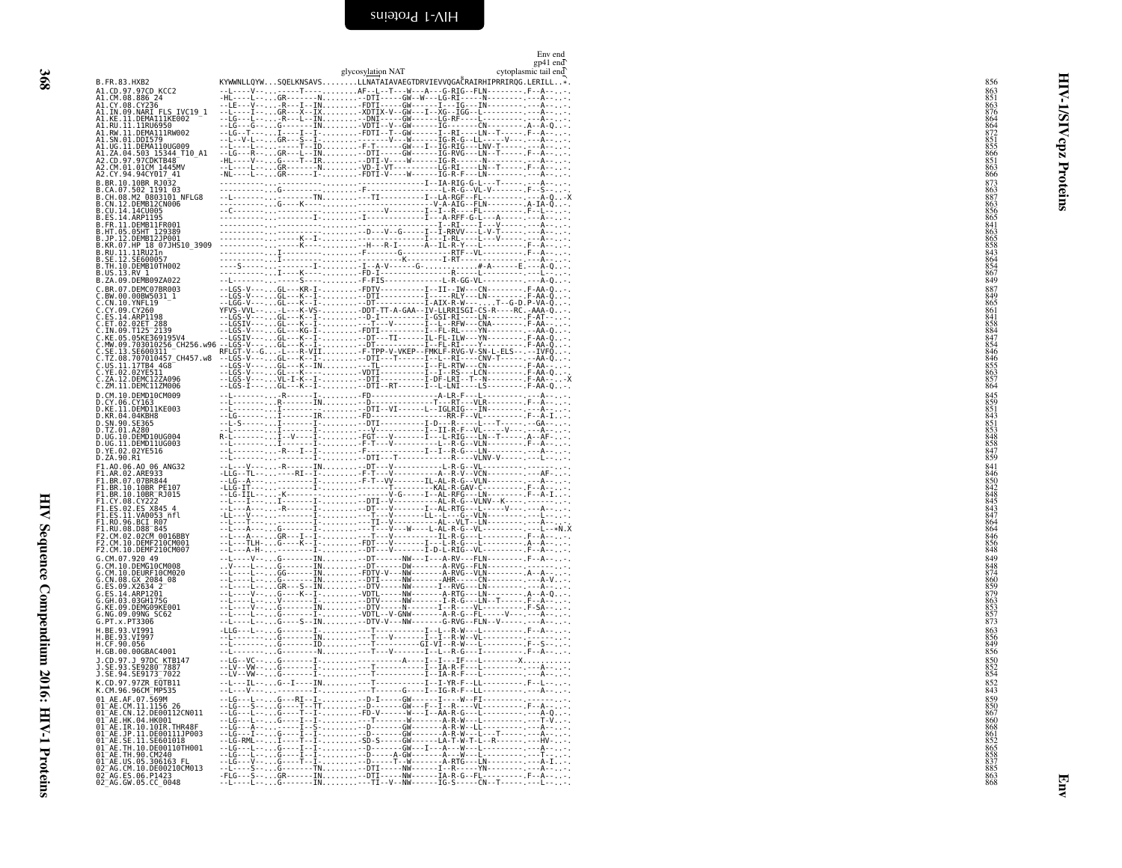<span id="page-57-0"></span>Env end

|                                                                                                                        | gp41 end<br>glycosylation NAT<br>cytoplasmic tail end                                                                                                                                                                                                                                                                                                          |                                        |
|------------------------------------------------------------------------------------------------------------------------|----------------------------------------------------------------------------------------------------------------------------------------------------------------------------------------------------------------------------------------------------------------------------------------------------------------------------------------------------------------|----------------------------------------|
| B.FR.83.HXB2                                                                                                           | KYWWNLLQYWSQELKNSAVSLLNATAIAVAEGTDRVIEVVQGAČ̃RAIRHIPRRIRQG.LERILL*.                                                                                                                                                                                                                                                                                            | 856                                    |
| A1.CD.97.97CD KCC2<br>A1.CM.08.886_24                                                                                  |                                                                                                                                                                                                                                                                                                                                                                | 863<br>851                             |
| Al.CY.08.CY236<br>Al.IN.09.NARI FLS IVC19_1<br>Al.KE.11.DEMAI11KE002                                                   |                                                                                                                                                                                                                                                                                                                                                                | 863<br>876<br>864<br>≅                 |
| A1.RU.11.11RU6950<br>A1.RU.11.11RU6950<br>A1.RW.11.DEMA111RW002                                                        |                                                                                                                                                                                                                                                                                                                                                                | ⋜                                      |
|                                                                                                                        |                                                                                                                                                                                                                                                                                                                                                                | 864<br>864<br>872<br>855<br>855<br>866 |
|                                                                                                                        |                                                                                                                                                                                                                                                                                                                                                                | cpz<br>851                             |
| A2.CM.01.01CM 1445MV<br>A2.CY.94.94CY017 41                                                                            |                                                                                                                                                                                                                                                                                                                                                                | 863<br>866                             |
| B.BR.10.10BR RJ032<br>B.CA.07.502 1191 03                                                                              |                                                                                                                                                                                                                                                                                                                                                                | Proteins<br>873<br>863                 |
| B.CH.08.M2 0803101 NFLG8<br>B.CN.12.DEMB12CN006                                                                        |                                                                                                                                                                                                                                                                                                                                                                | 887                                    |
| B.CU.14.14CU005<br>B.ES.14.ARP1195                                                                                     |                                                                                                                                                                                                                                                                                                                                                                | $\frac{863}{856}$<br>856               |
| B.FR.11.DEMB11FR001<br>B.HT.05.05HT 129389                                                                             |                                                                                                                                                                                                                                                                                                                                                                | 841                                    |
| B.JP.12.DEMB12JP001<br>B.KR.07.HP 18 07JHS10_3909<br>B.RU.11.11RU21n                                                   |                                                                                                                                                                                                                                                                                                                                                                | 863<br>865<br>858<br>843               |
| B.SE.12.SE600057                                                                                                       |                                                                                                                                                                                                                                                                                                                                                                | $\frac{864}{854}$                      |
| B. TH. 10. DEMB10TH002<br>B.US.13.RV 1<br>B.ZA.09.DEMB09ZA022                                                          |                                                                                                                                                                                                                                                                                                                                                                | 867<br>849                             |
|                                                                                                                        |                                                                                                                                                                                                                                                                                                                                                                | 887<br>849                             |
| C.BR.07.DEMC07BR003<br>C.BR.07.DEMC07BR003<br>C.CN.10.YNFL19<br>C.CY.09.CY260                                          |                                                                                                                                                                                                                                                                                                                                                                | 865<br>861                             |
|                                                                                                                        |                                                                                                                                                                                                                                                                                                                                                                | $\frac{841}{858}$<br>884               |
| C.ES.14.ARP1198<br>C.ES.14.ARP1198<br>C.ET.02.02ET 288<br>C.IN.09.T125 2139<br>C.KE.05.05KE2633<br>.KE.05.05KE369195V4 |                                                                                                                                                                                                                                                                                                                                                                |                                        |
| C.MW.09.703010256 CH256.w96                                                                                            |                                                                                                                                                                                                                                                                                                                                                                | 847<br>854                             |
| C.SE.13.SE600311-<br>C.TZ.08.707010457_CH457.w8<br>C.US.11.17TB4_4G8                                                   |                                                                                                                                                                                                                                                                                                                                                                | 846<br>846<br>855<br>853               |
| C.YE.02.02YE511<br>C.ZA.12.DEMC12ZA096<br>C.ZM.11.DEMC11ZM006                                                          |                                                                                                                                                                                                                                                                                                                                                                | $\frac{857}{864}$                      |
| D.CM.10.DEMD10CM009                                                                                                    |                                                                                                                                                                                                                                                                                                                                                                |                                        |
| D.CY.06.CY163<br>D.KE.11.DEMD11KE003                                                                                   |                                                                                                                                                                                                                                                                                                                                                                | 845<br>859<br>851                      |
| D.KR.04.04KBH8<br>D.SN.90.SE365<br>D.TZ.01.A286                                                                        |                                                                                                                                                                                                                                                                                                                                                                | $843$<br>$851$<br>$853$<br>$848$       |
| D.UG.10.DEMD10UG004<br>D.UG.11.DEMD11UG003                                                                             |                                                                                                                                                                                                                                                                                                                                                                |                                        |
| D.YE.02.02YE516<br>D.ZA.90.R1                                                                                          |                                                                                                                                                                                                                                                                                                                                                                | 858<br>847<br>859                      |
| F1.A0.06.A0 06 ANG32<br>F1.AR.02.ARE933                                                                                | $\begin{array}{cccccccccccccccc} \textbf{1.0.11} & \textbf{1.0.22} & \textbf{1.0.33} & \textbf{1.0.43} & \textbf{1.0.43} & \textbf{1.0.43} & \textbf{1.0.43} & \textbf{1.0.43} & \textbf{1.0.43} & \textbf{1.0.43} & \textbf{1.0.43} & \textbf{1.0.43} & \textbf{1.0.43} & \textbf{1.0.43} & \textbf{1.0.43} & \textbf{1.0.43} & \textbf{1.0.43} & \textbf{1.$ | $841\n846$                             |
| F1.BR.07.07BR844<br>F1.BR.10.10BR PE107                                                                                |                                                                                                                                                                                                                                                                                                                                                                | 850<br>842                             |
| F1.BR.10.10BR-RJ015<br>F1.CY.08.CY222<br>F1.ES.02.ES X845 4<br>F1.ES.11.VA0053_nfl                                     |                                                                                                                                                                                                                                                                                                                                                                | 848<br>845<br>843<br>847               |
|                                                                                                                        |                                                                                                                                                                                                                                                                                                                                                                |                                        |
| F1.R0.96.BCI R07                                                                                                       |                                                                                                                                                                                                                                                                                                                                                                | 864<br>864                             |
| F1.RU.08.D88-845<br>F2.CM.02.02CM 0016BBY<br>F2.CM.10.DEMF210CM001<br>F2.CM.10.DEMF210CM007                            |                                                                                                                                                                                                                                                                                                                                                                | $846$<br>$856$<br>$848$                |
| G.CM.07.920 49<br>G.CM.10.DEMG10CM008                                                                                  |                                                                                                                                                                                                                                                                                                                                                                | 849                                    |
| G.CM.10.DEURF10CM020<br>G.CN.08.GX 2084 08                                                                             |                                                                                                                                                                                                                                                                                                                                                                | $\frac{848}{874}$<br>$860$             |
| G.ES.09.X2634 2<br>ES.14.ARP1201                                                                                       |                                                                                                                                                                                                                                                                                                                                                                | 859<br>879                             |
| G.GH.03.03GH1750                                                                                                       |                                                                                                                                                                                                                                                                                                                                                                | 863<br>853<br>857<br>873               |
| G.KE.09.DEMG09KE001<br>G.NG.09.09NG SC62<br>G.PT.x.PT3306                                                              |                                                                                                                                                                                                                                                                                                                                                                |                                        |
| H.BE.93.VI991<br>H.BE.93.VI997                                                                                         |                                                                                                                                                                                                                                                                                                                                                                | 863<br>856                             |
| H.CF.90.056<br>H.GB.00.00GBAC4001                                                                                      |                                                                                                                                                                                                                                                                                                                                                                | $\frac{849}{856}$                      |
| J.CD.97.J 97DC KTB147<br>J.SE.93.SE9280 7887                                                                           |                                                                                                                                                                                                                                                                                                                                                                | 850<br>$\frac{852}{854}$               |
| J.SE.94.SE9173_7022<br>K.CD.97.97ZR EQTB11                                                                             |                                                                                                                                                                                                                                                                                                                                                                | 852<br>843                             |
| K.CM.96.96CM MP535<br>01 AE.AF.07.569M                                                                                 |                                                                                                                                                                                                                                                                                                                                                                | 859                                    |
| 01 AE CM.11.1156 26<br>01 AE CM.12.DE00112CN011<br>01 AE HK.04.HK001                                                   |                                                                                                                                                                                                                                                                                                                                                                | $\frac{850}{867}$                      |
| 01-AE.IR.10.10IR.THR48F<br>01-AE.JP.11.DE00111JP003                                                                    |                                                                                                                                                                                                                                                                                                                                                                | 860<br>868                             |
|                                                                                                                        |                                                                                                                                                                                                                                                                                                                                                                | 861<br>852<br>858<br>858<br>837<br>885 |
| 01 AE .SE .11 . SE601018<br>01 AE .TH .10 .DE00110TH001<br>01 AE .TH .10 .DE00110TH001<br>01 AE .TH .90 .CM240         |                                                                                                                                                                                                                                                                                                                                                                |                                        |
| 01-AE.US.05.306163 FL<br>02-AG.CM.10.DE00210CM013                                                                      |                                                                                                                                                                                                                                                                                                                                                                | 863                                    |
| 02 AG. ES. 06. P1423<br>02 AG. GW. 05. CC 0048                                                                         |                                                                                                                                                                                                                                                                                                                                                                | 868                                    |
|                                                                                                                        |                                                                                                                                                                                                                                                                                                                                                                |                                        |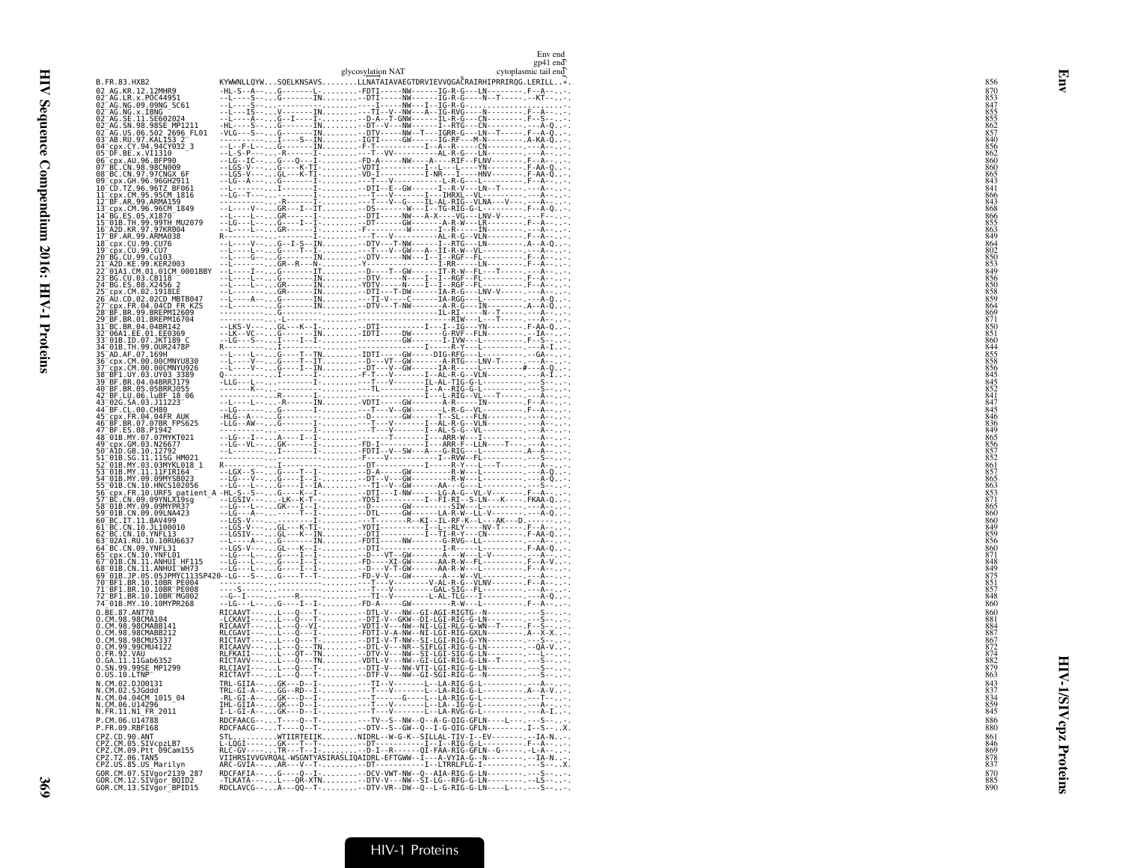|                                                                                    | glycosylation NAT                                                  | gp41 end<br>cytoplasmic tail end |
|------------------------------------------------------------------------------------|--------------------------------------------------------------------|----------------------------------|
| B. FR. 83. HXB2                                                                    | KYWWNLLQYWSQELKNSAVSLLNATAIAVAEGTDRVIEVVQGAČRAIRHIPRRIRQG.LERILL*. |                                  |
|                                                                                    |                                                                    |                                  |
|                                                                                    |                                                                    |                                  |
|                                                                                    |                                                                    |                                  |
|                                                                                    |                                                                    |                                  |
|                                                                                    |                                                                    |                                  |
|                                                                                    |                                                                    |                                  |
|                                                                                    |                                                                    |                                  |
|                                                                                    |                                                                    |                                  |
|                                                                                    |                                                                    |                                  |
|                                                                                    |                                                                    |                                  |
|                                                                                    |                                                                    |                                  |
|                                                                                    |                                                                    |                                  |
|                                                                                    |                                                                    |                                  |
|                                                                                    |                                                                    |                                  |
|                                                                                    |                                                                    |                                  |
|                                                                                    |                                                                    |                                  |
|                                                                                    |                                                                    |                                  |
|                                                                                    |                                                                    |                                  |
|                                                                                    |                                                                    |                                  |
|                                                                                    |                                                                    |                                  |
|                                                                                    |                                                                    |                                  |
|                                                                                    |                                                                    |                                  |
|                                                                                    |                                                                    |                                  |
|                                                                                    |                                                                    |                                  |
|                                                                                    |                                                                    |                                  |
|                                                                                    |                                                                    |                                  |
|                                                                                    |                                                                    |                                  |
|                                                                                    |                                                                    |                                  |
|                                                                                    |                                                                    |                                  |
|                                                                                    |                                                                    |                                  |
|                                                                                    |                                                                    |                                  |
|                                                                                    |                                                                    |                                  |
|                                                                                    |                                                                    |                                  |
|                                                                                    |                                                                    |                                  |
|                                                                                    |                                                                    |                                  |
|                                                                                    |                                                                    |                                  |
|                                                                                    |                                                                    |                                  |
|                                                                                    |                                                                    |                                  |
|                                                                                    |                                                                    |                                  |
|                                                                                    |                                                                    |                                  |
|                                                                                    |                                                                    |                                  |
|                                                                                    |                                                                    |                                  |
|                                                                                    |                                                                    |                                  |
|                                                                                    |                                                                    |                                  |
|                                                                                    |                                                                    |                                  |
|                                                                                    |                                                                    |                                  |
|                                                                                    |                                                                    |                                  |
|                                                                                    |                                                                    |                                  |
|                                                                                    |                                                                    |                                  |
| -<br>GOR.CM.07.SIVgor2139 287<br>GOR.CM.12.SIVgor_BOID2<br>GOR.CM.13.SIVgor_BPID15 |                                                                    |                                  |

Env end

Env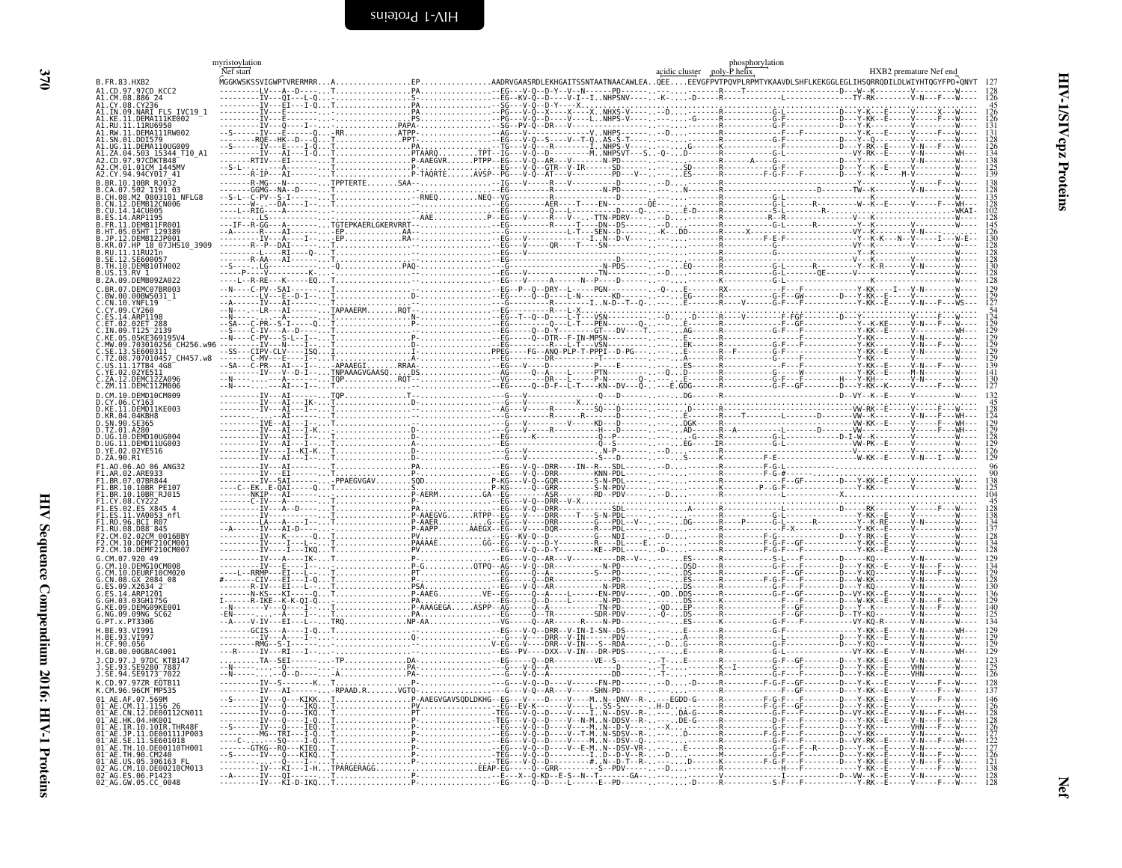<span id="page-59-1"></span><span id="page-59-0"></span>

| .QEEEEVGFPVTPQVPLRPMTYKAAVDLSHFLKEKGGLEGLIHSQRRQDILDLWIYHTQGYFPD*QNYT 12<br>. AADRVGAASRDLEKHGAITSSNTAATNAACAWLEA.<br>B.FR.83.HXB2<br>.CD.97.97CD KCC2<br>NARI FLS IVC19 1<br>KF.11.DEMA111KE002<br>11RU6950<br>.DEMA111RW002<br>EMA110UG009<br>503 15344 T10 A1<br>97CDKTB48<br>.01CM 1445MV<br>94CY017 41<br>12 0803101 NFLG8<br>MB12CN006<br>14CU005<br>A5HT 129389<br>DEMRT21P001<br>18 07JHS10 3909<br>SE600057<br>DEMC07BR003<br>00BW5031 1<br>YNFL19<br>010256_CH256.w96<br>ZM.11.DEMC11ZM006<br>DEMDI1KE003<br>04KRH8<br>SN.90.SE365<br>DEMD10UG00<br>DEMD11UG003<br>YE.02.02YE516<br>ZA.90.R1<br>.AO.06.AO 06 ANG32<br>BR.10.10BR <sup>-</sup> RJ015<br>ES X845<br>VA0053 nfl<br>RU.08.D88 <sup>-</sup> 845<br>A2CM AA16RR<br>DEME210CM001<br>CM.10.DEMF210CM00.<br>CM.10.DEURF10CM020<br>GX 2084 08<br>09.DEMG09KE001<br>09NG SC62<br>PT.x.PT3306<br>.056<br>GB.00.00GBAC4001<br>.J 97DC KTB147<br>SE.94.SE9173 7022<br>.97ZR E0TB11<br>DE00111JP003<br>DE00110TH001<br>AG.CM.10.DE00210CM013<br>I------------D--VW--K--E-----V-N-------W----<br>02 AG.ES.06.P1423<br>02 AG.GW.05.CC 0048<br>--IV---KI-D-IKO. |  | myristoylation<br>Nef start |  | acidic cluster poly-P helix | hosphorylation | HXB2 premature Nef end |
|-------------------------------------------------------------------------------------------------------------------------------------------------------------------------------------------------------------------------------------------------------------------------------------------------------------------------------------------------------------------------------------------------------------------------------------------------------------------------------------------------------------------------------------------------------------------------------------------------------------------------------------------------------------------------------------------------------------------------------------------------------------------------------------------------------------------------------------------------------------------------------------------------------------------------------------------------------------------------------------------------------------------------------------------------------------------------------------------------------------------------|--|-----------------------------|--|-----------------------------|----------------|------------------------|
|                                                                                                                                                                                                                                                                                                                                                                                                                                                                                                                                                                                                                                                                                                                                                                                                                                                                                                                                                                                                                                                                                                                         |  |                             |  |                             |                |                        |
|                                                                                                                                                                                                                                                                                                                                                                                                                                                                                                                                                                                                                                                                                                                                                                                                                                                                                                                                                                                                                                                                                                                         |  |                             |  |                             |                |                        |
|                                                                                                                                                                                                                                                                                                                                                                                                                                                                                                                                                                                                                                                                                                                                                                                                                                                                                                                                                                                                                                                                                                                         |  |                             |  |                             |                |                        |
|                                                                                                                                                                                                                                                                                                                                                                                                                                                                                                                                                                                                                                                                                                                                                                                                                                                                                                                                                                                                                                                                                                                         |  |                             |  |                             |                |                        |
|                                                                                                                                                                                                                                                                                                                                                                                                                                                                                                                                                                                                                                                                                                                                                                                                                                                                                                                                                                                                                                                                                                                         |  |                             |  |                             |                |                        |
|                                                                                                                                                                                                                                                                                                                                                                                                                                                                                                                                                                                                                                                                                                                                                                                                                                                                                                                                                                                                                                                                                                                         |  |                             |  |                             |                |                        |
|                                                                                                                                                                                                                                                                                                                                                                                                                                                                                                                                                                                                                                                                                                                                                                                                                                                                                                                                                                                                                                                                                                                         |  |                             |  |                             |                |                        |
|                                                                                                                                                                                                                                                                                                                                                                                                                                                                                                                                                                                                                                                                                                                                                                                                                                                                                                                                                                                                                                                                                                                         |  |                             |  |                             |                |                        |
|                                                                                                                                                                                                                                                                                                                                                                                                                                                                                                                                                                                                                                                                                                                                                                                                                                                                                                                                                                                                                                                                                                                         |  |                             |  |                             |                |                        |
|                                                                                                                                                                                                                                                                                                                                                                                                                                                                                                                                                                                                                                                                                                                                                                                                                                                                                                                                                                                                                                                                                                                         |  |                             |  |                             |                |                        |
|                                                                                                                                                                                                                                                                                                                                                                                                                                                                                                                                                                                                                                                                                                                                                                                                                                                                                                                                                                                                                                                                                                                         |  |                             |  |                             |                |                        |
|                                                                                                                                                                                                                                                                                                                                                                                                                                                                                                                                                                                                                                                                                                                                                                                                                                                                                                                                                                                                                                                                                                                         |  |                             |  |                             |                |                        |
|                                                                                                                                                                                                                                                                                                                                                                                                                                                                                                                                                                                                                                                                                                                                                                                                                                                                                                                                                                                                                                                                                                                         |  |                             |  |                             |                |                        |
|                                                                                                                                                                                                                                                                                                                                                                                                                                                                                                                                                                                                                                                                                                                                                                                                                                                                                                                                                                                                                                                                                                                         |  |                             |  |                             |                |                        |
|                                                                                                                                                                                                                                                                                                                                                                                                                                                                                                                                                                                                                                                                                                                                                                                                                                                                                                                                                                                                                                                                                                                         |  |                             |  |                             |                |                        |
|                                                                                                                                                                                                                                                                                                                                                                                                                                                                                                                                                                                                                                                                                                                                                                                                                                                                                                                                                                                                                                                                                                                         |  |                             |  |                             |                |                        |
|                                                                                                                                                                                                                                                                                                                                                                                                                                                                                                                                                                                                                                                                                                                                                                                                                                                                                                                                                                                                                                                                                                                         |  |                             |  |                             |                |                        |
|                                                                                                                                                                                                                                                                                                                                                                                                                                                                                                                                                                                                                                                                                                                                                                                                                                                                                                                                                                                                                                                                                                                         |  |                             |  |                             |                |                        |
|                                                                                                                                                                                                                                                                                                                                                                                                                                                                                                                                                                                                                                                                                                                                                                                                                                                                                                                                                                                                                                                                                                                         |  |                             |  |                             |                |                        |
|                                                                                                                                                                                                                                                                                                                                                                                                                                                                                                                                                                                                                                                                                                                                                                                                                                                                                                                                                                                                                                                                                                                         |  |                             |  |                             |                |                        |
|                                                                                                                                                                                                                                                                                                                                                                                                                                                                                                                                                                                                                                                                                                                                                                                                                                                                                                                                                                                                                                                                                                                         |  |                             |  |                             |                |                        |
|                                                                                                                                                                                                                                                                                                                                                                                                                                                                                                                                                                                                                                                                                                                                                                                                                                                                                                                                                                                                                                                                                                                         |  |                             |  |                             |                |                        |
|                                                                                                                                                                                                                                                                                                                                                                                                                                                                                                                                                                                                                                                                                                                                                                                                                                                                                                                                                                                                                                                                                                                         |  |                             |  |                             |                |                        |
|                                                                                                                                                                                                                                                                                                                                                                                                                                                                                                                                                                                                                                                                                                                                                                                                                                                                                                                                                                                                                                                                                                                         |  |                             |  |                             |                |                        |
|                                                                                                                                                                                                                                                                                                                                                                                                                                                                                                                                                                                                                                                                                                                                                                                                                                                                                                                                                                                                                                                                                                                         |  |                             |  |                             |                |                        |
|                                                                                                                                                                                                                                                                                                                                                                                                                                                                                                                                                                                                                                                                                                                                                                                                                                                                                                                                                                                                                                                                                                                         |  |                             |  |                             |                |                        |
|                                                                                                                                                                                                                                                                                                                                                                                                                                                                                                                                                                                                                                                                                                                                                                                                                                                                                                                                                                                                                                                                                                                         |  |                             |  |                             |                |                        |
|                                                                                                                                                                                                                                                                                                                                                                                                                                                                                                                                                                                                                                                                                                                                                                                                                                                                                                                                                                                                                                                                                                                         |  |                             |  |                             |                |                        |
|                                                                                                                                                                                                                                                                                                                                                                                                                                                                                                                                                                                                                                                                                                                                                                                                                                                                                                                                                                                                                                                                                                                         |  |                             |  |                             |                |                        |
|                                                                                                                                                                                                                                                                                                                                                                                                                                                                                                                                                                                                                                                                                                                                                                                                                                                                                                                                                                                                                                                                                                                         |  |                             |  |                             |                |                        |
|                                                                                                                                                                                                                                                                                                                                                                                                                                                                                                                                                                                                                                                                                                                                                                                                                                                                                                                                                                                                                                                                                                                         |  |                             |  |                             |                |                        |
|                                                                                                                                                                                                                                                                                                                                                                                                                                                                                                                                                                                                                                                                                                                                                                                                                                                                                                                                                                                                                                                                                                                         |  |                             |  |                             |                |                        |
|                                                                                                                                                                                                                                                                                                                                                                                                                                                                                                                                                                                                                                                                                                                                                                                                                                                                                                                                                                                                                                                                                                                         |  |                             |  |                             |                |                        |
|                                                                                                                                                                                                                                                                                                                                                                                                                                                                                                                                                                                                                                                                                                                                                                                                                                                                                                                                                                                                                                                                                                                         |  |                             |  |                             |                |                        |
|                                                                                                                                                                                                                                                                                                                                                                                                                                                                                                                                                                                                                                                                                                                                                                                                                                                                                                                                                                                                                                                                                                                         |  |                             |  |                             |                |                        |
|                                                                                                                                                                                                                                                                                                                                                                                                                                                                                                                                                                                                                                                                                                                                                                                                                                                                                                                                                                                                                                                                                                                         |  |                             |  |                             |                |                        |
|                                                                                                                                                                                                                                                                                                                                                                                                                                                                                                                                                                                                                                                                                                                                                                                                                                                                                                                                                                                                                                                                                                                         |  |                             |  |                             |                |                        |
|                                                                                                                                                                                                                                                                                                                                                                                                                                                                                                                                                                                                                                                                                                                                                                                                                                                                                                                                                                                                                                                                                                                         |  |                             |  |                             |                |                        |
|                                                                                                                                                                                                                                                                                                                                                                                                                                                                                                                                                                                                                                                                                                                                                                                                                                                                                                                                                                                                                                                                                                                         |  |                             |  |                             |                |                        |
|                                                                                                                                                                                                                                                                                                                                                                                                                                                                                                                                                                                                                                                                                                                                                                                                                                                                                                                                                                                                                                                                                                                         |  |                             |  |                             |                |                        |
|                                                                                                                                                                                                                                                                                                                                                                                                                                                                                                                                                                                                                                                                                                                                                                                                                                                                                                                                                                                                                                                                                                                         |  |                             |  |                             |                |                        |
|                                                                                                                                                                                                                                                                                                                                                                                                                                                                                                                                                                                                                                                                                                                                                                                                                                                                                                                                                                                                                                                                                                                         |  |                             |  |                             |                |                        |
|                                                                                                                                                                                                                                                                                                                                                                                                                                                                                                                                                                                                                                                                                                                                                                                                                                                                                                                                                                                                                                                                                                                         |  |                             |  |                             |                |                        |
|                                                                                                                                                                                                                                                                                                                                                                                                                                                                                                                                                                                                                                                                                                                                                                                                                                                                                                                                                                                                                                                                                                                         |  |                             |  |                             |                |                        |
|                                                                                                                                                                                                                                                                                                                                                                                                                                                                                                                                                                                                                                                                                                                                                                                                                                                                                                                                                                                                                                                                                                                         |  |                             |  |                             |                |                        |
|                                                                                                                                                                                                                                                                                                                                                                                                                                                                                                                                                                                                                                                                                                                                                                                                                                                                                                                                                                                                                                                                                                                         |  |                             |  |                             |                |                        |
|                                                                                                                                                                                                                                                                                                                                                                                                                                                                                                                                                                                                                                                                                                                                                                                                                                                                                                                                                                                                                                                                                                                         |  |                             |  |                             |                |                        |
|                                                                                                                                                                                                                                                                                                                                                                                                                                                                                                                                                                                                                                                                                                                                                                                                                                                                                                                                                                                                                                                                                                                         |  |                             |  |                             |                |                        |
|                                                                                                                                                                                                                                                                                                                                                                                                                                                                                                                                                                                                                                                                                                                                                                                                                                                                                                                                                                                                                                                                                                                         |  |                             |  |                             |                |                        |
|                                                                                                                                                                                                                                                                                                                                                                                                                                                                                                                                                                                                                                                                                                                                                                                                                                                                                                                                                                                                                                                                                                                         |  |                             |  |                             |                |                        |
|                                                                                                                                                                                                                                                                                                                                                                                                                                                                                                                                                                                                                                                                                                                                                                                                                                                                                                                                                                                                                                                                                                                         |  |                             |  |                             |                |                        |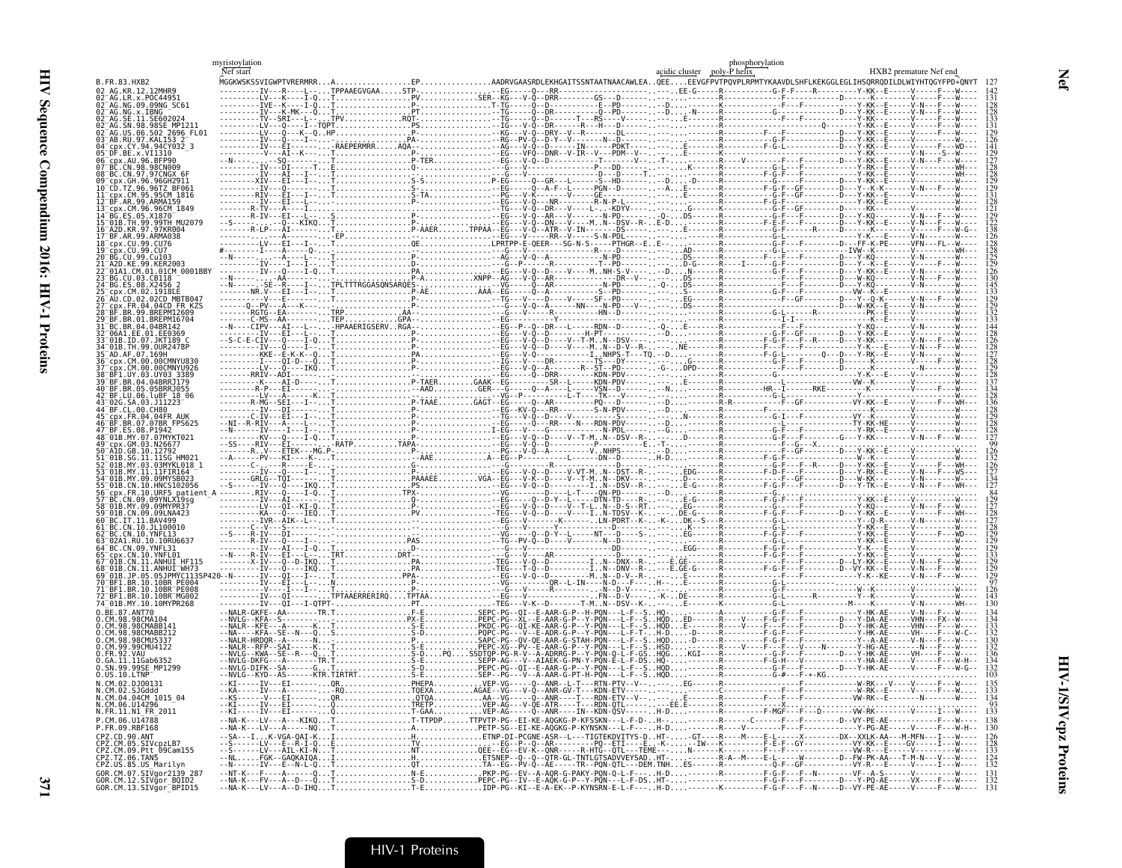|                                                                        | myristoylation<br>Nef start |  |                                                                                                                                                                                                                                  |  |  |  | acidic cluster poly-P helix | phosphorylation |                                                                                                                              | HXB2 premature Nef end |  |
|------------------------------------------------------------------------|-----------------------------|--|----------------------------------------------------------------------------------------------------------------------------------------------------------------------------------------------------------------------------------|--|--|--|-----------------------------|-----------------|------------------------------------------------------------------------------------------------------------------------------|------------------------|--|
| <b>B. FR. 83. HXB2</b>                                                 | MGGKWSKSSVIGWPTVRERMRRA     |  |                                                                                                                                                                                                                                  |  |  |  |                             |                 | $\ldots\ldots\ldots$ AADRVGAASRDLEKHGAITSSNTAATNAACAWLEAQEEEEVGFPVTPQVPLRPMTYKAAVDLSHFLKEKGGLEGLIHSQRRQDILDLWIYHTQGYFPD*QNYT |                        |  |
| NG.09.09NG SC61                                                        |                             |  |                                                                                                                                                                                                                                  |  |  |  |                             |                 |                                                                                                                              |                        |  |
| AG.NG.X.IBNG<br>AG.SE.11.SE602024                                      |                             |  |                                                                                                                                                                                                                                  |  |  |  |                             |                 |                                                                                                                              |                        |  |
| 2696 FL01                                                              |                             |  |                                                                                                                                                                                                                                  |  |  |  |                             |                 |                                                                                                                              |                        |  |
|                                                                        |                             |  |                                                                                                                                                                                                                                  |  |  |  |                             |                 |                                                                                                                              |                        |  |
| DE RE x VT1310<br>cnx.AU                                               |                             |  |                                                                                                                                                                                                                                  |  |  |  |                             |                 |                                                                                                                              |                        |  |
|                                                                        |                             |  |                                                                                                                                                                                                                                  |  |  |  |                             |                 |                                                                                                                              |                        |  |
|                                                                        |                             |  |                                                                                                                                                                                                                                  |  |  |  |                             |                 |                                                                                                                              |                        |  |
|                                                                        |                             |  |                                                                                                                                                                                                                                  |  |  |  |                             |                 |                                                                                                                              |                        |  |
| .CM.96.96CM 1849                                                       |                             |  |                                                                                                                                                                                                                                  |  |  |  |                             |                 |                                                                                                                              |                        |  |
|                                                                        |                             |  |                                                                                                                                                                                                                                  |  |  |  |                             |                 |                                                                                                                              |                        |  |
| 99.ARMA038<br>cnx.CU.99.CU76                                           |                             |  |                                                                                                                                                                                                                                  |  |  |  |                             |                 |                                                                                                                              |                        |  |
| $x$ CII 99 CII7<br>BG.CU.99.Cu103                                      |                             |  |                                                                                                                                                                                                                                  |  |  |  |                             |                 |                                                                                                                              |                        |  |
| .CM 01<br>.01CM 0001BBY                                                |                             |  |                                                                                                                                                                                                                                  |  |  |  |                             |                 |                                                                                                                              |                        |  |
| CIL.03.CB118                                                           |                             |  |                                                                                                                                                                                                                                  |  |  |  |                             |                 |                                                                                                                              |                        |  |
|                                                                        |                             |  |                                                                                                                                                                                                                                  |  |  |  |                             |                 |                                                                                                                              |                        |  |
| BF.BR.99.BREPM12609                                                    |                             |  |                                                                                                                                                                                                                                  |  |  |  |                             |                 |                                                                                                                              |                        |  |
| RR A4 A4RR142                                                          |                             |  |                                                                                                                                                                                                                                  |  |  |  |                             |                 |                                                                                                                              |                        |  |
|                                                                        |                             |  |                                                                                                                                                                                                                                  |  |  |  |                             |                 |                                                                                                                              |                        |  |
| 01B. TH. 99. 0UR2478P                                                  |                             |  |                                                                                                                                                                                                                                  |  |  |  |                             |                 |                                                                                                                              |                        |  |
| CHY CM AA AACMNYLISSE                                                  |                             |  |                                                                                                                                                                                                                                  |  |  |  |                             |                 |                                                                                                                              |                        |  |
| BR.04.04BRR7179                                                        |                             |  |                                                                                                                                                                                                                                  |  |  |  |                             |                 |                                                                                                                              |                        |  |
| .BR.05.05BRRJ055<br>BF.LU.06.luBF 18 06                                |                             |  |                                                                                                                                                                                                                                  |  |  |  |                             |                 |                                                                                                                              |                        |  |
|                                                                        |                             |  |                                                                                                                                                                                                                                  |  |  |  |                             |                 |                                                                                                                              |                        |  |
|                                                                        |                             |  |                                                                                                                                                                                                                                  |  |  |  |                             |                 |                                                                                                                              |                        |  |
| BR.07.07BR FPS625                                                      |                             |  |                                                                                                                                                                                                                                  |  |  |  |                             |                 |                                                                                                                              |                        |  |
|                                                                        |                             |  |                                                                                                                                                                                                                                  |  |  |  |                             |                 |                                                                                                                              |                        |  |
|                                                                        |                             |  |                                                                                                                                                                                                                                  |  |  |  |                             |                 |                                                                                                                              |                        |  |
|                                                                        |                             |  |                                                                                                                                                                                                                                  |  |  |  |                             |                 |                                                                                                                              |                        |  |
|                                                                        |                             |  |                                                                                                                                                                                                                                  |  |  |  |                             |                 |                                                                                                                              |                        |  |
|                                                                        |                             |  |                                                                                                                                                                                                                                  |  |  |  |                             |                 |                                                                                                                              |                        |  |
|                                                                        |                             |  |                                                                                                                                                                                                                                  |  |  |  |                             |                 |                                                                                                                              |                        |  |
| TT 11 RAV499<br>10.11100010                                            |                             |  |                                                                                                                                                                                                                                  |  |  |  |                             |                 |                                                                                                                              |                        |  |
|                                                                        |                             |  |                                                                                                                                                                                                                                  |  |  |  |                             |                 |                                                                                                                              |                        |  |
|                                                                        |                             |  |                                                                                                                                                                                                                                  |  |  |  |                             |                 |                                                                                                                              |                        |  |
|                                                                        |                             |  |                                                                                                                                                                                                                                  |  |  |  |                             |                 |                                                                                                                              |                        |  |
|                                                                        |                             |  |                                                                                                                                                                                                                                  |  |  |  |                             |                 |                                                                                                                              |                        |  |
| $-BF1.BR.10.10BR$ $PE008$<br>BR 10 10BR MG002<br>4 01B.MY.10.10MYPR268 |                             |  |                                                                                                                                                                                                                                  |  |  |  |                             |                 |                                                                                                                              |                        |  |
|                                                                        |                             |  |                                                                                                                                                                                                                                  |  |  |  |                             |                 |                                                                                                                              |                        |  |
| 98.98CMABB141                                                          |                             |  | $-NULG-KEF-0AA-0.223-0.243-0.254-0.267-0.273-0.273-0.273-0.273-0.273-0.273-0.273-0.273-0.273-0.273-0.273-0.273-0.273-0.273-0.273-0.273-0.273-0.273-0.273-0.273-0.273-0.273-0.273-0.273-0.273-0.273-0.273-0.273-0.273-0.273-0.27$ |  |  |  |                             |                 |                                                                                                                              |                        |  |
| 0.CM.98.98CMABB212<br>0.CM.98.98CMU5337                                |                             |  |                                                                                                                                                                                                                                  |  |  |  |                             |                 |                                                                                                                              |                        |  |
| 0.CM.99.99CMU4122<br><b>FR.92.VAU</b>                                  |                             |  |                                                                                                                                                                                                                                  |  |  |  |                             |                 |                                                                                                                              |                        |  |
| SN.99.99SE_MP1299                                                      |                             |  |                                                                                                                                                                                                                                  |  |  |  |                             |                 |                                                                                                                              |                        |  |
| $0.0S.10.LTNP^-$<br>CM.02.DJ00131                                      |                             |  |                                                                                                                                                                                                                                  |  |  |  |                             |                 |                                                                                                                              |                        |  |
| N.CM.04.04CM 1015 04                                                   |                             |  |                                                                                                                                                                                                                                  |  |  |  |                             |                 |                                                                                                                              |                        |  |
| N . (M . 06 . 1114296<br>N.FR.11.N1 FR 2011                            |                             |  |                                                                                                                                                                                                                                  |  |  |  |                             |                 |                                                                                                                              |                        |  |
| P.CM.06.U14788                                                         |                             |  |                                                                                                                                                                                                                                  |  |  |  |                             |                 |                                                                                                                              |                        |  |
| P.FR.09.RBF168<br>CP7. CD. 90. ANT                                     |                             |  |                                                                                                                                                                                                                                  |  |  |  |                             |                 |                                                                                                                              |                        |  |
| CPZ.CM.05.SIVcnzLB7<br>CPZ.CM.09.Ptt 09Cam155                          |                             |  |                                                                                                                                                                                                                                  |  |  |  |                             |                 |                                                                                                                              |                        |  |
| TZ.06.TAN5<br>CPZ.US.85.US Marilyn                                     |                             |  |                                                                                                                                                                                                                                  |  |  |  |                             |                 |                                                                                                                              |                        |  |
| GOR.CM.07.SIVgor2139 287<br>JR.CM.12.SIVāor BOID.                      |                             |  |                                                                                                                                                                                                                                  |  |  |  |                             |                 |                                                                                                                              |                        |  |
| GOR.CM.13.SIVğor <sup>-</sup> BPID15                                   |                             |  |                                                                                                                                                                                                                                  |  |  |  |                             |                 |                                                                                                                              |                        |  |

Nef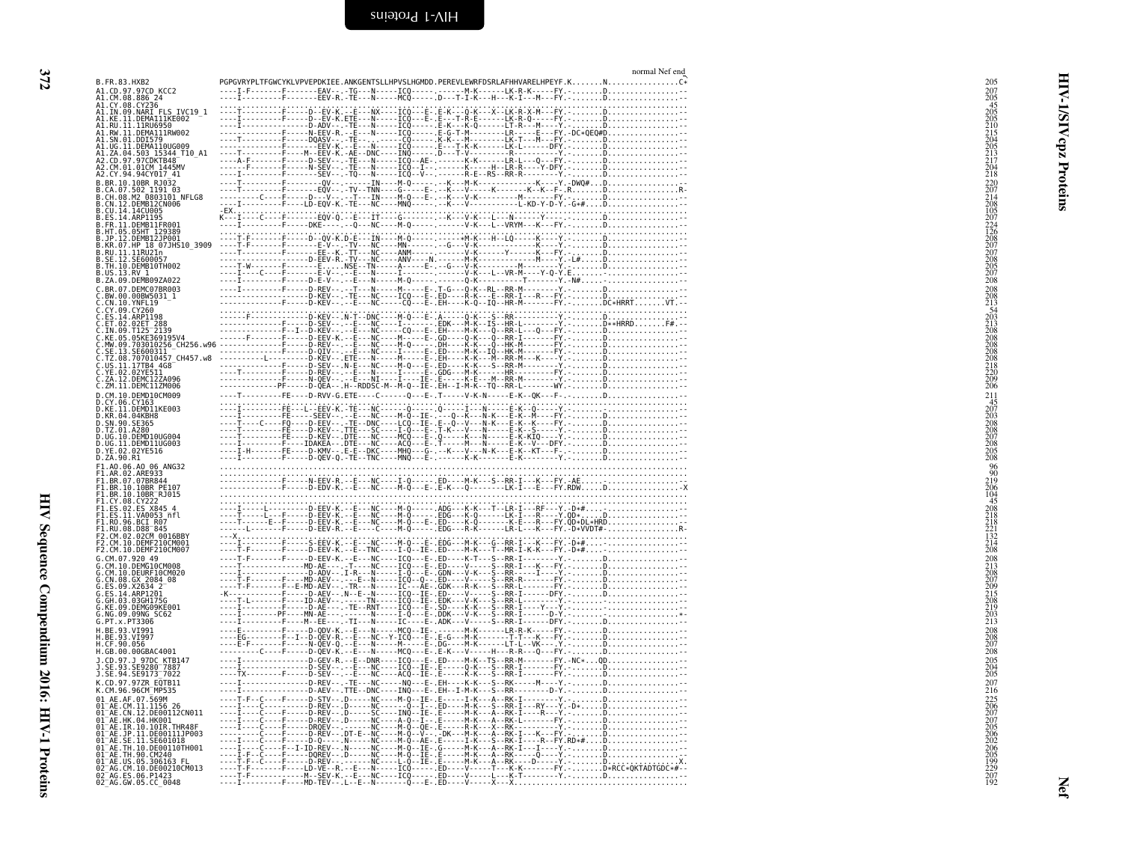<span id="page-61-0"></span>

| normal Nef end |  |  |
|----------------|--|--|
|                |  |  |

|                                                                                                                                                   | normal Nef end                                                                                                                                                                                                                                                                                                                                                                                                                                                                                                      |                                                                                         |
|---------------------------------------------------------------------------------------------------------------------------------------------------|---------------------------------------------------------------------------------------------------------------------------------------------------------------------------------------------------------------------------------------------------------------------------------------------------------------------------------------------------------------------------------------------------------------------------------------------------------------------------------------------------------------------|-----------------------------------------------------------------------------------------|
| B.FR.83.HXB2<br>A1.CD.97.97CD KCC2                                                                                                                | PGPGVRYPLTFGWCYKLVPVEPDKIEE.ANKGENTSLLHPVSLHGMDD.PEREVLEWRFDSRLAFHHVARELHPEYF.KNC*<br>----I-F-------F-------EAV--.-TG---N-----ICQ-----.--------------LK-R-K------FY.-D                                                                                                                                                                                                                                                                                                                                              | 205                                                                                     |
| A1.CM.08.886 24<br>A1.CY.08.CY236                                                                                                                 | ----I---------F-------EEV-R.-TE---N-----MCQ-----.D---T-I-K---H---K-I---M---FY.-D                                                                                                                                                                                                                                                                                                                                                                                                                                    |                                                                                         |
| A1.IN.09.NARI FLS IVC19_1<br>A1.KE.11.DEMAI11KE002<br>A1.RU.11.1RU6950<br>A1.RW.11.1RU6950<br>A1.RW.11.DEMA111RW002                               |                                                                                                                                                                                                                                                                                                                                                                                                                                                                                                                     | ত                                                                                       |
|                                                                                                                                                   |                                                                                                                                                                                                                                                                                                                                                                                                                                                                                                                     | ₹                                                                                       |
| A1.SN.01.DDI579<br>A1.SN.01.DDI579                                                                                                                |                                                                                                                                                                                                                                                                                                                                                                                                                                                                                                                     | cpz                                                                                     |
| A1.2A.04.503_15344_T10_A1<br>A1.2A.04.503_15344_T10_A1<br>A2.CD.97.97CDKTB48<br>A2.CM.01.01CM_1445MV<br>A2.CY.94.94CY017_41                       |                                                                                                                                                                                                                                                                                                                                                                                                                                                                                                                     | 207<br>205<br>45<br>205<br>205<br>210<br>210<br>210<br>213<br>217<br>204<br>218         |
|                                                                                                                                                   |                                                                                                                                                                                                                                                                                                                                                                                                                                                                                                                     |                                                                                         |
| B.BR.10.10BR RJ032<br>B.CA.07.502 1191 03<br>B.CH.08.M2 0803101 NFLG8<br>B.CN.12.DEMB12CN006<br>B.CV.14.14CU005                                   |                                                                                                                                                                                                                                                                                                                                                                                                                                                                                                                     | Proteins<br>2207214<br>20721485<br>2077446<br>2087207208<br>207208207208                |
|                                                                                                                                                   |                                                                                                                                                                                                                                                                                                                                                                                                                                                                                                                     |                                                                                         |
|                                                                                                                                                   |                                                                                                                                                                                                                                                                                                                                                                                                                                                                                                                     |                                                                                         |
|                                                                                                                                                   |                                                                                                                                                                                                                                                                                                                                                                                                                                                                                                                     |                                                                                         |
|                                                                                                                                                   |                                                                                                                                                                                                                                                                                                                                                                                                                                                                                                                     |                                                                                         |
|                                                                                                                                                   |                                                                                                                                                                                                                                                                                                                                                                                                                                                                                                                     |                                                                                         |
|                                                                                                                                                   |                                                                                                                                                                                                                                                                                                                                                                                                                                                                                                                     |                                                                                         |
|                                                                                                                                                   |                                                                                                                                                                                                                                                                                                                                                                                                                                                                                                                     |                                                                                         |
|                                                                                                                                                   |                                                                                                                                                                                                                                                                                                                                                                                                                                                                                                                     |                                                                                         |
|                                                                                                                                                   |                                                                                                                                                                                                                                                                                                                                                                                                                                                                                                                     |                                                                                         |
|                                                                                                                                                   |                                                                                                                                                                                                                                                                                                                                                                                                                                                                                                                     |                                                                                         |
|                                                                                                                                                   |                                                                                                                                                                                                                                                                                                                                                                                                                                                                                                                     |                                                                                         |
|                                                                                                                                                   |                                                                                                                                                                                                                                                                                                                                                                                                                                                                                                                     |                                                                                         |
| CM.10.DEMD10CM009<br>D.                                                                                                                           | $B = 0.74, 12, 0.04, 0.04, 0.04, 0.04, 0.04, 0.04, 0.04, 0.04, 0.04, 0.04, 0.04, 0.04, 0.04, 0.04, 0.04, 0.04, 0.04, 0.04, 0.04, 0.04, 0.04, 0.04, 0.04, 0.04, 0.04, 0.04, 0.04, 0.04, 0.04, 0.04, 0.04, 0.04, 0.04, 0.04, 0.0$<br>----T---------FE----D-RVV-G.ETE----C------Q---E-.T-----V-K-N-----E-K--QK---F-.-D-                                                                                                                                                                                                | 211                                                                                     |
| D.CY.06.CY163<br>D.KE.11.DEMD11KE003<br>D.KR.04.04KBH8                                                                                            |                                                                                                                                                                                                                                                                                                                                                                                                                                                                                                                     |                                                                                         |
| Đ.<br>SN.90.SE365                                                                                                                                 |                                                                                                                                                                                                                                                                                                                                                                                                                                                                                                                     |                                                                                         |
| D.TZ.01.A280<br>D.UG.10.DEMD10UG004                                                                                                               |                                                                                                                                                                                                                                                                                                                                                                                                                                                                                                                     |                                                                                         |
| D.<br>UG.11.DEMD11UG003<br>D.YE.02.02YE516<br>D.ZA.90.R1                                                                                          | $\begin{minipage}[t]{.11\textwidth}\begin{minipage}[t]{.11\textwidth}\begin{minipage}[t]{.11\textwidth}\begin{minipage}[t]{.11\textwidth}\begin{minipage}[t]{.11\textwidth}\begin{minipage}[t]{.11\textwidth}\begin{minipage}[t]{.11\textwidth}\begin{minipage}[t]{.11\textwidth}\begin{minipage}[t]{.11\textwidth}\begin{minipage}[t]{.11\textwidth}\begin{minipage}[t]{.11\textwidth}\begin{minipage}[t]{.11\textwidth}\begin{minipage}[t]{.11\textwidth}\begin{minipage}[t]{.11\textwidth}\begin{minipage}[t]{.$ | $45$<br>$207$<br>$203$<br>$208$<br>$208$<br>$207$<br>$208$<br>$205$<br>$208$            |
| F1.A0.06.A0 06 ANG32                                                                                                                              |                                                                                                                                                                                                                                                                                                                                                                                                                                                                                                                     |                                                                                         |
| F1.AR.02.ARE933                                                                                                                                   |                                                                                                                                                                                                                                                                                                                                                                                                                                                                                                                     |                                                                                         |
| F1.BR.10.10BR PE107<br>F1.BR.10.10BR PE107<br>F1.CY.08.CY222<br>F1.ES.02.ES_X845_4                                                                |                                                                                                                                                                                                                                                                                                                                                                                                                                                                                                                     | 96<br>909<br>21964<br>45<br>208<br>218<br>212<br>214<br>208                             |
| F1.ES.11.VA0053 nfl<br>F1.RO.96.BCI R07                                                                                                           |                                                                                                                                                                                                                                                                                                                                                                                                                                                                                                                     |                                                                                         |
|                                                                                                                                                   |                                                                                                                                                                                                                                                                                                                                                                                                                                                                                                                     |                                                                                         |
| F1.RU.08.D88-845<br>F2.CM.02.02CM 0016BBY<br>F2.CM.02.02CM 0016BBY<br>F2.CM.10.DEMF210CM001                                                       |                                                                                                                                                                                                                                                                                                                                                                                                                                                                                                                     |                                                                                         |
| G.CM.07.920 49                                                                                                                                    |                                                                                                                                                                                                                                                                                                                                                                                                                                                                                                                     |                                                                                         |
| CM.10.DEMG10CM008<br>CM.10.DEURF10CM020                                                                                                           |                                                                                                                                                                                                                                                                                                                                                                                                                                                                                                                     | 208<br>213<br>208<br>207<br>207<br>215<br>208<br>219<br>203<br>213                      |
| .CN.08.GX 2084_08<br>.ES.09.X2634_2<br>ES.14.ARP1201                                                                                              |                                                                                                                                                                                                                                                                                                                                                                                                                                                                                                                     |                                                                                         |
| GH.03.03GH1750<br>G.<br>KE.09.DEMG09KE001                                                                                                         |                                                                                                                                                                                                                                                                                                                                                                                                                                                                                                                     |                                                                                         |
| NG.09.09NG SC62<br>G.PT.x.PT3306                                                                                                                  |                                                                                                                                                                                                                                                                                                                                                                                                                                                                                                                     |                                                                                         |
| H.BE.93.VI991<br>H.BE.93.VI997                                                                                                                    |                                                                                                                                                                                                                                                                                                                                                                                                                                                                                                                     | $\begin{array}{c} 208 \\ 208 \\ 207 \\ 208 \end{array}$                                 |
| H.CF.90.056<br>H.GB.00.00GBAC4001                                                                                                                 |                                                                                                                                                                                                                                                                                                                                                                                                                                                                                                                     |                                                                                         |
| J.CD.97.J_97DC_KTB147<br>J. SE. 93. SE9280 7887<br>J. SE. 94. SE9173 7022                                                                         |                                                                                                                                                                                                                                                                                                                                                                                                                                                                                                                     | $\frac{205}{204}$                                                                       |
| K.CD.97.97ZR EQTB11<br>K.CM.96.96CM MP535                                                                                                         |                                                                                                                                                                                                                                                                                                                                                                                                                                                                                                                     | $^{207}_{216}$                                                                          |
| 01_AE.AF.07.569M<br>01 AE.CM.11.1156 26                                                                                                           |                                                                                                                                                                                                                                                                                                                                                                                                                                                                                                                     |                                                                                         |
| 01-AE.CN.12.DE00112CN011                                                                                                                          |                                                                                                                                                                                                                                                                                                                                                                                                                                                                                                                     |                                                                                         |
| 01-AE.NK.04.HK001<br>01-AE.HK.04.HK001<br>01-AE.IR.10.10IR.THR48F<br>01-AE.SE.11.DE00111JP003<br>01-AE.SE.11.SE601018<br>01-AE.TH.10.DE00110TH001 |                                                                                                                                                                                                                                                                                                                                                                                                                                                                                                                     |                                                                                         |
|                                                                                                                                                   |                                                                                                                                                                                                                                                                                                                                                                                                                                                                                                                     |                                                                                         |
| 01-AE.TH.90.CM240<br>01-AE.US.05.306163_FL                                                                                                        |                                                                                                                                                                                                                                                                                                                                                                                                                                                                                                                     |                                                                                         |
| 02 AG.CM.10.DE00210CM013                                                                                                                          |                                                                                                                                                                                                                                                                                                                                                                                                                                                                                                                     | 225<br>206<br>207<br>205<br>206<br>206<br>206<br>205<br>205<br>207<br>207<br>207<br>207 |
| 02 AG. ES. 06. P1423<br>02 AG. GW. 05. CC 0048                                                                                                    |                                                                                                                                                                                                                                                                                                                                                                                                                                                                                                                     | <u>ក្ដ</u>                                                                              |
|                                                                                                                                                   |                                                                                                                                                                                                                                                                                                                                                                                                                                                                                                                     |                                                                                         |